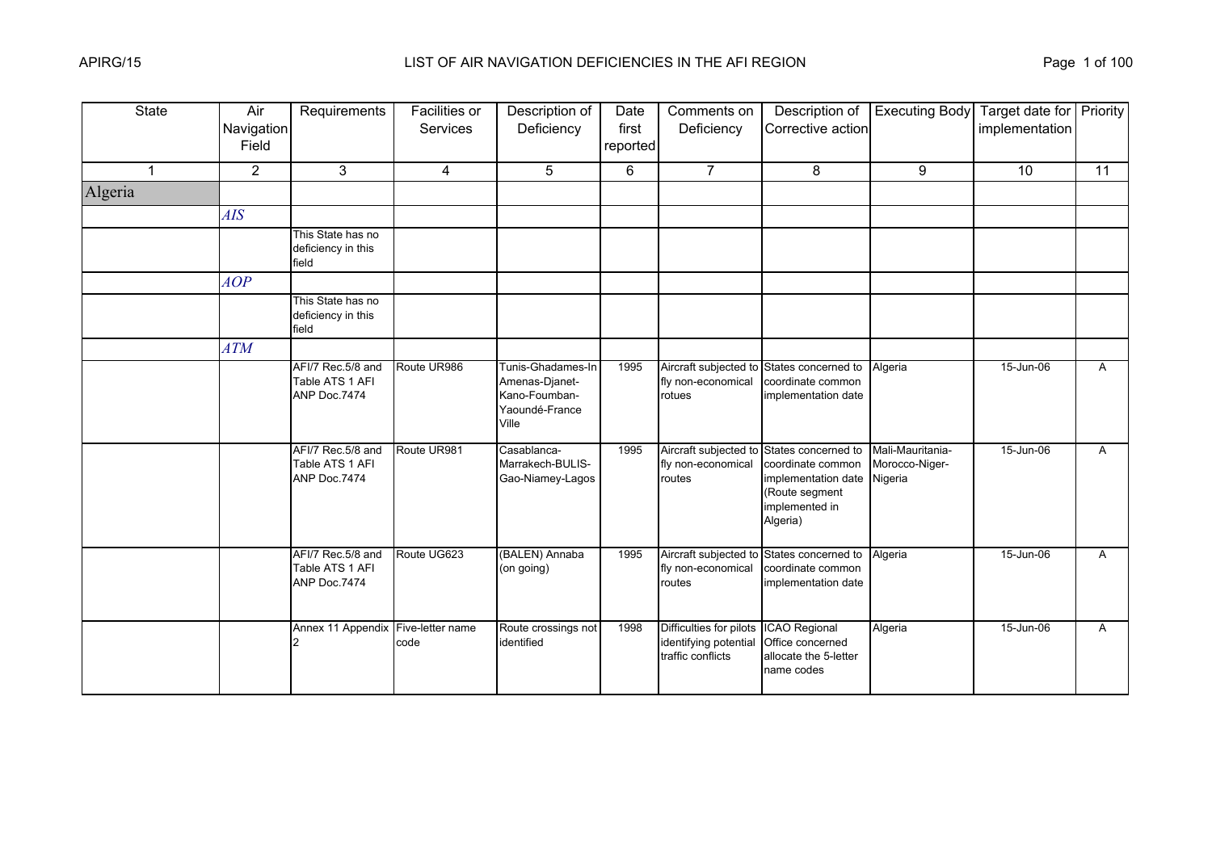| <b>State</b> | Air<br>Navigation<br>Field | Requirements                                         | Facilities or<br><b>Services</b> | Description of<br>Deficiency                                                    | Date<br>first<br>reported | Comments on<br>Deficiency                                                           | Description of<br>Corrective action                                                                             | <b>Executing Body</b>                         | Target date for Priority<br>implementation |              |
|--------------|----------------------------|------------------------------------------------------|----------------------------------|---------------------------------------------------------------------------------|---------------------------|-------------------------------------------------------------------------------------|-----------------------------------------------------------------------------------------------------------------|-----------------------------------------------|--------------------------------------------|--------------|
| $\mathbf{1}$ | $\overline{2}$             | 3                                                    | $\overline{4}$                   | 5                                                                               | 6                         | $\overline{7}$                                                                      | 8                                                                                                               | 9                                             | 10                                         | 11           |
| Algeria      |                            |                                                      |                                  |                                                                                 |                           |                                                                                     |                                                                                                                 |                                               |                                            |              |
|              | <b>AIS</b>                 |                                                      |                                  |                                                                                 |                           |                                                                                     |                                                                                                                 |                                               |                                            |              |
|              |                            | This State has no<br>deficiency in this<br>field     |                                  |                                                                                 |                           |                                                                                     |                                                                                                                 |                                               |                                            |              |
|              | AOP                        |                                                      |                                  |                                                                                 |                           |                                                                                     |                                                                                                                 |                                               |                                            |              |
|              |                            | This State has no<br>deficiency in this<br>field     |                                  |                                                                                 |                           |                                                                                     |                                                                                                                 |                                               |                                            |              |
|              | <b>ATM</b>                 |                                                      |                                  |                                                                                 |                           |                                                                                     |                                                                                                                 |                                               |                                            |              |
|              |                            | AFI/7 Rec.5/8 and<br>Table ATS 1 AFI<br>ANP Doc.7474 | Route UR986                      | Tunis-Ghadames-In<br>Amenas-Djanet-<br>Kano-Foumban-<br>Yaoundé-France<br>Ville | 1995                      | fly non-economical<br>rotues                                                        | Aircraft subjected to States concerned to<br>coordinate common<br>implementation date                           | Algeria                                       | 15-Jun-06                                  | A            |
|              |                            | AFI/7 Rec.5/8 and<br>Table ATS 1 AFI<br>ANP Doc.7474 | Route UR981                      | Casablanca-<br>Marrakech-BULIS-<br>Gao-Niamey-Lagos                             | 1995                      | Aircraft subjected to<br>fly non-economical<br>routes                               | States concerned to<br>coordinate common<br>implementation date<br>(Route segment<br>implemented in<br>Algeria) | Mali-Mauritania-<br>Morocco-Niger-<br>Nigeria | 15-Jun-06                                  | $\mathsf{A}$ |
|              |                            | AFI/7 Rec.5/8 and<br>Table ATS 1 AFI<br>ANP Doc.7474 | Route UG623                      | (BALEN) Annaba<br>(on going)                                                    | 1995                      | fly non-economical<br>routes                                                        | Aircraft subjected to States concerned to<br>coordinate common<br>implementation date                           | Algeria                                       | 15-Jun-06                                  | A            |
|              |                            | Annex 11 Appendix Five-letter name                   | code                             | Route crossings not<br>identified                                               | 1998                      | Difficulties for pilots ICAO Regional<br>identifying potential<br>traffic conflicts | Office concerned<br>allocate the 5-letter<br>name codes                                                         | Algeria                                       | 15-Jun-06                                  | $\mathsf{A}$ |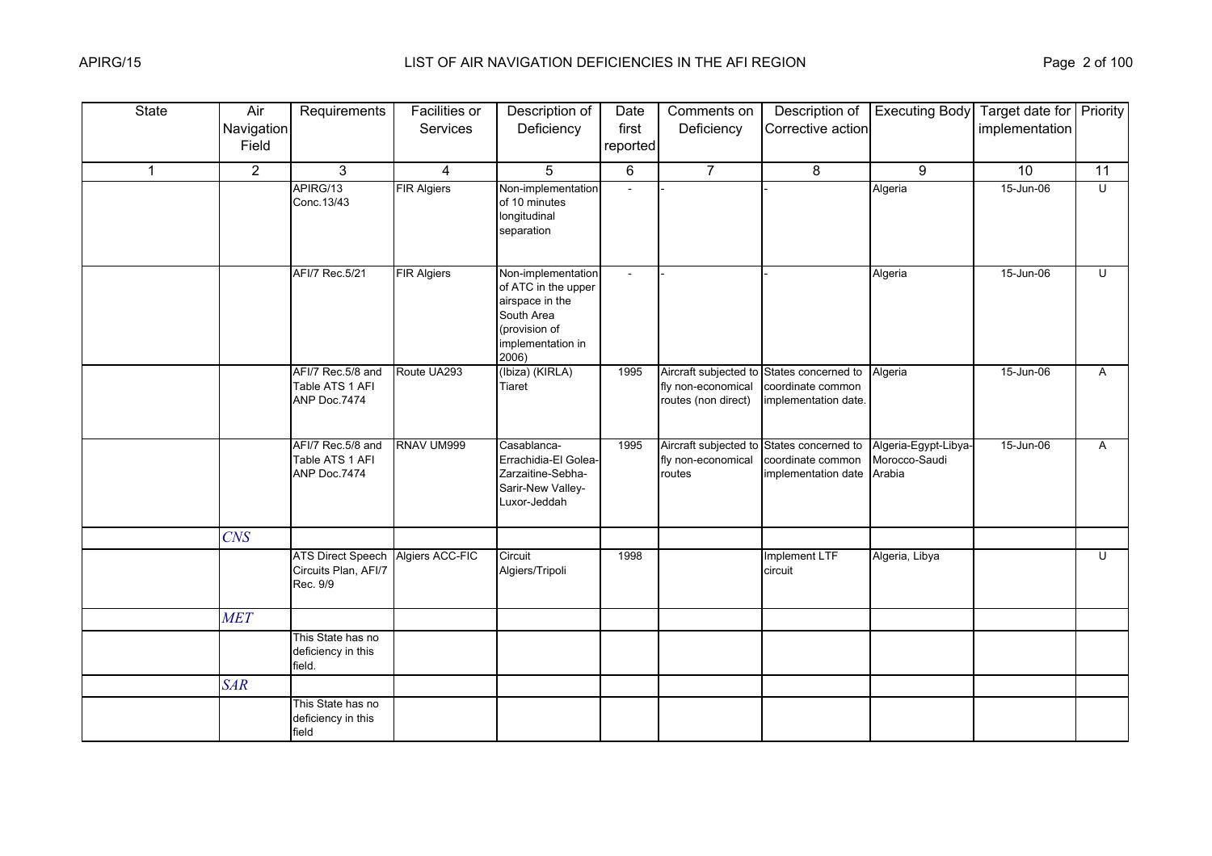| <b>State</b> | Air<br>Navigation | Requirements                                                 | <b>Facilities or</b><br>Services | Description of<br>Deficiency                                                                                              | Date<br>first  | Comments on<br>Deficiency                             | Description of<br>Corrective action                                                    | <b>Executing Body</b>                           | Target date for Priority<br>implementation |                         |
|--------------|-------------------|--------------------------------------------------------------|----------------------------------|---------------------------------------------------------------------------------------------------------------------------|----------------|-------------------------------------------------------|----------------------------------------------------------------------------------------|-------------------------------------------------|--------------------------------------------|-------------------------|
|              | Field             |                                                              |                                  |                                                                                                                           | reported       |                                                       |                                                                                        |                                                 |                                            |                         |
| $\mathbf{1}$ | $\overline{2}$    | 3                                                            | 4                                | 5                                                                                                                         | 6              | $\overline{7}$                                        | 8                                                                                      | 9                                               | 10                                         | 11                      |
|              |                   | APIRG/13<br>Conc. 13/43                                      | <b>FIR Algiers</b>               | Non-implementation<br>of 10 minutes<br>longitudinal<br>separation                                                         |                |                                                       |                                                                                        | Algeria                                         | 15-Jun-06                                  | $\overline{U}$          |
|              |                   | AFI/7 Rec.5/21                                               | <b>FIR Algiers</b>               | Non-implementation<br>of ATC in the upper<br>airspace in the<br>South Area<br>(provision of<br>implementation in<br>2006) | $\blacksquare$ |                                                       |                                                                                        | Algeria                                         | 15-Jun-06                                  | U                       |
|              |                   | AFI/7 Rec.5/8 and<br>Table ATS 1 AFI<br>ANP Doc.7474         | Route UA293                      | (Ibiza) (KIRLA)<br>Tiaret                                                                                                 | 1995           | fly non-economical<br>routes (non direct)             | Aircraft subjected to States concerned to<br>coordinate common<br>implementation date. | Algeria                                         | 15-Jun-06                                  | A                       |
|              |                   | AFI/7 Rec.5/8 and<br>Table ATS 1 AFI<br>ANP Doc.7474         | RNAV UM999                       | Casablanca-<br>Errachidia-El Golea-<br>Zarzaitine-Sebha-<br>Sarir-New Valley-<br>Luxor-Jeddah                             | 1995           | Aircraft subjected to<br>fly non-economical<br>routes | States concerned to<br>coordinate common<br>implementation date                        | Algeria-Egypt-Libya-<br>Morocco-Saudi<br>Arabia | 15-Jun-06                                  | A                       |
|              | CNS               |                                                              |                                  |                                                                                                                           |                |                                                       |                                                                                        |                                                 |                                            |                         |
|              |                   | <b>ATS Direct Speech</b><br>Circuits Plan, AFI/7<br>Rec. 9/9 | Algiers ACC-FIC                  | Circuit<br>Algiers/Tripoli                                                                                                | 1998           |                                                       | Implement LTF<br>circuit                                                               | Algeria, Libya                                  |                                            | $\overline{\mathsf{C}}$ |
|              | <b>MET</b>        |                                                              |                                  |                                                                                                                           |                |                                                       |                                                                                        |                                                 |                                            |                         |
|              |                   | This State has no<br>deficiency in this<br>field.            |                                  |                                                                                                                           |                |                                                       |                                                                                        |                                                 |                                            |                         |
|              | <b>SAR</b>        |                                                              |                                  |                                                                                                                           |                |                                                       |                                                                                        |                                                 |                                            |                         |
|              |                   | This State has no<br>deficiency in this<br>field             |                                  |                                                                                                                           |                |                                                       |                                                                                        |                                                 |                                            |                         |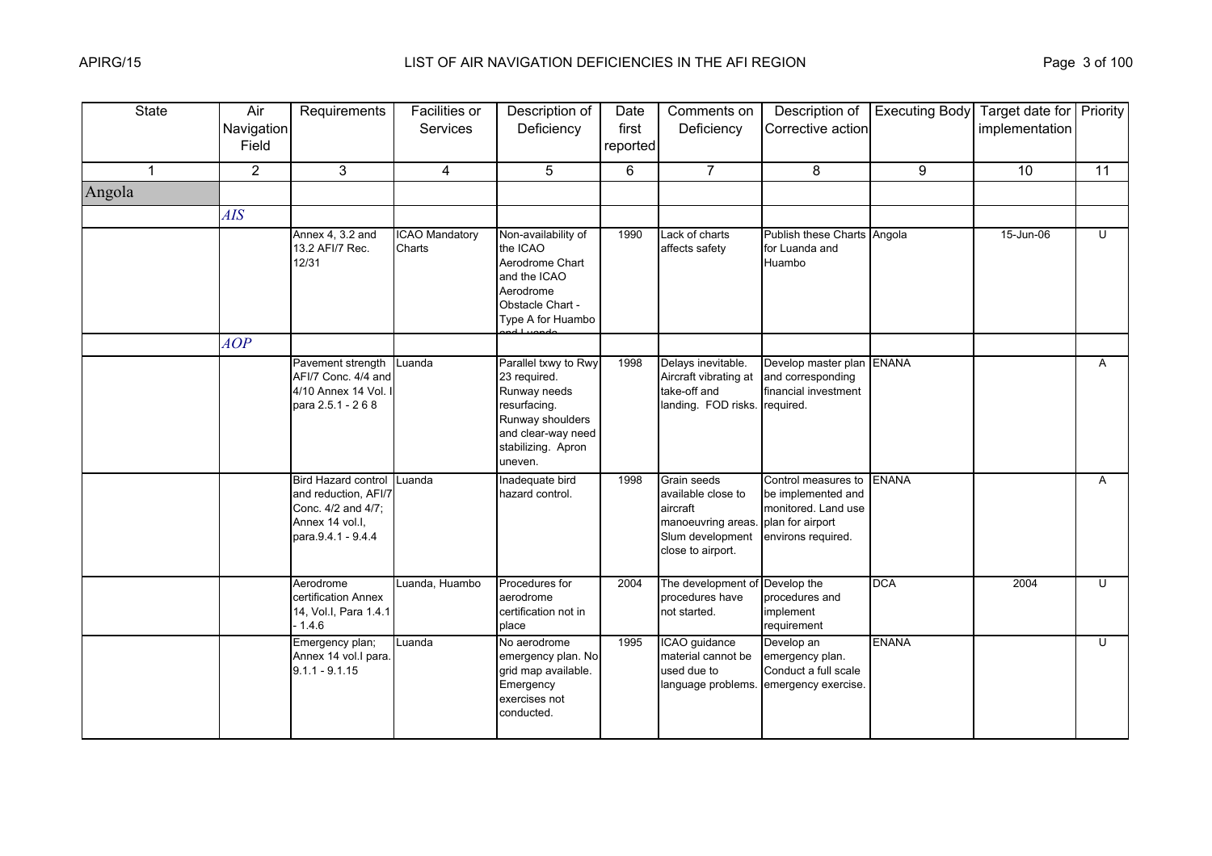| <b>State</b> | Air<br>Navigation<br>Field | Requirements                                                                                                      | Facilities or<br>Services       | Description of<br>Deficiency                                                                                                                    | Date<br>first<br>reported | Comments on<br>Deficiency                                                                                           | Description of<br>Corrective action                                                                        | <b>Executing Body</b> | Target date for Priority<br>implementation |                |
|--------------|----------------------------|-------------------------------------------------------------------------------------------------------------------|---------------------------------|-------------------------------------------------------------------------------------------------------------------------------------------------|---------------------------|---------------------------------------------------------------------------------------------------------------------|------------------------------------------------------------------------------------------------------------|-----------------------|--------------------------------------------|----------------|
| $\mathbf{1}$ | $\overline{2}$             | 3                                                                                                                 | 4                               | 5                                                                                                                                               | 6                         | $\overline{7}$                                                                                                      | 8                                                                                                          | 9                     | 10 <sup>°</sup>                            | 11             |
| Angola       |                            |                                                                                                                   |                                 |                                                                                                                                                 |                           |                                                                                                                     |                                                                                                            |                       |                                            |                |
|              | <b>AIS</b>                 |                                                                                                                   |                                 |                                                                                                                                                 |                           |                                                                                                                     |                                                                                                            |                       |                                            |                |
|              |                            | Annex 4, 3.2 and<br>13.2 AFI/7 Rec.<br>12/31                                                                      | <b>ICAO Mandatory</b><br>Charts | Non-availability of<br>the ICAO<br>Aerodrome Chart<br>and the ICAO<br>Aerodrome<br>Obstacle Chart -<br>Type A for Huambo                        | 1990                      | Lack of charts<br>affects safety                                                                                    | Publish these Charts Angola<br>for Luanda and<br>Huambo                                                    |                       | 15-Jun-06                                  | U              |
|              | AOP                        |                                                                                                                   |                                 |                                                                                                                                                 |                           |                                                                                                                     |                                                                                                            |                       |                                            |                |
|              |                            | Pavement strength<br>AFI/7 Conc. 4/4 and<br>4/10 Annex 14 Vol.<br>para 2.5.1 - 2 6 8                              | Luanda                          | Parallel txwy to Rwy<br>23 required.<br>Runway needs<br>resurfacing.<br>Runway shoulders<br>and clear-way need<br>stabilizing. Apron<br>uneven. | 1998                      | Delays inevitable.<br>Aircraft vibrating at<br>take-off and<br>landing. FOD risks. required.                        | Develop master plan ENANA<br>and corresponding<br>financial investment                                     |                       |                                            | $\overline{A}$ |
|              |                            | <b>Bird Hazard control</b><br>and reduction, AFI/7<br>Conc. 4/2 and 4/7;<br>Annex 14 vol.I.<br>para.9.4.1 - 9.4.4 | Luanda                          | Inadequate bird<br>hazard control.                                                                                                              | 1998                      | <b>Grain seeds</b><br>available close to<br>aircraft<br>manoeuvring areas.<br>Slum development<br>close to airport. | Control measures to<br>be implemented and<br>monitored. Land use<br>plan for airport<br>environs required. | <b>ENANA</b>          |                                            | A              |
|              |                            | Aerodrome<br>certification Annex<br>14, Vol.I, Para 1.4.1<br>$-1.4.6$                                             | Luanda, Huambo                  | Procedures for<br>aerodrome<br>certification not in<br>place                                                                                    | 2004                      | The development of Develop the<br>procedures have<br>not started.                                                   | procedures and<br>implement<br>requirement                                                                 | <b>DCA</b>            | 2004                                       | $\cup$         |
|              |                            | Emergency plan;<br>Annex 14 vol.I para.<br>$9.1.1 - 9.1.15$                                                       | Luanda                          | No aerodrome<br>emergency plan. No<br>grid map available.<br>Emergency<br>exercises not<br>conducted.                                           | 1995                      | ICAO guidance<br>material cannot be<br>used due to<br>language problems.                                            | Develop an<br>emergency plan.<br>Conduct a full scale<br>emergency exercise.                               | <b>ENANA</b>          |                                            | U              |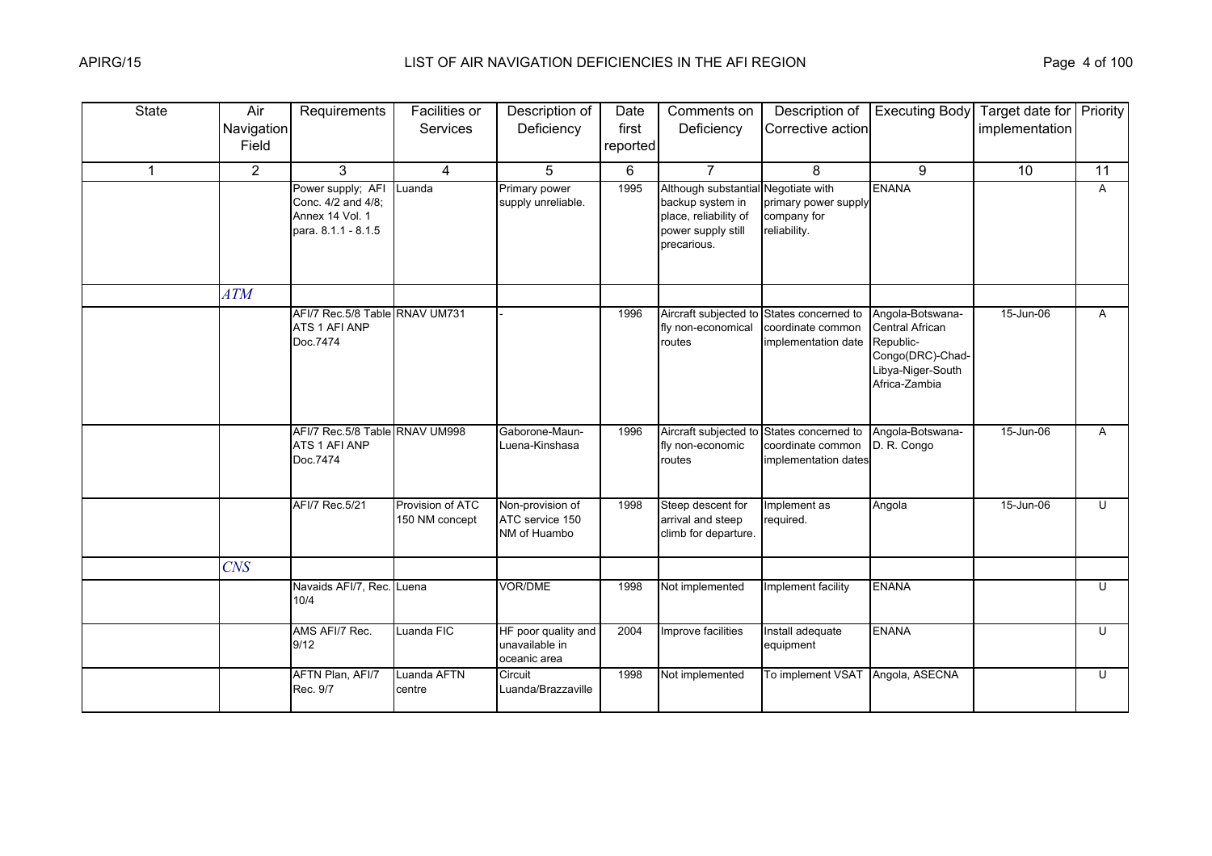| <b>State</b> | Air<br>Navigation<br>Field | Requirements                                                                             | Facilities or<br>Services          | Description of<br>Deficiency                          | Date<br>first<br>reported | Comments on<br>Deficiency                                                                                             | Description of<br>Corrective action                              | <b>Executing Body</b>                                                                                     | Target date for Priority<br>implementation |    |
|--------------|----------------------------|------------------------------------------------------------------------------------------|------------------------------------|-------------------------------------------------------|---------------------------|-----------------------------------------------------------------------------------------------------------------------|------------------------------------------------------------------|-----------------------------------------------------------------------------------------------------------|--------------------------------------------|----|
| 1            | $\overline{2}$             | 3                                                                                        | 4                                  | 5                                                     | 6                         | $\overline{7}$                                                                                                        | 8                                                                | 9                                                                                                         | 10                                         | 11 |
|              |                            | Power supply; AFI Luanda<br>Conc. 4/2 and 4/8;<br>Annex 14 Vol. 1<br>para. 8.1.1 - 8.1.5 |                                    | Primary power<br>supply unreliable.                   | 1995                      | Although substantial Negotiate with<br>backup system in<br>place, reliability of<br>power supply still<br>precarious. | primary power supply<br>company for<br>reliability.              | <b>ENANA</b>                                                                                              |                                            | A  |
|              | ATM                        |                                                                                          |                                    |                                                       |                           |                                                                                                                       |                                                                  |                                                                                                           |                                            |    |
|              |                            | AFI/7 Rec.5/8 Table RNAV UM731<br>ATS 1 AFI ANP<br>Doc.7474                              |                                    |                                                       | 1996                      | Aircraft subjected to<br>fly non-economical<br>routes                                                                 | States concerned to<br>coordinate common<br>implementation date  | Angola-Botswana-<br>Central African<br>Republic-<br>Congo(DRC)-Chad-<br>ibya-Niger-South<br>Africa-Zambia | 15-Jun-06                                  | A  |
|              |                            | AFI/7 Rec.5/8 Table RNAV UM998<br>ATS 1 AFI ANP<br>Doc.7474                              |                                    | Gaborone-Maun-<br>Luena-Kinshasa                      | 1996                      | Aircraft subjected to<br>fly non-economic<br>routes                                                                   | States concerned to<br>coordinate common<br>implementation dates | Angola-Botswana-<br>D. R. Congo                                                                           | 15-Jun-06                                  | A  |
|              |                            | AFI/7 Rec.5/21                                                                           | Provision of ATC<br>150 NM concept | Non-provision of<br>ATC service 150<br>NM of Huambo   | 1998                      | Steep descent for<br>arrival and steep<br>climb for departure.                                                        | Implement as<br>required.                                        | Angola                                                                                                    | 15-Jun-06                                  | U  |
|              | <b>CNS</b>                 |                                                                                          |                                    |                                                       |                           |                                                                                                                       |                                                                  |                                                                                                           |                                            |    |
|              |                            | Navaids AFI/7, Rec. Luena<br>10/4                                                        |                                    | VOR/DME                                               | 1998                      | Not implemented                                                                                                       | Implement facility                                               | <b>ENANA</b>                                                                                              |                                            | U  |
|              |                            | AMS AFI/7 Rec.<br>9/12                                                                   | Luanda FIC                         | HF poor quality and<br>unavailable in<br>oceanic area | 2004                      | Improve facilities                                                                                                    | Install adequate<br>equipment                                    | <b>ENANA</b>                                                                                              |                                            | U  |
|              |                            | AFTN Plan, AFI/7<br>Rec. 9/7                                                             | Luanda AFTN<br>centre              | Circuit<br>Luanda/Brazzaville                         | 1998                      | Not implemented                                                                                                       | To implement VSAT                                                | Angola, ASECNA                                                                                            |                                            | U  |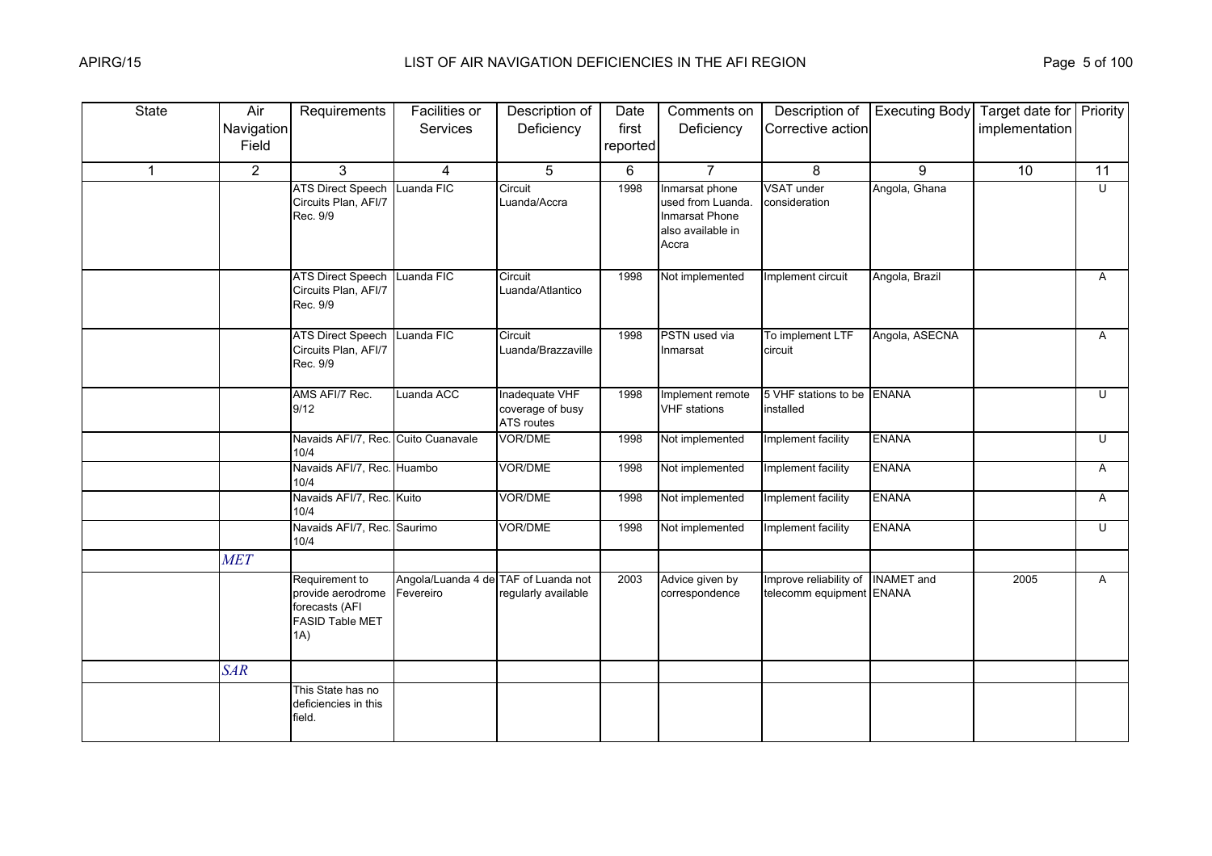| <b>State</b> | Air            | Requirements                                                                           | Facilities or                                     | Description of                                   | Date     | Comments on                                                                         | Description of                                                | <b>Executing Body</b> Target date for <b>Priority</b> |                |                         |
|--------------|----------------|----------------------------------------------------------------------------------------|---------------------------------------------------|--------------------------------------------------|----------|-------------------------------------------------------------------------------------|---------------------------------------------------------------|-------------------------------------------------------|----------------|-------------------------|
|              | Navigation     |                                                                                        | Services                                          | Deficiency                                       | first    | Deficiency                                                                          | Corrective action                                             |                                                       | implementation |                         |
|              | Field          |                                                                                        |                                                   |                                                  | reported |                                                                                     |                                                               |                                                       |                |                         |
| $\mathbf 1$  | $\overline{2}$ | 3                                                                                      | 4                                                 | 5                                                | 6        | $\overline{7}$                                                                      | 8                                                             | 9                                                     | 10             | 11                      |
|              |                | <b>ATS Direct Speech</b><br>Circuits Plan, AFI/7<br>Rec. 9/9                           | Luanda FIC                                        | Circuit<br>Luanda/Accra                          | 1998     | Inmarsat phone<br>used from Luanda.<br>Inmarsat Phone<br>also available in<br>Accra | <b>VSAT under</b><br>consideration                            | Angola, Ghana                                         |                | $\overline{\mathsf{C}}$ |
|              |                | <b>ATS Direct Speech</b><br>Circuits Plan, AFI/7<br>Rec. 9/9                           | Luanda FIC                                        | Circuit<br>Luanda/Atlantico                      | 1998     | Not implemented                                                                     | Implement circuit                                             | Angola, Brazil                                        |                | A                       |
|              |                | <b>ATS Direct Speech</b><br>Circuits Plan, AFI/7<br>Rec. 9/9                           | Luanda FIC                                        | Circuit<br>Luanda/Brazzaville                    | 1998     | PSTN used via<br>Inmarsat                                                           | To implement LTF<br>circuit                                   | Angola, ASECNA                                        |                | A                       |
|              |                | AMS AFI/7 Rec.<br>9/12                                                                 | Luanda ACC                                        | Inadequate VHF<br>coverage of busy<br>ATS routes | 1998     | Implement remote<br><b>VHF</b> stations                                             | 5 VHF stations to be<br>installed                             | <b>ENANA</b>                                          |                | U                       |
|              |                | Navaids AFI/7, Rec. Cuito Cuanavale<br>10/4                                            |                                                   | VOR/DME                                          | 1998     | Not implemented                                                                     | Implement facility                                            | <b>ENANA</b>                                          |                | $\overline{C}$          |
|              |                | Navaids AFI/7, Rec. Huambo<br>10/4                                                     |                                                   | VOR/DME                                          | 1998     | Not implemented                                                                     | Implement facility                                            | <b>ENANA</b>                                          |                | A                       |
|              |                | Navaids AFI/7, Rec. Kuito<br>10/4                                                      |                                                   | VOR/DME                                          | 1998     | Not implemented                                                                     | Implement facility                                            | <b>ENANA</b>                                          |                | A                       |
|              |                | Navaids AFI/7, Rec. Saurimo<br>10/4                                                    |                                                   | VOR/DME                                          | 1998     | Not implemented                                                                     | Implement facility                                            | <b>ENANA</b>                                          |                | $\overline{U}$          |
|              | <b>MET</b>     |                                                                                        |                                                   |                                                  |          |                                                                                     |                                                               |                                                       |                |                         |
|              |                | Requirement to<br>provide aerodrome<br>forecasts (AFI<br><b>FASID Table MET</b><br>1A) | Angola/Luanda 4 de TAF of Luanda not<br>Fevereiro | regularly available                              | 2003     | Advice given by<br>correspondence                                                   | Improve reliability of INAMET and<br>telecomm equipment ENANA |                                                       | 2005           | A                       |
|              | <b>SAR</b>     |                                                                                        |                                                   |                                                  |          |                                                                                     |                                                               |                                                       |                |                         |
|              |                | This State has no<br>deficiencies in this<br>field.                                    |                                                   |                                                  |          |                                                                                     |                                                               |                                                       |                |                         |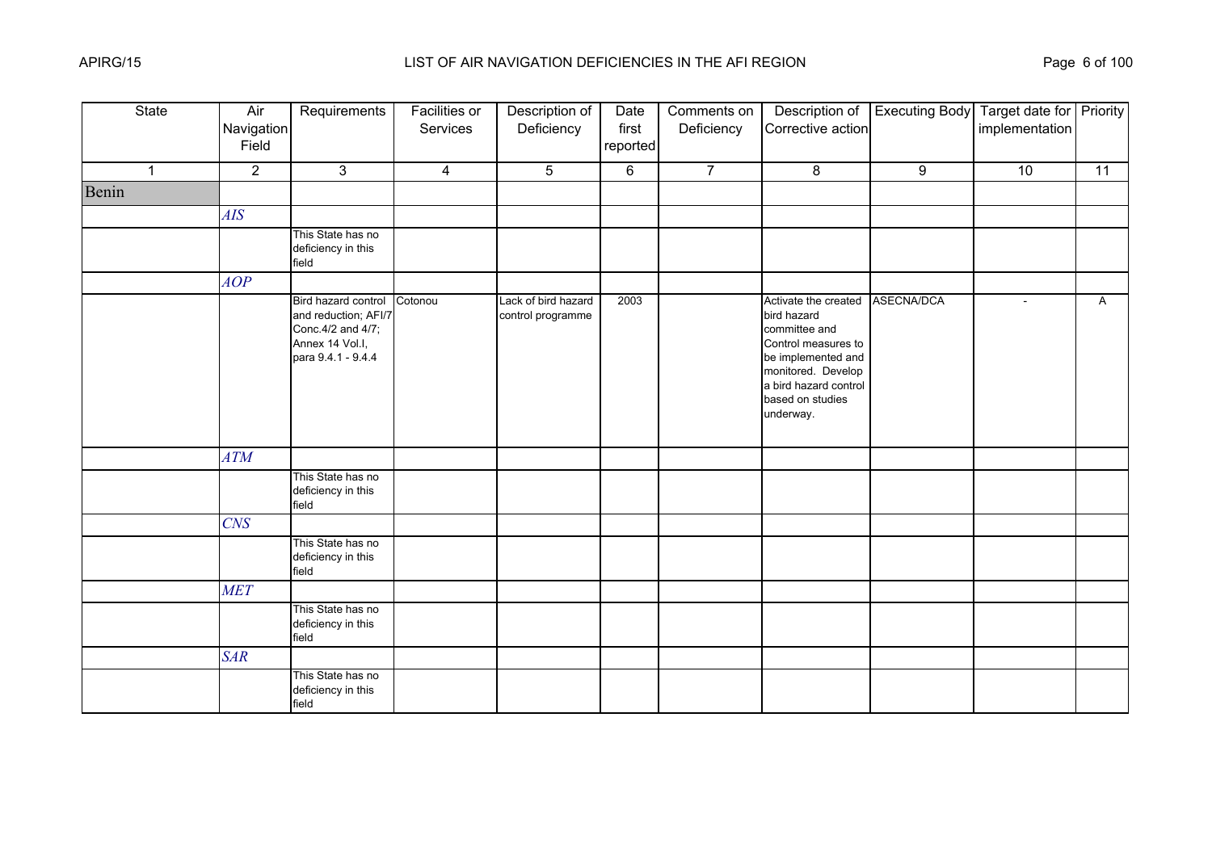| <b>State</b> | Air<br>Navigation<br>Field | Requirements                                                                                               | <b>Facilities or</b><br>Services | Description of<br>Deficiency             | Date<br>first<br>reported | Comments on<br>Deficiency | Description of<br>Corrective action                                                                                                                                               | <b>Executing Body</b> | Target date for Priority<br>implementation |              |
|--------------|----------------------------|------------------------------------------------------------------------------------------------------------|----------------------------------|------------------------------------------|---------------------------|---------------------------|-----------------------------------------------------------------------------------------------------------------------------------------------------------------------------------|-----------------------|--------------------------------------------|--------------|
| $\mathbf{1}$ | $\overline{2}$             | 3                                                                                                          | $\overline{4}$                   | 5                                        | 6                         | $\overline{7}$            | 8                                                                                                                                                                                 | 9                     | 10                                         | 11           |
| Benin        |                            |                                                                                                            |                                  |                                          |                           |                           |                                                                                                                                                                                   |                       |                                            |              |
|              | <b>AIS</b>                 |                                                                                                            |                                  |                                          |                           |                           |                                                                                                                                                                                   |                       |                                            |              |
|              |                            | This State has no<br>deficiency in this<br>field                                                           |                                  |                                          |                           |                           |                                                                                                                                                                                   |                       |                                            |              |
|              | AOP                        |                                                                                                            |                                  |                                          |                           |                           |                                                                                                                                                                                   |                       |                                            |              |
|              |                            | Bird hazard control<br>and reduction; AFI/7<br>Conc. 4/2 and 4/7;<br>Annex 14 Vol.I,<br>para 9.4.1 - 9.4.4 | Cotonou                          | Lack of bird hazard<br>control programme | 2003                      |                           | Activate the created<br>bird hazard<br>committee and<br>Control measures to<br>be implemented and<br>monitored. Develop<br>a bird hazard control<br>based on studies<br>underway. | ASECNA/DCA            | $\sim$                                     | $\mathsf{A}$ |
|              | <b>ATM</b>                 |                                                                                                            |                                  |                                          |                           |                           |                                                                                                                                                                                   |                       |                                            |              |
|              |                            | This State has no<br>deficiency in this<br>field                                                           |                                  |                                          |                           |                           |                                                                                                                                                                                   |                       |                                            |              |
|              | $C\!N\!S$                  |                                                                                                            |                                  |                                          |                           |                           |                                                                                                                                                                                   |                       |                                            |              |
|              |                            | This State has no<br>deficiency in this<br>field                                                           |                                  |                                          |                           |                           |                                                                                                                                                                                   |                       |                                            |              |
|              | <b>MET</b>                 |                                                                                                            |                                  |                                          |                           |                           |                                                                                                                                                                                   |                       |                                            |              |
|              |                            | This State has no<br>deficiency in this<br>field                                                           |                                  |                                          |                           |                           |                                                                                                                                                                                   |                       |                                            |              |
|              | <b>SAR</b>                 |                                                                                                            |                                  |                                          |                           |                           |                                                                                                                                                                                   |                       |                                            |              |
|              |                            | This State has no<br>deficiency in this<br>field                                                           |                                  |                                          |                           |                           |                                                                                                                                                                                   |                       |                                            |              |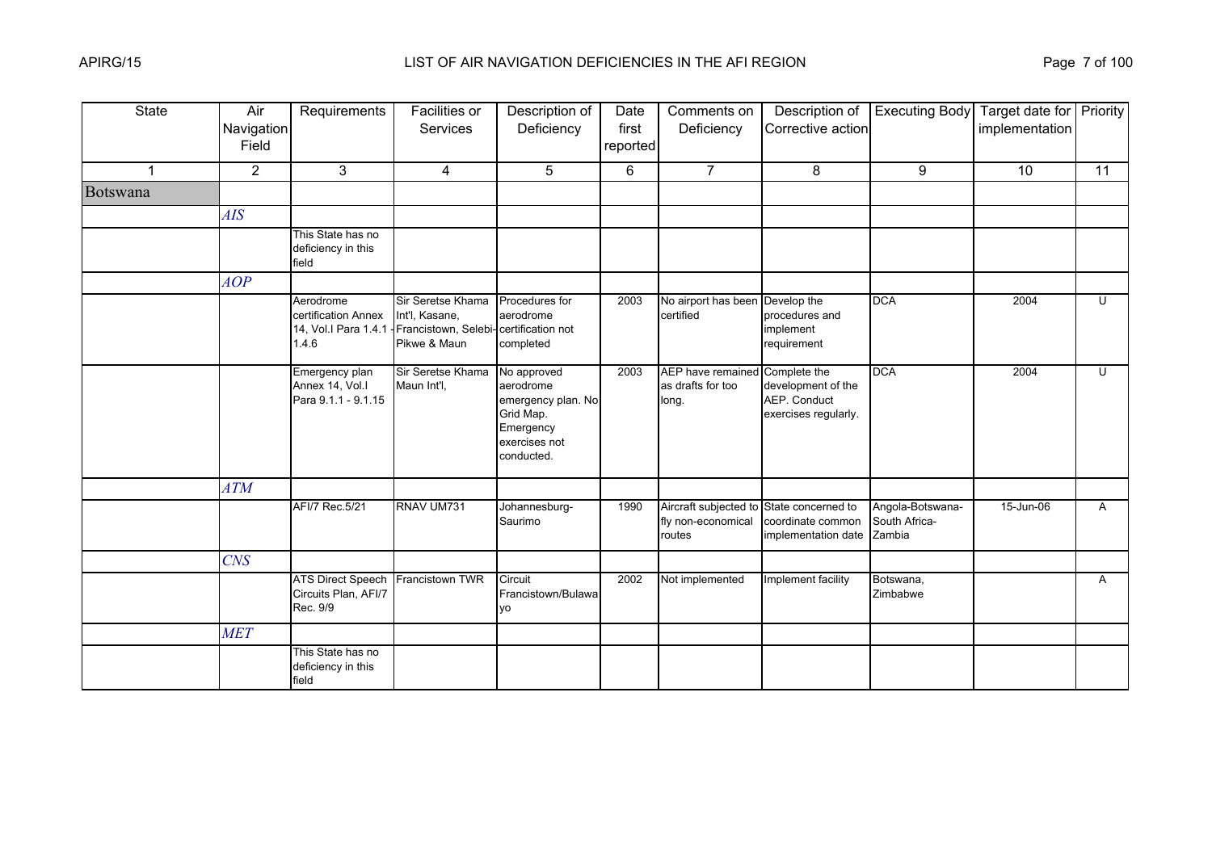| <b>State</b> | Air<br>Navigation<br>Field | Requirements                                                      | <b>Facilities or</b><br>Services                                            | Description of<br>Deficiency                                                                            | Date<br>first<br>reported | Comments on<br>Deficiency                                                | Description of<br>Corrective action                        | <b>Executing Body</b>                       | Target date for Priority<br>implementation |                |
|--------------|----------------------------|-------------------------------------------------------------------|-----------------------------------------------------------------------------|---------------------------------------------------------------------------------------------------------|---------------------------|--------------------------------------------------------------------------|------------------------------------------------------------|---------------------------------------------|--------------------------------------------|----------------|
|              | $\overline{2}$             | 3                                                                 | $\overline{4}$                                                              | 5                                                                                                       | 6                         | $\overline{7}$                                                           | 8                                                          | 9                                           | 10                                         | 11             |
| Botswana     |                            |                                                                   |                                                                             |                                                                                                         |                           |                                                                          |                                                            |                                             |                                            |                |
|              | <b>AIS</b>                 |                                                                   |                                                                             |                                                                                                         |                           |                                                                          |                                                            |                                             |                                            |                |
|              |                            | This State has no<br>deficiency in this<br>field                  |                                                                             |                                                                                                         |                           |                                                                          |                                                            |                                             |                                            |                |
|              | AOP                        |                                                                   |                                                                             |                                                                                                         |                           |                                                                          |                                                            |                                             |                                            |                |
|              |                            | Aerodrome<br>certification Annex<br>14, Vol.I Para 1.4.1<br>1.4.6 | Sir Seretse Khama<br>Int'l, Kasane,<br>Francistown, Selebi-<br>Pikwe & Maun | Procedures for<br>aerodrome<br>certification not<br>completed                                           | 2003                      | No airport has been<br>certified                                         | Develop the<br>procedures and<br>implement<br>requirement  | <b>DCA</b>                                  | 2004                                       | U              |
|              |                            | Emergency plan<br>Annex 14, Vol.I<br>Para 9.1.1 - 9.1.15          | Sir Seretse Khama<br>Maun Int'l,                                            | No approved<br>aerodrome<br>emergency plan. No<br>Grid Map.<br>Emergency<br>exercises not<br>conducted. | 2003                      | AEP have remained Complete the<br>as drafts for too<br>long.             | development of the<br>AEP. Conduct<br>exercises regularly. | <b>DCA</b>                                  | 2004                                       | U              |
|              | <b>ATM</b>                 |                                                                   |                                                                             |                                                                                                         |                           |                                                                          |                                                            |                                             |                                            |                |
|              |                            | AFI/7 Rec.5/21                                                    | RNAV UM731                                                                  | Johannesburg-<br>Saurimo                                                                                | 1990                      | Aircraft subjected to State concerned to<br>fly non-economical<br>routes | coordinate common<br>implementation date                   | Angola-Botswana-<br>South Africa-<br>Zambia | 15-Jun-06                                  | A              |
|              | <b>CNS</b>                 |                                                                   |                                                                             |                                                                                                         |                           |                                                                          |                                                            |                                             |                                            |                |
|              |                            | <b>ATS Direct Speech</b><br>Circuits Plan, AFI/7<br>Rec. 9/9      | Francistown TWR                                                             | Circuit<br>Francistown/Bulawa<br>VO                                                                     | 2002                      | Not implemented                                                          | Implement facility                                         | Botswana,<br>Zimbabwe                       |                                            | $\overline{A}$ |
|              | <b>MET</b>                 |                                                                   |                                                                             |                                                                                                         |                           |                                                                          |                                                            |                                             |                                            |                |
|              |                            | This State has no<br>deficiency in this<br>field                  |                                                                             |                                                                                                         |                           |                                                                          |                                                            |                                             |                                            |                |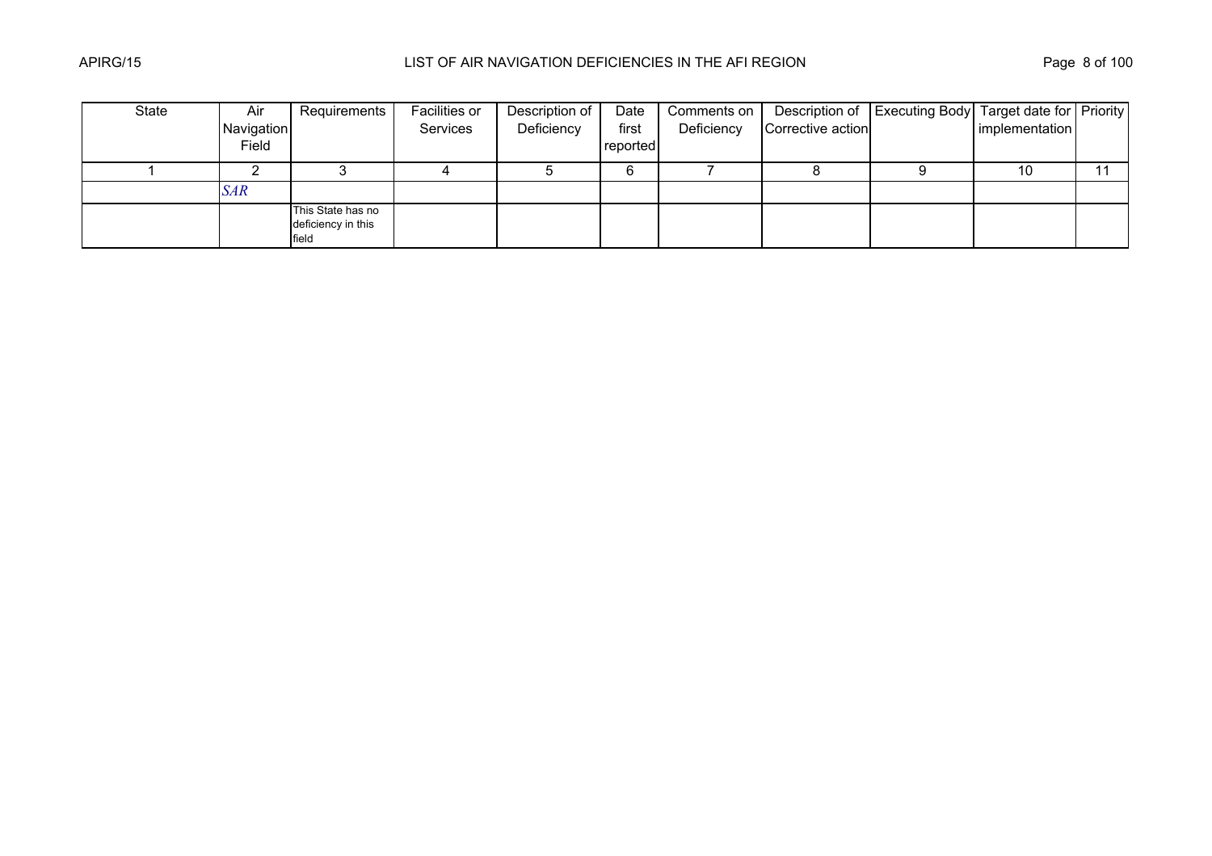| State | Air        | Requirements                                     | Facilities or | Description of | Date     | Comments on |                   | Description of   Executing Body   Target date for   Priority |                |  |
|-------|------------|--------------------------------------------------|---------------|----------------|----------|-------------|-------------------|--------------------------------------------------------------|----------------|--|
|       | Navigation |                                                  | Services      | Deficiency     | first    | Deficiency  | Corrective action |                                                              | implementation |  |
|       | Field      |                                                  |               |                | reported |             |                   |                                                              |                |  |
|       |            |                                                  |               |                |          |             |                   |                                                              | 10             |  |
|       | <b>SAR</b> |                                                  |               |                |          |             |                   |                                                              |                |  |
|       |            | This State has no<br>deficiency in this<br>field |               |                |          |             |                   |                                                              |                |  |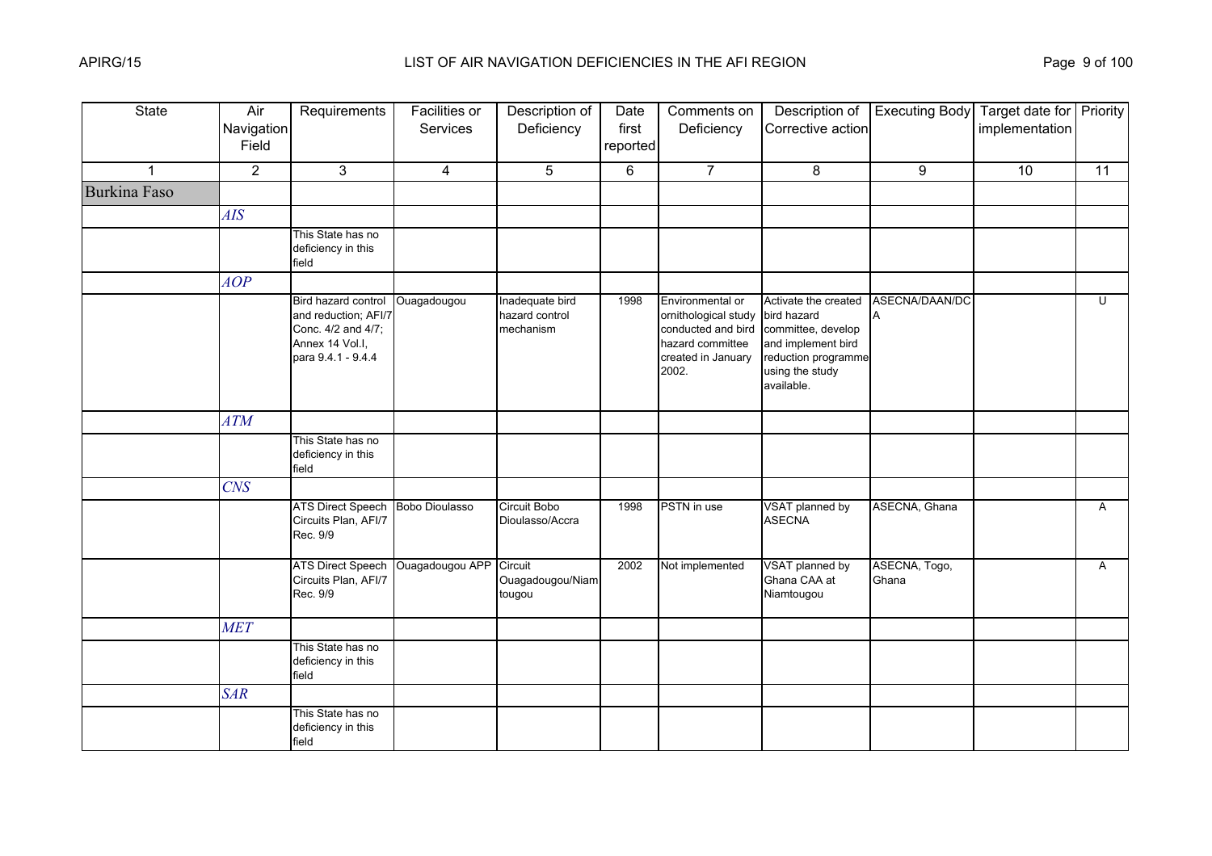| <b>State</b>        | Air<br>Navigation<br>Field | Requirements                                                                                               | Facilities or<br>Services | Description of<br>Deficiency                   | Date<br>first<br>reported | Comments on<br>Deficiency                                                                                         | Description of<br>Corrective action                                                                                                     | <b>Executing Body</b>  | Target date for Priority<br>implementation |              |
|---------------------|----------------------------|------------------------------------------------------------------------------------------------------------|---------------------------|------------------------------------------------|---------------------------|-------------------------------------------------------------------------------------------------------------------|-----------------------------------------------------------------------------------------------------------------------------------------|------------------------|--------------------------------------------|--------------|
| $\mathbf{1}$        | $\overline{2}$             | 3                                                                                                          | $\overline{4}$            | 5                                              | 6                         | $\overline{7}$                                                                                                    | 8                                                                                                                                       | 9                      | 10                                         | 11           |
| <b>Burkina Faso</b> |                            |                                                                                                            |                           |                                                |                           |                                                                                                                   |                                                                                                                                         |                        |                                            |              |
|                     | AIS                        |                                                                                                            |                           |                                                |                           |                                                                                                                   |                                                                                                                                         |                        |                                            |              |
|                     |                            | This State has no<br>deficiency in this<br>field                                                           |                           |                                                |                           |                                                                                                                   |                                                                                                                                         |                        |                                            |              |
|                     | AOP                        |                                                                                                            |                           |                                                |                           |                                                                                                                   |                                                                                                                                         |                        |                                            |              |
|                     |                            | Bird hazard control<br>and reduction; AFI/7<br>Conc. 4/2 and 4/7;<br>Annex 14 Vol.I,<br>para 9.4.1 - 9.4.4 | Ouagadougou               | Inadequate bird<br>hazard control<br>mechanism | 1998                      | Environmental or<br>ornithological study<br>conducted and bird<br>hazard committee<br>created in January<br>2002. | Activate the created<br>bird hazard<br>committee, develop<br>and implement bird<br>reduction programme<br>using the study<br>available. | ASECNA/DAAN/DC<br>A    |                                            | U            |
|                     | <b>ATM</b>                 |                                                                                                            |                           |                                                |                           |                                                                                                                   |                                                                                                                                         |                        |                                            |              |
|                     |                            | This State has no<br>deficiency in this<br>field                                                           |                           |                                                |                           |                                                                                                                   |                                                                                                                                         |                        |                                            |              |
|                     | <b>CNS</b>                 |                                                                                                            |                           |                                                |                           |                                                                                                                   |                                                                                                                                         |                        |                                            |              |
|                     |                            | <b>ATS Direct Speech</b><br>Circuits Plan, AFI/7<br>Rec. 9/9                                               | <b>Bobo Dioulasso</b>     | Circuit Bobo<br>Dioulasso/Accra                | 1998                      | PSTN in use                                                                                                       | VSAT planned by<br><b>ASECNA</b>                                                                                                        | ASECNA, Ghana          |                                            | $\mathsf{A}$ |
|                     |                            | <b>ATS Direct Speech</b><br>Circuits Plan, AFI/7<br>Rec. 9/9                                               | Ouagadougou APP           | Circuit<br>Ouagadougou/Niam<br>tougou          | 2002                      | Not implemented                                                                                                   | VSAT planned by<br>Ghana CAA at<br>Niamtougou                                                                                           | ASECNA, Togo,<br>Ghana |                                            | A            |
|                     | <b>MET</b>                 |                                                                                                            |                           |                                                |                           |                                                                                                                   |                                                                                                                                         |                        |                                            |              |
|                     |                            | This State has no<br>deficiency in this<br>field                                                           |                           |                                                |                           |                                                                                                                   |                                                                                                                                         |                        |                                            |              |
|                     | <b>SAR</b>                 |                                                                                                            |                           |                                                |                           |                                                                                                                   |                                                                                                                                         |                        |                                            |              |
|                     |                            | This State has no<br>deficiency in this<br>field                                                           |                           |                                                |                           |                                                                                                                   |                                                                                                                                         |                        |                                            |              |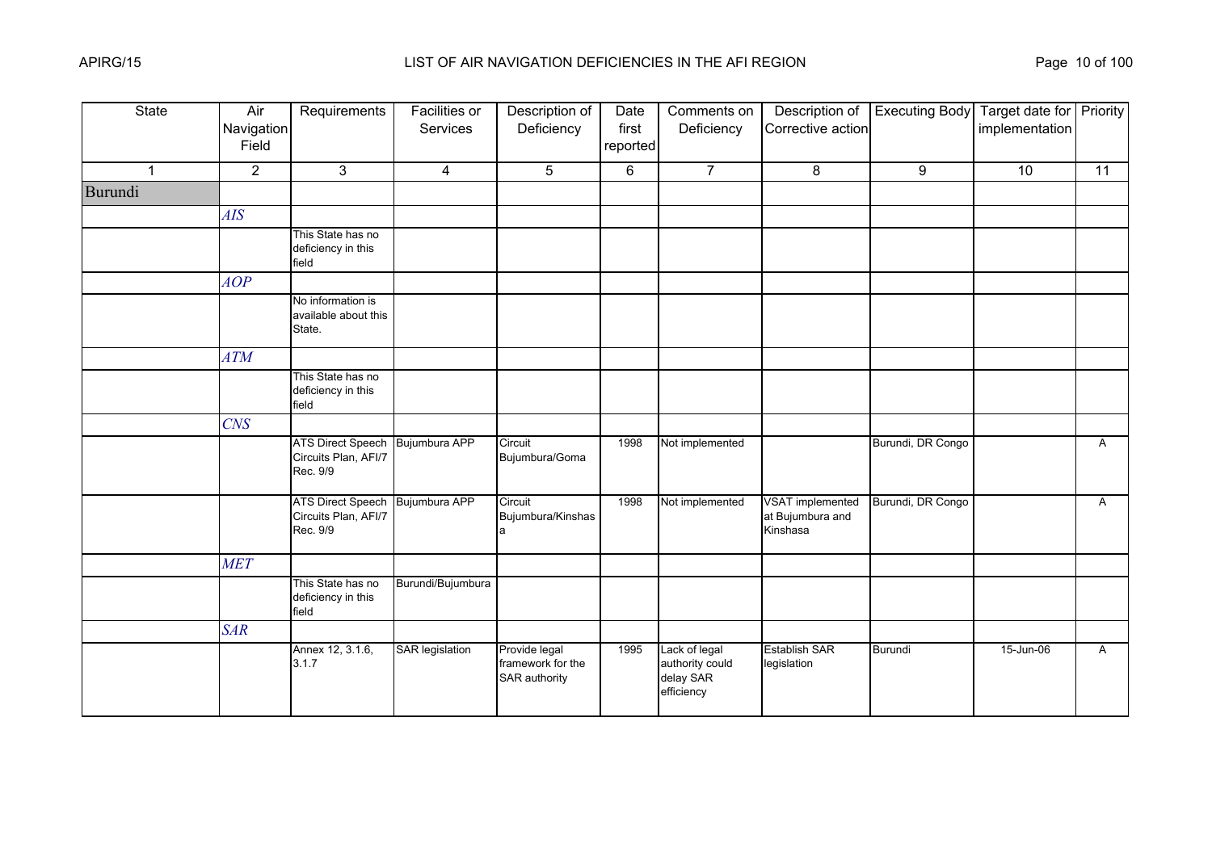| <b>State</b>   | Air<br>Navigation<br>Field | Requirements                                                 | <b>Facilities or</b><br>Services | Description of<br>Deficiency                        | Date<br>first<br>reported | Comments on<br>Deficiency                                   | Description of<br>Corrective action                     | <b>Executing Body</b> | Target date for Priority<br>implementation |              |
|----------------|----------------------------|--------------------------------------------------------------|----------------------------------|-----------------------------------------------------|---------------------------|-------------------------------------------------------------|---------------------------------------------------------|-----------------------|--------------------------------------------|--------------|
| $\overline{1}$ | $\overline{2}$             | 3                                                            | $\overline{4}$                   | 5                                                   | 6                         | $\overline{7}$                                              | 8                                                       | 9                     | 10                                         | 11           |
| Burundi        |                            |                                                              |                                  |                                                     |                           |                                                             |                                                         |                       |                                            |              |
|                | AIS                        |                                                              |                                  |                                                     |                           |                                                             |                                                         |                       |                                            |              |
|                |                            | This State has no<br>deficiency in this<br>field             |                                  |                                                     |                           |                                                             |                                                         |                       |                                            |              |
|                | AOP                        |                                                              |                                  |                                                     |                           |                                                             |                                                         |                       |                                            |              |
|                |                            | No information is<br>available about this<br>State.          |                                  |                                                     |                           |                                                             |                                                         |                       |                                            |              |
|                | <b>ATM</b>                 |                                                              |                                  |                                                     |                           |                                                             |                                                         |                       |                                            |              |
|                |                            | This State has no<br>deficiency in this<br>field             |                                  |                                                     |                           |                                                             |                                                         |                       |                                            |              |
|                | $C\!N\!S$                  |                                                              |                                  |                                                     |                           |                                                             |                                                         |                       |                                            |              |
|                |                            | <b>ATS Direct Speech</b><br>Circuits Plan, AFI/7<br>Rec. 9/9 | Bujumbura APP                    | Circuit<br>Bujumbura/Goma                           | 1998                      | Not implemented                                             |                                                         | Burundi, DR Congo     |                                            | A            |
|                |                            | <b>ATS Direct Speech</b><br>Circuits Plan, AFI/7<br>Rec. 9/9 | Bujumbura APP                    | Circuit<br>Bujumbura/Kinshas<br>a                   | 1998                      | Not implemented                                             | <b>VSAT</b> implemented<br>at Bujumbura and<br>Kinshasa | Burundi, DR Congo     |                                            | $\mathsf{A}$ |
|                | <b>MET</b>                 |                                                              |                                  |                                                     |                           |                                                             |                                                         |                       |                                            |              |
|                |                            | This State has no<br>deficiency in this<br>field             | Burundi/Bujumbura                |                                                     |                           |                                                             |                                                         |                       |                                            |              |
|                | <b>SAR</b>                 |                                                              |                                  |                                                     |                           |                                                             |                                                         |                       |                                            |              |
|                |                            | Annex 12, 3.1.6,<br>3.1.7                                    | <b>SAR</b> legislation           | Provide legal<br>framework for the<br>SAR authority | 1995                      | Lack of legal<br>authority could<br>delay SAR<br>efficiency | <b>Establish SAR</b><br>legislation                     | <b>Burundi</b>        | 15-Jun-06                                  | A            |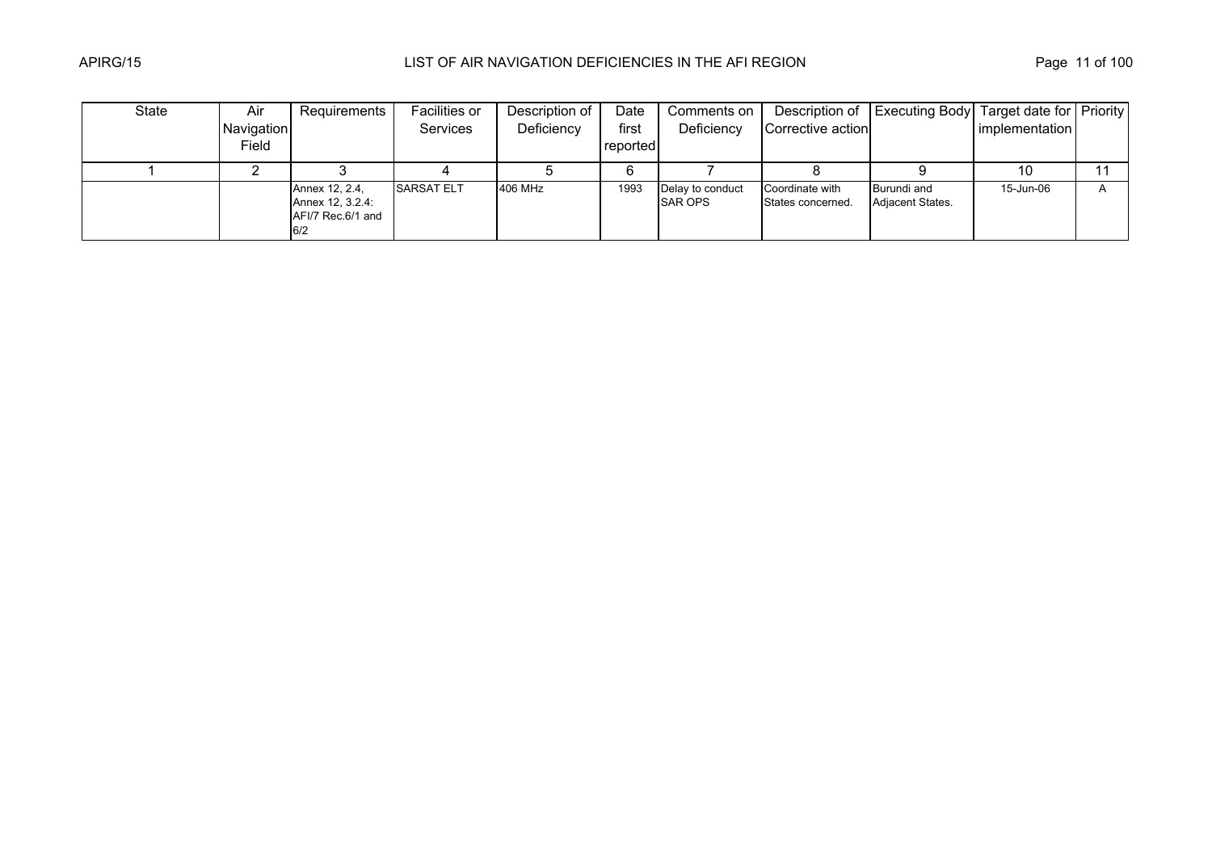| State | Air        | Requirements                                                   | Facilities or     | Description of | Date     | Comments on                        |                                      | Description of   Executing Body   Target date for   Priority |                |   |
|-------|------------|----------------------------------------------------------------|-------------------|----------------|----------|------------------------------------|--------------------------------------|--------------------------------------------------------------|----------------|---|
|       | Navigation |                                                                | <b>Services</b>   | Deficiency     | first    | Deficiency                         | Corrective action                    |                                                              | implementation |   |
|       | Field      |                                                                |                   |                | reported |                                    |                                      |                                                              |                |   |
|       |            |                                                                |                   |                |          |                                    |                                      |                                                              | 10             |   |
|       |            | Annex 12, 2.4,<br>Annex 12, 3.2.4:<br>AFI/7 Rec.6/1 and<br>6/2 | <b>SARSAT ELT</b> | 406 MHz        | 1993     | Delay to conduct<br><b>SAR OPS</b> | Coordinate with<br>States concerned. | Burundi and<br><b>Adjacent States.</b>                       | 15-Jun-06      | A |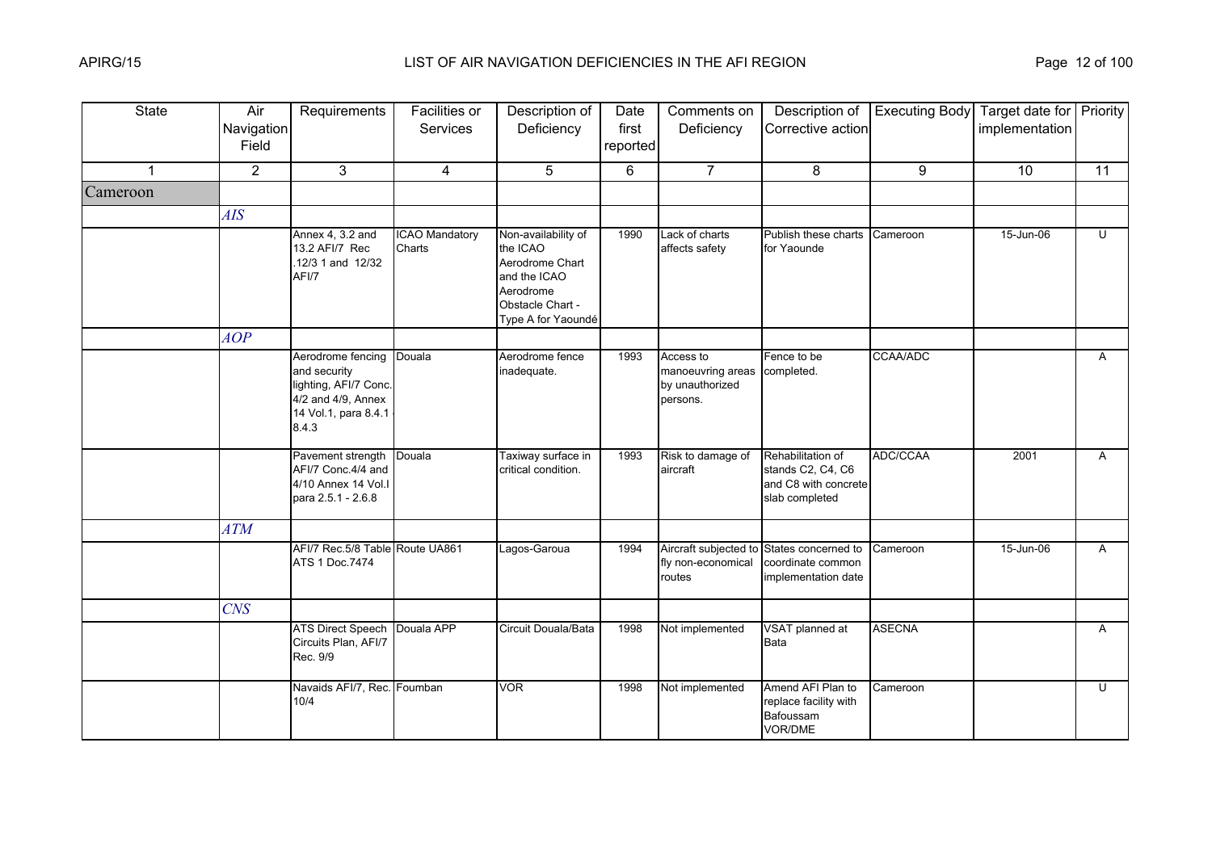| <b>State</b>   | Air<br>Navigation<br>Field | Requirements                                                                                                      | <b>Facilities or</b><br>Services | Description of<br>Deficiency                                                                                              | Date<br>first<br>reported | Comments on<br>Deficiency                                     | Description of<br>Corrective action                                              | <b>Executing Body</b> | Target date for Priority<br>implementation |                |
|----------------|----------------------------|-------------------------------------------------------------------------------------------------------------------|----------------------------------|---------------------------------------------------------------------------------------------------------------------------|---------------------------|---------------------------------------------------------------|----------------------------------------------------------------------------------|-----------------------|--------------------------------------------|----------------|
| $\overline{1}$ | $\overline{2}$             | 3                                                                                                                 | $\overline{4}$                   | 5                                                                                                                         | 6                         | $\overline{7}$                                                | 8                                                                                | 9                     | 10                                         | 11             |
| Cameroon       |                            |                                                                                                                   |                                  |                                                                                                                           |                           |                                                               |                                                                                  |                       |                                            |                |
|                | AIS                        |                                                                                                                   |                                  |                                                                                                                           |                           |                                                               |                                                                                  |                       |                                            |                |
|                |                            | Annex 4, 3.2 and<br>13.2 AFI/7 Rec<br>12/3 1 and 12/32<br>AFI/7                                                   | <b>ICAO Mandatory</b><br>Charts  | Non-availability of<br>the ICAO<br>Aerodrome Chart<br>and the ICAO<br>Aerodrome<br>Obstacle Chart -<br>Type A for Yaoundé | 1990                      | Lack of charts<br>affects safety                              | Publish these charts<br>for Yaounde                                              | Cameroon              | 15-Jun-06                                  | $\overline{U}$ |
|                | AOP                        |                                                                                                                   |                                  |                                                                                                                           |                           |                                                               |                                                                                  |                       |                                            |                |
|                |                            | Aerodrome fencing<br>and security<br>lighting, AFI/7 Conc.<br>4/2 and 4/9, Annex<br>14 Vol.1, para 8.4.1<br>8.4.3 | Douala                           | Aerodrome fence<br>inadequate.                                                                                            | 1993                      | Access to<br>manoeuvring areas<br>by unauthorized<br>persons. | Fence to be<br>completed.                                                        | CCAA/ADC              |                                            | A              |
|                |                            | Pavement strength<br>AFI/7 Conc.4/4 and<br>4/10 Annex 14 Vol.<br>para 2.5.1 - 2.6.8                               | Douala                           | Taxiway surface in<br>critical condition.                                                                                 | 1993                      | Risk to damage of<br>aircraft                                 | Rehabilitation of<br>stands C2, C4, C6<br>and C8 with concrete<br>slab completed | ADC/CCAA              | 2001                                       | $\overline{A}$ |
|                | <b>ATM</b>                 |                                                                                                                   |                                  |                                                                                                                           |                           |                                                               |                                                                                  |                       |                                            |                |
|                |                            | AFI/7 Rec.5/8 Table Route UA861<br>ATS 1 Doc.7474                                                                 |                                  | Lagos-Garoua                                                                                                              | 1994                      | Aircraft subjected to<br>fly non-economical<br>routes         | States concerned to<br>coordinate common<br>implementation date                  | Cameroon              | 15-Jun-06                                  | A              |
|                | CNS                        |                                                                                                                   |                                  |                                                                                                                           |                           |                                                               |                                                                                  |                       |                                            |                |
|                |                            | <b>ATS Direct Speech</b><br>Circuits Plan, AFI/7<br>Rec. 9/9                                                      | Douala APP                       | Circuit Douala/Bata                                                                                                       | 1998                      | Not implemented                                               | VSAT planned at<br><b>Bata</b>                                                   | <b>ASECNA</b>         |                                            | $\mathsf{A}$   |
|                |                            | Navaids AFI/7, Rec. Foumban<br>10/4                                                                               |                                  | <b>VOR</b>                                                                                                                | 1998                      | Not implemented                                               | Amend AFI Plan to<br>replace facility with<br>Bafoussam<br>VOR/DME               | Cameroon              |                                            | $\mathbf{U}$   |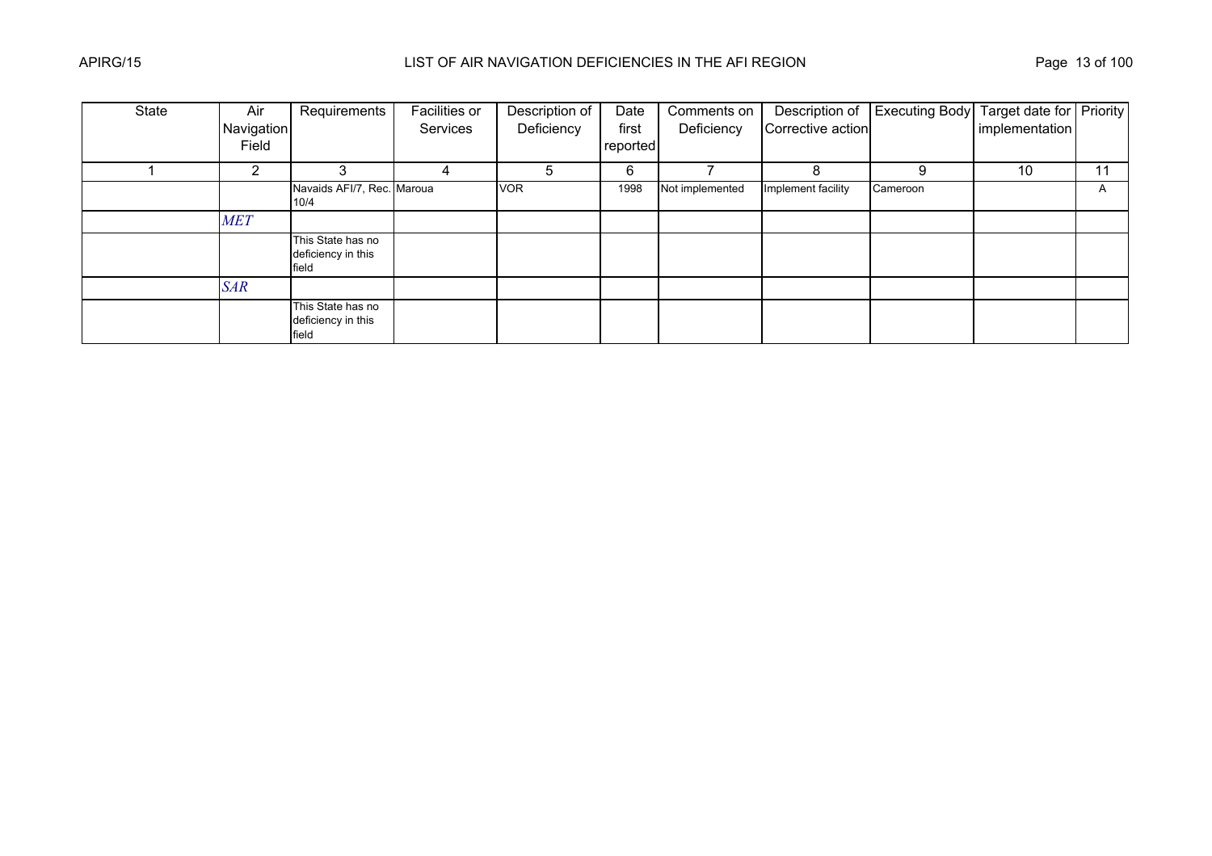| State | Air            | Requirements                                     | Facilities or | Description of | Date     | Comments on     | Description of     | <b>Executing Body</b> | Target date for Priority |    |
|-------|----------------|--------------------------------------------------|---------------|----------------|----------|-----------------|--------------------|-----------------------|--------------------------|----|
|       | Navigation     |                                                  | Services      | Deficiency     | first    | Deficiency      | Corrective action  |                       | implementation           |    |
|       | Field          |                                                  |               |                | reported |                 |                    |                       |                          |    |
|       | $\overline{2}$ | 3                                                | 4             | 5              | 6        |                 | 8                  | 9                     | 10                       | 11 |
|       |                | Navaids AFI/7, Rec. Maroua<br>10/4               |               | <b>VOR</b>     | 1998     | Not implemented | Implement facility | Cameroon              |                          | A  |
|       | <b>MET</b>     |                                                  |               |                |          |                 |                    |                       |                          |    |
|       |                | This State has no<br>deficiency in this<br>field |               |                |          |                 |                    |                       |                          |    |
|       | <b>SAR</b>     |                                                  |               |                |          |                 |                    |                       |                          |    |
|       |                | This State has no<br>deficiency in this<br>field |               |                |          |                 |                    |                       |                          |    |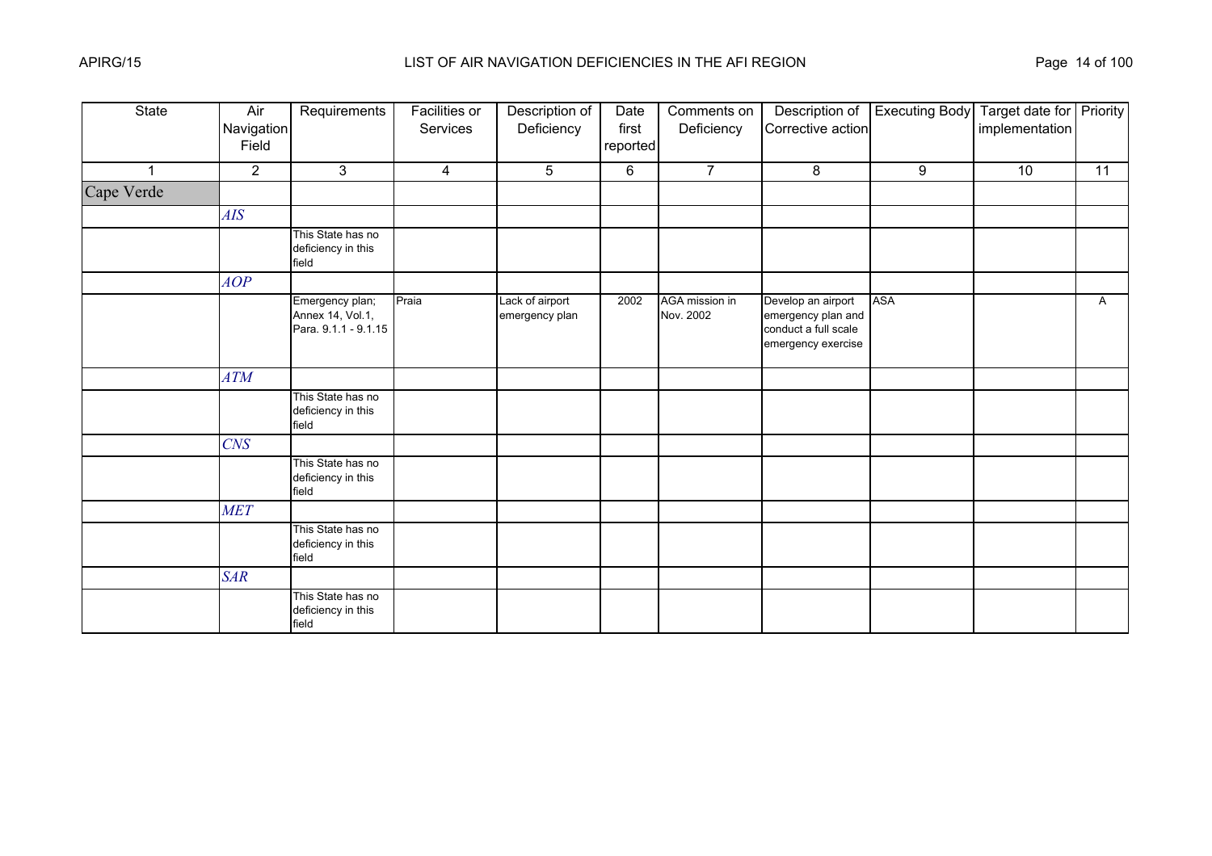| State        | Air<br>Navigation<br>Field | Requirements                                                | Facilities or<br>Services | Description of<br>Deficiency      | Date<br>first<br>reported | Comments on<br>Deficiency   | Description of<br>Corrective action                                                    | <b>Executing Body</b> | Target date for Priority<br>implementation |              |
|--------------|----------------------------|-------------------------------------------------------------|---------------------------|-----------------------------------|---------------------------|-----------------------------|----------------------------------------------------------------------------------------|-----------------------|--------------------------------------------|--------------|
| $\mathbf{1}$ | $\overline{2}$             | 3                                                           | $\overline{4}$            | 5                                 | 6                         | $\overline{7}$              | 8                                                                                      | 9                     | 10                                         | 11           |
| Cape Verde   |                            |                                                             |                           |                                   |                           |                             |                                                                                        |                       |                                            |              |
|              | AIS                        |                                                             |                           |                                   |                           |                             |                                                                                        |                       |                                            |              |
|              |                            | This State has no<br>deficiency in this<br>field            |                           |                                   |                           |                             |                                                                                        |                       |                                            |              |
|              | AOP                        |                                                             |                           |                                   |                           |                             |                                                                                        |                       |                                            |              |
|              |                            | Emergency plan;<br>Annex 14, Vol.1,<br>Para. 9.1.1 - 9.1.15 | Praia                     | Lack of airport<br>emergency plan | 2002                      | AGA mission in<br>Nov. 2002 | Develop an airport<br>emergency plan and<br>conduct a full scale<br>emergency exercise | <b>ASA</b>            |                                            | $\mathsf{A}$ |
|              | ATM                        |                                                             |                           |                                   |                           |                             |                                                                                        |                       |                                            |              |
|              |                            | This State has no<br>deficiency in this<br>field            |                           |                                   |                           |                             |                                                                                        |                       |                                            |              |
|              | <b>CNS</b>                 |                                                             |                           |                                   |                           |                             |                                                                                        |                       |                                            |              |
|              |                            | This State has no<br>deficiency in this<br>field            |                           |                                   |                           |                             |                                                                                        |                       |                                            |              |
|              | <b>MET</b>                 |                                                             |                           |                                   |                           |                             |                                                                                        |                       |                                            |              |
|              |                            | This State has no<br>deficiency in this<br>field            |                           |                                   |                           |                             |                                                                                        |                       |                                            |              |
|              | <b>SAR</b>                 |                                                             |                           |                                   |                           |                             |                                                                                        |                       |                                            |              |
|              |                            | This State has no<br>deficiency in this<br>field            |                           |                                   |                           |                             |                                                                                        |                       |                                            |              |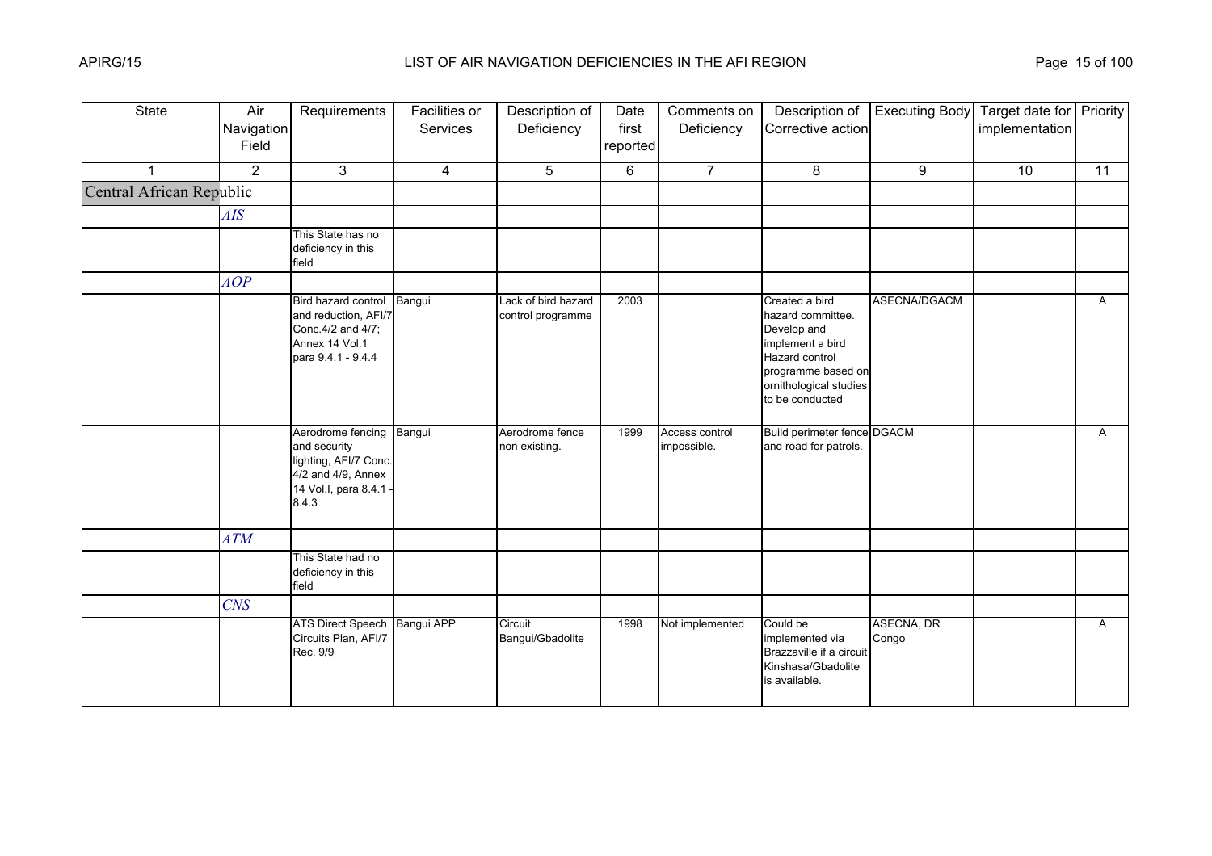| <b>State</b>             | Air<br>Navigation<br>Field | Requirements                                                                                                      | Facilities or<br><b>Services</b> | Description of<br>Deficiency             | Date<br>first<br>reported | Comments on<br>Deficiency     | Description of<br>Corrective action                                                                                                                         | <b>Executing Body</b> | Target date for Priority<br>implementation |              |
|--------------------------|----------------------------|-------------------------------------------------------------------------------------------------------------------|----------------------------------|------------------------------------------|---------------------------|-------------------------------|-------------------------------------------------------------------------------------------------------------------------------------------------------------|-----------------------|--------------------------------------------|--------------|
| 1                        | $\overline{2}$             | 3                                                                                                                 | $\overline{4}$                   | 5                                        | 6                         | $\overline{7}$                | 8                                                                                                                                                           | 9                     | 10                                         | 11           |
| Central African Republic |                            |                                                                                                                   |                                  |                                          |                           |                               |                                                                                                                                                             |                       |                                            |              |
|                          | AIS                        |                                                                                                                   |                                  |                                          |                           |                               |                                                                                                                                                             |                       |                                            |              |
|                          |                            | This State has no<br>deficiency in this<br>field                                                                  |                                  |                                          |                           |                               |                                                                                                                                                             |                       |                                            |              |
|                          | AOP                        |                                                                                                                   |                                  |                                          |                           |                               |                                                                                                                                                             |                       |                                            |              |
|                          |                            | Bird hazard control<br>and reduction, AFI/7<br>Conc.4/2 and 4/7;<br>Annex 14 Vol.1<br>para 9.4.1 - 9.4.4          | Bangui                           | Lack of bird hazard<br>control programme | 2003                      |                               | Created a bird<br>hazard committee.<br>Develop and<br>implement a bird<br>Hazard control<br>programme based on<br>ornithological studies<br>to be conducted | ASECNA/DGACM          |                                            | A            |
|                          |                            | Aerodrome fencing<br>and security<br>lighting, AFI/7 Conc.<br>4/2 and 4/9, Annex<br>14 Vol.I, para 8.4.1<br>8.4.3 | Bangui                           | Aerodrome fence<br>non existing.         | 1999                      | Access control<br>impossible. | Build perimeter fence DGACM<br>and road for patrols.                                                                                                        |                       |                                            | $\mathsf{A}$ |
|                          | <b>ATM</b>                 |                                                                                                                   |                                  |                                          |                           |                               |                                                                                                                                                             |                       |                                            |              |
|                          |                            | This State had no<br>deficiency in this<br>field                                                                  |                                  |                                          |                           |                               |                                                                                                                                                             |                       |                                            |              |
|                          | <b>CNS</b>                 |                                                                                                                   |                                  |                                          |                           |                               |                                                                                                                                                             |                       |                                            |              |
|                          |                            | <b>ATS Direct Speech</b><br>Circuits Plan, AFI/7<br>Rec. 9/9                                                      | Bangui APP                       | Circuit<br>Bangui/Gbadolite              | 1998                      | Not implemented               | Could be<br>implemented via<br>Brazzaville if a circuit<br>Kinshasa/Gbadolite<br>is available.                                                              | ASECNA, DR<br>Congo   |                                            | $\mathsf{A}$ |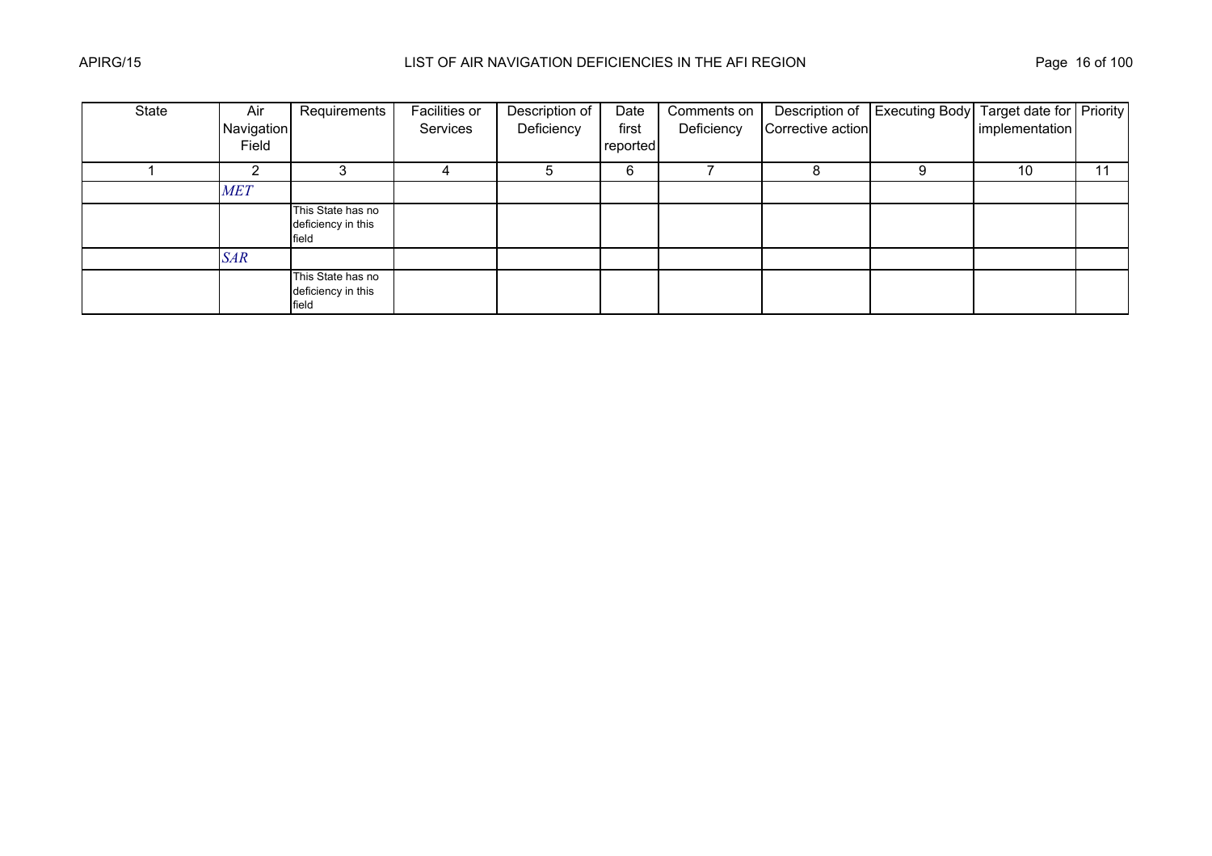| State | Air        | Requirements                                     | Facilities or | Description of | Date     | Comments on |                   | Description of Executing Body Target date for Priority |                |    |
|-------|------------|--------------------------------------------------|---------------|----------------|----------|-------------|-------------------|--------------------------------------------------------|----------------|----|
|       | Navigation |                                                  | Services      | Deficiency     | first    | Deficiency  | Corrective action |                                                        | implementation |    |
|       | Field      |                                                  |               |                | reported |             |                   |                                                        |                |    |
|       |            |                                                  |               | G              | 6        |             |                   |                                                        | 10             | 11 |
|       | <b>MET</b> |                                                  |               |                |          |             |                   |                                                        |                |    |
|       |            | This State has no<br>deficiency in this<br>field |               |                |          |             |                   |                                                        |                |    |
|       | <b>SAR</b> |                                                  |               |                |          |             |                   |                                                        |                |    |
|       |            | This State has no<br>deficiency in this<br>field |               |                |          |             |                   |                                                        |                |    |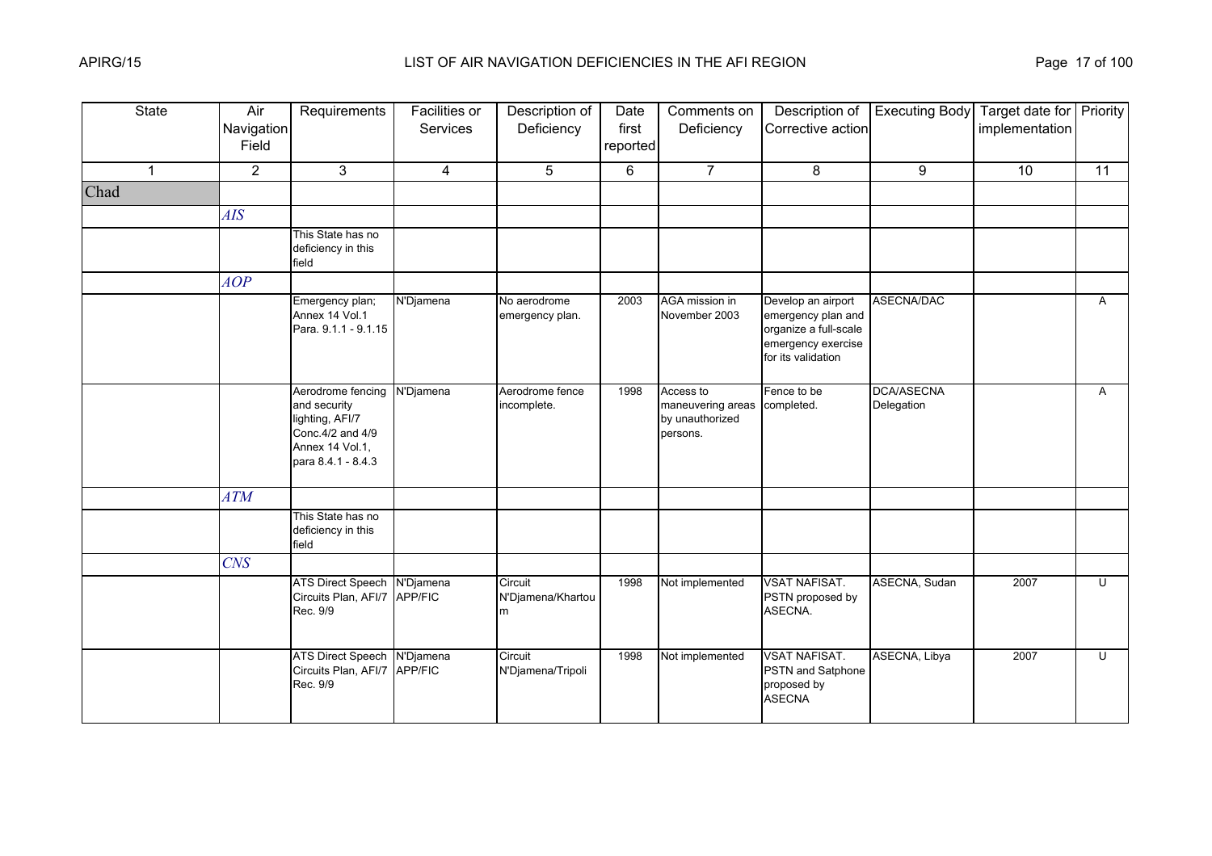| <b>State</b> | Air<br>Navigation<br>Field | Requirements                                                                                                       | <b>Facilities or</b><br>Services | Description of<br>Deficiency      | Date<br>first<br>reported | Comments on<br>Deficiency                                                | Description of<br>Corrective action                                                                           | <b>Executing Body</b>    | Target date for Priority<br>implementation |                 |
|--------------|----------------------------|--------------------------------------------------------------------------------------------------------------------|----------------------------------|-----------------------------------|---------------------------|--------------------------------------------------------------------------|---------------------------------------------------------------------------------------------------------------|--------------------------|--------------------------------------------|-----------------|
| $\mathbf 1$  | $\overline{2}$             | 3                                                                                                                  | $\overline{\mathbf{4}}$          | 5                                 | 6                         | $\overline{7}$                                                           | 8                                                                                                             | 9                        | 10                                         | $\overline{11}$ |
| Chad         |                            |                                                                                                                    |                                  |                                   |                           |                                                                          |                                                                                                               |                          |                                            |                 |
|              | AIS                        |                                                                                                                    |                                  |                                   |                           |                                                                          |                                                                                                               |                          |                                            |                 |
|              |                            | This State has no<br>deficiency in this<br>field                                                                   |                                  |                                   |                           |                                                                          |                                                                                                               |                          |                                            |                 |
|              | AOP                        |                                                                                                                    |                                  |                                   |                           |                                                                          |                                                                                                               |                          |                                            |                 |
|              |                            | Emergency plan;<br>Annex 14 Vol.1<br>Para. 9.1.1 - 9.1.15                                                          | N'Djamena                        | No aerodrome<br>emergency plan.   | 2003                      | AGA mission in<br>November 2003                                          | Develop an airport<br>emergency plan and<br>organize a full-scale<br>emergency exercise<br>for its validation | ASECNA/DAC               |                                            | $\mathsf{A}$    |
|              |                            | Aerodrome fencing<br>and security<br>lighting, AFI/7<br>Conc. 4/2 and 4/9<br>Annex 14 Vol.1,<br>para 8.4.1 - 8.4.3 | N'Djamena                        | Aerodrome fence<br>incomplete.    | 1998                      | Access to<br>maneuvering areas completed.<br>by unauthorized<br>persons. | Fence to be                                                                                                   | DCA/ASECNA<br>Delegation |                                            | $\mathsf{A}$    |
|              | ATM                        |                                                                                                                    |                                  |                                   |                           |                                                                          |                                                                                                               |                          |                                            |                 |
|              |                            | This State has no<br>deficiency in this<br>field                                                                   |                                  |                                   |                           |                                                                          |                                                                                                               |                          |                                            |                 |
|              | <b>CNS</b>                 |                                                                                                                    |                                  |                                   |                           |                                                                          |                                                                                                               |                          |                                            |                 |
|              |                            | ATS Direct Speech N'Djamena<br>Circuits Plan, AFI/7 APP/FIC<br>Rec. 9/9                                            |                                  | Circuit<br>N'Djamena/Khartou<br>m | 1998                      | Not implemented                                                          | <b>VSAT NAFISAT.</b><br>PSTN proposed by<br>ASECNA.                                                           | ASECNA, Sudan            | 2007                                       | U               |
|              |                            | ATS Direct Speech N'Djamena<br>Circuits Plan, AFI/7 APP/FIC<br>Rec. 9/9                                            |                                  | Circuit<br>N'Djamena/Tripoli      | 1998                      | Not implemented                                                          | <b>VSAT NAFISAT.</b><br>PSTN and Satphone<br>proposed by<br><b>ASECNA</b>                                     | ASECNA, Libya            | 2007                                       | U               |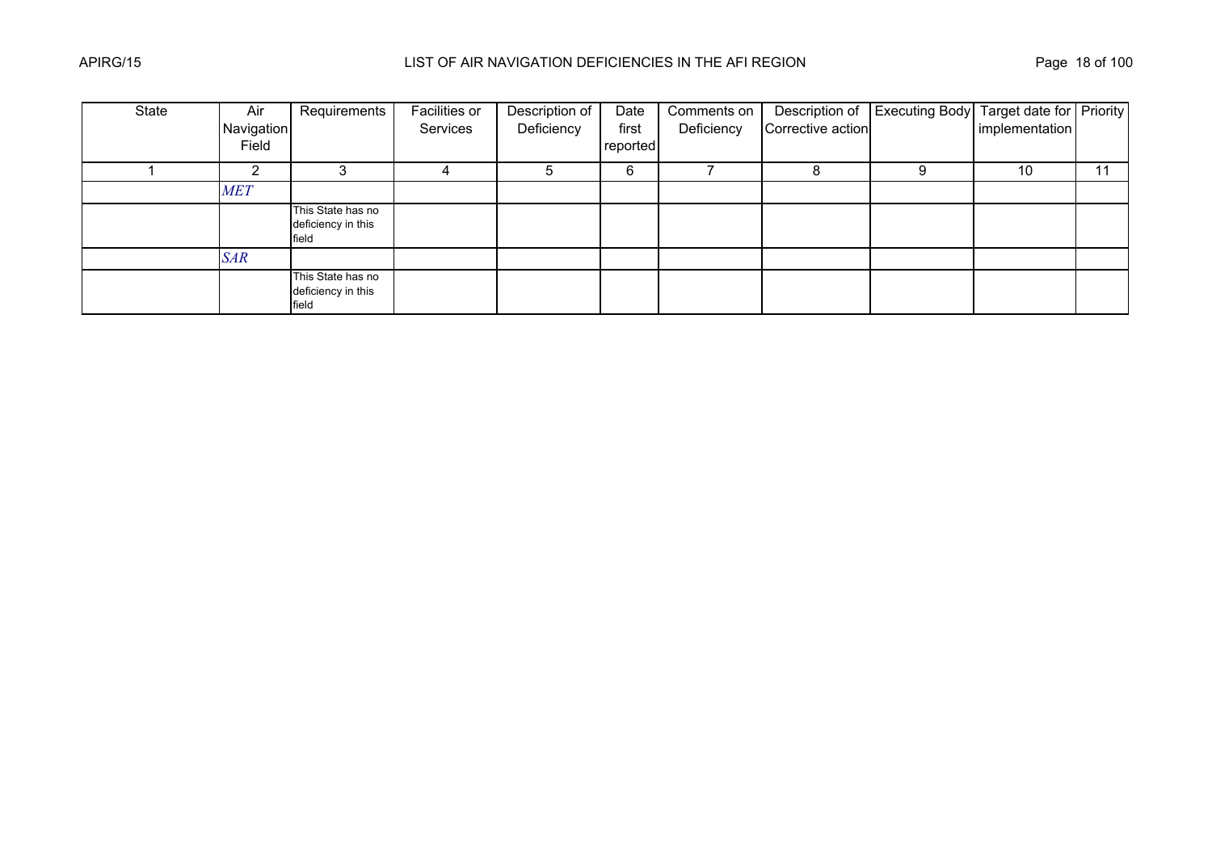| State | Air        | Requirements                                     | Facilities or | Description of | Date     | Comments on |                   | Description of Executing Body Target date for Priority |                |    |
|-------|------------|--------------------------------------------------|---------------|----------------|----------|-------------|-------------------|--------------------------------------------------------|----------------|----|
|       | Navigation |                                                  | Services      | Deficiency     | first    | Deficiency  | Corrective action |                                                        | implementation |    |
|       | Field      |                                                  |               |                | reported |             |                   |                                                        |                |    |
|       |            |                                                  |               | G              | 6        |             |                   |                                                        | 10             | 11 |
|       | <b>MET</b> |                                                  |               |                |          |             |                   |                                                        |                |    |
|       |            | This State has no<br>deficiency in this<br>field |               |                |          |             |                   |                                                        |                |    |
|       | <b>SAR</b> |                                                  |               |                |          |             |                   |                                                        |                |    |
|       |            | This State has no<br>deficiency in this<br>field |               |                |          |             |                   |                                                        |                |    |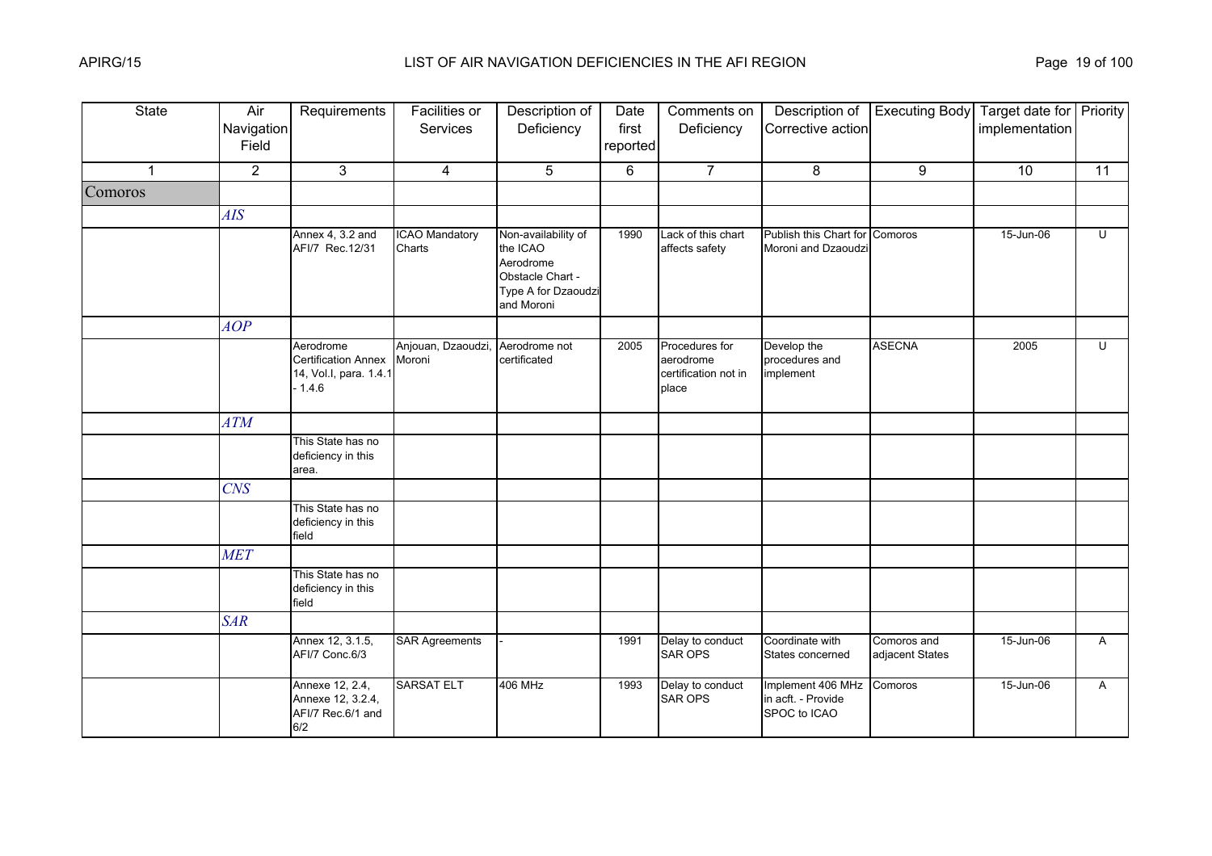| <b>State</b> | Air<br>Navigation<br>Field | Requirements                                                                  | <b>Facilities or</b><br>Services | Description of<br>Deficiency                                                                          | Date<br>first<br>reported | Comments on<br>Deficiency                                    | Description of<br>Corrective action                     | <b>Executing Body</b>          | Target date for Priority<br>implementation |    |
|--------------|----------------------------|-------------------------------------------------------------------------------|----------------------------------|-------------------------------------------------------------------------------------------------------|---------------------------|--------------------------------------------------------------|---------------------------------------------------------|--------------------------------|--------------------------------------------|----|
| $\mathbf 1$  | $\overline{2}$             | 3                                                                             | $\overline{4}$                   | 5                                                                                                     | 6                         | $\overline{7}$                                               | 8                                                       | 9                              | 10                                         | 11 |
| Comoros      |                            |                                                                               |                                  |                                                                                                       |                           |                                                              |                                                         |                                |                                            |    |
|              | AIS                        |                                                                               |                                  |                                                                                                       |                           |                                                              |                                                         |                                |                                            |    |
|              |                            | Annex 4, 3.2 and<br>AFI/7 Rec.12/31                                           | <b>ICAO Mandatory</b><br>Charts  | Non-availability of<br>the ICAO<br>Aerodrome<br>Obstacle Chart -<br>Type A for Dzaoudzi<br>and Moroni | 1990                      | Lack of this chart<br>affects safety                         | Publish this Chart for Comoros<br>Moroni and Dzaoudzi   |                                | 15-Jun-06                                  | U  |
|              | AOP                        |                                                                               |                                  |                                                                                                       |                           |                                                              |                                                         |                                |                                            |    |
|              |                            | Aerodrome<br><b>Certification Annex</b><br>14, Vol.I, para. 1.4.1<br>$-1.4.6$ | Anjouan, Dzaoudzi,<br>Moroni     | Aerodrome not<br>certificated                                                                         | 2005                      | Procedures for<br>aerodrome<br>certification not in<br>place | Develop the<br>procedures and<br>implement              | <b>ASECNA</b>                  | 2005                                       | Ū  |
|              | ATM                        |                                                                               |                                  |                                                                                                       |                           |                                                              |                                                         |                                |                                            |    |
|              |                            | This State has no<br>deficiency in this<br>area.                              |                                  |                                                                                                       |                           |                                                              |                                                         |                                |                                            |    |
|              | <b>CNS</b>                 |                                                                               |                                  |                                                                                                       |                           |                                                              |                                                         |                                |                                            |    |
|              |                            | This State has no<br>deficiency in this<br>field                              |                                  |                                                                                                       |                           |                                                              |                                                         |                                |                                            |    |
|              | <b>MET</b>                 |                                                                               |                                  |                                                                                                       |                           |                                                              |                                                         |                                |                                            |    |
|              |                            | This State has no<br>deficiency in this<br>field                              |                                  |                                                                                                       |                           |                                                              |                                                         |                                |                                            |    |
|              | <b>SAR</b>                 |                                                                               |                                  |                                                                                                       |                           |                                                              |                                                         |                                |                                            |    |
|              |                            | Annex 12, 3.1.5,<br>AFI/7 Conc.6/3                                            | <b>SAR Agreements</b>            |                                                                                                       | 1991                      | Delay to conduct<br><b>SAR OPS</b>                           | Coordinate with<br>States concerned                     | Comoros and<br>adjacent States | 15-Jun-06                                  | A  |
|              |                            | Annexe 12, 2.4,<br>Annexe 12, 3.2.4,<br>AFI/7 Rec.6/1 and<br>6/2              | <b>SARSAT ELT</b>                | <b>406 MHz</b>                                                                                        | 1993                      | Delay to conduct<br><b>SAR OPS</b>                           | Implement 406 MHz<br>in acft. - Provide<br>SPOC to ICAO | Comoros                        | 15-Jun-06                                  | A  |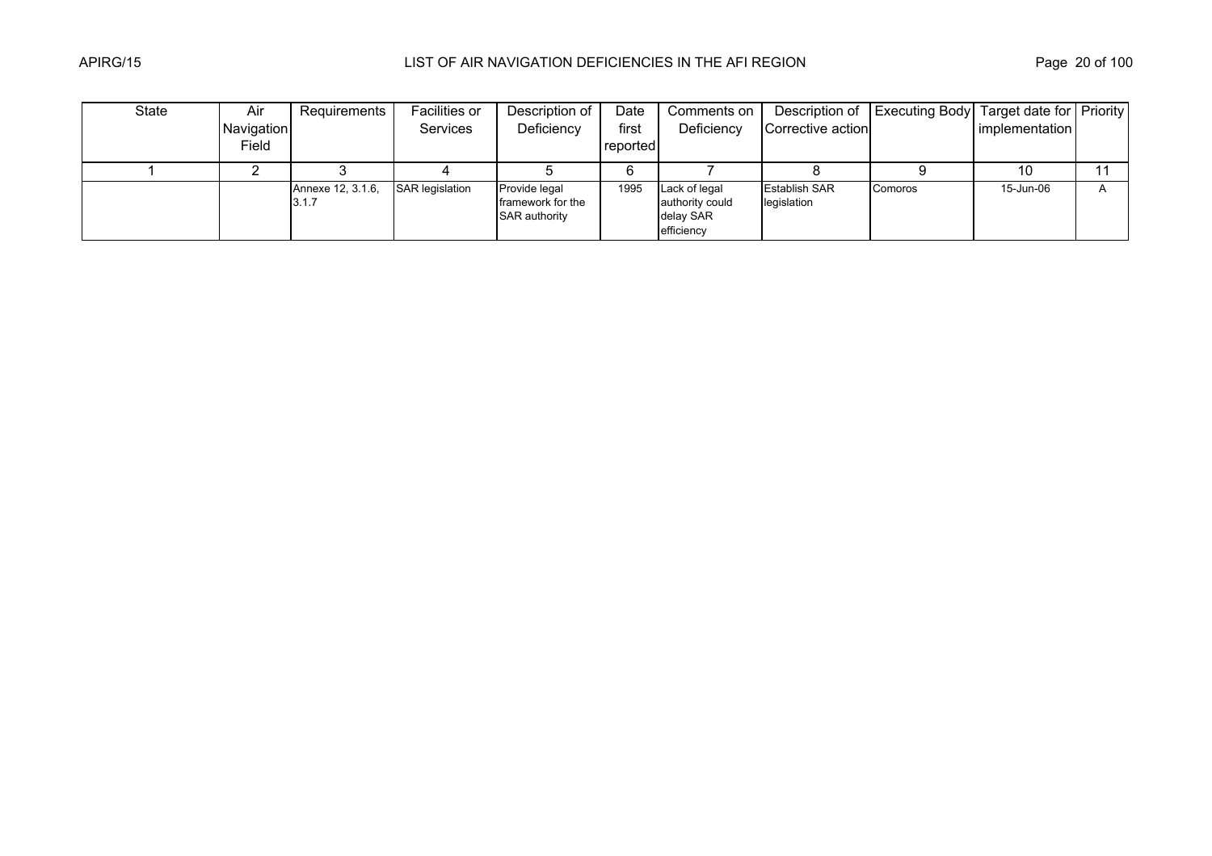| State | Air        | Requirements               | Facilities or          | Description of                                             | Date     | Comments on                                                 |                                     | Description of   Executing Body   Target date for   Priority |                |   |
|-------|------------|----------------------------|------------------------|------------------------------------------------------------|----------|-------------------------------------------------------------|-------------------------------------|--------------------------------------------------------------|----------------|---|
|       | Navigation |                            | <b>Services</b>        | Deficiency                                                 | first    | Deficiency                                                  | Corrective action                   |                                                              | implementation |   |
|       | Field      |                            |                        |                                                            | reported |                                                             |                                     |                                                              |                |   |
|       |            |                            |                        |                                                            |          |                                                             |                                     |                                                              | 10             |   |
|       |            | Annexe 12, 3.1.6,<br>3.1.7 | <b>SAR legislation</b> | Provide legal<br>framework for the<br><b>SAR authority</b> | 1995     | Lack of legal<br>authority could<br>delay SAR<br>efficiency | <b>Establish SAR</b><br>legislation | Comoros                                                      | 15-Jun-06      | A |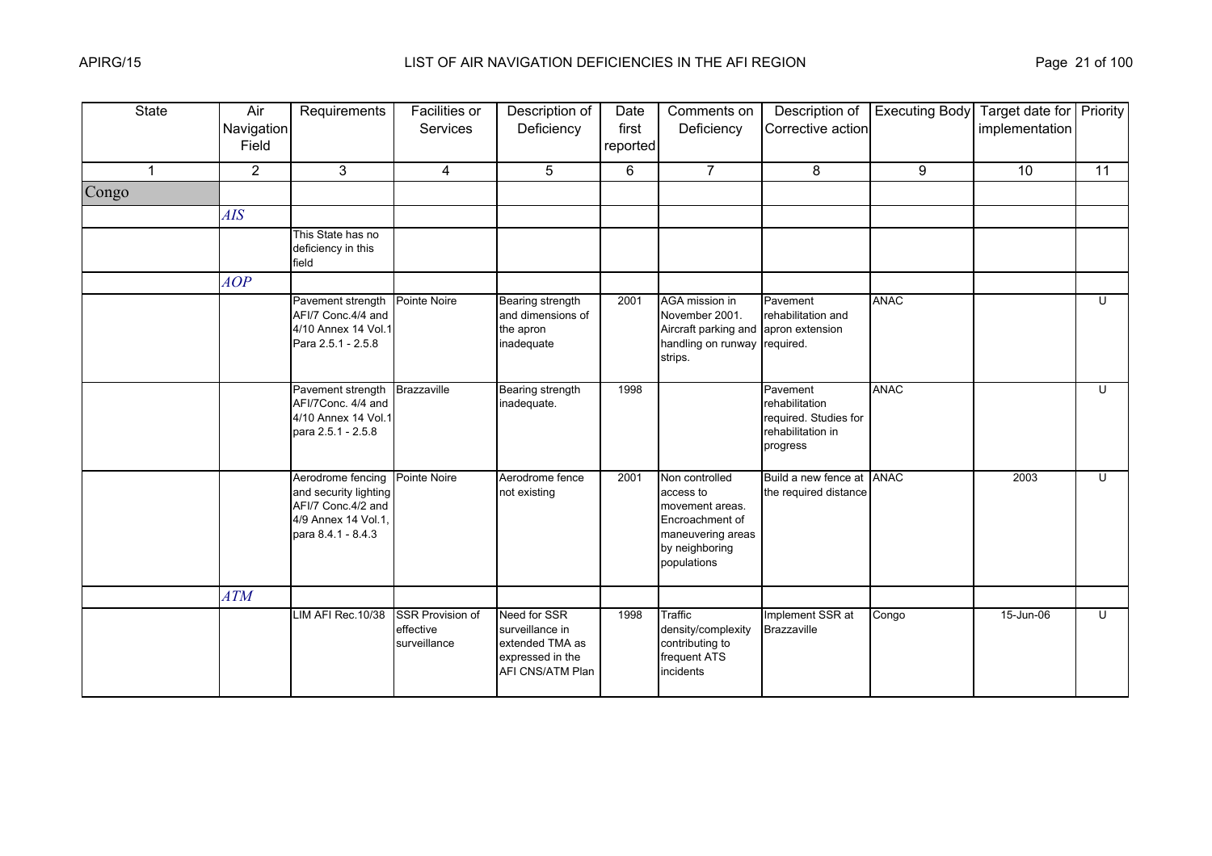| <b>State</b>   | Air<br>Navigation<br>Field | Requirements                                                                                                  | Facilities or<br><b>Services</b>                     | Description of<br>Deficiency                                                               | Date<br>first<br>reported | Comments on<br>Deficiency                                                                                               | Description of<br>Corrective action                                                  | <b>Executing Body</b> | Target date for Priority<br>implementation |    |
|----------------|----------------------------|---------------------------------------------------------------------------------------------------------------|------------------------------------------------------|--------------------------------------------------------------------------------------------|---------------------------|-------------------------------------------------------------------------------------------------------------------------|--------------------------------------------------------------------------------------|-----------------------|--------------------------------------------|----|
| $\overline{1}$ | $\overline{2}$             | 3                                                                                                             | $\overline{4}$                                       | 5                                                                                          | 6                         | $\overline{7}$                                                                                                          | 8                                                                                    | 9                     | 10                                         | 11 |
| Congo          |                            |                                                                                                               |                                                      |                                                                                            |                           |                                                                                                                         |                                                                                      |                       |                                            |    |
|                | AIS                        |                                                                                                               |                                                      |                                                                                            |                           |                                                                                                                         |                                                                                      |                       |                                            |    |
|                |                            | This State has no<br>deficiency in this<br>field                                                              |                                                      |                                                                                            |                           |                                                                                                                         |                                                                                      |                       |                                            |    |
|                | AOP                        |                                                                                                               |                                                      |                                                                                            |                           |                                                                                                                         |                                                                                      |                       |                                            |    |
|                |                            | Pavement strength<br>AFI/7 Conc.4/4 and<br>4/10 Annex 14 Vol.1<br>Para 2.5.1 - 2.5.8                          | Pointe Noire                                         | Bearing strength<br>and dimensions of<br>the apron<br>inadequate                           | 2001                      | AGA mission in<br>November 2001.<br>Aircraft parking and apron extension<br>handling on runway required.<br>strips.     | Pavement<br>rehabilitation and                                                       | <b>ANAC</b>           |                                            | U  |
|                |                            | Pavement strength<br>AFI/7Conc. 4/4 and<br>4/10 Annex 14 Vol.1<br>para 2.5.1 - 2.5.8                          | <b>Brazzaville</b>                                   | Bearing strength<br>inadequate.                                                            | 1998                      |                                                                                                                         | Pavement<br>rehabilitation<br>required. Studies for<br>rehabilitation in<br>progress | <b>ANAC</b>           |                                            | U  |
|                |                            | Aerodrome fencing<br>and security lighting<br>AFI/7 Conc.4/2 and<br>4/9 Annex 14 Vol.1.<br>para 8.4.1 - 8.4.3 | Pointe Noire                                         | Aerodrome fence<br>not existing                                                            | 2001                      | Non controlled<br>access to<br>movement areas.<br>Encroachment of<br>maneuvering areas<br>by neighboring<br>populations | Build a new fence at ANAC<br>the required distance                                   |                       | 2003                                       | U  |
|                | <b>ATM</b>                 |                                                                                                               |                                                      |                                                                                            |                           |                                                                                                                         |                                                                                      |                       |                                            |    |
|                |                            | LIM AFI Rec. 10/38                                                                                            | <b>SSR Provision of</b><br>effective<br>surveillance | Need for SSR<br>surveillance in<br>extended TMA as<br>expressed in the<br>AFI CNS/ATM Plan | 1998                      | Traffic<br>density/complexity<br>contributing to<br>frequent ATS<br>incidents                                           | Implement SSR at<br>Brazzaville                                                      | Congo                 | 15-Jun-06                                  | U  |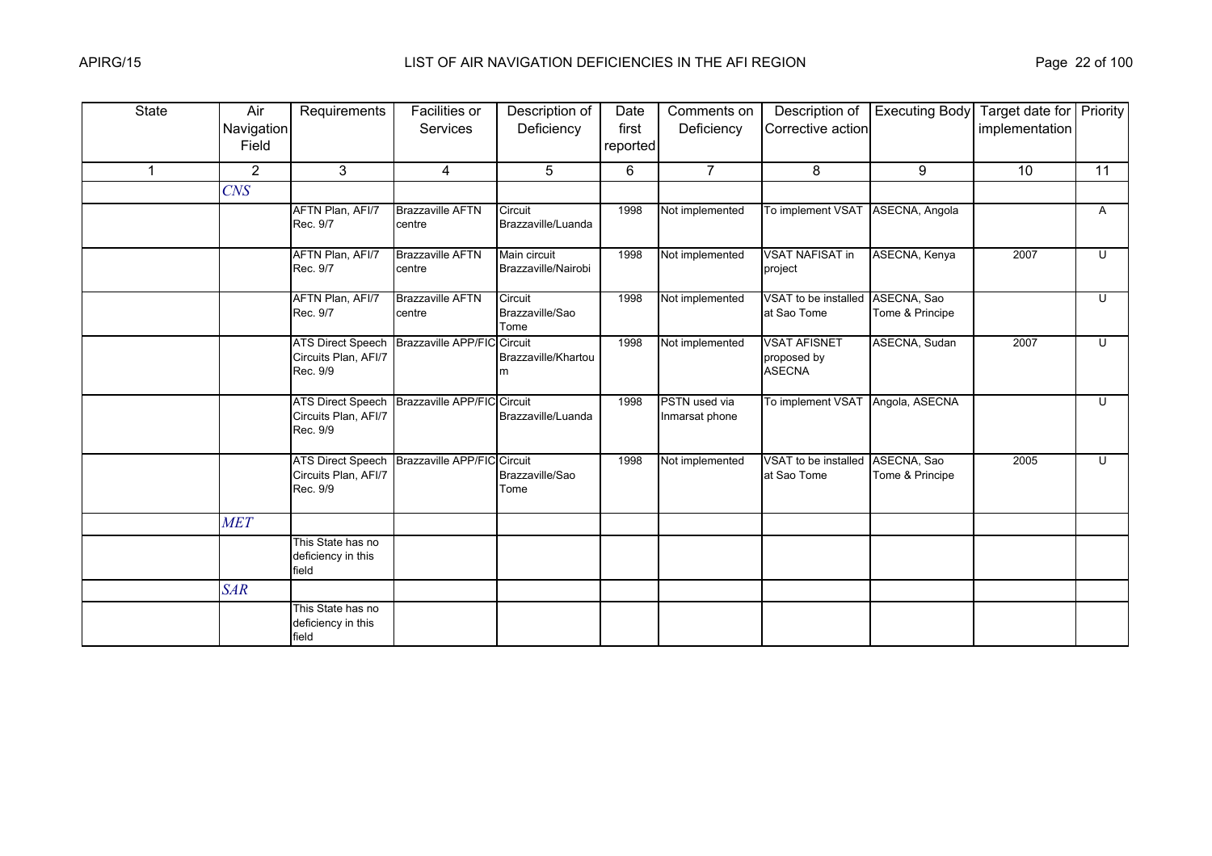| <b>State</b> | Air<br>Navigation<br>Field | Requirements                                                 | Facilities or<br>Services         | Description of<br>Deficiency        | Date<br>first<br>reported | Comments on<br>Deficiency       | Description of<br>Corrective action                 | <b>Executing Body</b>          | Target date for Priority<br>implementation |                         |
|--------------|----------------------------|--------------------------------------------------------------|-----------------------------------|-------------------------------------|---------------------------|---------------------------------|-----------------------------------------------------|--------------------------------|--------------------------------------------|-------------------------|
|              |                            |                                                              |                                   |                                     |                           |                                 |                                                     |                                |                                            |                         |
| $\mathbf{1}$ | $\overline{2}$             | 3                                                            | 4                                 | 5                                   | 6                         | $\overline{7}$                  | 8                                                   | 9                              | 10                                         | 11                      |
|              | <b>CNS</b>                 |                                                              |                                   |                                     |                           |                                 |                                                     |                                |                                            |                         |
|              |                            | AFTN Plan, AFI/7<br>Rec. 9/7                                 | <b>Brazzaville AFTN</b><br>centre | Circuit<br>Brazzaville/Luanda       | 1998                      | Not implemented                 | To implement VSAT                                   | ASECNA, Angola                 |                                            | A                       |
|              |                            | AFTN Plan, AFI/7<br>Rec. 9/7                                 | <b>Brazzaville AFTN</b><br>centre | Main circuit<br>Brazzaville/Nairobi | 1998                      | Not implemented                 | <b>VSAT NAFISAT in</b><br>project                   | ASECNA, Kenya                  | 2007                                       | U                       |
|              |                            | AFTN Plan, AFI/7<br>Rec. 9/7                                 | <b>Brazzaville AFTN</b><br>centre | Circuit<br>Brazzaville/Sao<br>Tome  | 1998                      | Not implemented                 | VSAT to be installed<br>at Sao Tome                 | ASECNA, Sao<br>Tome & Principe |                                            | U                       |
|              |                            | <b>ATS Direct Speech</b><br>Circuits Plan, AFI/7<br>Rec. 9/9 | <b>Brazzaville APP/FIC</b>        | Circuit<br>Brazzaville/Khartou<br>m | 1998                      | Not implemented                 | <b>VSAT AFISNET</b><br>proposed by<br><b>ASECNA</b> | ASECNA, Sudan                  | 2007                                       | $\overline{\mathsf{C}}$ |
|              |                            | <b>ATS Direct Speech</b><br>Circuits Plan, AFI/7<br>Rec. 9/9 | Brazzaville APP/FIC Circuit       | Brazzaville/Luanda                  | 1998                      | PSTN used via<br>Inmarsat phone | To implement VSAT                                   | Angola, ASECNA                 |                                            | U                       |
|              |                            | <b>ATS Direct Speech</b><br>Circuits Plan, AFI/7<br>Rec. 9/9 | Brazzaville APP/FIC Circuit       | Brazzaville/Sao<br>Tome             | 1998                      | Not implemented                 | VSAT to be installed<br>at Sao Tome                 | ASECNA, Sao<br>Tome & Principe | 2005                                       | $\overline{C}$          |
|              | <b>MET</b>                 |                                                              |                                   |                                     |                           |                                 |                                                     |                                |                                            |                         |
|              |                            | This State has no<br>deficiency in this<br>field             |                                   |                                     |                           |                                 |                                                     |                                |                                            |                         |
|              | <b>SAR</b>                 |                                                              |                                   |                                     |                           |                                 |                                                     |                                |                                            |                         |
|              |                            | This State has no<br>deficiency in this<br>field             |                                   |                                     |                           |                                 |                                                     |                                |                                            |                         |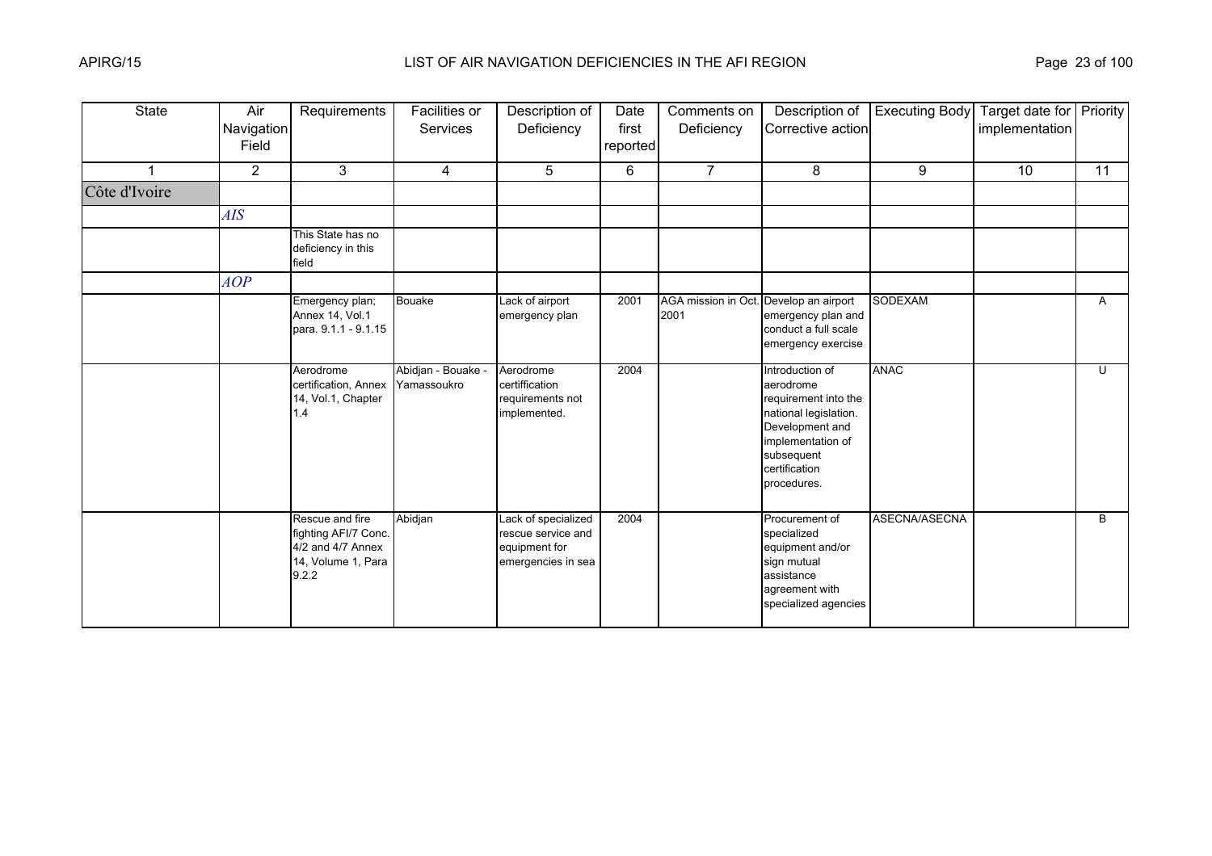| <b>State</b>  | Air<br>Navigation<br>Field | Requirements                                                                                | Facilities or<br>Services         | Description of<br>Deficiency                                                     | Date<br>first<br>reported | Comments on<br>Deficiency   | Description of<br>Corrective action                                                                                                                                 | <b>Executing Body</b> | Target date for Priority<br>implementation |                |
|---------------|----------------------------|---------------------------------------------------------------------------------------------|-----------------------------------|----------------------------------------------------------------------------------|---------------------------|-----------------------------|---------------------------------------------------------------------------------------------------------------------------------------------------------------------|-----------------------|--------------------------------------------|----------------|
| 1             | $\overline{2}$             | 3                                                                                           | $\overline{4}$                    | 5                                                                                | 6                         | $\overline{7}$              | 8                                                                                                                                                                   | 9                     | 10                                         | 11             |
| Côte d'Ivoire |                            |                                                                                             |                                   |                                                                                  |                           |                             |                                                                                                                                                                     |                       |                                            |                |
|               | AIS                        |                                                                                             |                                   |                                                                                  |                           |                             |                                                                                                                                                                     |                       |                                            |                |
|               |                            | This State has no<br>deficiency in this<br>field                                            |                                   |                                                                                  |                           |                             |                                                                                                                                                                     |                       |                                            |                |
|               | AOP                        |                                                                                             |                                   |                                                                                  |                           |                             |                                                                                                                                                                     |                       |                                            |                |
|               |                            | Emergency plan;<br>Annex 14, Vol.1<br>para. 9.1.1 - 9.1.15                                  | <b>Bouake</b>                     | Lack of airport<br>emergency plan                                                | 2001                      | AGA mission in Oct.<br>2001 | Develop an airport<br>emergency plan and<br>conduct a full scale<br>emergency exercise                                                                              | <b>SODEXAM</b>        |                                            | $\mathsf{A}$   |
|               |                            | Aerodrome<br>certification, Annex<br>14, Vol.1, Chapter<br>1.4                              | Abidjan - Bouake -<br>Yamassoukro | Aerodrome<br>certiffication<br>requirements not<br>implemented.                  | 2004                      |                             | Introduction of<br>aerodrome<br>requirement into the<br>national legislation.<br>Development and<br>implementation of<br>subsequent<br>certification<br>procedures. | <b>ANAC</b>           |                                            | $\overline{U}$ |
|               |                            | Rescue and fire<br>fighting AFI/7 Conc.<br>4/2 and 4/7 Annex<br>14, Volume 1, Para<br>9.2.2 | Abidjan                           | Lack of specialized<br>rescue service and<br>equipment for<br>emergencies in sea | 2004                      |                             | Procurement of<br>specialized<br>equipment and/or<br>sign mutual<br>assistance<br>agreement with<br>specialized agencies                                            | ASECNA/ASECNA         |                                            | B              |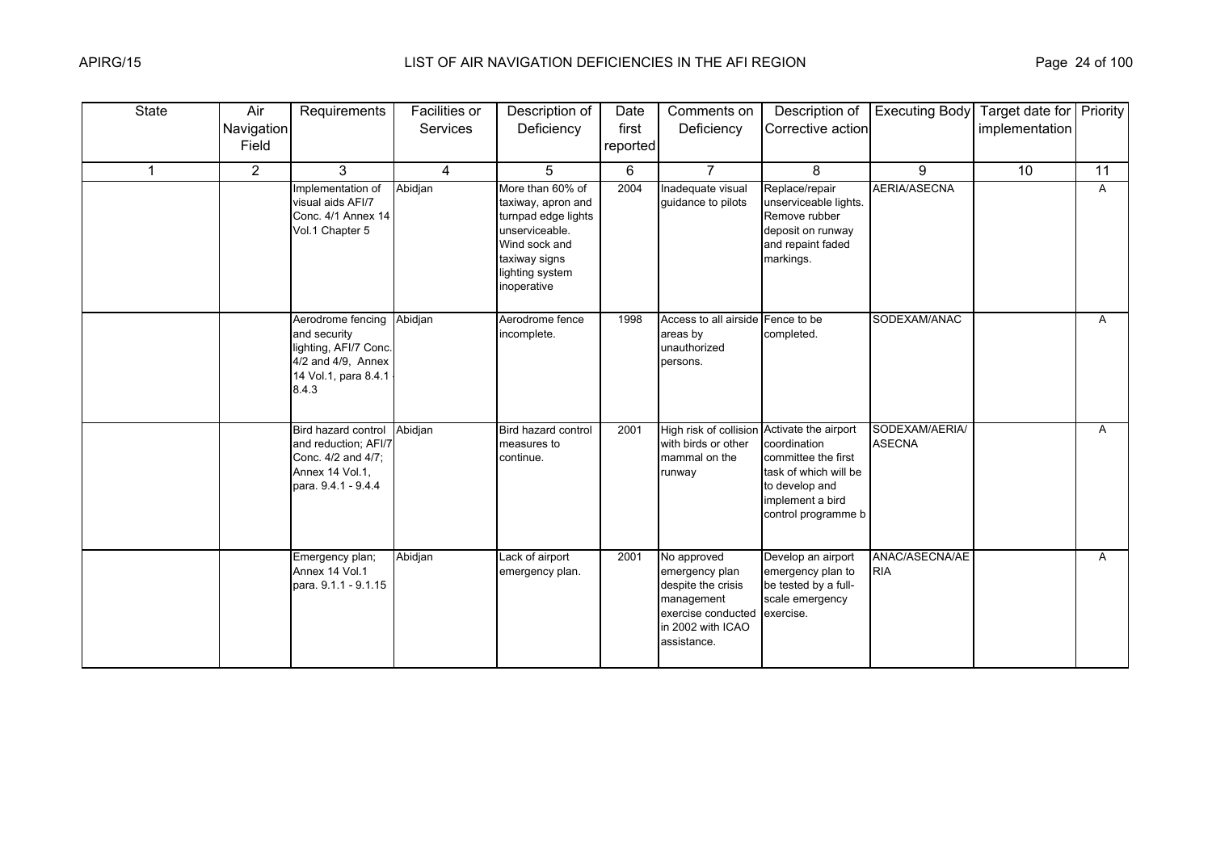| <b>State</b> | Air<br>Navigation<br>Field | Requirements                                                                                                              | Facilities or<br>Services | Description of<br>Deficiency                                                                                                                        | Date<br>first<br>reported | Comments on<br>Deficiency                                                                                                             | Description of<br>Corrective action                                                                                       | <b>Executing Body</b>           | Target date for   Priority  <br>implementation |    |
|--------------|----------------------------|---------------------------------------------------------------------------------------------------------------------------|---------------------------|-----------------------------------------------------------------------------------------------------------------------------------------------------|---------------------------|---------------------------------------------------------------------------------------------------------------------------------------|---------------------------------------------------------------------------------------------------------------------------|---------------------------------|------------------------------------------------|----|
| 1            | $\overline{2}$             | 3                                                                                                                         | $\overline{4}$            | 5                                                                                                                                                   | 6                         | $\overline{7}$                                                                                                                        | 8                                                                                                                         | 9                               | 10                                             | 11 |
|              |                            | Implementation of<br>visual aids AFI/7<br>Conc. 4/1 Annex 14<br>Vol.1 Chapter 5                                           | Abidjan                   | More than 60% of<br>taxiway, apron and<br>turnpad edge lights<br>unserviceable.<br>Wind sock and<br>taxiway signs<br>lighting system<br>inoperative | 2004                      | Inadequate visual<br>guidance to pilots                                                                                               | Replace/repair<br>unserviceable lights.<br>Remove rubber<br>deposit on runway<br>and repaint faded<br>markings.           | <b>AERIA/ASECNA</b>             |                                                | A  |
|              |                            | Aerodrome fencing Abidjan<br>and security<br>lighting, AFI/7 Conc.<br>4/2 and 4/9, Annex<br>14 Vol.1, para 8.4.1<br>8.4.3 |                           | Aerodrome fence<br>incomplete.                                                                                                                      | 1998                      | Access to all airside Fence to be<br>areas by<br>unauthorized<br>persons.                                                             | completed.                                                                                                                | SODEXAM/ANAC                    |                                                | A  |
|              |                            | Bird hazard control<br>and reduction; AFI/7<br>Conc. 4/2 and 4/7;<br>Annex 14 Vol.1.<br>para. 9.4.1 - 9.4.4               | Abidjan                   | Bird hazard control<br>measures to<br>continue.                                                                                                     | 2001                      | High risk of collision Activate the airport<br>with birds or other<br>mammal on the<br>runway                                         | coordination<br>committee the first<br>task of which will be<br>to develop and<br>implement a bird<br>control programme b | SODEXAM/AERIA/<br><b>ASECNA</b> |                                                | A  |
|              |                            | Emergency plan;<br>Annex 14 Vol.1<br>para. 9.1.1 - 9.1.15                                                                 | Abidjan                   | Lack of airport<br>emergency plan.                                                                                                                  | 2001                      | No approved<br>emergency plan<br>despite the crisis<br>management<br>exercise conducted exercise.<br>in 2002 with ICAO<br>assistance. | Develop an airport<br>emergency plan to<br>be tested by a full-<br>scale emergency                                        | ANAC/ASECNA/AE<br><b>RIA</b>    |                                                | A  |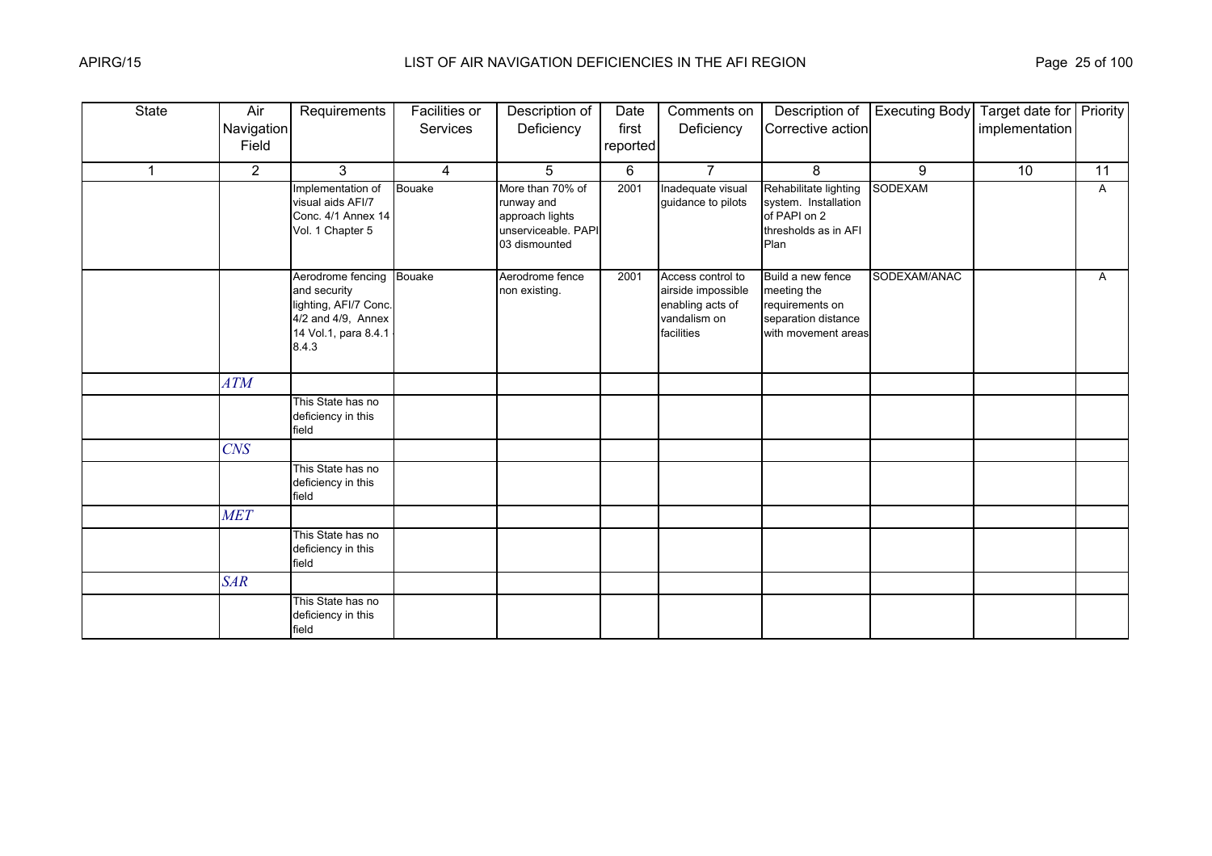| <b>State</b> | Air            | Requirements                                                                                                      | Facilities or  | Description of                                                                            | Date     | Comments on                                                                               | Description of                                                                                    | <b>Executing Body</b> | Target date for Priority |    |
|--------------|----------------|-------------------------------------------------------------------------------------------------------------------|----------------|-------------------------------------------------------------------------------------------|----------|-------------------------------------------------------------------------------------------|---------------------------------------------------------------------------------------------------|-----------------------|--------------------------|----|
|              | Navigation     |                                                                                                                   | Services       | Deficiency                                                                                | first    | Deficiency                                                                                | Corrective action                                                                                 |                       | implementation           |    |
|              | Field          |                                                                                                                   |                |                                                                                           | reported |                                                                                           |                                                                                                   |                       |                          |    |
| $\mathbf{1}$ | $\overline{2}$ | 3                                                                                                                 | $\overline{4}$ | 5                                                                                         | 6        | $\overline{7}$                                                                            | 8                                                                                                 | 9                     | 10                       | 11 |
|              |                | Implementation of<br>visual aids AFI/7<br>Conc. 4/1 Annex 14<br>Vol. 1 Chapter 5                                  | <b>Bouake</b>  | More than 70% of<br>runway and<br>approach lights<br>unserviceable. PAPI<br>03 dismounted | 2001     | Inadequate visual<br>guidance to pilots                                                   | Rehabilitate lighting<br>system. Installation<br>of PAPI on 2<br>thresholds as in AFI<br>Plan     | <b>SODEXAM</b>        |                          | A  |
|              |                | Aerodrome fencing<br>and security<br>lighting, AFI/7 Conc.<br>4/2 and 4/9, Annex<br>14 Vol.1, para 8.4.1<br>8.4.3 | Bouake         | Aerodrome fence<br>non existing.                                                          | 2001     | Access control to<br>airside impossible<br>enabling acts of<br>vandalism on<br>facilities | Build a new fence<br>meeting the<br>requirements on<br>separation distance<br>with movement areas | SODEXAM/ANAC          |                          | A  |
|              | ATM            |                                                                                                                   |                |                                                                                           |          |                                                                                           |                                                                                                   |                       |                          |    |
|              |                | This State has no<br>deficiency in this<br>field                                                                  |                |                                                                                           |          |                                                                                           |                                                                                                   |                       |                          |    |
|              | <b>CNS</b>     |                                                                                                                   |                |                                                                                           |          |                                                                                           |                                                                                                   |                       |                          |    |
|              |                | This State has no<br>deficiency in this<br>field                                                                  |                |                                                                                           |          |                                                                                           |                                                                                                   |                       |                          |    |
|              | <b>MET</b>     |                                                                                                                   |                |                                                                                           |          |                                                                                           |                                                                                                   |                       |                          |    |
|              |                | This State has no<br>deficiency in this<br>field                                                                  |                |                                                                                           |          |                                                                                           |                                                                                                   |                       |                          |    |
|              | <b>SAR</b>     |                                                                                                                   |                |                                                                                           |          |                                                                                           |                                                                                                   |                       |                          |    |
|              |                | This State has no<br>deficiency in this<br>field                                                                  |                |                                                                                           |          |                                                                                           |                                                                                                   |                       |                          |    |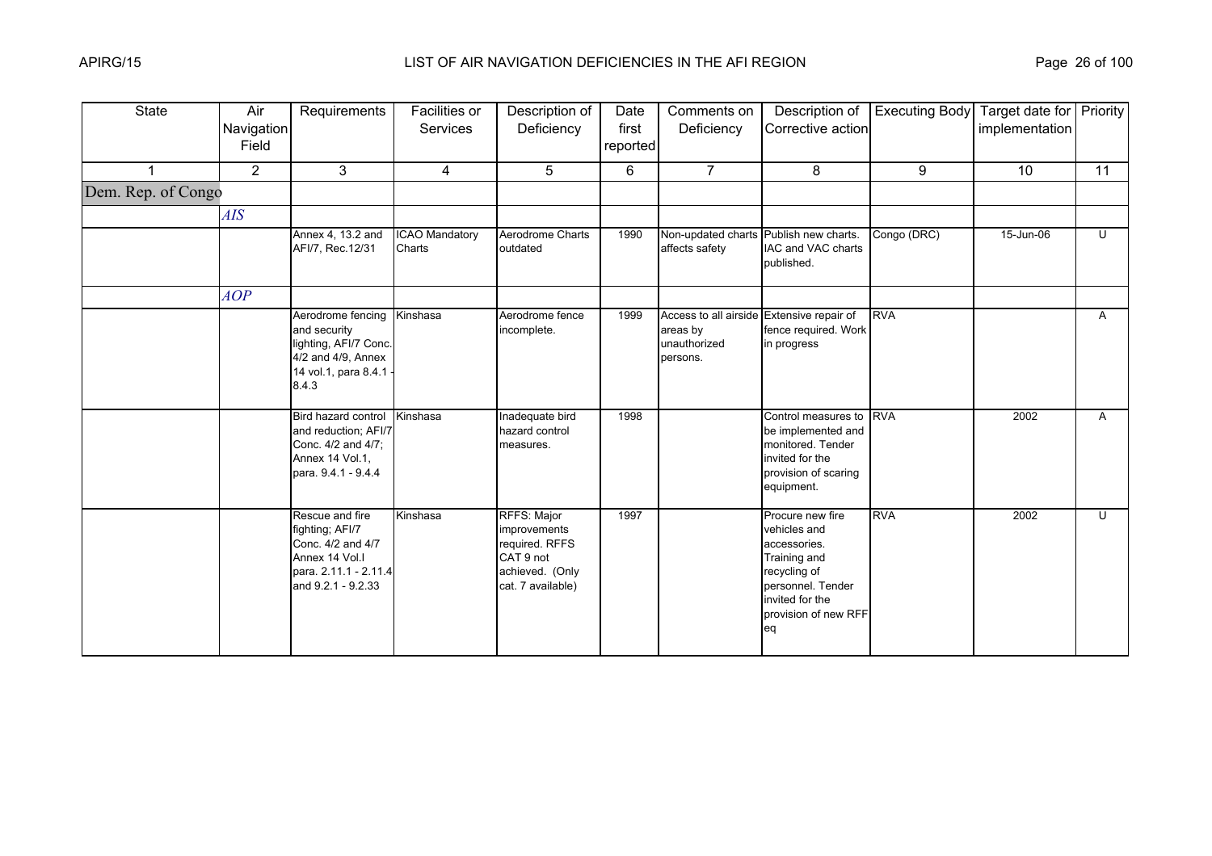| <b>State</b>       | Air<br>Navigation<br>Field | Requirements                                                                                                             | Facilities or<br><b>Services</b> | Description of<br>Deficiency                                                                       | Date<br>first<br>reported | Comments on<br>Deficiency                                                         | Description of<br>Corrective action                                                                                                                    | <b>Executing Body</b> | Target date for Priority<br>implementation |                |
|--------------------|----------------------------|--------------------------------------------------------------------------------------------------------------------------|----------------------------------|----------------------------------------------------------------------------------------------------|---------------------------|-----------------------------------------------------------------------------------|--------------------------------------------------------------------------------------------------------------------------------------------------------|-----------------------|--------------------------------------------|----------------|
|                    | $\overline{2}$             | 3                                                                                                                        | $\overline{4}$                   | 5                                                                                                  | 6                         | $\overline{7}$                                                                    | 8                                                                                                                                                      | 9                     | 10                                         | 11             |
| Dem. Rep. of Congo |                            |                                                                                                                          |                                  |                                                                                                    |                           |                                                                                   |                                                                                                                                                        |                       |                                            |                |
|                    | AIS                        |                                                                                                                          |                                  |                                                                                                    |                           |                                                                                   |                                                                                                                                                        |                       |                                            |                |
|                    |                            | Annex 4, 13.2 and<br>AFI/7, Rec.12/31                                                                                    | ICAO Mandatory<br>Charts         | Aerodrome Charts<br>outdated                                                                       | 1990                      | Non-updated charts Publish new charts.<br>affects safety                          | IAC and VAC charts<br>published.                                                                                                                       | Congo (DRC)           | 15-Jun-06                                  | $\overline{C}$ |
|                    | AOP                        |                                                                                                                          |                                  |                                                                                                    |                           |                                                                                   |                                                                                                                                                        |                       |                                            |                |
|                    |                            | Aerodrome fencing<br>and security<br>lighting, AFI/7 Conc.<br>4/2 and 4/9, Annex<br>14 vol.1, para 8.4.1<br>8.4.3        | Kinshasa                         | Aerodrome fence<br>incomplete.                                                                     | 1999                      | Access to all airside Extensive repair of<br>areas by<br>unauthorized<br>persons. | fence required. Work<br>in progress                                                                                                                    | <b>RVA</b>            |                                            | A              |
|                    |                            | Bird hazard control<br>and reduction; AFI/7<br>Conc. 4/2 and 4/7;<br>Annex 14 Vol.1,<br>para. 9.4.1 - 9.4.4              | Kinshasa                         | Inadequate bird<br>hazard control<br>measures.                                                     | 1998                      |                                                                                   | Control measures to<br>be implemented and<br>monitored. Tender<br>invited for the<br>provision of scaring<br>equipment.                                | <b>RVA</b>            | 2002                                       | A              |
|                    |                            | Rescue and fire<br>fighting; AFI/7<br>Conc. 4/2 and 4/7<br>Annex 14 Vol.I<br>para. 2.11.1 - 2.11.4<br>and 9.2.1 - 9.2.33 | Kinshasa                         | RFFS: Major<br>improvements<br>required. RFFS<br>CAT 9 not<br>achieved. (Only<br>cat. 7 available) | 1997                      |                                                                                   | Procure new fire<br>vehicles and<br>accessories.<br>Training and<br>recycling of<br>personnel. Tender<br>invited for the<br>provision of new RFF<br>eq | <b>RVA</b>            | 2002                                       | U              |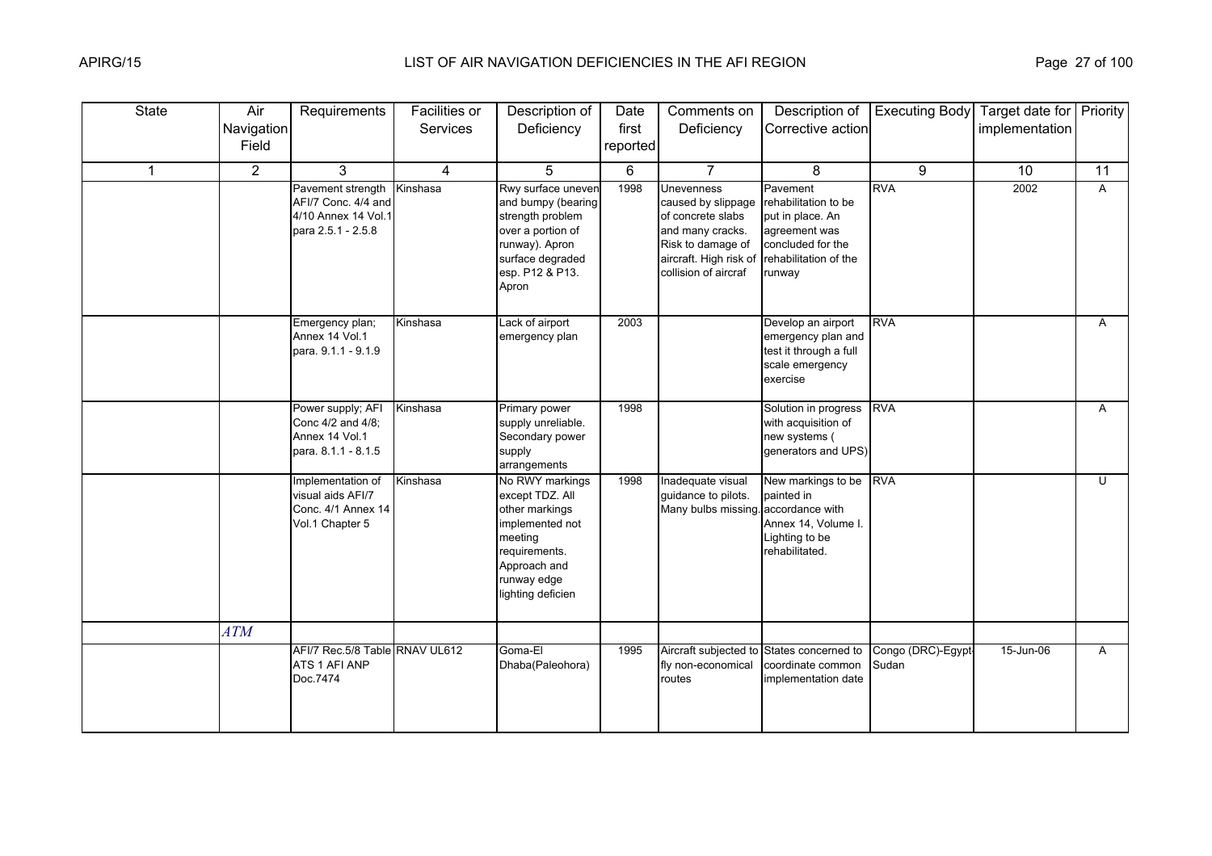| State        | Air<br>Navigation<br>Field | Requirements                                                                          | Facilities or<br>Services | Description of<br>Deficiency                                                                                                                            | Date<br>first<br>reported | Comments on<br>Deficiency                                                                                                                               | Description of<br>Corrective action                                                                                           | <b>Executing Body</b>       | Target date for Priority<br>implementation |                |
|--------------|----------------------------|---------------------------------------------------------------------------------------|---------------------------|---------------------------------------------------------------------------------------------------------------------------------------------------------|---------------------------|---------------------------------------------------------------------------------------------------------------------------------------------------------|-------------------------------------------------------------------------------------------------------------------------------|-----------------------------|--------------------------------------------|----------------|
| $\mathbf{1}$ | $\overline{2}$             | 3                                                                                     | 4                         | 5                                                                                                                                                       | 6                         | $\overline{7}$                                                                                                                                          | 8                                                                                                                             | 9                           | 10                                         | 11             |
|              |                            | Pavement strength<br>AFI/7 Conc. 4/4 and<br>4/10 Annex 14 Vol.1<br>para 2.5.1 - 2.5.8 | Kinshasa                  | Rwy surface uneven<br>and bumpy (bearing<br>strength problem<br>over a portion of<br>runway). Apron<br>surface degraded<br>esp. P12 & P13.<br>Apron     | 1998                      | <b>Unevenness</b><br>caused by slippage<br>of concrete slabs<br>and many cracks.<br>Risk to damage of<br>aircraft. High risk of<br>collision of aircraf | Pavement<br>rehabilitation to be<br>put in place. An<br>agreement was<br>concluded for the<br>rehabilitation of the<br>runway | <b>RVA</b>                  | 2002                                       | $\overline{A}$ |
|              |                            | Emergency plan;<br>Annex 14 Vol.1<br>para. 9.1.1 - 9.1.9                              | Kinshasa                  | Lack of airport<br>emergency plan                                                                                                                       | 2003                      |                                                                                                                                                         | Develop an airport<br>emergency plan and<br>test it through a full<br>scale emergency<br>exercise                             | <b>RVA</b>                  |                                            | A              |
|              |                            | Power supply; AFI<br>Conc 4/2 and 4/8;<br>Annex 14 Vol.1<br>para. 8.1.1 - 8.1.5       | Kinshasa                  | Primary power<br>supply unreliable.<br>Secondary power<br>supply<br>arrangements                                                                        | 1998                      |                                                                                                                                                         | Solution in progress<br>with acquisition of<br>new systems (<br>generators and UPS)                                           | <b>RVA</b>                  |                                            | A              |
|              |                            | Implementation of<br>visual aids AFI/7<br>Conc. 4/1 Annex 14<br>Vol.1 Chapter 5       | Kinshasa                  | No RWY markings<br>except TDZ. All<br>other markings<br>implemented not<br>meeting<br>requirements.<br>Approach and<br>runway edge<br>lighting deficien | 1998                      | Inadequate visual<br>guidance to pilots.<br>Many bulbs missing. accordance with                                                                         | New markings to be<br>painted in<br>Annex 14, Volume I.<br>Lighting to be<br>rehabilitated.                                   | <b>RVA</b>                  |                                            | $\overline{U}$ |
|              | ATM                        |                                                                                       |                           |                                                                                                                                                         |                           |                                                                                                                                                         |                                                                                                                               |                             |                                            |                |
|              |                            | AFI/7 Rec.5/8 Table RNAV UL612<br>ATS 1 AFI ANP<br>Doc.7474                           |                           | Goma-El<br>Dhaba(Paleohora)                                                                                                                             | 1995                      | fly non-economical<br>routes                                                                                                                            | Aircraft subjected to States concerned to<br>coordinate common<br>implementation date                                         | Congo (DRC)-Egypt-<br>Sudan | 15-Jun-06                                  | A              |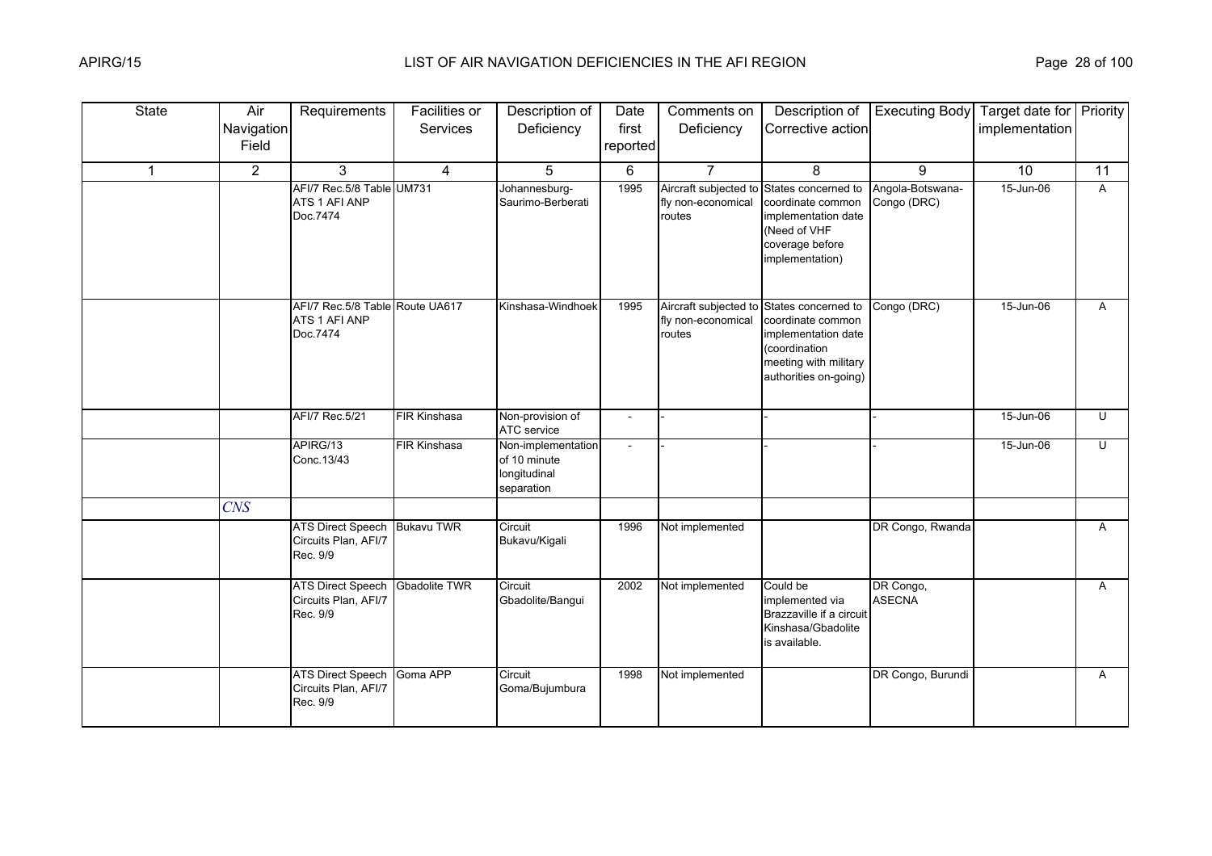| <b>State</b> | Air<br>Navigation | Requirements                                                 | Facilities or<br>Services | Description of<br>Deficiency                                     | Date<br>first  | Comments on<br>Deficiency                             | Description of<br>Corrective action                                                                                                | <b>Executing Body</b>           | Target date for Priority<br>implementation |                |
|--------------|-------------------|--------------------------------------------------------------|---------------------------|------------------------------------------------------------------|----------------|-------------------------------------------------------|------------------------------------------------------------------------------------------------------------------------------------|---------------------------------|--------------------------------------------|----------------|
|              | Field             |                                                              |                           |                                                                  | reported       |                                                       |                                                                                                                                    |                                 |                                            |                |
| $\mathbf{1}$ | $\overline{2}$    | $\mathbf{3}$                                                 | $\overline{4}$            | $5\phantom{.0}$                                                  | 6              | $\overline{7}$                                        | 8                                                                                                                                  | 9                               | 10                                         | 11             |
|              |                   | AFI/7 Rec.5/8 Table UM731<br>ATS 1 AFI ANP<br>Doc.7474       |                           | Johannesburg-<br>Saurimo-Berberati                               | 1995           | Aircraft subjected to<br>fly non-economical<br>routes | States concerned to<br>coordinate common<br>implementation date<br>(Need of VHF<br>coverage before<br>implementation)              | Angola-Botswana-<br>Congo (DRC) | 15-Jun-06                                  | A              |
|              |                   | AFI/7 Rec.5/8 Table Route UA617<br>ATS 1 AFI ANP<br>Doc.7474 |                           | Kinshasa-Windhoek                                                | 1995           | Aircraft subjected to<br>fly non-economical<br>routes | States concerned to<br>coordinate common<br>implementation date<br>(coordination<br>meeting with military<br>authorities on-going) | Congo (DRC)                     | 15-Jun-06                                  | A              |
|              |                   | AFI/7 Rec.5/21                                               | <b>FIR Kinshasa</b>       | Non-provision of<br>ATC service                                  |                |                                                       |                                                                                                                                    |                                 | 15-Jun-06                                  | U              |
|              |                   | APIRG/13<br>Conc.13/43                                       | <b>FIR Kinshasa</b>       | Non-implementation<br>of 10 minute<br>longitudinal<br>separation | $\overline{a}$ |                                                       |                                                                                                                                    |                                 | 15-Jun-06                                  | $\overline{C}$ |
|              | <b>CNS</b>        |                                                              |                           |                                                                  |                |                                                       |                                                                                                                                    |                                 |                                            |                |
|              |                   | ATS Direct Speech<br>Circuits Plan, AFI/7<br>Rec. 9/9        | <b>Bukavu TWR</b>         | Circuit<br>Bukavu/Kigali                                         | 1996           | Not implemented                                       |                                                                                                                                    | DR Congo, Rwanda                |                                            | A              |
|              |                   | <b>ATS Direct Speech</b><br>Circuits Plan, AFI/7<br>Rec. 9/9 | Gbadolite TWR             | Circuit<br>Gbadolite/Bangui                                      | 2002           | Not implemented                                       | Could be<br>implemented via<br>Brazzaville if a circuit<br>Kinshasa/Gbadolite<br>is available.                                     | DR Congo,<br><b>ASECNA</b>      |                                            | A              |
|              |                   | <b>ATS Direct Speech</b><br>Circuits Plan, AFI/7<br>Rec. 9/9 | Goma APP                  | Circuit<br>Goma/Bujumbura                                        | 1998           | Not implemented                                       |                                                                                                                                    | DR Congo, Burundi               |                                            | A              |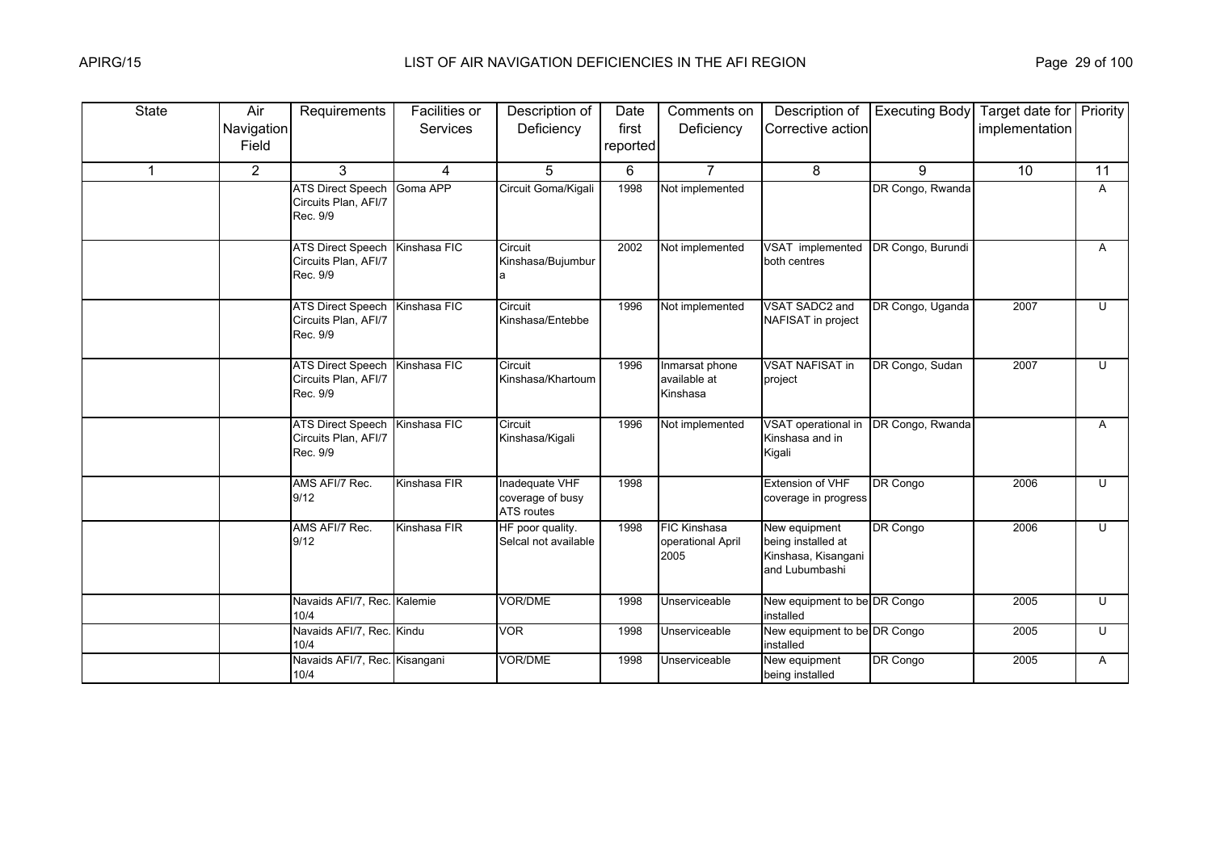| <b>State</b> | Air<br>Navigation<br>Field | Requirements                                                       | Facilities or<br><b>Services</b> | Description of<br>Deficiency                     | Date<br>first<br>reported | Comments on<br>Deficiency                        | Description of<br>Corrective action                                          | <b>Executing Body</b> | Target date for Priority<br>implementation |    |
|--------------|----------------------------|--------------------------------------------------------------------|----------------------------------|--------------------------------------------------|---------------------------|--------------------------------------------------|------------------------------------------------------------------------------|-----------------------|--------------------------------------------|----|
| $\mathbf{1}$ | $\overline{2}$             | 3                                                                  | 4                                | 5                                                | 6                         | $\overline{7}$                                   | 8                                                                            | 9                     | 10                                         | 11 |
|              |                            | <b>ATS Direct Speech</b><br>Circuits Plan, AFI/7<br>Rec. 9/9       | Goma APP                         | Circuit Goma/Kigali                              | 1998                      | Not implemented                                  |                                                                              | DR Congo, Rwanda      |                                            | A  |
|              |                            | <b>ATS Direct Speech</b><br>Circuits Plan, AFI/7<br>Rec. 9/9       | Kinshasa FIC                     | Circuit<br>Kinshasa/Bujumbur<br>a                | 2002                      | Not implemented                                  | VSAT implemented<br>both centres                                             | DR Congo, Burundi     |                                            | A  |
|              |                            | <b>ATS Direct Speech</b><br>Circuits Plan, AFI/7<br>Rec. 9/9       | Kinshasa FIC                     | Circuit<br>Kinshasa/Entebbe                      | 1996                      | Not implemented                                  | VSAT SADC2 and<br>NAFISAT in project                                         | DR Congo, Uganda      | 2007                                       | U  |
|              |                            | ATS Direct Speech Kinshasa FIC<br>Circuits Plan, AFI/7<br>Rec. 9/9 |                                  | Circuit<br>Kinshasa/Khartoum                     | 1996                      | Inmarsat phone<br>available at<br>Kinshasa       | <b>VSAT NAFISAT in</b><br>project                                            | DR Congo, Sudan       | 2007                                       | U  |
|              |                            | <b>ATS Direct Speech</b><br>Circuits Plan, AFI/7<br>Rec. 9/9       | Kinshasa FIC                     | Circuit<br>Kinshasa/Kigali                       | 1996                      | Not implemented                                  | VSAT operational in<br>Kinshasa and in<br>Kigali                             | DR Congo, Rwanda      |                                            | A  |
|              |                            | AMS AFI/7 Rec.<br>9/12                                             | Kinshasa FIR                     | Inadequate VHF<br>coverage of busy<br>ATS routes | 1998                      |                                                  | Extension of VHF<br>coverage in progress                                     | DR Congo              | 2006                                       | U  |
|              |                            | AMS AFI/7 Rec.<br>9/12                                             | Kinshasa FIR                     | HF poor quality.<br>Selcal not available         | 1998                      | <b>FIC Kinshasa</b><br>operational April<br>2005 | New equipment<br>being installed at<br>Kinshasa, Kisangani<br>and Lubumbashi | DR Congo              | 2006                                       | U  |
|              |                            | Navaids AFI/7, Rec. Kalemie<br>10/4                                |                                  | <b>VOR/DME</b>                                   | 1998                      | Unserviceable                                    | New equipment to be DR Congo<br>installed                                    |                       | 2005                                       | U  |
|              |                            | Navaids AFI/7, Rec. Kindu<br>10/4                                  |                                  | <b>VOR</b>                                       | 1998                      | Unserviceable                                    | New equipment to be DR Congo<br>installed                                    |                       | 2005                                       | U  |
|              |                            | Navaids AFI/7, Rec. Kisangani<br>10/4                              |                                  | VOR/DME                                          | 1998                      | Unserviceable                                    | New equipment<br>being installed                                             | DR Congo              | 2005                                       | A  |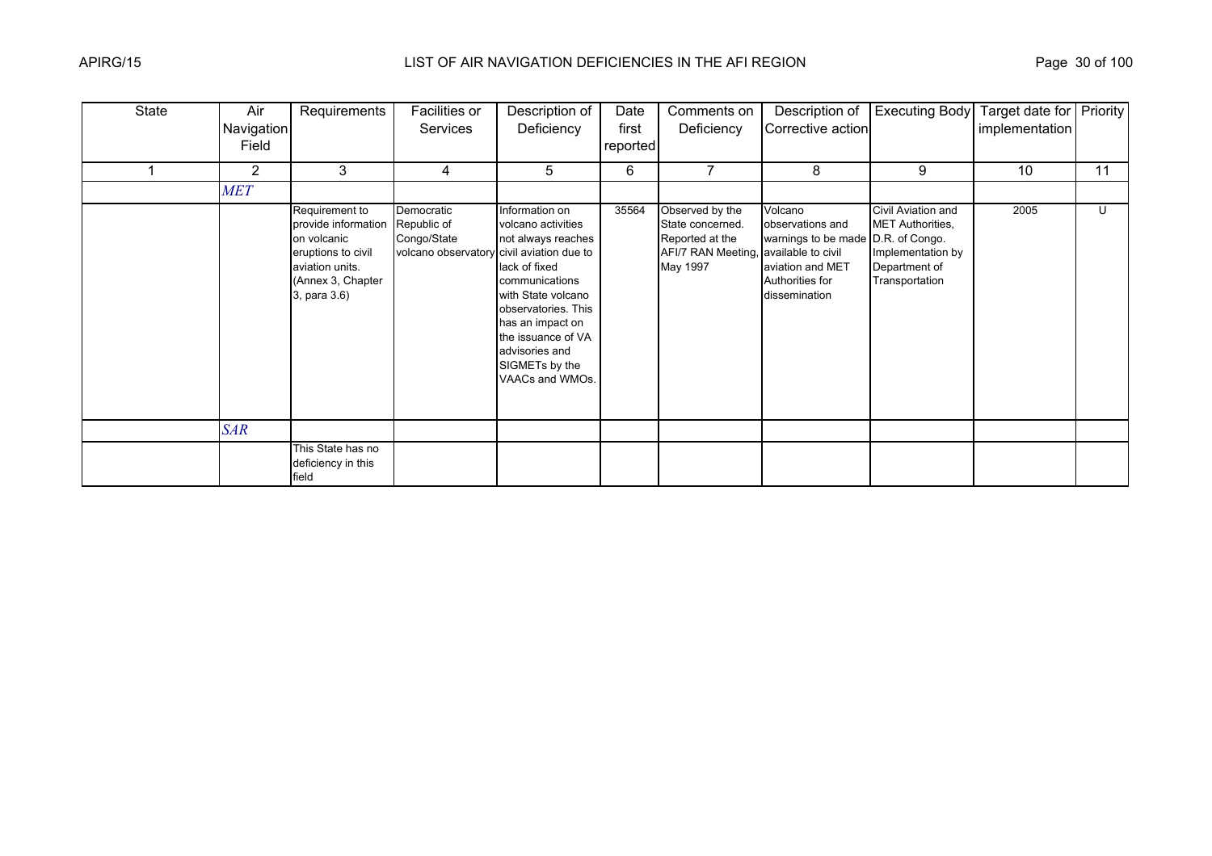| <b>State</b> | Air<br>Navigation<br>Field | Requirements                                                                                                                       | Facilities or<br><b>Services</b>                                                      | Description of<br>Deficiency                                                                                                                                                                                                                | Date<br>first<br>reported | Comments on<br>Deficiency                                                                                   | Description of<br>Corrective action                                                                                       | <b>Executing Body</b>                                                                                 | Target date for Priority<br>implementation |    |
|--------------|----------------------------|------------------------------------------------------------------------------------------------------------------------------------|---------------------------------------------------------------------------------------|---------------------------------------------------------------------------------------------------------------------------------------------------------------------------------------------------------------------------------------------|---------------------------|-------------------------------------------------------------------------------------------------------------|---------------------------------------------------------------------------------------------------------------------------|-------------------------------------------------------------------------------------------------------|--------------------------------------------|----|
|              | $\overline{2}$             | 3                                                                                                                                  | 4                                                                                     | 5                                                                                                                                                                                                                                           | 6                         |                                                                                                             | 8                                                                                                                         | 9                                                                                                     | 10                                         | 11 |
|              | <b>MET</b>                 |                                                                                                                                    |                                                                                       |                                                                                                                                                                                                                                             |                           |                                                                                                             |                                                                                                                           |                                                                                                       |                                            |    |
|              |                            | Requirement to<br>provide information<br>on volcanic<br>eruptions to civil<br>aviation units.<br>(Annex 3, Chapter<br>3, para 3.6) | Democratic<br>Republic of<br>Congo/State<br>volcano observatory civil aviation due to | Information on<br>volcano activities<br>not always reaches<br>lack of fixed<br>communications<br>with State volcano<br>observatories. This<br>has an impact on<br>the issuance of VA<br>advisories and<br>SIGMETs by the<br>VAACs and WMOs. | 35564                     | Observed by the<br>State concerned.<br>Reported at the<br>AFI/7 RAN Meeting, available to civil<br>May 1997 | Volcano<br>observations and<br>warnings to be made D.R. of Congo.<br>aviation and MET<br>Authorities for<br>dissemination | Civil Aviation and<br><b>MET Authorities,</b><br>Implementation by<br>Department of<br>Transportation | 2005                                       | U  |
|              | <b>SAR</b>                 |                                                                                                                                    |                                                                                       |                                                                                                                                                                                                                                             |                           |                                                                                                             |                                                                                                                           |                                                                                                       |                                            |    |
|              |                            | This State has no<br>deficiency in this<br>field                                                                                   |                                                                                       |                                                                                                                                                                                                                                             |                           |                                                                                                             |                                                                                                                           |                                                                                                       |                                            |    |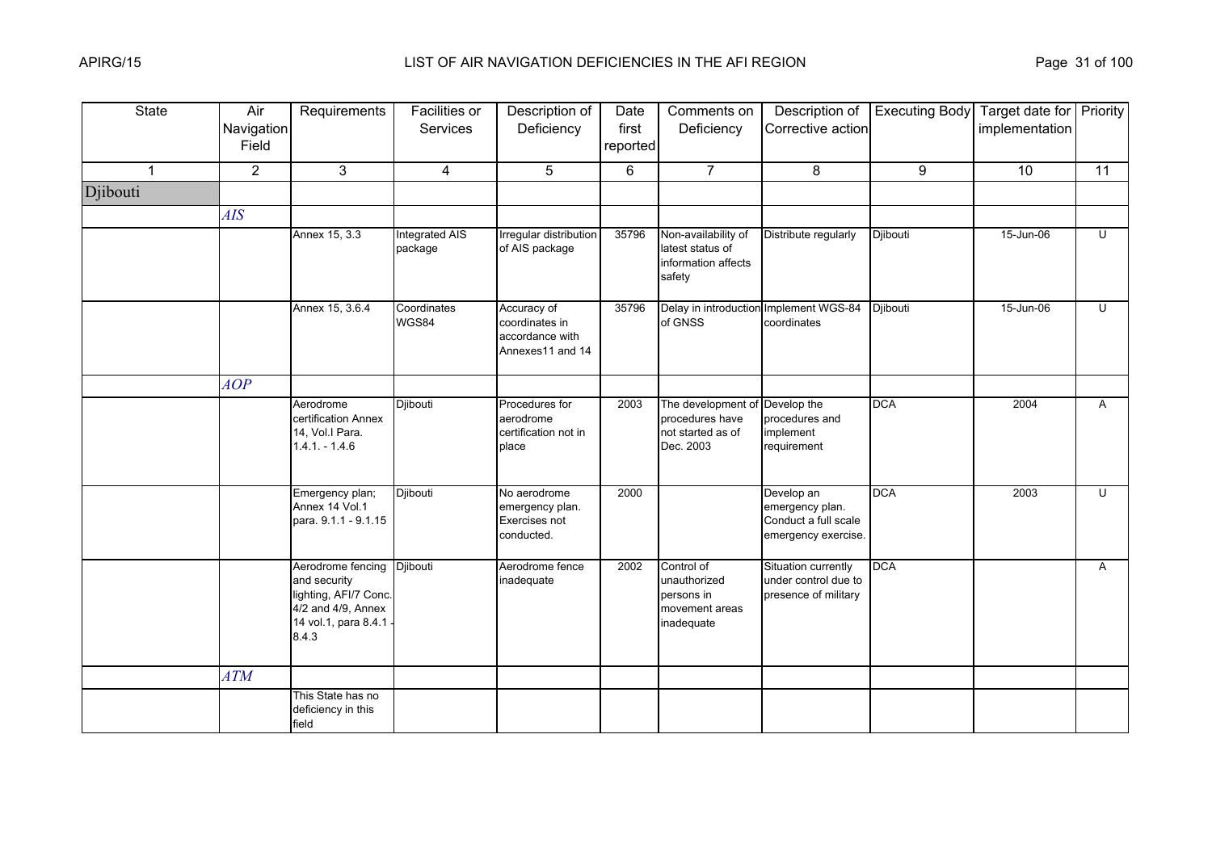| <b>State</b> | Air<br>Navigation<br>Field | Requirements                                                                                                      | <b>Facilities or</b><br><b>Services</b> | Description of<br>Deficiency                                         | Date<br>first<br>reported | Comments on<br>Deficiency                                                | Description of<br>Corrective action                                          | <b>Executing Body</b> | Target date for Priority<br>implementation |                         |
|--------------|----------------------------|-------------------------------------------------------------------------------------------------------------------|-----------------------------------------|----------------------------------------------------------------------|---------------------------|--------------------------------------------------------------------------|------------------------------------------------------------------------------|-----------------------|--------------------------------------------|-------------------------|
| $\mathbf{1}$ | $\overline{2}$             | 3                                                                                                                 | $\overline{4}$                          | 5                                                                    | 6                         | $\overline{7}$                                                           | 8                                                                            | 9                     | 10 <sup>°</sup>                            | 11                      |
| Djibouti     |                            |                                                                                                                   |                                         |                                                                      |                           |                                                                          |                                                                              |                       |                                            |                         |
|              | <b>AIS</b>                 |                                                                                                                   |                                         |                                                                      |                           |                                                                          |                                                                              |                       |                                            |                         |
|              |                            | Annex 15, 3.3                                                                                                     | Integrated AIS<br>package               | Irregular distribution<br>of AIS package                             | 35796                     | Non-availability of<br>latest status of<br>information affects<br>safety | Distribute regularly                                                         | Djibouti              | 15-Jun-06                                  | $\overline{\mathsf{C}}$ |
|              |                            | Annex 15, 3.6.4                                                                                                   | Coordinates<br>WGS84                    | Accuracy of<br>coordinates in<br>accordance with<br>Annexes11 and 14 | 35796                     | of GNSS                                                                  | Delay in introduction Implement WGS-84<br>coordinates                        | Djibouti              | 15-Jun-06                                  | $\cup$                  |
|              | AOP                        |                                                                                                                   |                                         |                                                                      |                           |                                                                          |                                                                              |                       |                                            |                         |
|              |                            | Aerodrome<br>certification Annex<br>14, Vol.I Para.<br>$1.4.1 - 1.4.6$                                            | Djibouti                                | Procedures for<br>aerodrome<br>certification not in<br>place         | 2003                      | The development of<br>procedures have<br>not started as of<br>Dec. 2003  | Develop the<br>procedures and<br>implement<br>requirement                    | <b>DCA</b>            | 2004                                       | A                       |
|              |                            | Emergency plan;<br>Annex 14 Vol.1<br>para. 9.1.1 - 9.1.15                                                         | Djibouti                                | No aerodrome<br>emergency plan.<br>Exercises not<br>conducted.       | 2000                      |                                                                          | Develop an<br>emergency plan.<br>Conduct a full scale<br>emergency exercise. | <b>DCA</b>            | 2003                                       | $\cup$                  |
|              |                            | Aerodrome fencing<br>and security<br>lighting, AFI/7 Conc.<br>4/2 and 4/9, Annex<br>14 vol.1, para 8.4.1<br>8.4.3 | Djibouti                                | Aerodrome fence<br>inadequate                                        | 2002                      | Control of<br>unauthorized<br>persons in<br>movement areas<br>inadequate | Situation currently<br>under control due to<br>presence of military          | <b>DCA</b>            |                                            | A                       |
|              | <b>ATM</b>                 |                                                                                                                   |                                         |                                                                      |                           |                                                                          |                                                                              |                       |                                            |                         |
|              |                            | This State has no<br>deficiency in this<br>field                                                                  |                                         |                                                                      |                           |                                                                          |                                                                              |                       |                                            |                         |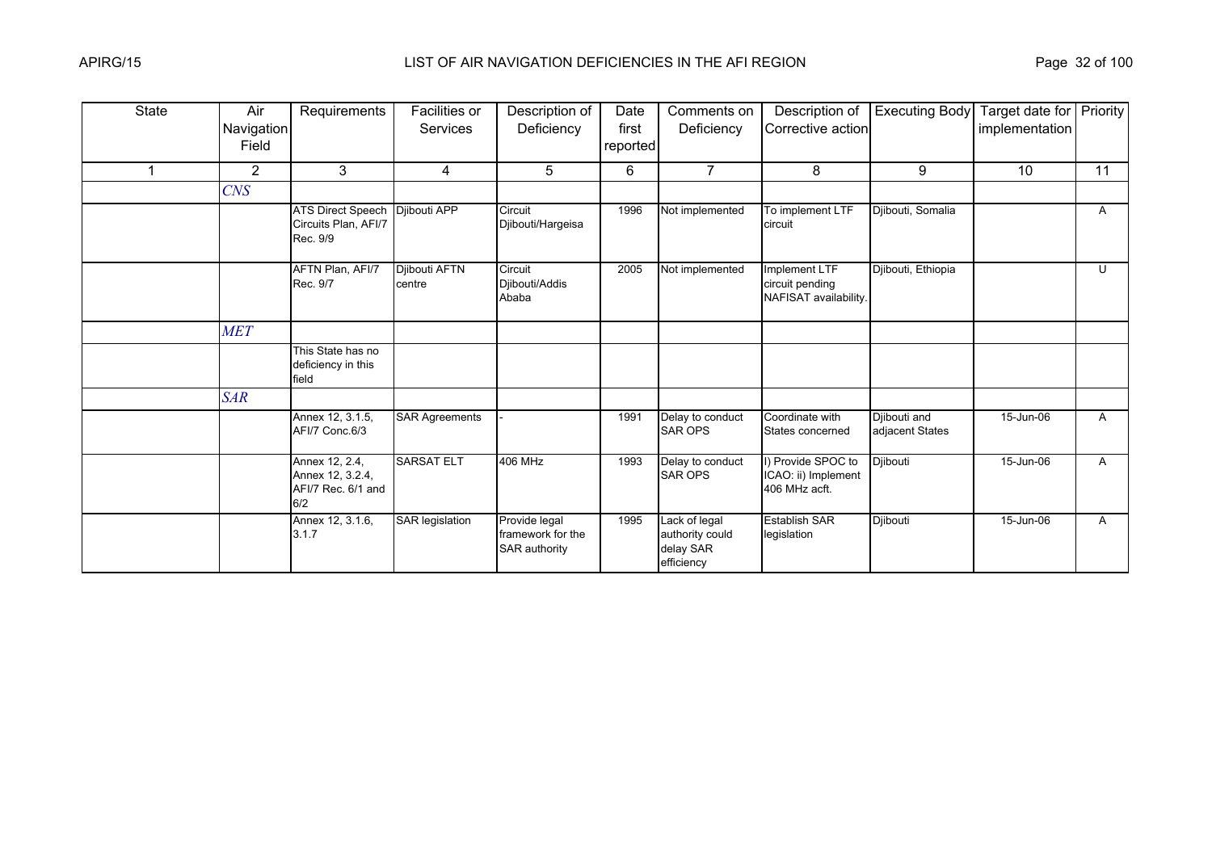| State                   | Air<br>Navigation<br>Field | Requirements                                                    | Facilities or<br>Services | Description of<br>Deficiency                               | Date<br>first<br>reported | Comments on<br>Deficiency                                   | Description of<br>Corrective action                        | <b>Executing Body</b>           | Target date for Priority<br>implementation |    |
|-------------------------|----------------------------|-----------------------------------------------------------------|---------------------------|------------------------------------------------------------|---------------------------|-------------------------------------------------------------|------------------------------------------------------------|---------------------------------|--------------------------------------------|----|
| $\overline{\mathbf{A}}$ | $\overline{2}$             | 3                                                               | 4                         | 5                                                          | 6                         | $\overline{7}$                                              | 8                                                          | 9                               | 10                                         | 11 |
|                         | <b>CNS</b>                 |                                                                 |                           |                                                            |                           |                                                             |                                                            |                                 |                                            |    |
|                         |                            | <b>ATS Direct Speech</b><br>Circuits Plan, AFI/7<br>Rec. 9/9    | Djibouti APP              | Circuit<br>Djibouti/Hargeisa                               | 1996                      | Not implemented                                             | To implement LTF<br>circuit                                | Diibouti, Somalia               |                                            | A  |
|                         |                            | AFTN Plan, AFI/7<br>Rec. 9/7                                    | Djibouti AFTN<br>centre   | Circuit<br>Djibouti/Addis<br>Ababa                         | 2005                      | Not implemented                                             | Implement LTF<br>circuit pending<br>NAFISAT availability.  | Djibouti, Ethiopia              |                                            | U  |
|                         | <b>MET</b>                 |                                                                 |                           |                                                            |                           |                                                             |                                                            |                                 |                                            |    |
|                         |                            | This State has no<br>deficiency in this<br>field                |                           |                                                            |                           |                                                             |                                                            |                                 |                                            |    |
|                         | <b>SAR</b>                 |                                                                 |                           |                                                            |                           |                                                             |                                                            |                                 |                                            |    |
|                         |                            | Annex 12, 3.1.5,<br>AFI/7 Conc.6/3                              | <b>SAR Agreements</b>     |                                                            | 1991                      | Delay to conduct<br><b>SAR OPS</b>                          | Coordinate with<br>States concerned                        | Djibouti and<br>adjacent States | 15-Jun-06                                  | A  |
|                         |                            | Annex 12, 2.4,<br>Annex 12, 3.2.4,<br>AFI/7 Rec. 6/1 and<br>6/2 | <b>SARSAT ELT</b>         | <b>406 MHz</b>                                             | 1993                      | Delay to conduct<br><b>SAR OPS</b>                          | I) Provide SPOC to<br>ICAO: ii) Implement<br>406 MHz acft. | Djibouti                        | 15-Jun-06                                  | A  |
|                         |                            | Annex 12, 3.1.6,<br>3.1.7                                       | <b>SAR legislation</b>    | Provide legal<br>framework for the<br><b>SAR authority</b> | 1995                      | Lack of legal<br>authority could<br>delay SAR<br>efficiency | <b>Establish SAR</b><br>legislation                        | Djibouti                        | 15-Jun-06                                  | A  |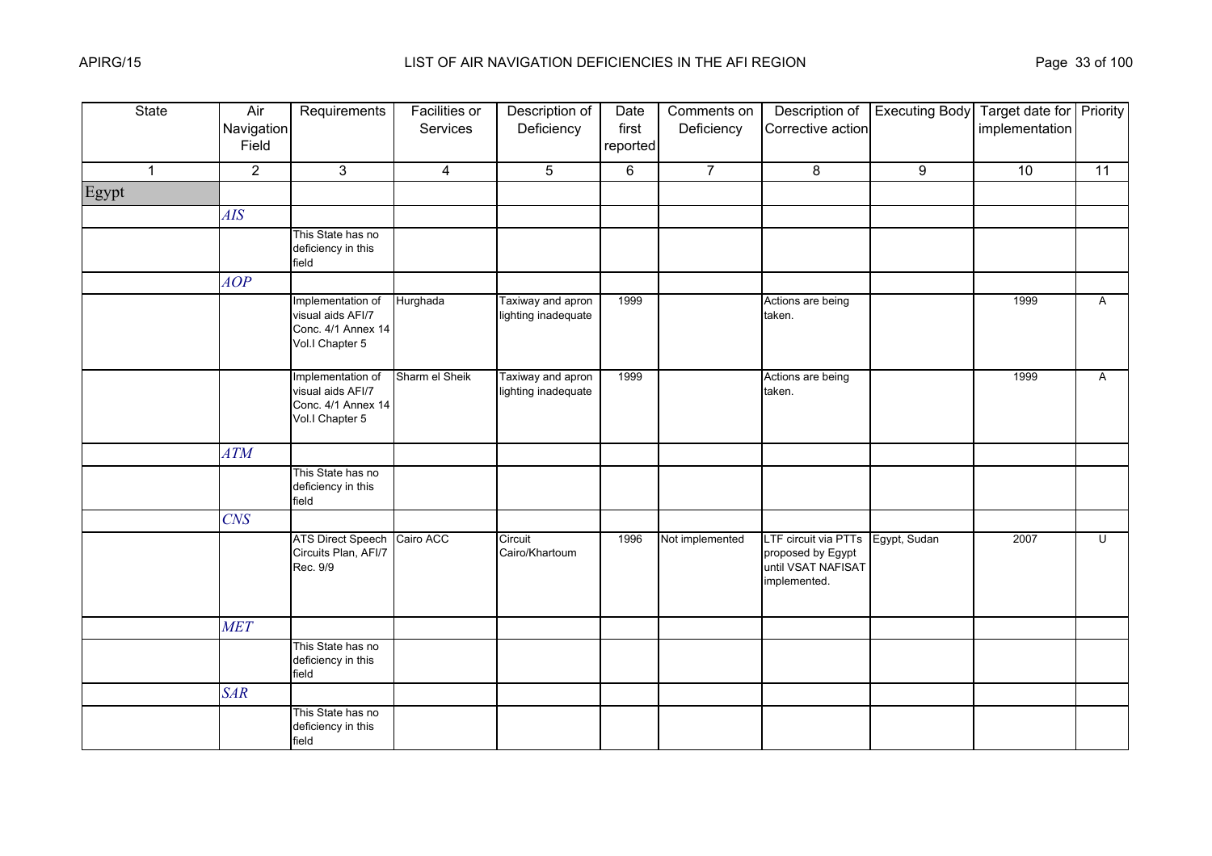| <b>State</b> | Air<br>Navigation<br>Field | Requirements                                                                    | <b>Facilities or</b><br>Services | Description of<br>Deficiency             | Date<br>first<br>reported | Comments on<br>Deficiency | Description of<br>Corrective action                                             | <b>Executing Body</b> | Target date for Priority<br>implementation |                |
|--------------|----------------------------|---------------------------------------------------------------------------------|----------------------------------|------------------------------------------|---------------------------|---------------------------|---------------------------------------------------------------------------------|-----------------------|--------------------------------------------|----------------|
| $\mathbf{1}$ | $\overline{2}$             | $\mathbf{3}$                                                                    | $\overline{4}$                   | 5                                        | 6                         | $\overline{7}$            | 8                                                                               | 9                     | 10                                         | 11             |
| Egypt        |                            |                                                                                 |                                  |                                          |                           |                           |                                                                                 |                       |                                            |                |
|              | AIS                        |                                                                                 |                                  |                                          |                           |                           |                                                                                 |                       |                                            |                |
|              |                            | This State has no<br>deficiency in this<br>field                                |                                  |                                          |                           |                           |                                                                                 |                       |                                            |                |
|              | AOP                        |                                                                                 |                                  |                                          |                           |                           |                                                                                 |                       |                                            |                |
|              |                            | Implementation of<br>visual aids AFI/7<br>Conc. 4/1 Annex 14<br>Vol.I Chapter 5 | Hurghada                         | Taxiway and apron<br>lighting inadequate | 1999                      |                           | Actions are being<br>taken.                                                     |                       | 1999                                       | $\mathsf{A}$   |
|              |                            | Implementation of<br>visual aids AFI/7<br>Conc. 4/1 Annex 14<br>Vol.I Chapter 5 | Sharm el Sheik                   | Taxiway and apron<br>lighting inadequate | 1999                      |                           | Actions are being<br>taken.                                                     |                       | 1999                                       | A              |
|              | ATM                        |                                                                                 |                                  |                                          |                           |                           |                                                                                 |                       |                                            |                |
|              |                            | This State has no<br>deficiency in this<br>field                                |                                  |                                          |                           |                           |                                                                                 |                       |                                            |                |
|              | <b>CNS</b>                 |                                                                                 |                                  |                                          |                           |                           |                                                                                 |                       |                                            |                |
|              |                            | <b>ATS Direct Speech</b><br>Circuits Plan, AFI/7<br>Rec. 9/9                    | Cairo ACC                        | Circuit<br>Cairo/Khartoum                | 1996                      | Not implemented           | LTF circuit via PTTs<br>proposed by Egypt<br>until VSAT NAFISAT<br>implemented. | Egypt, Sudan          | 2007                                       | $\overline{C}$ |
|              | <b>MET</b>                 |                                                                                 |                                  |                                          |                           |                           |                                                                                 |                       |                                            |                |
|              |                            | This State has no<br>deficiency in this<br>field                                |                                  |                                          |                           |                           |                                                                                 |                       |                                            |                |
|              | <b>SAR</b>                 |                                                                                 |                                  |                                          |                           |                           |                                                                                 |                       |                                            |                |
|              |                            | This State has no<br>deficiency in this<br>field                                |                                  |                                          |                           |                           |                                                                                 |                       |                                            |                |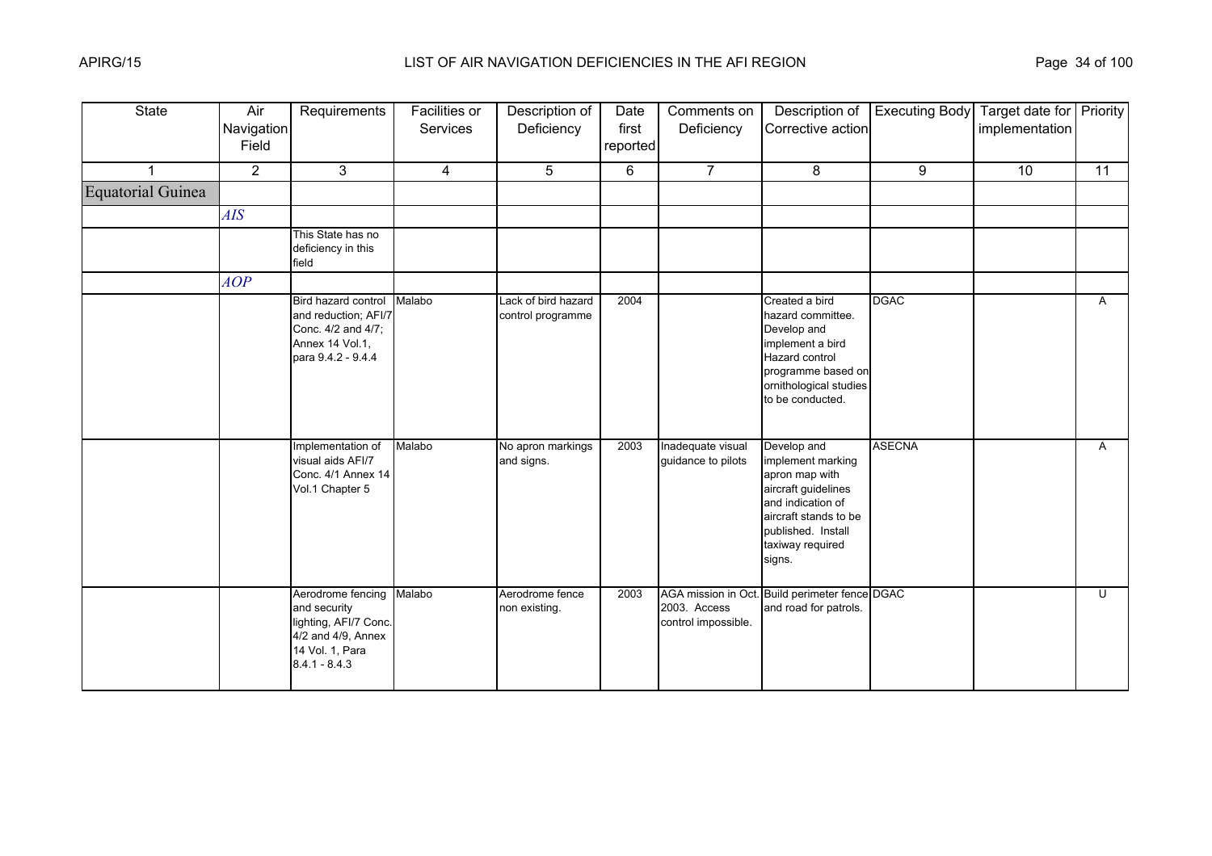| <b>State</b>             | Air<br>Navigation<br>Field | Requirements                                                                                                           | <b>Facilities or</b><br>Services | Description of<br>Deficiency             | Date<br>first<br>reported | Comments on<br>Deficiency               | Description of<br>Corrective action                                                                                                                                         | <b>Executing Body</b> | Target date for Priority<br>implementation |                 |
|--------------------------|----------------------------|------------------------------------------------------------------------------------------------------------------------|----------------------------------|------------------------------------------|---------------------------|-----------------------------------------|-----------------------------------------------------------------------------------------------------------------------------------------------------------------------------|-----------------------|--------------------------------------------|-----------------|
|                          | $\overline{2}$             | 3                                                                                                                      | $\overline{4}$                   | 5                                        | 6                         | $\overline{7}$                          | 8                                                                                                                                                                           | 9                     | 10                                         | $\overline{11}$ |
| <b>Equatorial Guinea</b> |                            |                                                                                                                        |                                  |                                          |                           |                                         |                                                                                                                                                                             |                       |                                            |                 |
|                          | AIS                        |                                                                                                                        |                                  |                                          |                           |                                         |                                                                                                                                                                             |                       |                                            |                 |
|                          |                            | This State has no<br>deficiency in this<br>field                                                                       |                                  |                                          |                           |                                         |                                                                                                                                                                             |                       |                                            |                 |
|                          | AOP                        |                                                                                                                        |                                  |                                          |                           |                                         |                                                                                                                                                                             |                       |                                            |                 |
|                          |                            | Bird hazard control<br>and reduction; AFI/7<br>Conc. 4/2 and 4/7;<br>Annex 14 Vol.1,<br>para 9.4.2 - 9.4.4             | Malabo                           | Lack of bird hazard<br>control programme | 2004                      |                                         | Created a bird<br>hazard committee.<br>Develop and<br>implement a bird<br>Hazard control<br>programme based on<br>ornithological studies<br>to be conducted.                | <b>DGAC</b>           |                                            | A               |
|                          |                            | Implementation of<br>visual aids AFI/7<br>Conc. 4/1 Annex 14<br>Vol.1 Chapter 5                                        | Malabo                           | No apron markings<br>and signs.          | 2003                      | Inadequate visual<br>guidance to pilots | Develop and<br>implement marking<br>apron map with<br>aircraft guidelines<br>and indication of<br>aircraft stands to be<br>published. Install<br>taxiway required<br>signs. | <b>ASECNA</b>         |                                            | $\mathsf{A}$    |
|                          |                            | Aerodrome fencing<br>and security<br>lighting, AFI/7 Conc.<br>4/2 and 4/9, Annex<br>14 Vol. 1, Para<br>$8.4.1 - 8.4.3$ | Malabo                           | Aerodrome fence<br>non existing.         | 2003                      | 2003. Access<br>control impossible.     | AGA mission in Oct. Build perimeter fence DGAC<br>and road for patrols.                                                                                                     |                       |                                            | $\overline{U}$  |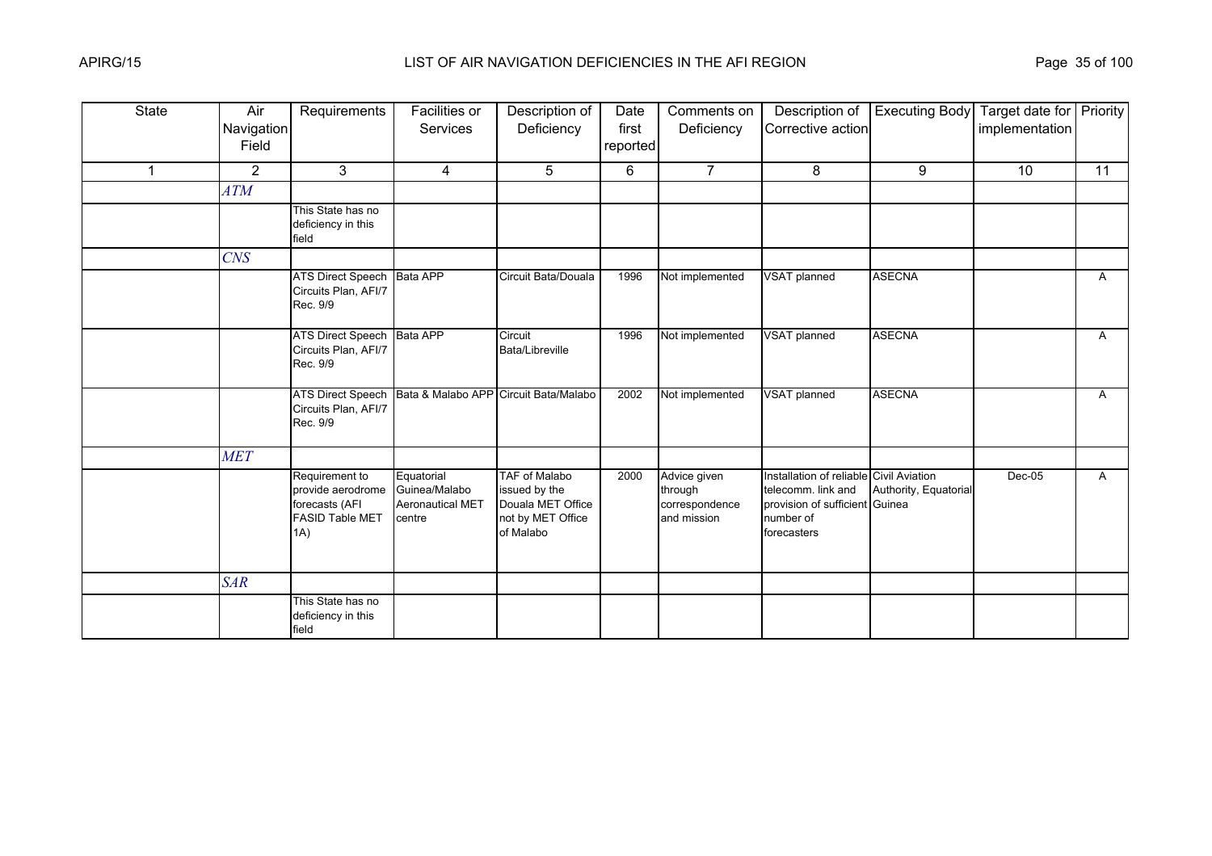| <b>State</b> | Air<br>Navigation<br>Field | Requirements                                                                           | <b>Facilities or</b><br>Services                                 | Description of<br>Deficiency                                                          | Date<br>first<br>reported | Comments on<br>Deficiency                                | Description of<br>Corrective action                                                                                         | <b>Executing Body</b> | Target date for Priority<br>implementation |              |
|--------------|----------------------------|----------------------------------------------------------------------------------------|------------------------------------------------------------------|---------------------------------------------------------------------------------------|---------------------------|----------------------------------------------------------|-----------------------------------------------------------------------------------------------------------------------------|-----------------------|--------------------------------------------|--------------|
| $\mathbf 1$  | $\overline{2}$             | 3                                                                                      | 4                                                                | 5                                                                                     | 6                         | $\overline{7}$                                           | 8                                                                                                                           | 9                     | 10                                         | 11           |
|              | ATM                        |                                                                                        |                                                                  |                                                                                       |                           |                                                          |                                                                                                                             |                       |                                            |              |
|              |                            | This State has no<br>deficiency in this<br>field                                       |                                                                  |                                                                                       |                           |                                                          |                                                                                                                             |                       |                                            |              |
|              | CNS                        |                                                                                        |                                                                  |                                                                                       |                           |                                                          |                                                                                                                             |                       |                                            |              |
|              |                            | <b>ATS Direct Speech</b><br>Circuits Plan, AFI/7<br>Rec. 9/9                           | <b>Bata APP</b>                                                  | Circuit Bata/Douala                                                                   | 1996                      | Not implemented                                          | VSAT planned                                                                                                                | <b>ASECNA</b>         |                                            | $\mathsf{A}$ |
|              |                            | ATS Direct Speech Bata APP<br>Circuits Plan, AFI/7<br>Rec. 9/9                         |                                                                  | Circuit<br>Bata/Libreville                                                            | 1996                      | Not implemented                                          | VSAT planned                                                                                                                | <b>ASECNA</b>         |                                            | A            |
|              |                            | <b>ATS Direct Speech</b><br>Circuits Plan, AFI/7<br>Rec. 9/9                           | Bata & Malabo APP Circuit Bata/Malabo                            |                                                                                       | 2002                      | Not implemented                                          | VSAT planned                                                                                                                | <b>ASECNA</b>         |                                            | $\mathsf{A}$ |
|              | <b>MET</b>                 |                                                                                        |                                                                  |                                                                                       |                           |                                                          |                                                                                                                             |                       |                                            |              |
|              |                            | Requirement to<br>provide aerodrome<br>forecasts (AFI<br><b>FASID Table MET</b><br>(A) | Equatorial<br>Guinea/Malabo<br><b>Aeronautical MET</b><br>centre | TAF of Malabo<br>issued by the<br>Douala MET Office<br>not by MET Office<br>of Malabo | 2000                      | Advice given<br>through<br>correspondence<br>and mission | Installation of reliable Civil Aviation<br>telecomm. link and<br>provision of sufficient Guinea<br>number of<br>forecasters | Authority, Equatorial | Dec-05                                     | $\mathsf{A}$ |
|              | <b>SAR</b>                 |                                                                                        |                                                                  |                                                                                       |                           |                                                          |                                                                                                                             |                       |                                            |              |
|              |                            | This State has no<br>deficiency in this<br>field                                       |                                                                  |                                                                                       |                           |                                                          |                                                                                                                             |                       |                                            |              |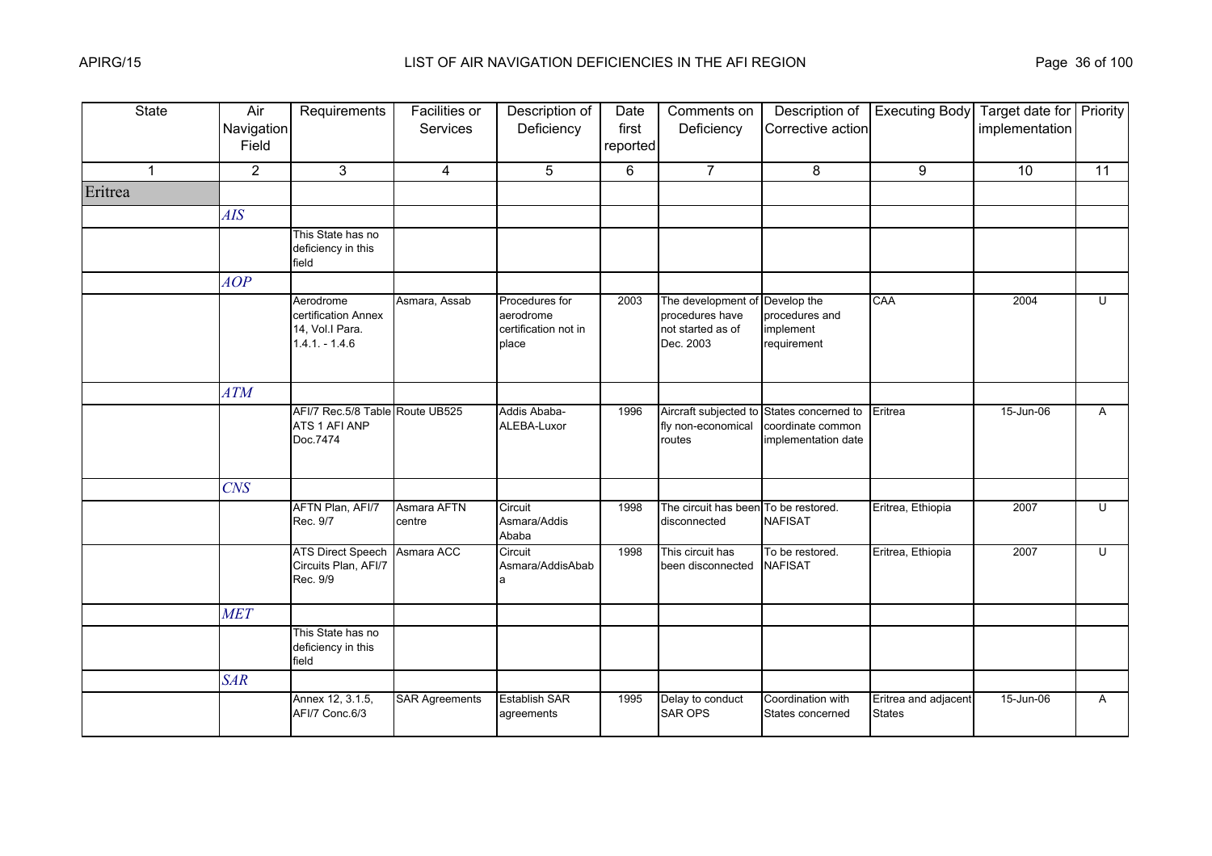| <b>State</b> | Air<br>Navigation<br>Field | Requirements                                                           | Facilities or<br>Services | Description of<br>Deficiency                                 | Date<br>first<br>reported | Comments on<br>Deficiency                                               | Description of<br>Corrective action                             | <b>Executing Body</b>                 | Target date for Priority<br>implementation |              |
|--------------|----------------------------|------------------------------------------------------------------------|---------------------------|--------------------------------------------------------------|---------------------------|-------------------------------------------------------------------------|-----------------------------------------------------------------|---------------------------------------|--------------------------------------------|--------------|
| $\mathbf{1}$ | $\overline{2}$             | 3                                                                      | $\overline{4}$            | 5                                                            | 6                         | $\overline{7}$                                                          | 8                                                               | 9                                     | 10                                         | 11           |
| Eritrea      |                            |                                                                        |                           |                                                              |                           |                                                                         |                                                                 |                                       |                                            |              |
|              | <b>AIS</b>                 |                                                                        |                           |                                                              |                           |                                                                         |                                                                 |                                       |                                            |              |
|              |                            | This State has no<br>deficiency in this<br>field                       |                           |                                                              |                           |                                                                         |                                                                 |                                       |                                            |              |
|              | AOP                        |                                                                        |                           |                                                              |                           |                                                                         |                                                                 |                                       |                                            |              |
|              |                            | Aerodrome<br>certification Annex<br>14, Vol.I Para.<br>$1.4.1 - 1.4.6$ | Asmara, Assab             | Procedures for<br>aerodrome<br>certification not in<br>place | 2003                      | The development of<br>procedures have<br>not started as of<br>Dec. 2003 | Develop the<br>procedures and<br>implement<br>requirement       | CAA                                   | 2004                                       | U            |
|              | <b>ATM</b>                 |                                                                        |                           |                                                              |                           |                                                                         |                                                                 |                                       |                                            |              |
|              |                            | AFI/7 Rec.5/8 Table Route UB525<br>ATS 1 AFI ANP<br>Doc.7474           |                           | Addis Ababa-<br>ALEBA-Luxor                                  | 1996                      | Aircraft subjected to<br>fly non-economical<br>routes                   | States concerned to<br>coordinate common<br>implementation date | Eritrea                               | 15-Jun-06                                  | $\mathsf{A}$ |
|              | CNS                        |                                                                        |                           |                                                              |                           |                                                                         |                                                                 |                                       |                                            |              |
|              |                            | AFTN Plan, AFI/7<br>Rec. 9/7                                           | Asmara AFTN<br>centre     | Circuit<br>Asmara/Addis<br>Ababa                             | 1998                      | The circuit has been<br>disconnected                                    | To be restored.<br><b>NAFISAT</b>                               | Eritrea, Ethiopia                     | 2007                                       | U            |
|              |                            | <b>ATS Direct Speech</b><br>Circuits Plan, AFI/7<br>Rec. 9/9           | Asmara ACC                | Circuit<br>Asmara/AddisAbab                                  | 1998                      | This circuit has<br>been disconnected                                   | To be restored.<br><b>NAFISAT</b>                               | Eritrea, Ethiopia                     | 2007                                       | U            |
|              | <b>MET</b>                 |                                                                        |                           |                                                              |                           |                                                                         |                                                                 |                                       |                                            |              |
|              |                            | This State has no<br>deficiency in this<br>field                       |                           |                                                              |                           |                                                                         |                                                                 |                                       |                                            |              |
|              | <b>SAR</b>                 |                                                                        |                           |                                                              |                           |                                                                         |                                                                 |                                       |                                            |              |
|              |                            | Annex 12, 3.1.5,<br>AFI/7 Conc.6/3                                     | <b>SAR Agreements</b>     | <b>Establish SAR</b><br>agreements                           | 1995                      | Delay to conduct<br>SAR OPS                                             | Coordination with<br>States concerned                           | Eritrea and adjacent<br><b>States</b> | 15-Jun-06                                  | $\mathsf{A}$ |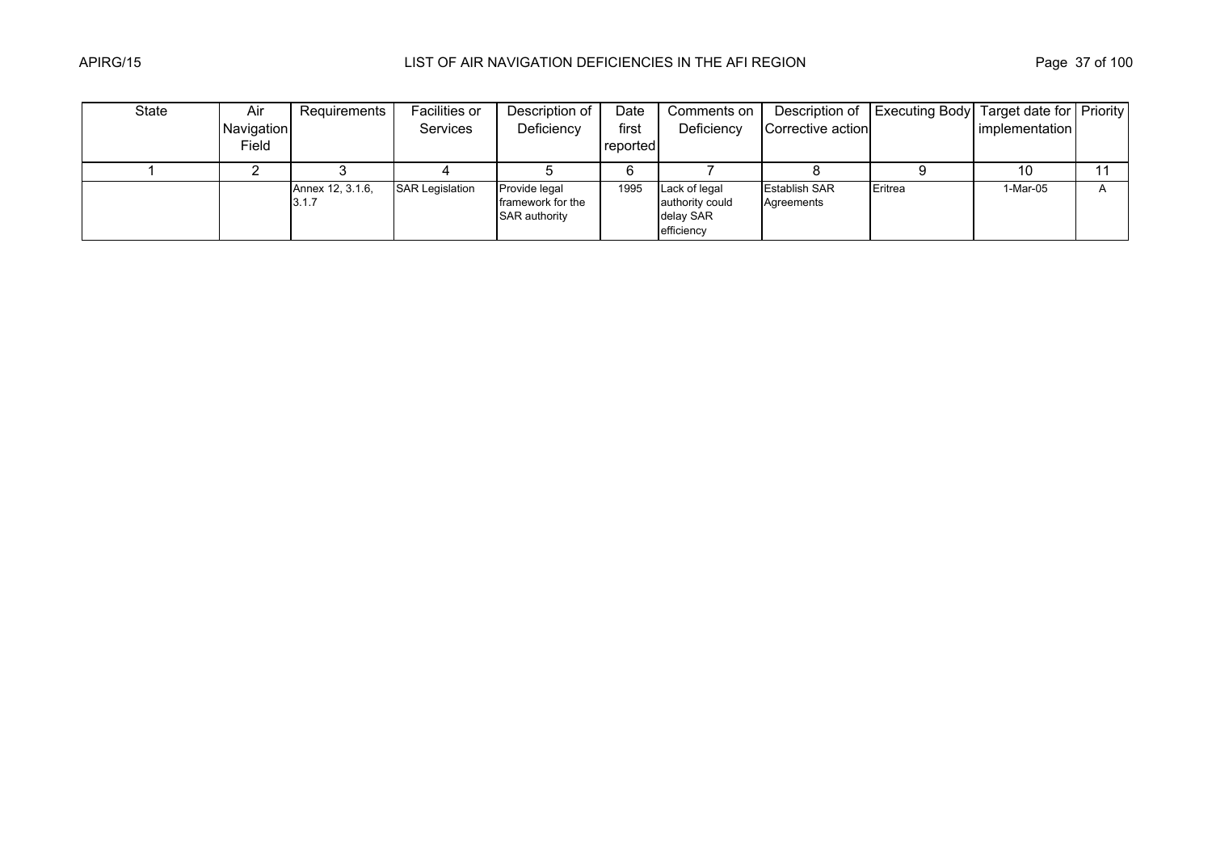| State | Air        | Requirements               | Facilities or          | Description of                                      | Date     | Comments on                                                 | Description of                     | <b>Executing Body</b> | Target date for Priority |              |
|-------|------------|----------------------------|------------------------|-----------------------------------------------------|----------|-------------------------------------------------------------|------------------------------------|-----------------------|--------------------------|--------------|
|       | Navigation |                            | <b>Services</b>        | Deficiency                                          | first    | Deficiency                                                  | Corrective action                  |                       | implementation           |              |
|       | Field      |                            |                        |                                                     | reported |                                                             |                                    |                       |                          |              |
|       |            |                            |                        |                                                     |          |                                                             |                                    |                       | 10                       |              |
|       |            | Annex 12, 3.1.6,<br>13.1.7 | <b>SAR Legislation</b> | Provide legal<br>framework for the<br>SAR authority | 1995     | Lack of legal<br>authority could<br>delay SAR<br>efficiency | <b>Establish SAR</b><br>Agreements | Eritrea               | 1-Mar-05                 | $\mathsf{A}$ |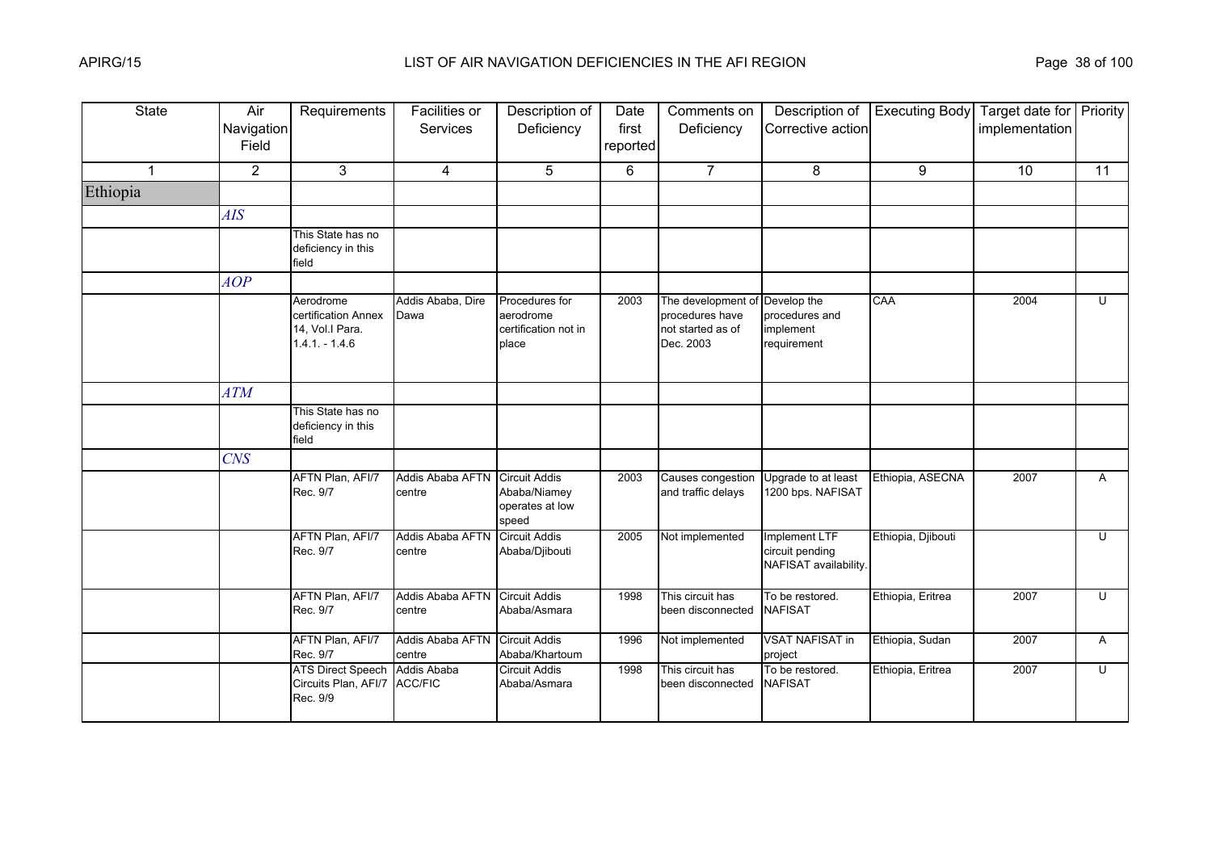| <b>State</b> | Air<br>Navigation<br>Field | Requirements                                                           | Facilities or<br><b>Services</b>  | Description of<br>Deficiency                                     | Date<br>first<br>reported | Comments on<br>Deficiency                                               | Description of<br>Corrective action                       | <b>Executing Body</b> | Target date for Priority<br>implementation |                |
|--------------|----------------------------|------------------------------------------------------------------------|-----------------------------------|------------------------------------------------------------------|---------------------------|-------------------------------------------------------------------------|-----------------------------------------------------------|-----------------------|--------------------------------------------|----------------|
| 1            | $\overline{2}$             | 3                                                                      | 4                                 | 5                                                                | 6                         | $\overline{7}$                                                          | 8                                                         | 9                     | 10                                         | 11             |
| Ethiopia     |                            |                                                                        |                                   |                                                                  |                           |                                                                         |                                                           |                       |                                            |                |
|              | AIS                        |                                                                        |                                   |                                                                  |                           |                                                                         |                                                           |                       |                                            |                |
|              |                            | This State has no<br>deficiency in this<br>field                       |                                   |                                                                  |                           |                                                                         |                                                           |                       |                                            |                |
|              | AOP                        |                                                                        |                                   |                                                                  |                           |                                                                         |                                                           |                       |                                            |                |
|              |                            | Aerodrome<br>certification Annex<br>14, Vol.I Para.<br>$1.4.1 - 1.4.6$ | Addis Ababa, Dire<br>Dawa         | Procedures for<br>aerodrome<br>certification not in<br>place     | 2003                      | The development of<br>procedures have<br>not started as of<br>Dec. 2003 | Develop the<br>procedures and<br>implement<br>requirement | CAA                   | 2004                                       | U              |
|              | ATM                        |                                                                        |                                   |                                                                  |                           |                                                                         |                                                           |                       |                                            |                |
|              |                            | This State has no<br>deficiency in this<br>field                       |                                   |                                                                  |                           |                                                                         |                                                           |                       |                                            |                |
|              | <b>CNS</b>                 |                                                                        |                                   |                                                                  |                           |                                                                         |                                                           |                       |                                            |                |
|              |                            | AFTN Plan, AFI/7<br>Rec. 9/7                                           | Addis Ababa AFTN<br>centre        | <b>Circuit Addis</b><br>Ababa/Niamey<br>operates at low<br>speed | 2003                      | Causes congestion<br>and traffic delays                                 | Upgrade to at least<br>1200 bps. NAFISAT                  | Ethiopia, ASECNA      | 2007                                       | $\overline{A}$ |
|              |                            | AFTN Plan, AFI/7<br>Rec. 9/7                                           | Addis Ababa AFTN<br>centre        | <b>Circuit Addis</b><br>Ababa/Djibouti                           | 2005                      | Not implemented                                                         | Implement LTF<br>circuit pending<br>NAFISAT availability. | Ethiopia, Djibouti    |                                            | $\cup$         |
|              |                            | AFTN Plan, AFI/7<br>Rec. 9/7                                           | <b>Addis Ababa AFTN</b><br>centre | <b>Circuit Addis</b><br>Ababa/Asmara                             | 1998                      | This circuit has<br>been disconnected                                   | To be restored.<br><b>NAFISAT</b>                         | Ethiopia, Eritrea     | 2007                                       | U              |
|              |                            | AFTN Plan, AFI/7<br>Rec. 9/7                                           | Addis Ababa AFTN<br>centre        | <b>Circuit Addis</b><br>Ababa/Khartoum                           | 1996                      | Not implemented                                                         | <b>VSAT NAFISAT in</b><br>project                         | Ethiopia, Sudan       | 2007                                       | A              |
|              |                            | <b>ATS Direct Speech</b><br>Circuits Plan, AFI/7<br>Rec. 9/9           | Addis Ababa<br><b>ACC/FIC</b>     | <b>Circuit Addis</b><br>Ababa/Asmara                             | 1998                      | This circuit has<br>been disconnected                                   | To be restored.<br><b>NAFISAT</b>                         | Ethiopia, Eritrea     | 2007                                       | $\overline{U}$ |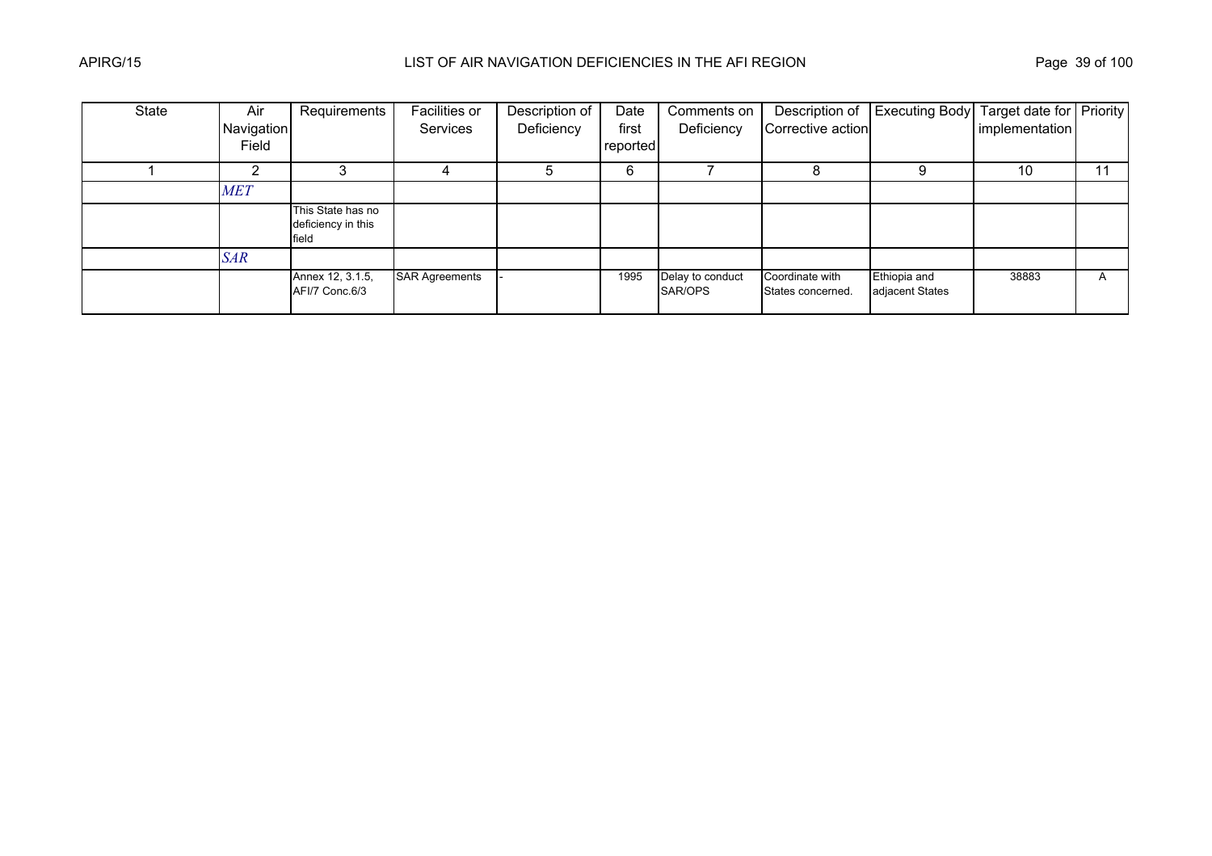| <b>State</b> | Air<br>Navigation<br>Field | Requirements                                     | Facilities or<br>Services | Description of<br>Deficiency | Date<br>first<br>reported | Comments on<br>Deficiency   | Description of<br>Corrective action  | <b>Executing Body</b>           | Target date for Priority<br>implementation |    |
|--------------|----------------------------|--------------------------------------------------|---------------------------|------------------------------|---------------------------|-----------------------------|--------------------------------------|---------------------------------|--------------------------------------------|----|
|              |                            |                                                  |                           |                              | 6                         |                             |                                      | 9                               | 10                                         | 11 |
|              | <b>MET</b>                 |                                                  |                           |                              |                           |                             |                                      |                                 |                                            |    |
|              |                            | This State has no<br>deficiency in this<br>field |                           |                              |                           |                             |                                      |                                 |                                            |    |
|              | <b>SAR</b>                 |                                                  |                           |                              |                           |                             |                                      |                                 |                                            |    |
|              |                            | Annex 12, 3.1.5,<br>AFI/7 Conc.6/3               | <b>SAR Agreements</b>     |                              | 1995                      | Delay to conduct<br>SAR/OPS | Coordinate with<br>States concerned. | Ethiopia and<br>adjacent States | 38883                                      | A  |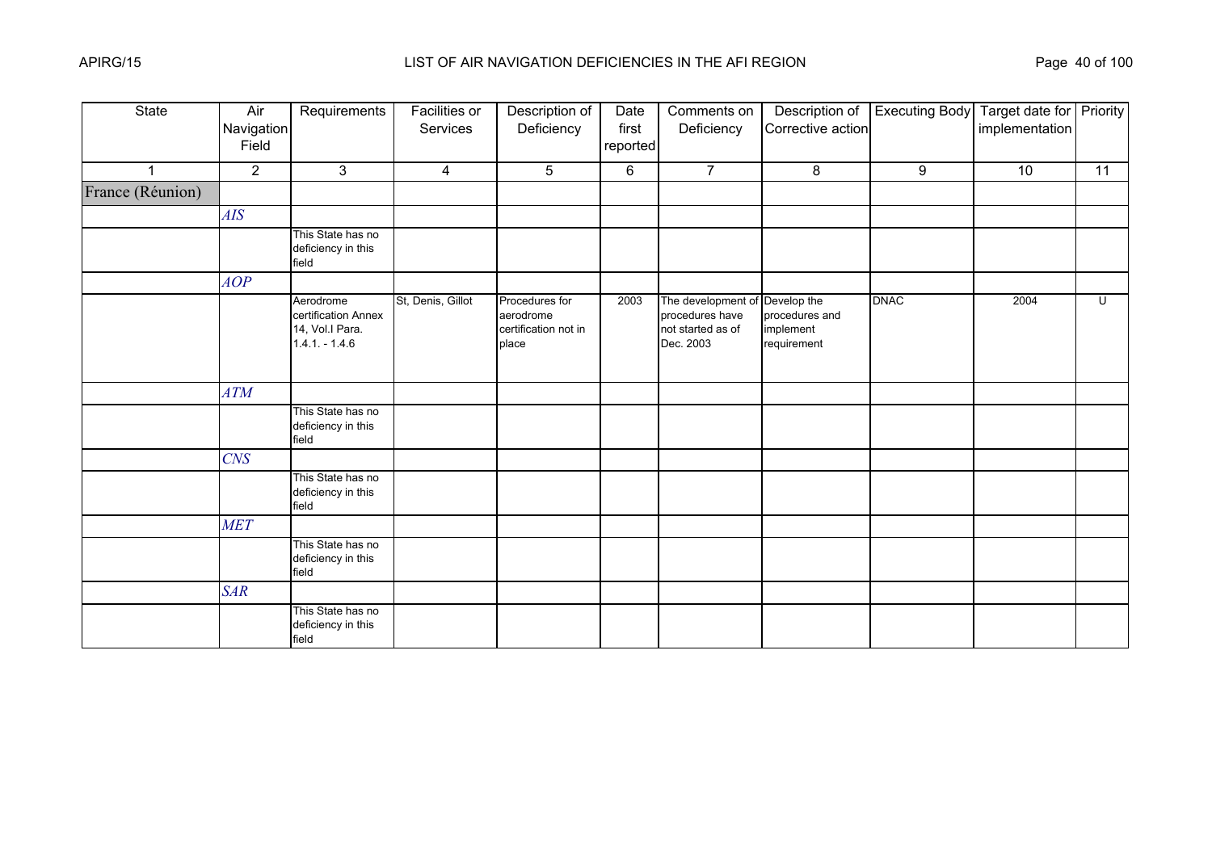| State            | Air<br>Navigation<br>Field | Requirements                                                           | <b>Facilities or</b><br>Services | Description of<br>Deficiency                                 | Date<br>first<br>reported | Comments on<br>Deficiency                                                           | Description of<br>Corrective action        | <b>Executing Body</b> | Target date for Priority<br>implementation |    |
|------------------|----------------------------|------------------------------------------------------------------------|----------------------------------|--------------------------------------------------------------|---------------------------|-------------------------------------------------------------------------------------|--------------------------------------------|-----------------------|--------------------------------------------|----|
| $\overline{1}$   | $\overline{2}$             | 3                                                                      | $\overline{4}$                   | 5                                                            | 6                         | $\overline{7}$                                                                      | 8                                          | 9                     | 10                                         | 11 |
| France (Réunion) |                            |                                                                        |                                  |                                                              |                           |                                                                                     |                                            |                       |                                            |    |
|                  | AIS                        |                                                                        |                                  |                                                              |                           |                                                                                     |                                            |                       |                                            |    |
|                  |                            | This State has no<br>deficiency in this<br>field                       |                                  |                                                              |                           |                                                                                     |                                            |                       |                                            |    |
|                  | AOP                        |                                                                        |                                  |                                                              |                           |                                                                                     |                                            |                       |                                            |    |
|                  |                            | Aerodrome<br>certification Annex<br>14, Vol.I Para.<br>$1.4.1 - 1.4.6$ | St, Denis, Gillot                | Procedures for<br>aerodrome<br>certification not in<br>place | 2003                      | The development of Develop the<br>procedures have<br>not started as of<br>Dec. 2003 | procedures and<br>implement<br>requirement | <b>DNAC</b>           | 2004                                       | U  |
|                  | ATM                        |                                                                        |                                  |                                                              |                           |                                                                                     |                                            |                       |                                            |    |
|                  |                            | This State has no<br>deficiency in this<br>field                       |                                  |                                                              |                           |                                                                                     |                                            |                       |                                            |    |
|                  | $C\!N\!S$                  |                                                                        |                                  |                                                              |                           |                                                                                     |                                            |                       |                                            |    |
|                  |                            | This State has no<br>deficiency in this<br>field                       |                                  |                                                              |                           |                                                                                     |                                            |                       |                                            |    |
|                  | <b>MET</b>                 |                                                                        |                                  |                                                              |                           |                                                                                     |                                            |                       |                                            |    |
|                  |                            | This State has no<br>deficiency in this<br>field                       |                                  |                                                              |                           |                                                                                     |                                            |                       |                                            |    |
|                  | <b>SAR</b>                 |                                                                        |                                  |                                                              |                           |                                                                                     |                                            |                       |                                            |    |
|                  |                            | This State has no<br>deficiency in this<br>field                       |                                  |                                                              |                           |                                                                                     |                                            |                       |                                            |    |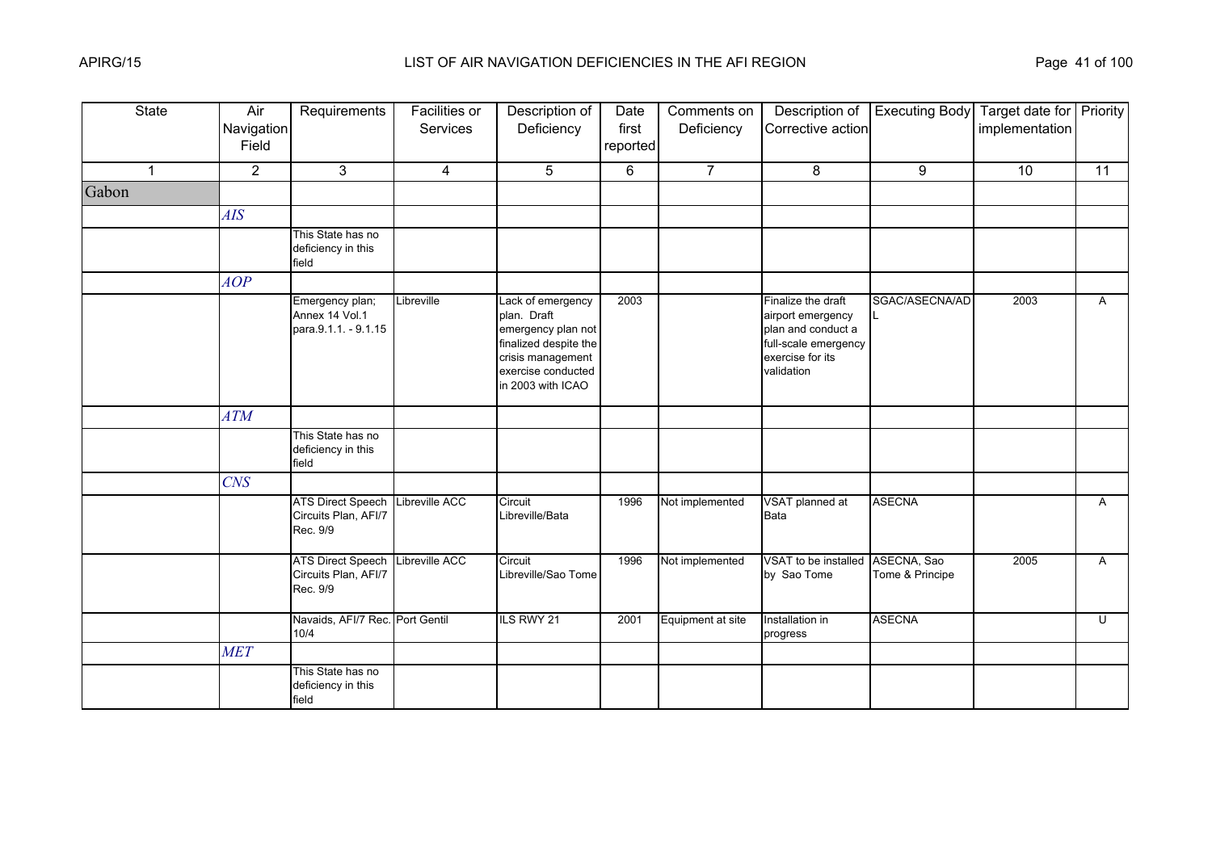| <b>State</b> | Air<br>Navigation<br>Field | Requirements                                                 | Facilities or<br>Services | Description of<br>Deficiency                                                                                                                    | Date<br>first<br>reported | Comments on<br>Deficiency | Description of<br>Corrective action                                                                                     | <b>Executing Body</b>          | Target date for Priority<br>implementation |              |
|--------------|----------------------------|--------------------------------------------------------------|---------------------------|-------------------------------------------------------------------------------------------------------------------------------------------------|---------------------------|---------------------------|-------------------------------------------------------------------------------------------------------------------------|--------------------------------|--------------------------------------------|--------------|
| $\mathbf{1}$ | $\overline{2}$             | 3                                                            | $\overline{4}$            | 5                                                                                                                                               | 6                         | $\overline{7}$            | 8                                                                                                                       | 9                              | 10                                         | 11           |
| Gabon        |                            |                                                              |                           |                                                                                                                                                 |                           |                           |                                                                                                                         |                                |                                            |              |
|              | AIS                        |                                                              |                           |                                                                                                                                                 |                           |                           |                                                                                                                         |                                |                                            |              |
|              |                            | This State has no<br>deficiency in this<br>field             |                           |                                                                                                                                                 |                           |                           |                                                                                                                         |                                |                                            |              |
|              | AOP                        |                                                              |                           |                                                                                                                                                 |                           |                           |                                                                                                                         |                                |                                            |              |
|              |                            | Emergency plan;<br>Annex 14 Vol.1<br>para.9.1.1. - 9.1.15    | Libreville                | Lack of emergency<br>plan. Draft<br>emergency plan not<br>finalized despite the<br>crisis management<br>exercise conducted<br>in 2003 with ICAO | 2003                      |                           | Finalize the draft<br>airport emergency<br>plan and conduct a<br>full-scale emergency<br>exercise for its<br>validation | SGAC/ASECNA/AD                 | 2003                                       | $\mathsf{A}$ |
|              | <b>ATM</b>                 |                                                              |                           |                                                                                                                                                 |                           |                           |                                                                                                                         |                                |                                            |              |
|              |                            | This State has no<br>deficiency in this<br>field             |                           |                                                                                                                                                 |                           |                           |                                                                                                                         |                                |                                            |              |
|              | <b>CNS</b>                 |                                                              |                           |                                                                                                                                                 |                           |                           |                                                                                                                         |                                |                                            |              |
|              |                            | <b>ATS Direct Speech</b><br>Circuits Plan, AFI/7<br>Rec. 9/9 | Libreville ACC            | Circuit<br>Libreville/Bata                                                                                                                      | 1996                      | Not implemented           | VSAT planned at<br>Bata                                                                                                 | <b>ASECNA</b>                  |                                            | A            |
|              |                            | <b>ATS Direct Speech</b><br>Circuits Plan, AFI/7<br>Rec. 9/9 | Libreville ACC            | Circuit<br>Libreville/Sao Tome                                                                                                                  | 1996                      | Not implemented           | VSAT to be installed<br>by Sao Tome                                                                                     | ASECNA, Sao<br>Tome & Principe | 2005                                       | A            |
|              |                            | Navaids, AFI/7 Rec. Port Gentil<br>10/4                      |                           | ILS RWY 21                                                                                                                                      | 2001                      | Equipment at site         | Installation in<br>progress                                                                                             | <b>ASECNA</b>                  |                                            | U            |
|              | <b>MET</b>                 |                                                              |                           |                                                                                                                                                 |                           |                           |                                                                                                                         |                                |                                            |              |
|              |                            | This State has no<br>deficiency in this<br>field             |                           |                                                                                                                                                 |                           |                           |                                                                                                                         |                                |                                            |              |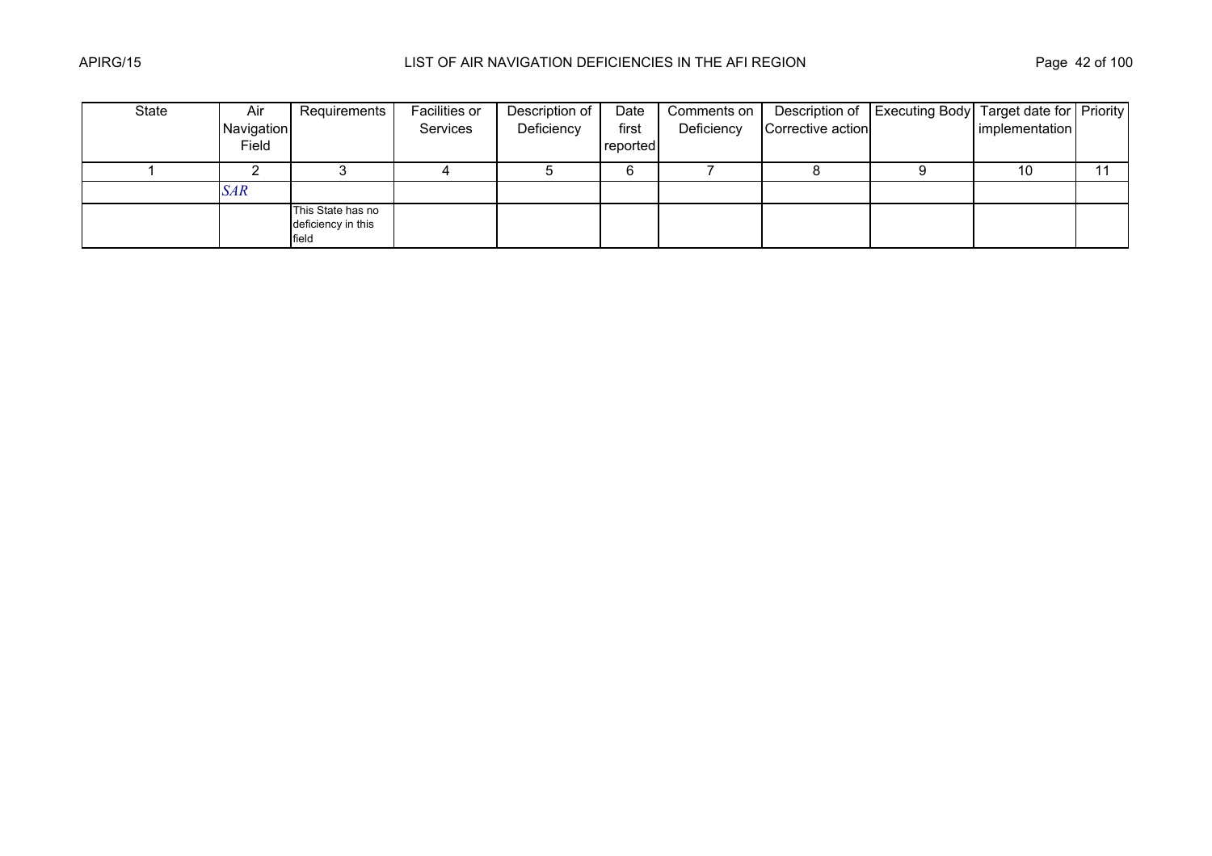| State | Air        | Requirements                                     | Facilities or | Description of | Date     | Comments on |                   | Description of   Executing Body   Target date for   Priority |                |  |
|-------|------------|--------------------------------------------------|---------------|----------------|----------|-------------|-------------------|--------------------------------------------------------------|----------------|--|
|       | Navigation |                                                  | Services      | Deficiency     | first    | Deficiency  | Corrective action |                                                              | implementation |  |
|       | Field      |                                                  |               |                | reported |             |                   |                                                              |                |  |
|       |            |                                                  |               |                |          |             |                   |                                                              | 10             |  |
|       | <b>SAR</b> |                                                  |               |                |          |             |                   |                                                              |                |  |
|       |            | This State has no<br>deficiency in this<br>field |               |                |          |             |                   |                                                              |                |  |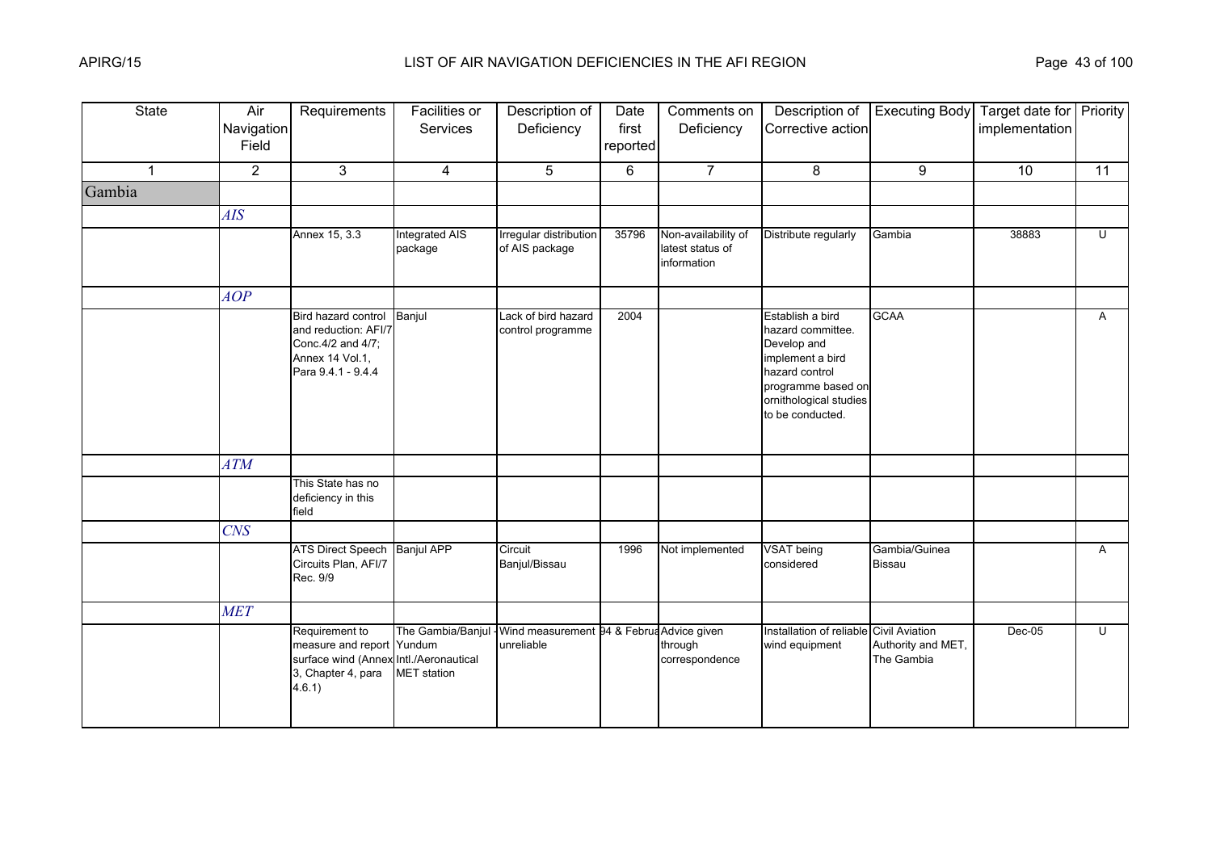| <b>State</b>            | Air<br>Navigation<br>Field | Requirements                                                                                                          | Facilities or<br>Services               | Description of<br>Deficiency                            | Date<br>first<br>reported | Comments on<br>Deficiency                              | Description of<br>Corrective action                                                                                                                            | <b>Executing Body</b>            | Target date for Priority<br>implementation |                |
|-------------------------|----------------------------|-----------------------------------------------------------------------------------------------------------------------|-----------------------------------------|---------------------------------------------------------|---------------------------|--------------------------------------------------------|----------------------------------------------------------------------------------------------------------------------------------------------------------------|----------------------------------|--------------------------------------------|----------------|
| $\overline{\mathbf{1}}$ | $\overline{2}$             | 3                                                                                                                     | $\overline{4}$                          | 5                                                       | 6                         | $\overline{7}$                                         | 8                                                                                                                                                              | 9                                | 10                                         | 11             |
| Gambia                  |                            |                                                                                                                       |                                         |                                                         |                           |                                                        |                                                                                                                                                                |                                  |                                            |                |
|                         | AIS                        |                                                                                                                       |                                         |                                                         |                           |                                                        |                                                                                                                                                                |                                  |                                            |                |
|                         |                            | Annex 15, 3.3                                                                                                         | <b>Integrated AIS</b><br>package        | Irregular distribution<br>of AIS package                | 35796                     | Non-availability of<br>latest status of<br>information | Distribute regularly                                                                                                                                           | Gambia                           | 38883                                      | Ū              |
|                         | AOP                        |                                                                                                                       |                                         |                                                         |                           |                                                        |                                                                                                                                                                |                                  |                                            |                |
|                         |                            | Bird hazard control<br>and reduction: AFI/7<br>Conc.4/2 and 4/7;<br>Annex 14 Vol.1,<br>Para 9.4.1 - 9.4.4             | Banjul                                  | Lack of bird hazard<br>control programme                | 2004                      |                                                        | Establish a bird<br>hazard committee.<br>Develop and<br>implement a bird<br>hazard control<br>programme based on<br>ornithological studies<br>to be conducted. | <b>GCAA</b>                      |                                            | $\mathsf{A}$   |
|                         | ATM                        |                                                                                                                       |                                         |                                                         |                           |                                                        |                                                                                                                                                                |                                  |                                            |                |
|                         |                            | This State has no<br>deficiency in this<br>field                                                                      |                                         |                                                         |                           |                                                        |                                                                                                                                                                |                                  |                                            |                |
|                         | CNS                        |                                                                                                                       |                                         |                                                         |                           |                                                        |                                                                                                                                                                |                                  |                                            |                |
|                         |                            | ATS Direct Speech Banjul APP<br>Circuits Plan, AFI/7<br>Rec. 9/9                                                      |                                         | Circuit<br>Banjul/Bissau                                | 1996                      | Not implemented                                        | <b>VSAT</b> being<br>considered                                                                                                                                | Gambia/Guinea<br><b>Bissau</b>   |                                            | $\mathsf{A}$   |
|                         | <b>MET</b>                 |                                                                                                                       |                                         |                                                         |                           |                                                        |                                                                                                                                                                |                                  |                                            |                |
|                         |                            | Requirement to<br>measure and report Yundum<br>surface wind (Annex Intl./Aeronautical<br>3, Chapter 4, para<br>4.6.1) | The Gambia/Banjul<br><b>MET</b> station | Wind measurement 94 & Februa Advice given<br>unreliable |                           | through<br>correspondence                              | Installation of reliable Civil Aviation<br>wind equipment                                                                                                      | Authority and MET,<br>The Gambia | Dec-05                                     | $\overline{U}$ |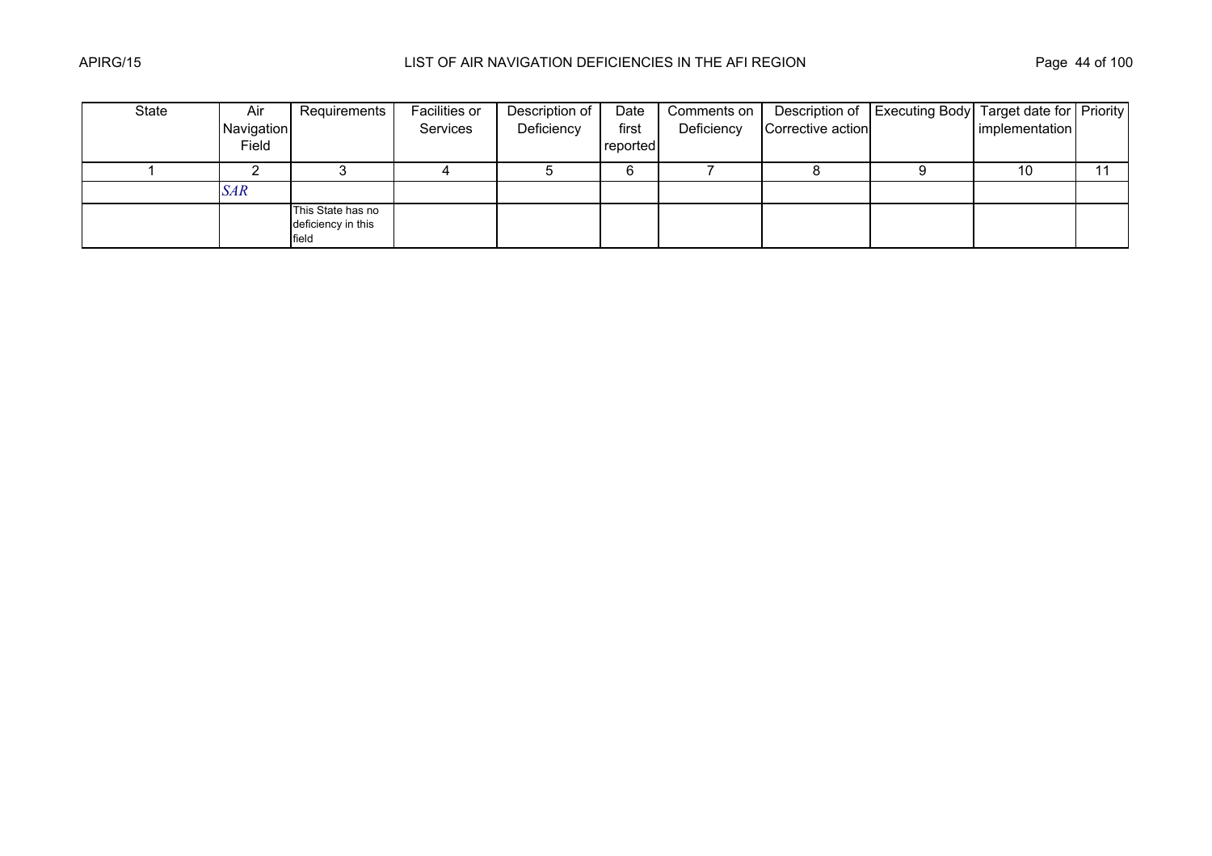| State | Air        | Requirements                                     | Facilities or | Description of | Date     | Comments on |                   | Description of   Executing Body   Target date for   Priority |                |  |
|-------|------------|--------------------------------------------------|---------------|----------------|----------|-------------|-------------------|--------------------------------------------------------------|----------------|--|
|       | Navigation |                                                  | Services      | Deficiency     | first    | Deficiency  | Corrective action |                                                              | implementation |  |
|       | Field      |                                                  |               |                | reported |             |                   |                                                              |                |  |
|       |            |                                                  |               |                |          |             |                   |                                                              | 10             |  |
|       | <b>SAR</b> |                                                  |               |                |          |             |                   |                                                              |                |  |
|       |            | This State has no<br>deficiency in this<br>field |               |                |          |             |                   |                                                              |                |  |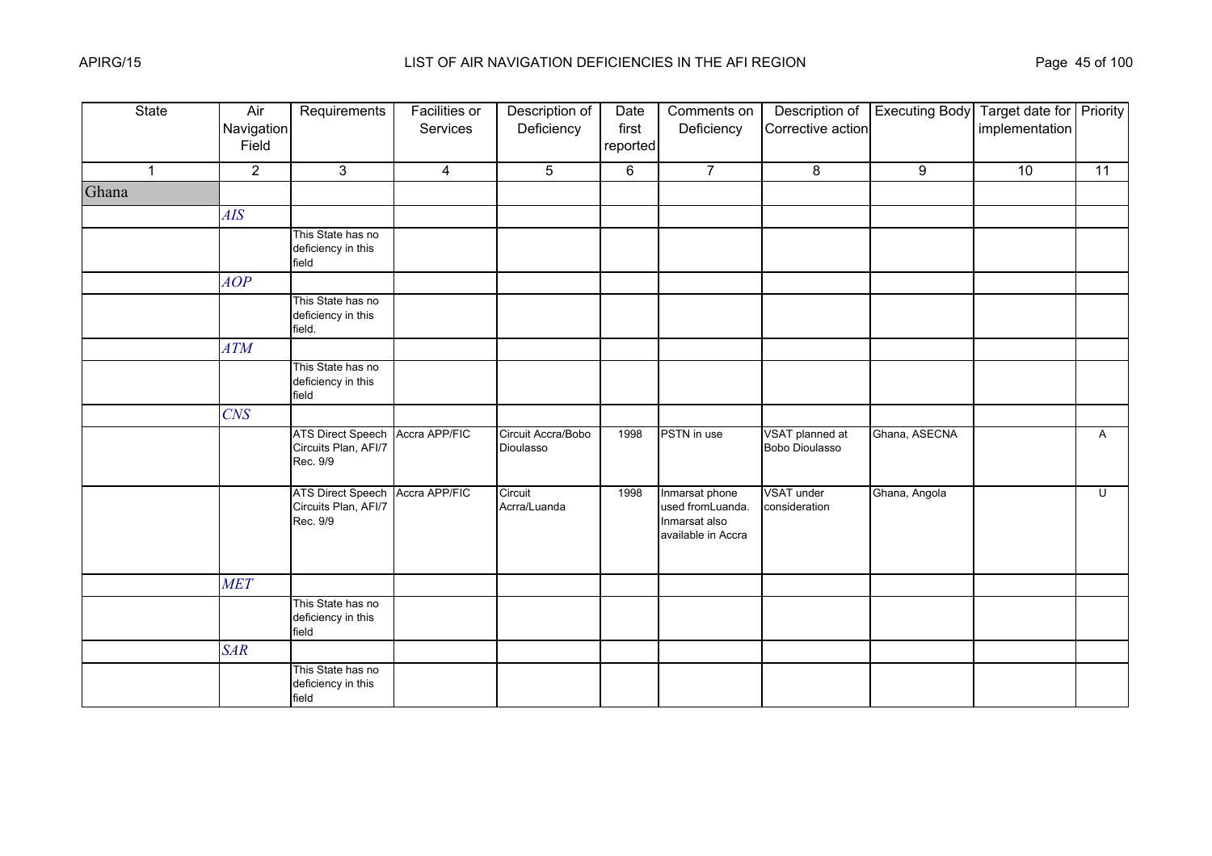| <b>State</b>   | Air<br>Navigation<br>Field | Requirements                                                 | <b>Facilities or</b><br>Services | Description of<br>Deficiency    | Date<br>first<br>reported | Comments on<br>Deficiency                                                 | Description of<br>Corrective action | <b>Executing Body</b> | Target date for Priority<br>implementation |              |
|----------------|----------------------------|--------------------------------------------------------------|----------------------------------|---------------------------------|---------------------------|---------------------------------------------------------------------------|-------------------------------------|-----------------------|--------------------------------------------|--------------|
| $\overline{1}$ | $\overline{2}$             | 3                                                            | $\overline{4}$                   | 5                               | 6                         | $\overline{7}$                                                            | 8                                   | 9                     | 10                                         | 11           |
| Ghana          |                            |                                                              |                                  |                                 |                           |                                                                           |                                     |                       |                                            |              |
|                | <b>AIS</b>                 |                                                              |                                  |                                 |                           |                                                                           |                                     |                       |                                            |              |
|                |                            | This State has no<br>deficiency in this<br>field             |                                  |                                 |                           |                                                                           |                                     |                       |                                            |              |
|                | AOP                        |                                                              |                                  |                                 |                           |                                                                           |                                     |                       |                                            |              |
|                |                            | This State has no<br>deficiency in this<br>field.            |                                  |                                 |                           |                                                                           |                                     |                       |                                            |              |
|                | <b>ATM</b>                 |                                                              |                                  |                                 |                           |                                                                           |                                     |                       |                                            |              |
|                |                            | This State has no<br>deficiency in this<br>field             |                                  |                                 |                           |                                                                           |                                     |                       |                                            |              |
|                | <b>CNS</b>                 |                                                              |                                  |                                 |                           |                                                                           |                                     |                       |                                            |              |
|                |                            | <b>ATS Direct Speech</b><br>Circuits Plan, AFI/7<br>Rec. 9/9 | Accra APP/FIC                    | Circuit Accra/Bobo<br>Dioulasso | 1998                      | PSTN in use                                                               | VSAT planned at<br>Bobo Dioulasso   | Ghana, ASECNA         |                                            | $\mathsf{A}$ |
|                |                            | <b>ATS Direct Speech</b><br>Circuits Plan, AFI/7<br>Rec. 9/9 | Accra APP/FIC                    | Circuit<br>Acrra/Luanda         | 1998                      | Inmarsat phone<br>used fromLuanda.<br>Inmarsat also<br>available in Accra | VSAT under<br>consideration         | Ghana, Angola         |                                            | U            |
|                | <b>MET</b>                 |                                                              |                                  |                                 |                           |                                                                           |                                     |                       |                                            |              |
|                |                            | This State has no<br>deficiency in this<br>field             |                                  |                                 |                           |                                                                           |                                     |                       |                                            |              |
|                | <b>SAR</b>                 |                                                              |                                  |                                 |                           |                                                                           |                                     |                       |                                            |              |
|                |                            | This State has no<br>deficiency in this<br>field             |                                  |                                 |                           |                                                                           |                                     |                       |                                            |              |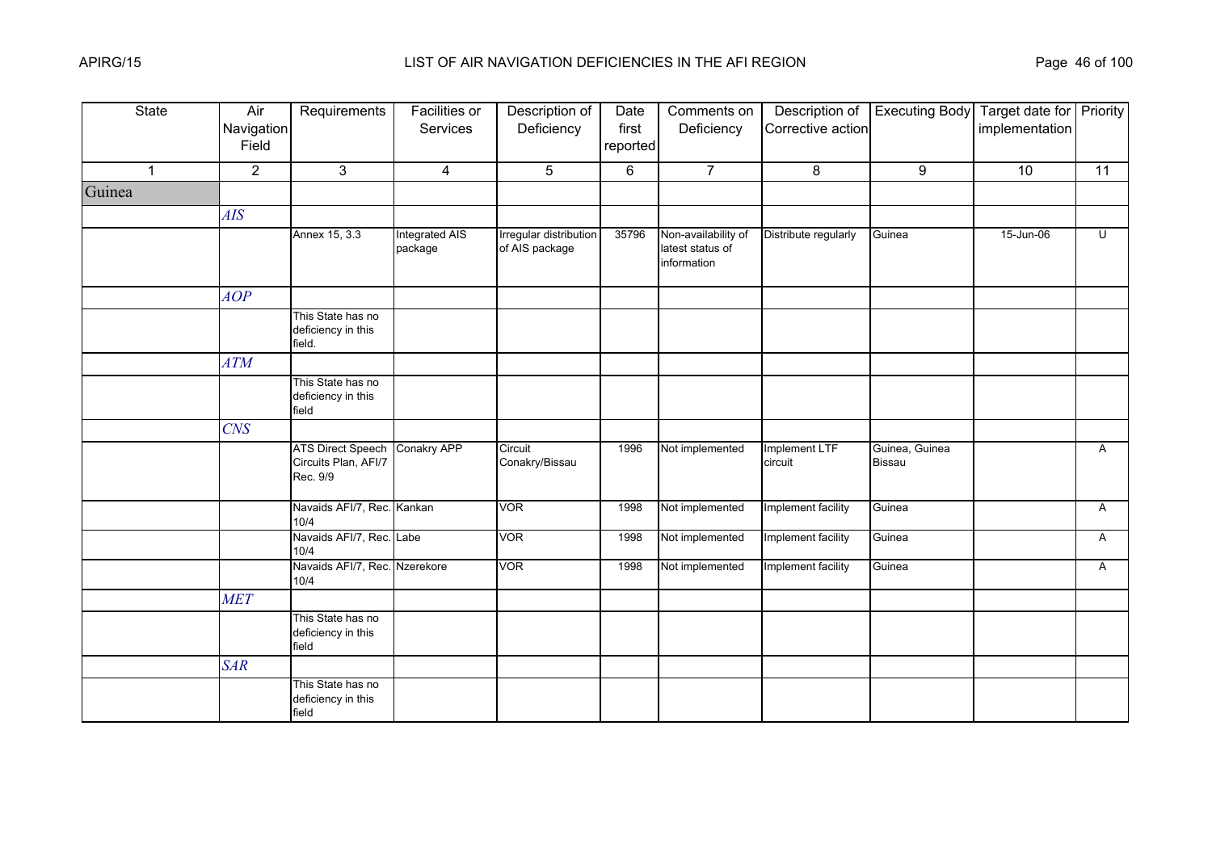| <b>State</b> | Air<br>Navigation<br>Field | Requirements                                                 | <b>Facilities or</b><br>Services | Description of<br>Deficiency             | Date<br>first<br>reported | Comments on<br>Deficiency                              | Description of<br>Corrective action | <b>Executing Body</b>           | Target date for Priority<br>implementation |                         |
|--------------|----------------------------|--------------------------------------------------------------|----------------------------------|------------------------------------------|---------------------------|--------------------------------------------------------|-------------------------------------|---------------------------------|--------------------------------------------|-------------------------|
| $\mathbf{1}$ | $\overline{2}$             | 3                                                            | $\overline{4}$                   | 5                                        | 6                         | $\overline{7}$                                         | 8                                   | 9                               | 10                                         | 11                      |
| Guinea       |                            |                                                              |                                  |                                          |                           |                                                        |                                     |                                 |                                            |                         |
|              | <b>AIS</b>                 |                                                              |                                  |                                          |                           |                                                        |                                     |                                 |                                            |                         |
|              |                            | Annex 15, 3.3                                                | Integrated AIS<br>package        | Irregular distribution<br>of AIS package | 35796                     | Non-availability of<br>latest status of<br>information | Distribute regularly                | Guinea                          | 15-Jun-06                                  | $\overline{\mathsf{C}}$ |
|              | AOP                        |                                                              |                                  |                                          |                           |                                                        |                                     |                                 |                                            |                         |
|              |                            | This State has no<br>deficiency in this<br>field.            |                                  |                                          |                           |                                                        |                                     |                                 |                                            |                         |
|              | <b>ATM</b>                 |                                                              |                                  |                                          |                           |                                                        |                                     |                                 |                                            |                         |
|              |                            | This State has no<br>deficiency in this<br>field             |                                  |                                          |                           |                                                        |                                     |                                 |                                            |                         |
|              | <b>CNS</b>                 |                                                              |                                  |                                          |                           |                                                        |                                     |                                 |                                            |                         |
|              |                            | <b>ATS Direct Speech</b><br>Circuits Plan, AFI/7<br>Rec. 9/9 | <b>Conakry APP</b>               | Circuit<br>Conakry/Bissau                | 1996                      | Not implemented                                        | Implement LTF<br>circuit            | Guinea, Guinea<br><b>Bissau</b> |                                            | A                       |
|              |                            | Navaids AFI/7, Rec. Kankan<br>10/4                           |                                  | <b>VOR</b>                               | 1998                      | Not implemented                                        | Implement facility                  | Guinea                          |                                            | A                       |
|              |                            | Navaids AFI/7, Rec. Labe<br>10/4                             |                                  | <b>VOR</b>                               | 1998                      | Not implemented                                        | Implement facility                  | Guinea                          |                                            | A                       |
|              |                            | Navaids AFI/7, Rec. Nzerekore<br>10/4                        |                                  | <b>VOR</b>                               | 1998                      | Not implemented                                        | Implement facility                  | Guinea                          |                                            | A                       |
|              | <b>MET</b>                 |                                                              |                                  |                                          |                           |                                                        |                                     |                                 |                                            |                         |
|              |                            | This State has no<br>deficiency in this<br>field             |                                  |                                          |                           |                                                        |                                     |                                 |                                            |                         |
|              | <b>SAR</b>                 |                                                              |                                  |                                          |                           |                                                        |                                     |                                 |                                            |                         |
|              |                            | This State has no<br>deficiency in this<br>field             |                                  |                                          |                           |                                                        |                                     |                                 |                                            |                         |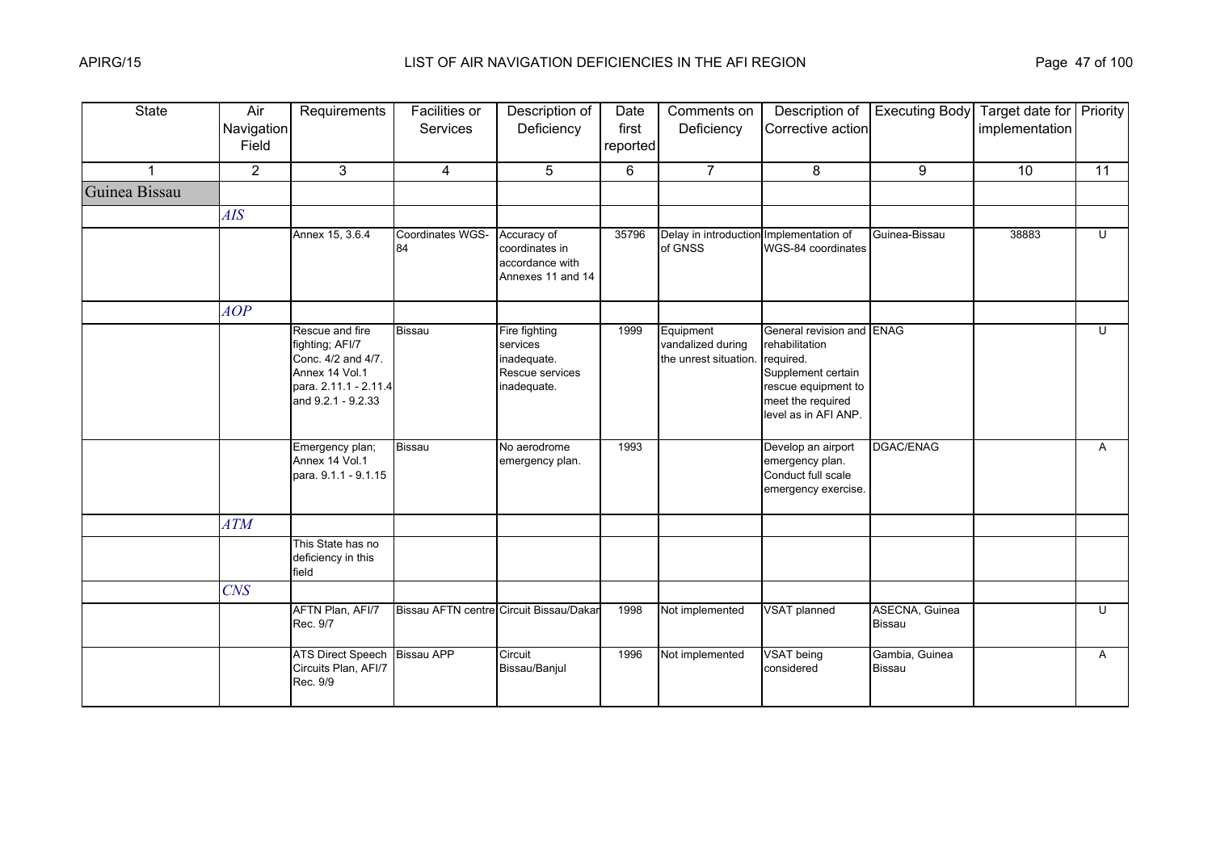| <b>State</b>  | Air<br>Navigation<br>Field | Requirements                                                                                                              | Facilities or<br>Services | Description of<br>Deficiency                                               | Date<br>first<br>reported | Comments on<br>Deficiency                               | Description of<br>Corrective action                                                                                                                | <b>Executing Body</b>           | Target date for Priority<br>implementation |              |
|---------------|----------------------------|---------------------------------------------------------------------------------------------------------------------------|---------------------------|----------------------------------------------------------------------------|---------------------------|---------------------------------------------------------|----------------------------------------------------------------------------------------------------------------------------------------------------|---------------------------------|--------------------------------------------|--------------|
| $\mathbf{1}$  | $\overline{2}$             | 3                                                                                                                         | $\overline{4}$            | 5                                                                          | 6                         | $\overline{7}$                                          | 8                                                                                                                                                  | 9                               | 10                                         | 11           |
| Guinea Bissau |                            |                                                                                                                           |                           |                                                                            |                           |                                                         |                                                                                                                                                    |                                 |                                            |              |
|               | <b>AIS</b>                 |                                                                                                                           |                           |                                                                            |                           |                                                         |                                                                                                                                                    |                                 |                                            |              |
|               |                            | Annex 15, 3.6.4                                                                                                           | Coordinates WGS-<br>84    | Accuracy of<br>coordinates in<br>accordance with<br>Annexes 11 and 14      | 35796                     | Delay in introduction Implementation of<br>of GNSS      | WGS-84 coordinates                                                                                                                                 | Guinea-Bissau                   | 38883                                      | $\mathbf{U}$ |
|               | AOP                        |                                                                                                                           |                           |                                                                            |                           |                                                         |                                                                                                                                                    |                                 |                                            |              |
|               |                            | Rescue and fire<br>fighting; AFI/7<br>Conc. 4/2 and 4/7.<br>Annex 14 Vol.1<br>para. 2.11.1 - 2.11.4<br>and 9.2.1 - 9.2.33 | <b>Bissau</b>             | Fire fighting<br>services<br>inadequate.<br>Rescue services<br>inadequate. | 1999                      | Equipment<br>vandalized during<br>the unrest situation. | General revision and ENAG<br>rehabilitation<br>required.<br>Supplement certain<br>rescue equipment to<br>meet the required<br>level as in AFI ANP. |                                 |                                            | $\mathbf{U}$ |
|               |                            | Emergency plan;<br>Annex 14 Vol.1<br>para. 9.1.1 - 9.1.15                                                                 | Bissau                    | No aerodrome<br>emergency plan.                                            | 1993                      |                                                         | Develop an airport<br>emergency plan.<br>Conduct full scale<br>emergency exercise.                                                                 | DGAC/ENAG                       |                                            | $\mathsf{A}$ |
|               | <b>ATM</b>                 |                                                                                                                           |                           |                                                                            |                           |                                                         |                                                                                                                                                    |                                 |                                            |              |
|               |                            | This State has no<br>deficiency in this<br>field                                                                          |                           |                                                                            |                           |                                                         |                                                                                                                                                    |                                 |                                            |              |
|               | <b>CNS</b>                 |                                                                                                                           |                           |                                                                            |                           |                                                         |                                                                                                                                                    |                                 |                                            |              |
|               |                            | AFTN Plan, AFI/7<br>Rec. 9/7                                                                                              |                           | Bissau AFTN centre Circuit Bissau/Dakar                                    | 1998                      | Not implemented                                         | <b>VSAT</b> planned                                                                                                                                | ASECNA, Guinea<br><b>Bissau</b> |                                            | U            |
|               |                            | ATS Direct Speech Bissau APP<br>Circuits Plan, AFI/7<br>Rec. 9/9                                                          |                           | Circuit<br>Bissau/Banjul                                                   | 1996                      | Not implemented                                         | VSAT being<br>considered                                                                                                                           | Gambia, Guinea<br><b>Bissau</b> |                                            | A            |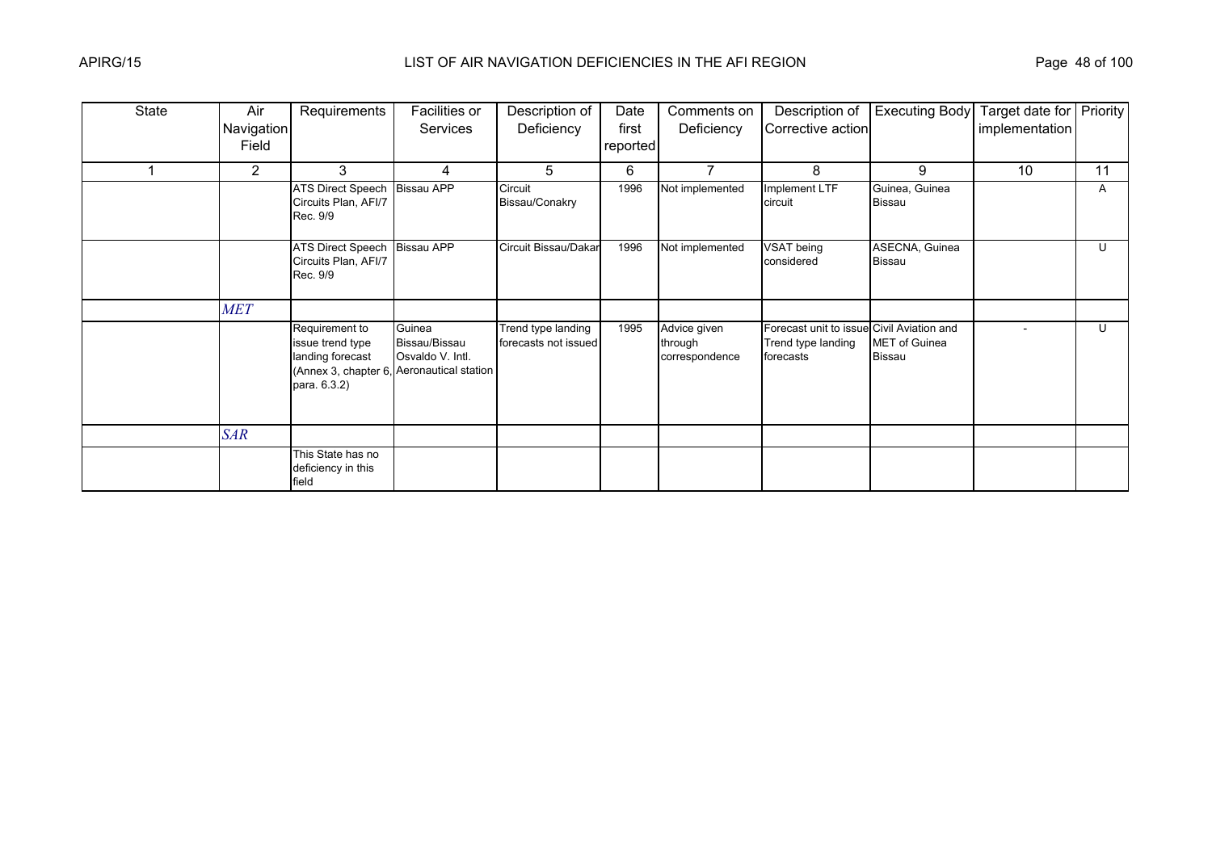| State | Air            | Requirements                                                                                   | Facilities or                                                       | Description of                             | Date     | Comments on                               | Description of                                                               | <b>Executing Body</b>                 | Target date for   Priority |    |
|-------|----------------|------------------------------------------------------------------------------------------------|---------------------------------------------------------------------|--------------------------------------------|----------|-------------------------------------------|------------------------------------------------------------------------------|---------------------------------------|----------------------------|----|
|       | Navigation     |                                                                                                | Services                                                            | Deficiency                                 | first    | Deficiency                                | Corrective action                                                            |                                       | implementation             |    |
|       | Field          |                                                                                                |                                                                     |                                            | reported |                                           |                                                                              |                                       |                            |    |
|       | $\overline{2}$ | 3                                                                                              | 4                                                                   | 5                                          | 6        |                                           | 8                                                                            | 9                                     | 10                         | 11 |
|       |                | <b>ATS Direct Speech</b><br>Circuits Plan, AFI/7<br>Rec. 9/9                                   | <b>Bissau APP</b>                                                   | Circuit<br>Bissau/Conakry                  | 1996     | Not implemented                           | Implement LTF<br>circuit                                                     | Guinea, Guinea<br>Bissau              |                            | A  |
|       |                | <b>ATS Direct Speech</b><br>Circuits Plan, AFI/7<br>Rec. 9/9                                   | <b>Bissau APP</b>                                                   | Circuit Bissau/Dakar                       | 1996     | Not implemented                           | VSAT being<br>considered                                                     | ASECNA, Guinea<br>Bissau              |                            | U  |
|       | <b>MET</b>     |                                                                                                |                                                                     |                                            |          |                                           |                                                                              |                                       |                            |    |
|       |                | Requirement to<br>issue trend type<br>landing forecast<br>(Annex 3, chapter 6,<br>para. 6.3.2) | Guinea<br>Bissau/Bissau<br>Osvaldo V. Intl.<br>Aeronautical station | Trend type landing<br>forecasts not issued | 1995     | Advice given<br>through<br>correspondence | Forecast unit to issue Civil Aviation and<br>Trend type landing<br>forecasts | <b>MET</b> of Guinea<br><b>Bissau</b> |                            | U  |
|       | <b>SAR</b>     |                                                                                                |                                                                     |                                            |          |                                           |                                                                              |                                       |                            |    |
|       |                | This State has no<br>deficiency in this<br>field                                               |                                                                     |                                            |          |                                           |                                                                              |                                       |                            |    |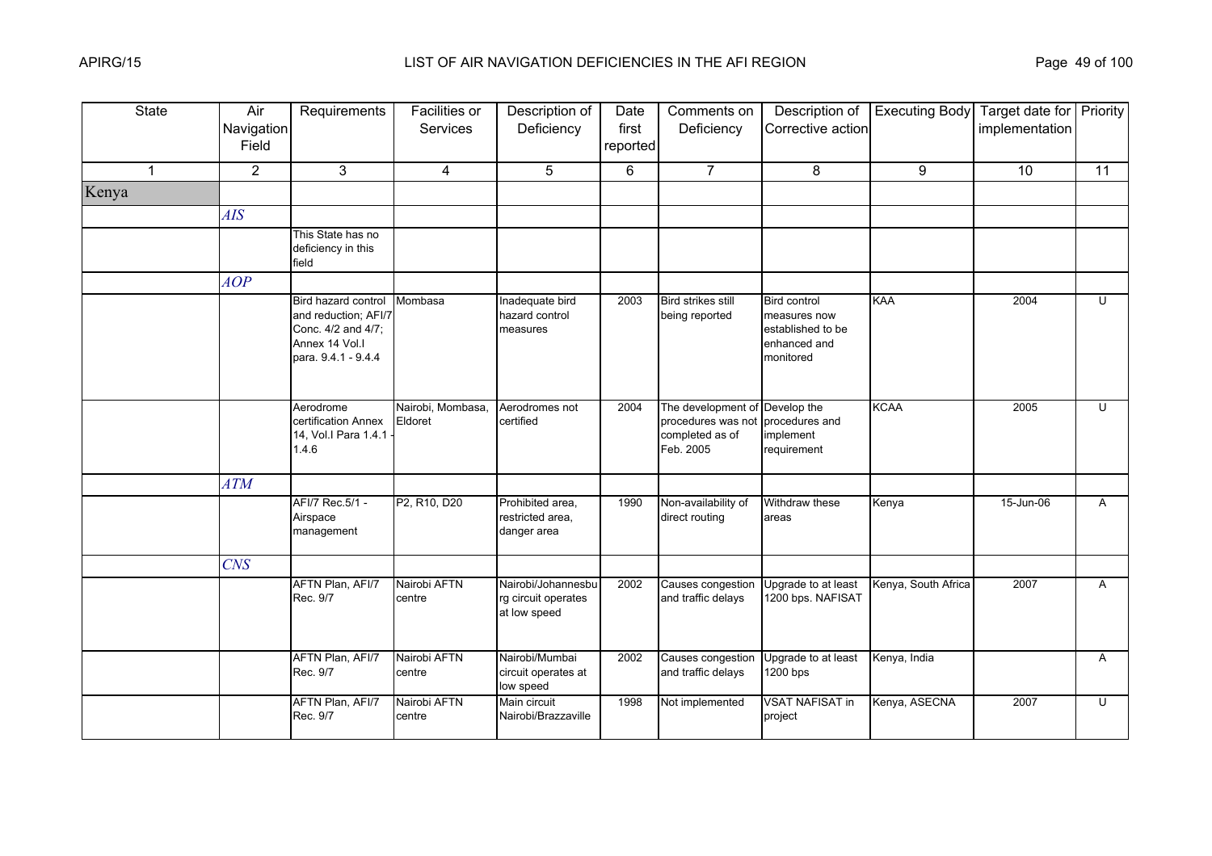| <b>State</b> | Air<br>Navigation<br>Field | Requirements                                                                                               | <b>Facilities or</b><br><b>Services</b> | Description of<br>Deficiency                              | Date<br>first<br>reported | Comments on<br>Deficiency                                                            | Description of<br>Corrective action                                                   | <b>Executing Body</b> | Target date for Priority<br>implementation |              |
|--------------|----------------------------|------------------------------------------------------------------------------------------------------------|-----------------------------------------|-----------------------------------------------------------|---------------------------|--------------------------------------------------------------------------------------|---------------------------------------------------------------------------------------|-----------------------|--------------------------------------------|--------------|
| $\mathbf{1}$ | $\overline{2}$             | 3                                                                                                          | $\overline{4}$                          | 5                                                         | 6                         | $\overline{7}$                                                                       | 8                                                                                     | 9                     | 10                                         | 11           |
| Kenya        |                            |                                                                                                            |                                         |                                                           |                           |                                                                                      |                                                                                       |                       |                                            |              |
|              | <b>AIS</b>                 |                                                                                                            |                                         |                                                           |                           |                                                                                      |                                                                                       |                       |                                            |              |
|              |                            | This State has no<br>deficiency in this<br>field                                                           |                                         |                                                           |                           |                                                                                      |                                                                                       |                       |                                            |              |
|              | AOP                        |                                                                                                            |                                         |                                                           |                           |                                                                                      |                                                                                       |                       |                                            |              |
|              |                            | Bird hazard control<br>and reduction; AFI/7<br>Conc. 4/2 and 4/7;<br>Annex 14 Vol.I<br>para. 9.4.1 - 9.4.4 | Mombasa                                 | Inadequate bird<br>hazard control<br>measures             | 2003                      | <b>Bird strikes still</b><br>being reported                                          | <b>Bird control</b><br>measures now<br>established to be<br>enhanced and<br>monitored | KAA                   | 2004                                       | U            |
|              |                            | Aerodrome<br>certification Annex<br>14, Vol.I Para 1.4.1<br>1.4.6                                          | Nairobi, Mombasa,<br>Eldoret            | Aerodromes not<br>certified                               | 2004                      | The development of Develop the<br>procedures was not<br>completed as of<br>Feb. 2005 | procedures and<br>implement<br>requirement                                            | <b>KCAA</b>           | 2005                                       | U            |
|              | <b>ATM</b>                 |                                                                                                            |                                         |                                                           |                           |                                                                                      |                                                                                       |                       |                                            |              |
|              |                            | AFI/7 Rec.5/1 -<br>Airspace<br>management                                                                  | P2, R10, D20                            | Prohibited area,<br>restricted area,<br>danger area       | 1990                      | Non-availability of<br>direct routing                                                | Withdraw these<br>areas                                                               | Kenya                 | 15-Jun-06                                  | A            |
|              | <b>CNS</b>                 |                                                                                                            |                                         |                                                           |                           |                                                                                      |                                                                                       |                       |                                            |              |
|              |                            | AFTN Plan, AFI/7<br>Rec. 9/7                                                                               | Nairobi AFTN<br>centre                  | Nairobi/Johannesbu<br>rg circuit operates<br>at low speed | 2002                      | Causes congestion<br>and traffic delays                                              | Upgrade to at least<br>1200 bps. NAFISAT                                              | Kenya, South Africa   | 2007                                       | A            |
|              |                            | AFTN Plan, AFI/7<br>Rec. 9/7                                                                               | Nairobi AFTN<br>centre                  | Nairobi/Mumbai<br>circuit operates at<br>low speed        | 2002                      | Causes congestion<br>and traffic delays                                              | Upgrade to at least<br>1200 bps                                                       | Kenya, India          |                                            | $\mathsf{A}$ |
|              |                            | AFTN Plan, AFI/7<br>Rec. 9/7                                                                               | Nairobi AFTN<br>centre                  | Main circuit<br>Nairobi/Brazzaville                       | 1998                      | Not implemented                                                                      | <b>VSAT NAFISAT in</b><br>project                                                     | Kenya, ASECNA         | 2007                                       | $\cup$       |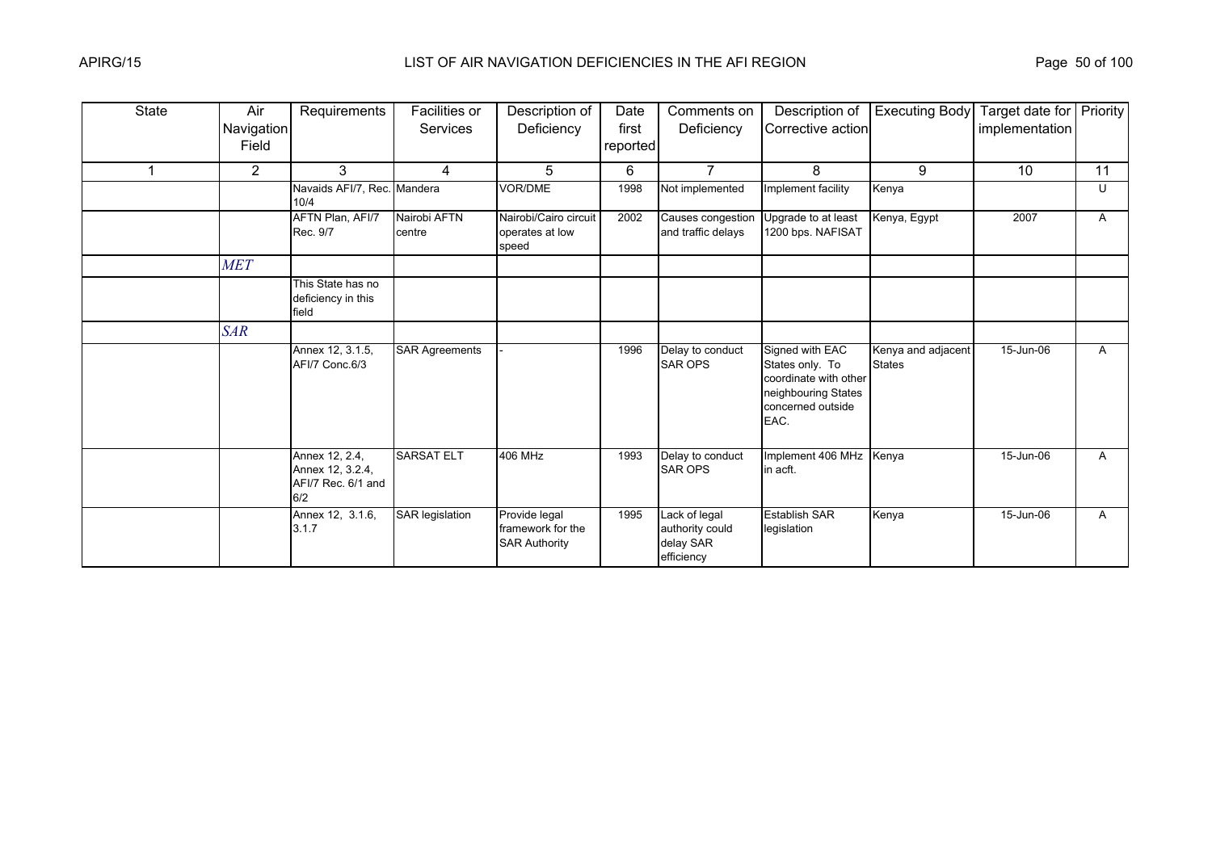| <b>State</b> | Air<br>Navigation<br>Field | Requirements                                                    | Facilities or<br>Services | Description of<br>Deficiency                               | Date<br>first<br>reported | Comments on<br>Deficiency                                   | Description of<br>Corrective action                                                                             | <b>Executing Body</b>               | Target date for Priority<br>implementation |    |
|--------------|----------------------------|-----------------------------------------------------------------|---------------------------|------------------------------------------------------------|---------------------------|-------------------------------------------------------------|-----------------------------------------------------------------------------------------------------------------|-------------------------------------|--------------------------------------------|----|
|              | $\mathbf{2}$               | 3                                                               | 4                         | 5                                                          | 6                         | $\overline{7}$                                              | 8                                                                                                               | 9                                   | 10                                         | 11 |
|              |                            | Navaids AFI/7, Rec. Mandera<br>10/4                             |                           | <b>VOR/DME</b>                                             | 1998                      | Not implemented                                             | Implement facility                                                                                              | Kenya                               |                                            | U  |
|              |                            | AFTN Plan, AFI/7<br>Rec. 9/7                                    | Nairobi AFTN<br>centre    | Nairobi/Cairo circuit<br>operates at low<br>speed          | 2002                      | <b>Causes</b> congestion<br>and traffic delays              | Upgrade to at least<br>1200 bps. NAFISAT                                                                        | Kenya, Egypt                        | 2007                                       | A  |
|              | <b>MET</b>                 |                                                                 |                           |                                                            |                           |                                                             |                                                                                                                 |                                     |                                            |    |
|              |                            | This State has no<br>deficiency in this<br>field                |                           |                                                            |                           |                                                             |                                                                                                                 |                                     |                                            |    |
|              | <b>SAR</b>                 |                                                                 |                           |                                                            |                           |                                                             |                                                                                                                 |                                     |                                            |    |
|              |                            | Annex 12, 3.1.5,<br>AFI/7 Conc.6/3                              | <b>SAR Agreements</b>     |                                                            | 1996                      | Delay to conduct<br><b>SAR OPS</b>                          | Signed with EAC<br>States only. To<br>coordinate with other<br>neighbouring States<br>concerned outside<br>EAC. | Kenya and adjacent<br><b>States</b> | 15-Jun-06                                  | A  |
|              |                            | Annex 12, 2.4,<br>Annex 12, 3.2.4,<br>AFI/7 Rec. 6/1 and<br>6/2 | <b>SARSAT ELT</b>         | 406 MHz                                                    | 1993                      | Delay to conduct<br><b>SAR OPS</b>                          | Implement 406 MHz Kenya<br>in acft.                                                                             |                                     | 15-Jun-06                                  | A  |
|              |                            | Annex 12, 3.1.6,<br>3.1.7                                       | <b>SAR</b> legislation    | Provide legal<br>framework for the<br><b>SAR Authority</b> | 1995                      | Lack of legal<br>authority could<br>delay SAR<br>efficiency | <b>Establish SAR</b><br>legislation                                                                             | Kenya                               | 15-Jun-06                                  | A  |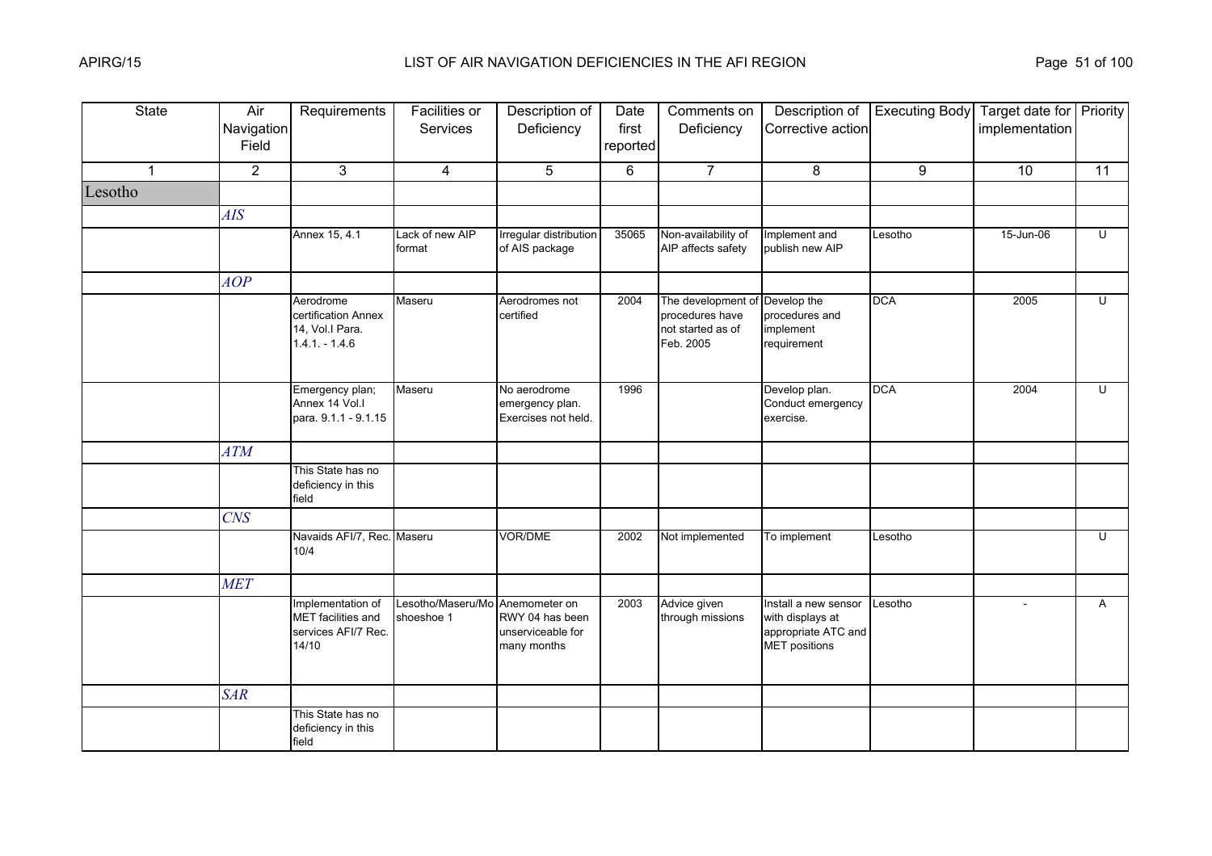| <b>State</b> | Air<br>Navigation<br>Field | Requirements                                                            | Facilities or<br>Services                     | Description of<br>Deficiency                           | Date<br>first<br>reported | Comments on<br>Deficiency                                               | Description of<br>Corrective action                                                     | <b>Executing Body</b> | Target date for Priority<br>implementation |    |
|--------------|----------------------------|-------------------------------------------------------------------------|-----------------------------------------------|--------------------------------------------------------|---------------------------|-------------------------------------------------------------------------|-----------------------------------------------------------------------------------------|-----------------------|--------------------------------------------|----|
| $\mathbf{1}$ | $\overline{2}$             | 3                                                                       | $\overline{4}$                                | 5                                                      | 6                         | $\overline{7}$                                                          | 8                                                                                       | 9                     | 10                                         | 11 |
| Lesotho      |                            |                                                                         |                                               |                                                        |                           |                                                                         |                                                                                         |                       |                                            |    |
|              | AIS                        |                                                                         |                                               |                                                        |                           |                                                                         |                                                                                         |                       |                                            |    |
|              |                            | Annex 15, 4.1                                                           | Lack of new AIP<br>format                     | Irregular distribution<br>of AIS package               | 35065                     | Non-availability of<br>AIP affects safety                               | Implement and<br>publish new AIP                                                        | Lesotho               | 15-Jun-06                                  | Ū  |
|              | AOP                        |                                                                         |                                               |                                                        |                           |                                                                         |                                                                                         |                       |                                            |    |
|              |                            | Aerodrome<br>certification Annex<br>14, Vol.I Para.<br>$1.4.1 - 1.4.6$  | Maseru                                        | Aerodromes not<br>certified                            | 2004                      | The development of<br>procedures have<br>not started as of<br>Feb. 2005 | Develop the<br>procedures and<br>implement<br>requirement                               | <b>DCA</b>            | 2005                                       | U  |
|              |                            | Emergency plan;<br>Annex 14 Vol.I<br>para. 9.1.1 - 9.1.15               | Maseru                                        | No aerodrome<br>emergency plan.<br>Exercises not held. | 1996                      |                                                                         | Develop plan.<br>Conduct emergency<br>exercise.                                         | <b>DCA</b>            | 2004                                       | Ū  |
|              | <b>ATM</b>                 |                                                                         |                                               |                                                        |                           |                                                                         |                                                                                         |                       |                                            |    |
|              |                            | This State has no<br>deficiency in this<br>field                        |                                               |                                                        |                           |                                                                         |                                                                                         |                       |                                            |    |
|              | <b>CNS</b>                 |                                                                         |                                               |                                                        |                           |                                                                         |                                                                                         |                       |                                            |    |
|              |                            | Navaids AFI/7, Rec. Maseru<br>10/4                                      |                                               | VOR/DME                                                | 2002                      | Not implemented                                                         | To implement                                                                            | Lesotho               |                                            | U  |
|              | <b>MET</b>                 |                                                                         |                                               |                                                        |                           |                                                                         |                                                                                         |                       |                                            |    |
|              |                            | Implementation of<br>MET facilities and<br>services AFI/7 Rec.<br>14/10 | Lesotho/Maseru/Mo Anemometer on<br>shoeshoe 1 | RWY 04 has been<br>unserviceable for<br>many months    | 2003                      | Advice given<br>through missions                                        | Install a new sensor<br>with displays at<br>appropriate ATC and<br><b>MET</b> positions | Lesotho               |                                            | A  |
|              | <b>SAR</b>                 |                                                                         |                                               |                                                        |                           |                                                                         |                                                                                         |                       |                                            |    |
|              |                            | This State has no<br>deficiency in this<br>field                        |                                               |                                                        |                           |                                                                         |                                                                                         |                       |                                            |    |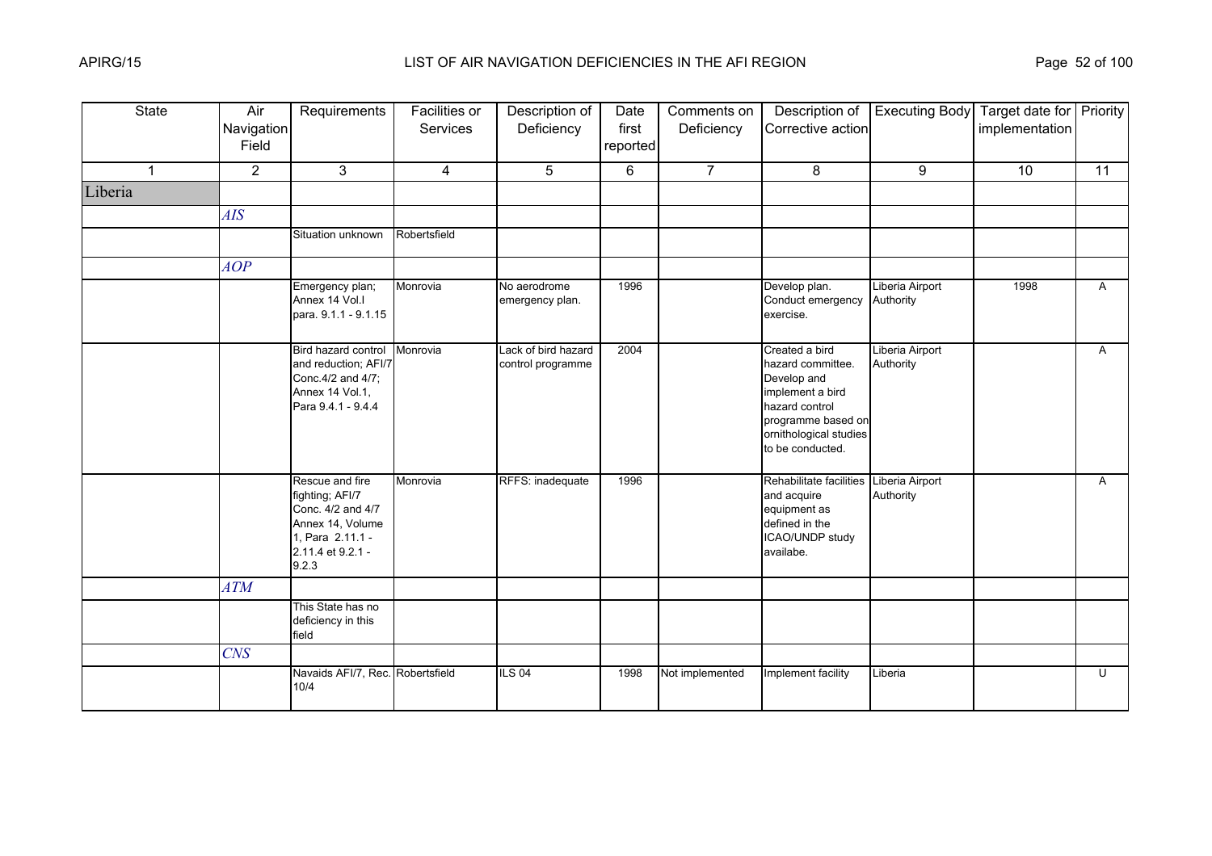| <b>State</b> | Air<br>Navigation<br>Field | Requirements                                                                                                                  | Facilities or<br>Services | Description of<br>Deficiency             | Date<br>first<br>reported | Comments on<br>Deficiency | Description of<br>Corrective action                                                                                                                          | <b>Executing Body</b>        | Target date for Priority<br>implementation |              |
|--------------|----------------------------|-------------------------------------------------------------------------------------------------------------------------------|---------------------------|------------------------------------------|---------------------------|---------------------------|--------------------------------------------------------------------------------------------------------------------------------------------------------------|------------------------------|--------------------------------------------|--------------|
| $\mathbf{1}$ | $\overline{2}$             | 3                                                                                                                             | 4                         | 5                                        | 6                         | $\overline{7}$            | 8                                                                                                                                                            | 9                            | 10                                         | 11           |
| Liberia      |                            |                                                                                                                               |                           |                                          |                           |                           |                                                                                                                                                              |                              |                                            |              |
|              | AIS                        |                                                                                                                               |                           |                                          |                           |                           |                                                                                                                                                              |                              |                                            |              |
|              |                            | Situation unknown                                                                                                             | Robertsfield              |                                          |                           |                           |                                                                                                                                                              |                              |                                            |              |
|              | AOP                        |                                                                                                                               |                           |                                          |                           |                           |                                                                                                                                                              |                              |                                            |              |
|              |                            | Emergency plan;<br>Annex 14 Vol.I<br>para. 9.1.1 - 9.1.15                                                                     | Monrovia                  | No aerodrome<br>emergency plan.          | 1996                      |                           | Develop plan.<br>Conduct emergency Authority<br>exercise.                                                                                                    | Liberia Airport              | 1998                                       | A            |
|              |                            | Bird hazard control<br>and reduction; AFI/7<br>Conc.4/2 and 4/7;<br>Annex 14 Vol.1,<br>Para 9.4.1 - 9.4.4                     | Monrovia                  | Lack of bird hazard<br>control programme | 2004                      |                           | Created a bird<br>hazard committee.<br>Develop and<br>implement a bird<br>hazard control<br>programme based on<br>ornithological studies<br>to be conducted. | Liberia Airport<br>Authority |                                            | $\mathsf{A}$ |
|              |                            | Rescue and fire<br>fighting; AFI/7<br>Conc. 4/2 and 4/7<br>Annex 14, Volume<br>1, Para 2.11.1 -<br>2.11.4 et 9.2.1 -<br>9.2.3 | Monrovia                  | RFFS: inadequate                         | 1996                      |                           | Rehabilitate facilities Liberia Airport<br>and acquire<br>equipment as<br>defined in the<br>ICAO/UNDP study<br>availabe.                                     | Authority                    |                                            | A            |
|              | <b>ATM</b>                 |                                                                                                                               |                           |                                          |                           |                           |                                                                                                                                                              |                              |                                            |              |
|              |                            | This State has no<br>deficiency in this<br>field                                                                              |                           |                                          |                           |                           |                                                                                                                                                              |                              |                                            |              |
|              | <b>CNS</b>                 |                                                                                                                               |                           |                                          |                           |                           |                                                                                                                                                              |                              |                                            |              |
|              |                            | Navaids AFI/7, Rec. Robertsfield<br>10/4                                                                                      |                           | <b>ILS 04</b>                            | 1998                      | Not implemented           | Implement facility                                                                                                                                           | Liberia                      |                                            | Ū            |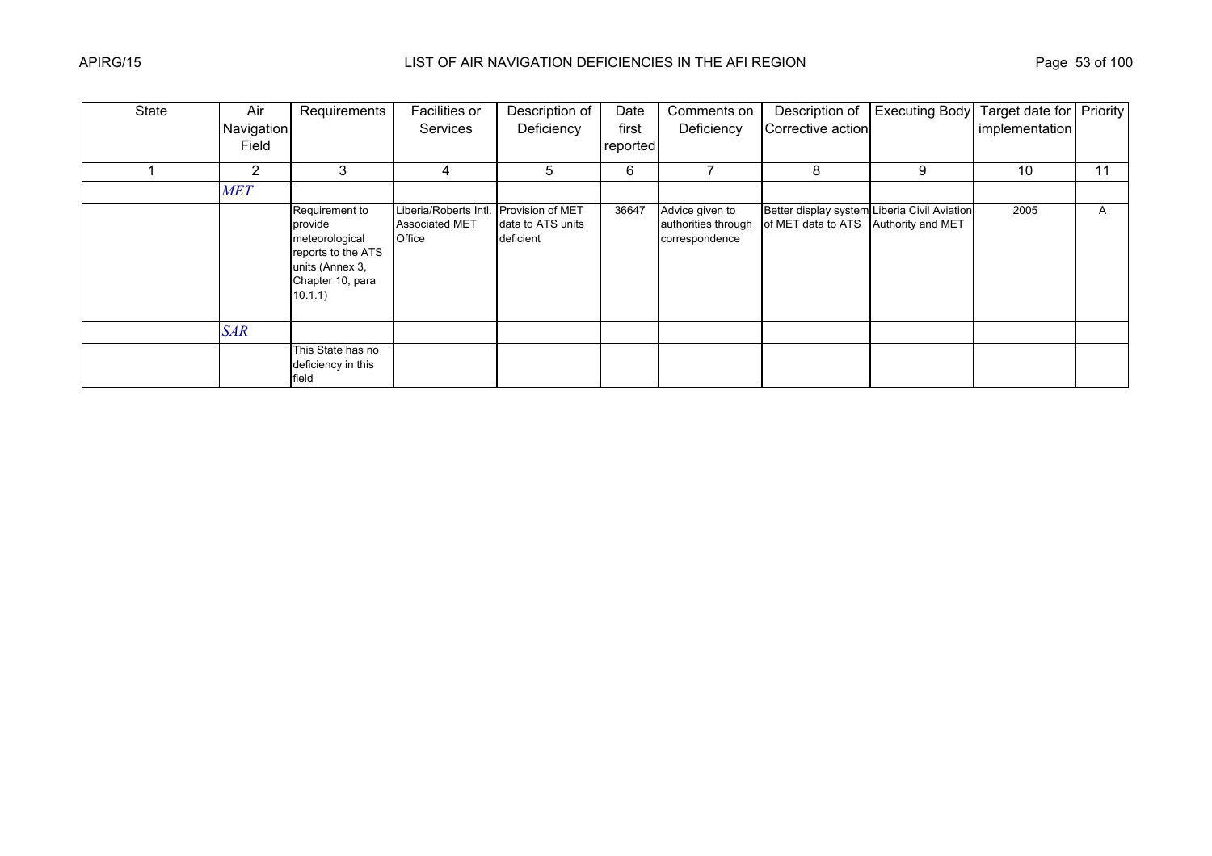| <b>State</b> | Air        | Requirements                                                                                                        | Facilities or                                            | Description of                                     | Date     | Comments on                                              | Description of                                                     | <b>Executing Body</b> | Target date for Priority |    |
|--------------|------------|---------------------------------------------------------------------------------------------------------------------|----------------------------------------------------------|----------------------------------------------------|----------|----------------------------------------------------------|--------------------------------------------------------------------|-----------------------|--------------------------|----|
|              | Navigation |                                                                                                                     | <b>Services</b>                                          | Deficiency                                         | first    | Deficiency                                               | Corrective action                                                  |                       | implementation           |    |
|              | Field      |                                                                                                                     |                                                          |                                                    | reported |                                                          |                                                                    |                       |                          |    |
|              | 2          | 3                                                                                                                   | 4                                                        | 5                                                  | 6        |                                                          | 8                                                                  | 9                     | 10                       | 11 |
|              | <b>MET</b> |                                                                                                                     |                                                          |                                                    |          |                                                          |                                                                    |                       |                          |    |
|              |            | Requirement to<br>provide<br>meteorological<br>reports to the ATS<br>units (Annex 3,<br>Chapter 10, para<br>10.1.1) | Liberia/Roberts Intl.<br><b>Associated MET</b><br>Office | Provision of MET<br>data to ATS units<br>deficient | 36647    | Advice given to<br>authorities through<br>correspondence | Better display system Liberia Civil Aviation<br>of MET data to ATS | Authority and MET     | 2005                     | A  |
|              | <b>SAR</b> |                                                                                                                     |                                                          |                                                    |          |                                                          |                                                                    |                       |                          |    |
|              |            | This State has no<br>deficiency in this<br>field                                                                    |                                                          |                                                    |          |                                                          |                                                                    |                       |                          |    |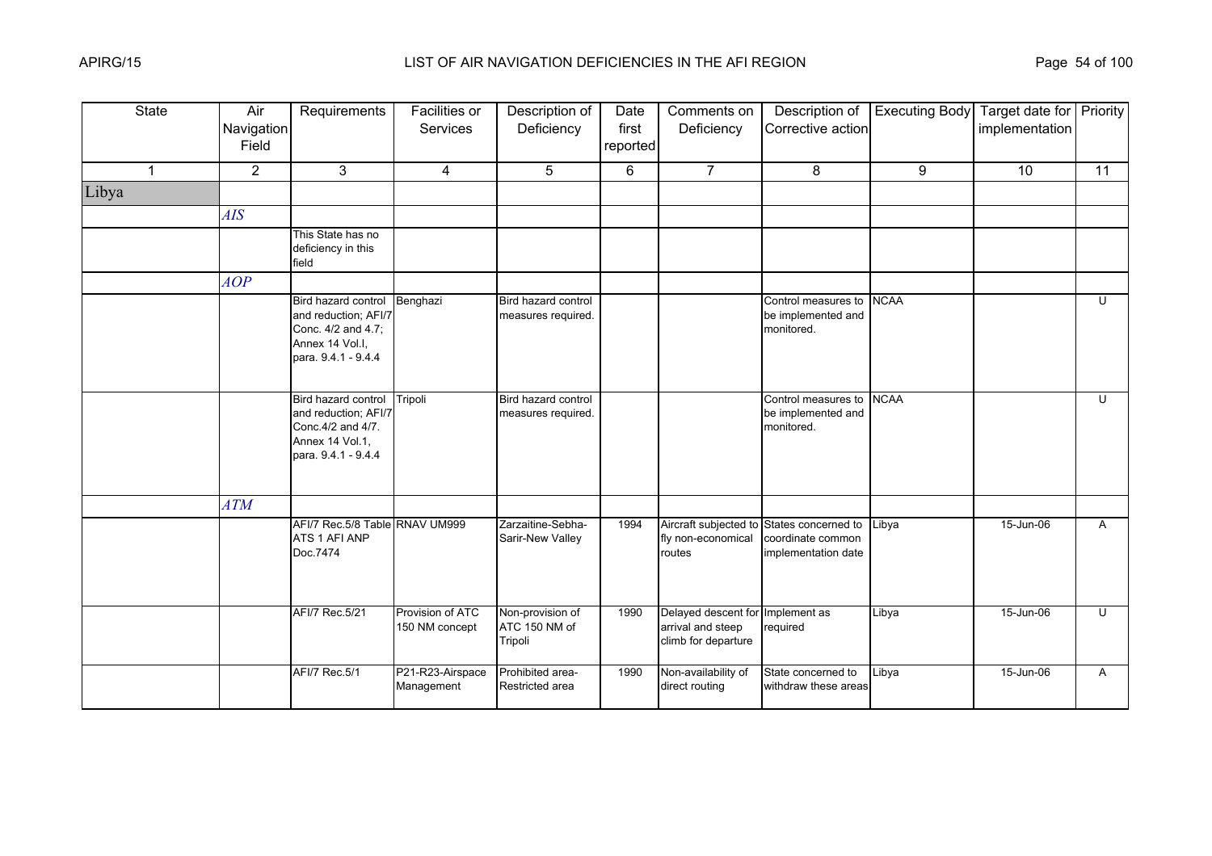| <b>State</b> | Air<br>Navigation<br>Field | Requirements                                                                                                | Facilities or<br><b>Services</b>   | Description of<br>Deficiency                 | Date<br>first<br>reported | Comments on<br>Deficiency                                       | Description of<br>Corrective action                             | <b>Executing Body</b> | Target date for Priority<br>implementation |              |
|--------------|----------------------------|-------------------------------------------------------------------------------------------------------------|------------------------------------|----------------------------------------------|---------------------------|-----------------------------------------------------------------|-----------------------------------------------------------------|-----------------------|--------------------------------------------|--------------|
| $\mathbf{1}$ | $\overline{2}$             | 3                                                                                                           | $\overline{4}$                     | 5                                            | 6                         | $\overline{7}$                                                  | 8                                                               | 9                     | 10                                         | 11           |
| Libya        |                            |                                                                                                             |                                    |                                              |                           |                                                                 |                                                                 |                       |                                            |              |
|              | <b>AIS</b>                 |                                                                                                             |                                    |                                              |                           |                                                                 |                                                                 |                       |                                            |              |
|              |                            | This State has no<br>deficiency in this<br>field                                                            |                                    |                                              |                           |                                                                 |                                                                 |                       |                                            |              |
|              | AOP                        |                                                                                                             |                                    |                                              |                           |                                                                 |                                                                 |                       |                                            |              |
|              |                            | Bird hazard control<br>and reduction; AFI/7<br>Conc. 4/2 and 4.7;<br>Annex 14 Vol.I,<br>para. 9.4.1 - 9.4.4 | Benghazi                           | Bird hazard control<br>measures required.    |                           |                                                                 | Control measures to<br>be implemented and<br>monitored.         | <b>NCAA</b>           |                                            | $\cup$       |
|              |                            | Bird hazard control<br>and reduction; AFI/7<br>Conc.4/2 and 4/7.<br>Annex 14 Vol.1,<br>para. 9.4.1 - 9.4.4  | Tripoli                            | Bird hazard control<br>measures required.    |                           |                                                                 | Control measures to<br>be implemented and<br>monitored.         | <b>NCAA</b>           |                                            | $\mathbf{U}$ |
|              | <b>ATM</b>                 |                                                                                                             |                                    |                                              |                           |                                                                 |                                                                 |                       |                                            |              |
|              |                            | AFI/7 Rec.5/8 Table RNAV UM999<br>ATS 1 AFI ANP<br>Doc.7474                                                 |                                    | Zarzaitine-Sebha-<br>Sarir-New Valley        | 1994                      | Aircraft subjected to<br>fly non-economical<br>routes           | States concerned to<br>coordinate common<br>implementation date | Libya                 | 15-Jun-06                                  | A            |
|              |                            | AFI/7 Rec.5/21                                                                                              | Provision of ATC<br>150 NM concept | Non-provision of<br>ATC 150 NM of<br>Tripoli | 1990                      | Delayed descent for<br>arrival and steep<br>climb for departure | Implement as<br>required                                        | Libya                 | 15-Jun-06                                  | U            |
|              |                            | AFI/7 Rec.5/1                                                                                               | P21-R23-Airspace<br>Management     | Prohibited area-<br>Restricted area          | 1990                      | Non-availability of<br>direct routing                           | State concerned to<br>withdraw these areas                      | Libya                 | 15-Jun-06                                  | A            |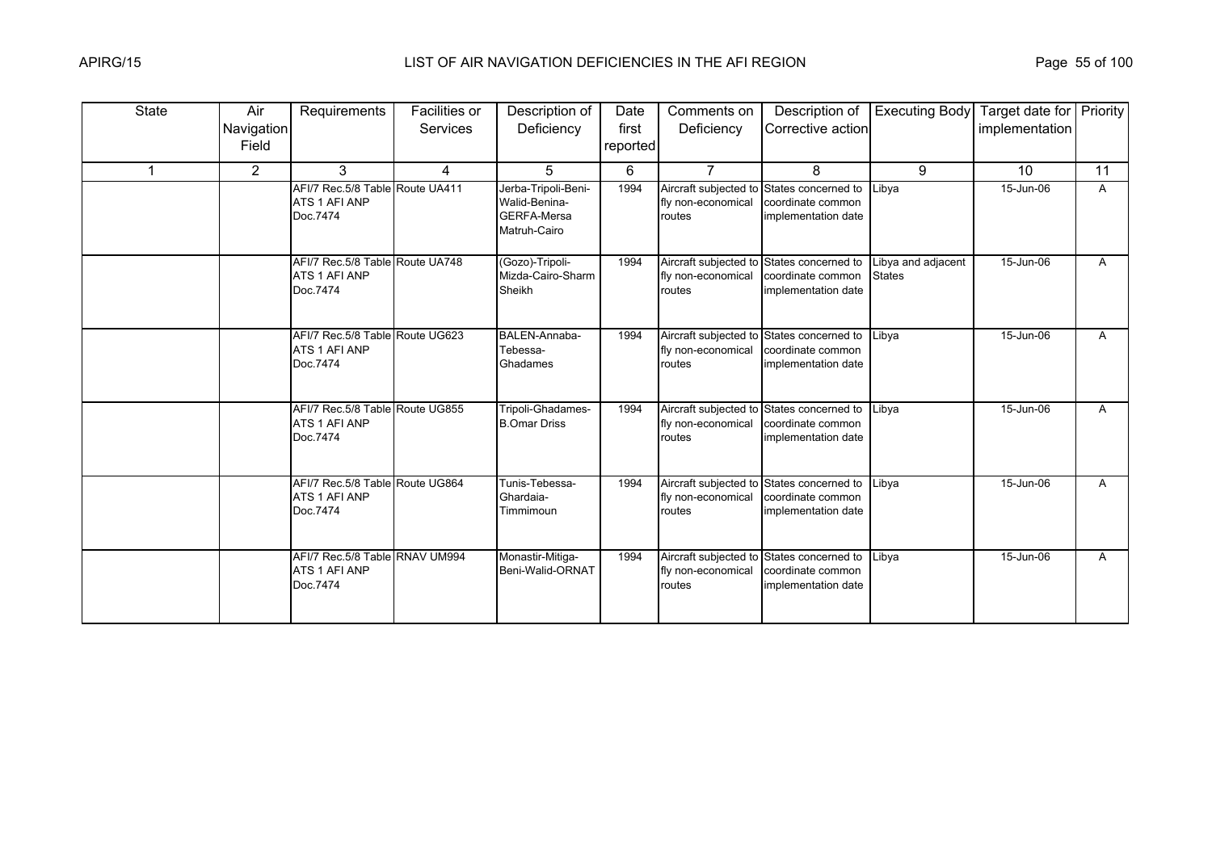| State | Air<br>Navigation<br>Field | Requirements                                                 | Facilities or<br>Services | Description of<br>Deficiency                                               | Date<br>first<br>reported | Comments on<br>Deficiency                                                 | Description of<br>Corrective action                                                   | <b>Executing Body</b>               | Target date for Priority<br>implementation |    |
|-------|----------------------------|--------------------------------------------------------------|---------------------------|----------------------------------------------------------------------------|---------------------------|---------------------------------------------------------------------------|---------------------------------------------------------------------------------------|-------------------------------------|--------------------------------------------|----|
|       | $\overline{2}$             | 3                                                            | $\overline{4}$            | 5                                                                          | 6                         | $\overline{7}$                                                            | 8                                                                                     | 9                                   | 10                                         | 11 |
|       |                            | AFI/7 Rec.5/8 Table Route UA411<br>ATS 1 AFI ANP<br>Doc.7474 |                           | Jerba-Tripoli-Beni-<br>Walid-Benina-<br><b>GERFA-Mersa</b><br>Matruh-Cairo | 1994                      | Aircraft subjected to States concerned to<br>fly non-economical<br>routes | coordinate common<br>implementation date                                              | Libya                               | 15-Jun-06                                  | A  |
|       |                            | AFI/7 Rec.5/8 Table Route UA748<br>ATS 1 AFI ANP<br>Doc.7474 |                           | (Gozo)-Tripoli-<br>Mizda-Cairo-Sharm<br>Sheikh                             | 1994                      | Aircraft subjected to States concerned to<br>fly non-economical<br>routes | coordinate common<br>implementation date                                              | Libya and adjacent<br><b>States</b> | 15-Jun-06                                  | A  |
|       |                            | AFI/7 Rec.5/8 Table Route UG623<br>ATS 1 AFI ANP<br>Doc.7474 |                           | BALEN-Annaba-<br>Tebessa-<br>Ghadames                                      | 1994                      | Aircraft subjected to States concerned to<br>fly non-economical<br>routes | coordinate common<br>implementation date                                              | Libya                               | 15-Jun-06                                  | A  |
|       |                            | AFI/7 Rec.5/8 Table Route UG855<br>ATS 1 AFI ANP<br>Doc.7474 |                           | Tripoli-Ghadames-<br><b>B.Omar Driss</b>                                   | 1994                      | Aircraft subjected to States concerned to<br>fly non-economical<br>routes | coordinate common<br>implementation date                                              | Libya                               | 15-Jun-06                                  | A  |
|       |                            | AFI/7 Rec.5/8 Table Route UG864<br>ATS 1 AFI ANP<br>Doc.7474 |                           | Tunis-Tebessa-<br>Ghardaia-<br>Timmimoun                                   | 1994                      | fly non-economical<br>routes                                              | Aircraft subjected to States concerned to<br>coordinate common<br>implementation date | Libya                               | 15-Jun-06                                  | A  |
|       |                            | AFI/7 Rec.5/8 Table RNAV UM994<br>ATS 1 AFI ANP<br>Doc.7474  |                           | Monastir-Mitiga-<br>Beni-Walid-ORNAT                                       | 1994                      | fly non-economical<br>routes                                              | Aircraft subjected to States concerned to<br>coordinate common<br>implementation date | Libya                               | 15-Jun-06                                  | A  |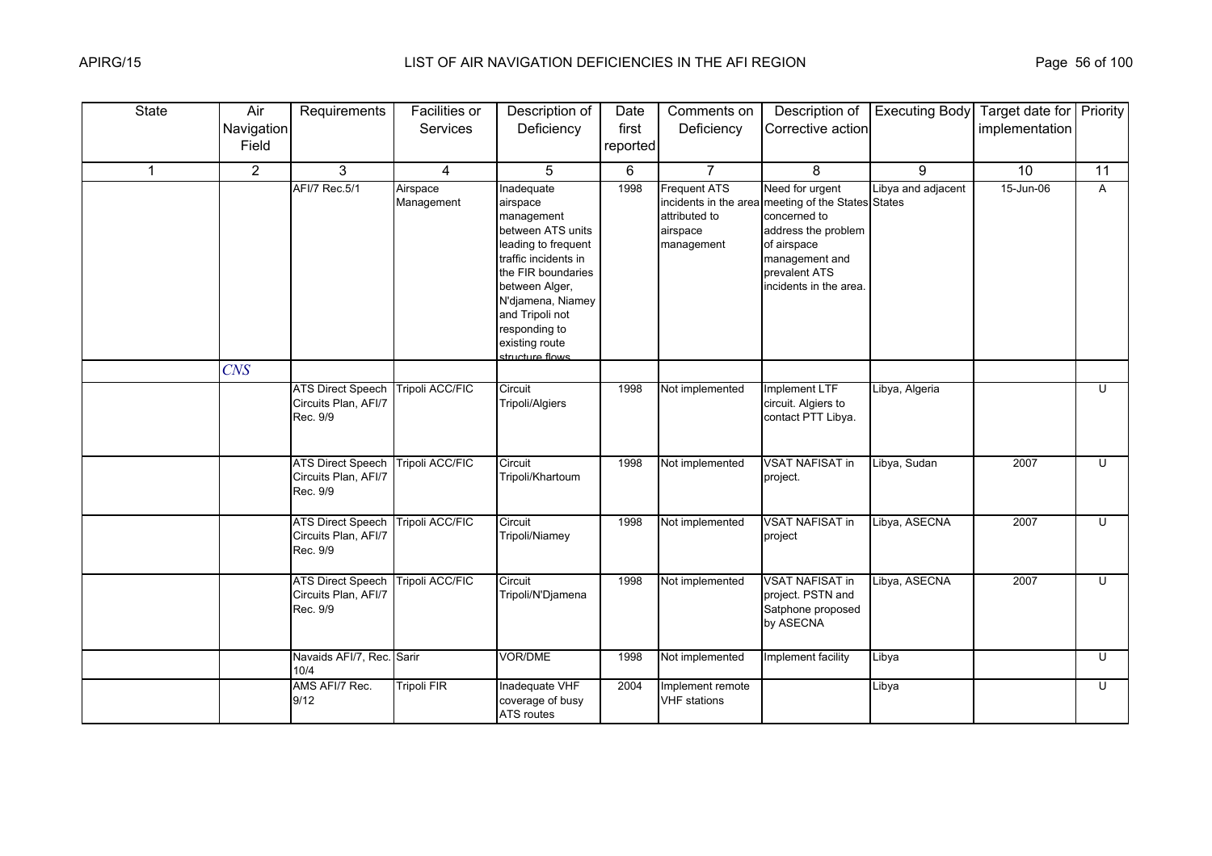| <b>State</b> | Air<br>Navigation<br>Field | Requirements                                                 | Facilities or<br>Services | Description of<br>Deficiency                                                                                                                                                                                                                   | Date<br>first<br>reported | Comments on<br>Deficiency                                      | Description of<br>Corrective action                                                                                                                                                      | <b>Executing Body</b> | Target date for Priority<br>implementation |                |
|--------------|----------------------------|--------------------------------------------------------------|---------------------------|------------------------------------------------------------------------------------------------------------------------------------------------------------------------------------------------------------------------------------------------|---------------------------|----------------------------------------------------------------|------------------------------------------------------------------------------------------------------------------------------------------------------------------------------------------|-----------------------|--------------------------------------------|----------------|
| $\mathbf 1$  | $\overline{2}$             | 3                                                            | 4                         | 5                                                                                                                                                                                                                                              | 6                         | $\overline{7}$                                                 | 8                                                                                                                                                                                        | 9                     | 10                                         | 11             |
|              |                            | <b>AFI/7 Rec.5/1</b>                                         | Airspace<br>Management    | Inadequate<br>airspace<br>management<br>between ATS units<br>leading to frequent<br>traffic incidents in<br>the FIR boundaries<br>between Alger,<br>N'djamena, Niamey<br>and Tripoli not<br>responding to<br>existing route<br>structure flows | 1998                      | <b>Frequent ATS</b><br>attributed to<br>airspace<br>management | Need for urgent<br>incidents in the area meeting of the States States<br>concerned to<br>address the problem<br>of airspace<br>management and<br>prevalent ATS<br>incidents in the area. | Libya and adjacent    | 15-Jun-06                                  | A              |
|              | CNS                        |                                                              |                           |                                                                                                                                                                                                                                                |                           |                                                                |                                                                                                                                                                                          |                       |                                            |                |
|              |                            | <b>ATS Direct Speech</b><br>Circuits Plan, AFI/7<br>Rec. 9/9 | Tripoli ACC/FIC           | Circuit<br>Tripoli/Algiers                                                                                                                                                                                                                     | 1998                      | Not implemented                                                | Implement LTF<br>circuit. Algiers to<br>contact PTT Libya.                                                                                                                               | Libya, Algeria        |                                            | $\overline{U}$ |
|              |                            | <b>ATS Direct Speech</b><br>Circuits Plan, AFI/7<br>Rec. 9/9 | <b>Tripoli ACC/FIC</b>    | Circuit<br>Tripoli/Khartoum                                                                                                                                                                                                                    | 1998                      | Not implemented                                                | <b>VSAT NAFISAT in</b><br>project.                                                                                                                                                       | Libya, Sudan          | 2007                                       | U              |
|              |                            | <b>ATS Direct Speech</b><br>Circuits Plan, AFI/7<br>Rec. 9/9 | <b>Tripoli ACC/FIC</b>    | Circuit<br>Tripoli/Niamey                                                                                                                                                                                                                      | 1998                      | Not implemented                                                | <b>VSAT NAFISAT in</b><br>project                                                                                                                                                        | Libya, ASECNA         | 2007                                       | U              |
|              |                            | <b>ATS Direct Speech</b><br>Circuits Plan, AFI/7<br>Rec. 9/9 | Tripoli ACC/FIC           | Circuit<br>Tripoli/N'Djamena                                                                                                                                                                                                                   | 1998                      | Not implemented                                                | <b>VSAT NAFISAT in</b><br>project. PSTN and<br>Satphone proposed<br>by ASECNA                                                                                                            | Libya, ASECNA         | 2007                                       | $\overline{C}$ |
|              |                            | Navaids AFI/7, Rec. Sarir<br>10/4                            |                           | VOR/DME                                                                                                                                                                                                                                        | 1998                      | Not implemented                                                | Implement facility                                                                                                                                                                       | Libya                 |                                            | $\overline{U}$ |
|              |                            | AMS AFI/7 Rec.<br>9/12                                       | Tripoli FIR               | Inadequate VHF<br>coverage of busy<br>ATS routes                                                                                                                                                                                               | 2004                      | Implement remote<br><b>VHF</b> stations                        |                                                                                                                                                                                          | Libya                 |                                            | U              |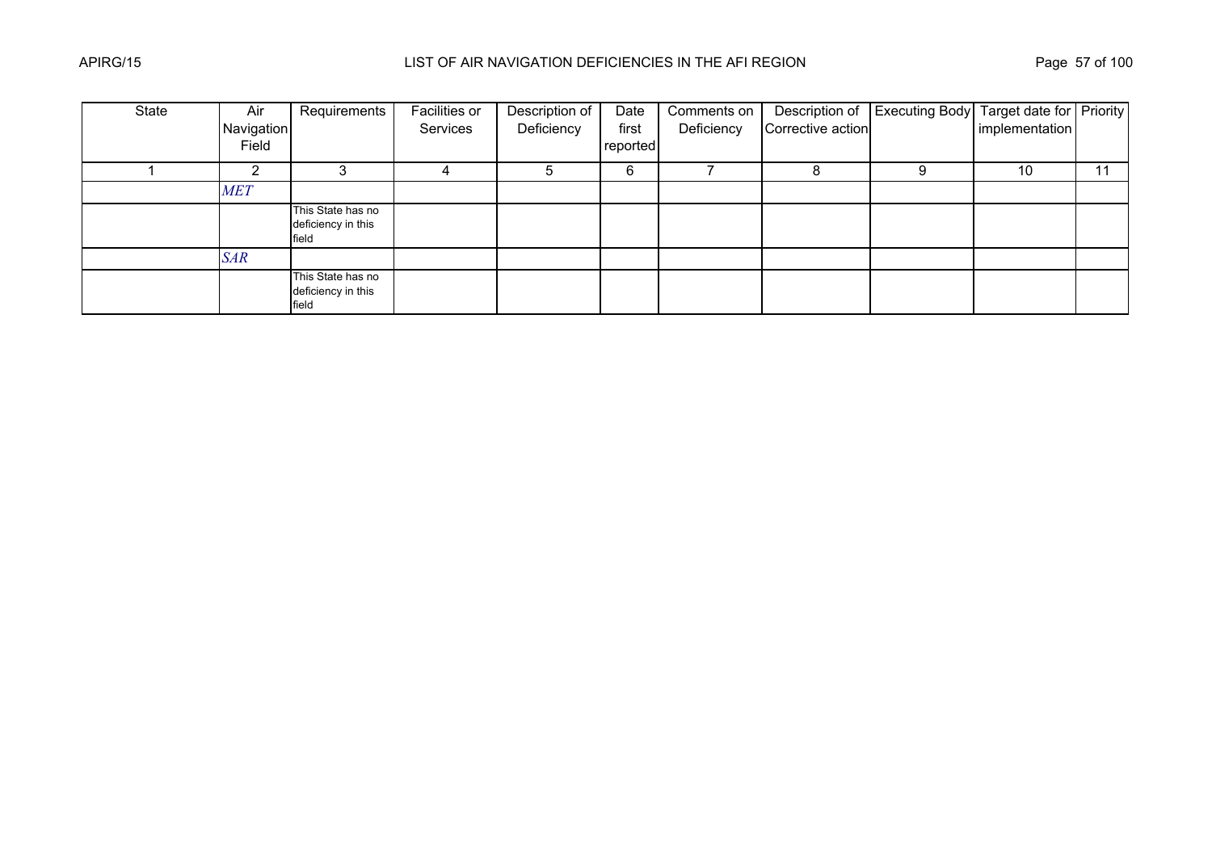| State | Air<br>Navigation<br>Field | Requirements                                     | Facilities or<br>Services | Description of<br>Deficiency | Date<br>first<br>reported | Comments on<br>Deficiency | Corrective action | Description of Executing Body Target date for Priority | implementation |    |
|-------|----------------------------|--------------------------------------------------|---------------------------|------------------------------|---------------------------|---------------------------|-------------------|--------------------------------------------------------|----------------|----|
|       |                            |                                                  |                           | b                            | 6                         |                           |                   | 9                                                      | 10             | 11 |
|       | <b>MET</b>                 |                                                  |                           |                              |                           |                           |                   |                                                        |                |    |
|       |                            | This State has no<br>deficiency in this<br>field |                           |                              |                           |                           |                   |                                                        |                |    |
|       | <b>SAR</b>                 |                                                  |                           |                              |                           |                           |                   |                                                        |                |    |
|       |                            | This State has no<br>deficiency in this<br>field |                           |                              |                           |                           |                   |                                                        |                |    |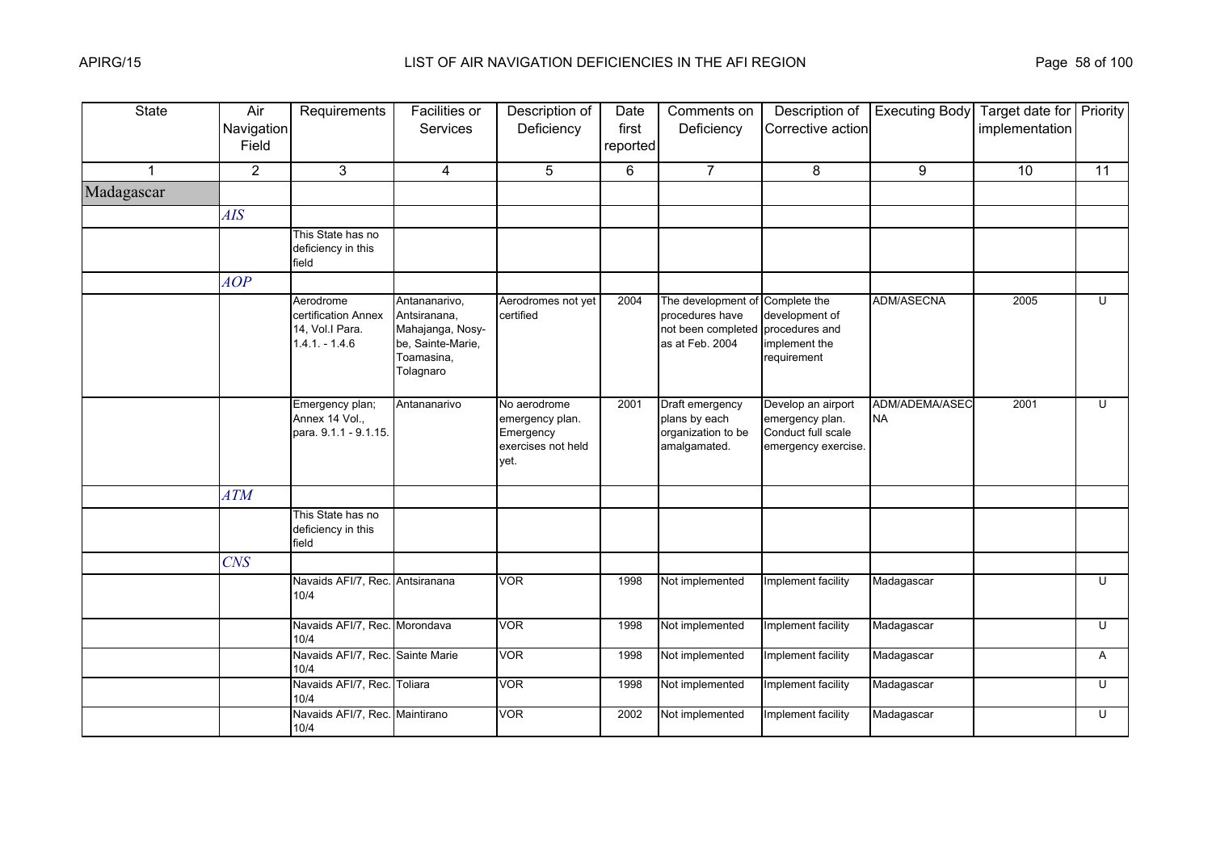| <b>State</b> | Air<br>Navigation<br>Field | Requirements                                                           | Facilities or<br><b>Services</b>                                                                  | Description of<br>Deficiency                                               | Date<br>first<br>reported | Comments on<br>Deficiency                                                      | Description of<br>Corrective action                                                | <b>Executing Body</b>       | Target date for Priority<br>implementation |    |
|--------------|----------------------------|------------------------------------------------------------------------|---------------------------------------------------------------------------------------------------|----------------------------------------------------------------------------|---------------------------|--------------------------------------------------------------------------------|------------------------------------------------------------------------------------|-----------------------------|--------------------------------------------|----|
| $\mathbf{1}$ | $\overline{2}$             | 3                                                                      | $\overline{4}$                                                                                    | 5                                                                          | 6                         | $\overline{7}$                                                                 | 8                                                                                  | 9                           | 10                                         | 11 |
| Madagascar   |                            |                                                                        |                                                                                                   |                                                                            |                           |                                                                                |                                                                                    |                             |                                            |    |
|              | AIS                        |                                                                        |                                                                                                   |                                                                            |                           |                                                                                |                                                                                    |                             |                                            |    |
|              |                            | This State has no<br>deficiency in this<br>field                       |                                                                                                   |                                                                            |                           |                                                                                |                                                                                    |                             |                                            |    |
|              | AOP                        |                                                                        |                                                                                                   |                                                                            |                           |                                                                                |                                                                                    |                             |                                            |    |
|              |                            | Aerodrome<br>certification Annex<br>14, Vol.I Para.<br>$1.4.1 - 1.4.6$ | Antananarivo,<br>Antsiranana,<br>Mahajanga, Nosy-<br>be, Sainte-Marie,<br>Toamasina,<br>Tolagnaro | Aerodromes not yet<br>certified                                            | 2004                      | The development of<br>procedures have<br>not been completed<br>as at Feb. 2004 | Complete the<br>development of<br>procedures and<br>implement the<br>requirement   | <b>ADM/ASECNA</b>           | 2005                                       | U  |
|              |                            | Emergency plan;<br>Annex 14 Vol.,<br>para. 9.1.1 - 9.1.15.             | Antananarivo                                                                                      | No aerodrome<br>emergency plan.<br>Emergency<br>exercises not held<br>vet. | 2001                      | Draft emergency<br>plans by each<br>organization to be<br>amalgamated.         | Develop an airport<br>emergency plan.<br>Conduct full scale<br>emergency exercise. | ADM/ADEMA/ASEC<br><b>NA</b> | 2001                                       | U  |
|              | ATM                        |                                                                        |                                                                                                   |                                                                            |                           |                                                                                |                                                                                    |                             |                                            |    |
|              |                            | This State has no<br>deficiency in this<br>field                       |                                                                                                   |                                                                            |                           |                                                                                |                                                                                    |                             |                                            |    |
|              | CNS                        |                                                                        |                                                                                                   |                                                                            |                           |                                                                                |                                                                                    |                             |                                            |    |
|              |                            | Navaids AFI/7, Rec. Antsiranana<br>10/4                                |                                                                                                   | <b>VOR</b>                                                                 | 1998                      | Not implemented                                                                | Implement facility                                                                 | Madagascar                  |                                            | U  |
|              |                            | Navaids AFI/7, Rec. Morondava<br>10/4                                  |                                                                                                   | <b>VOR</b>                                                                 | 1998                      | Not implemented                                                                | Implement facility                                                                 | Madagascar                  |                                            | U  |
|              |                            | Navaids AFI/7, Rec. Sainte Marie<br>10/4                               |                                                                                                   | <b>VOR</b>                                                                 | 1998                      | Not implemented                                                                | Implement facility                                                                 | Madagascar                  |                                            | A  |
|              |                            | Navaids AFI/7, Rec. Toliara<br>10/4                                    |                                                                                                   | <b>VOR</b>                                                                 | 1998                      | Not implemented                                                                | Implement facility                                                                 | Madagascar                  |                                            | U  |
|              |                            | Navaids AFI/7, Rec. Maintirano<br>10/4                                 |                                                                                                   | <b>VOR</b>                                                                 | 2002                      | Not implemented                                                                | Implement facility                                                                 | Madagascar                  |                                            | U  |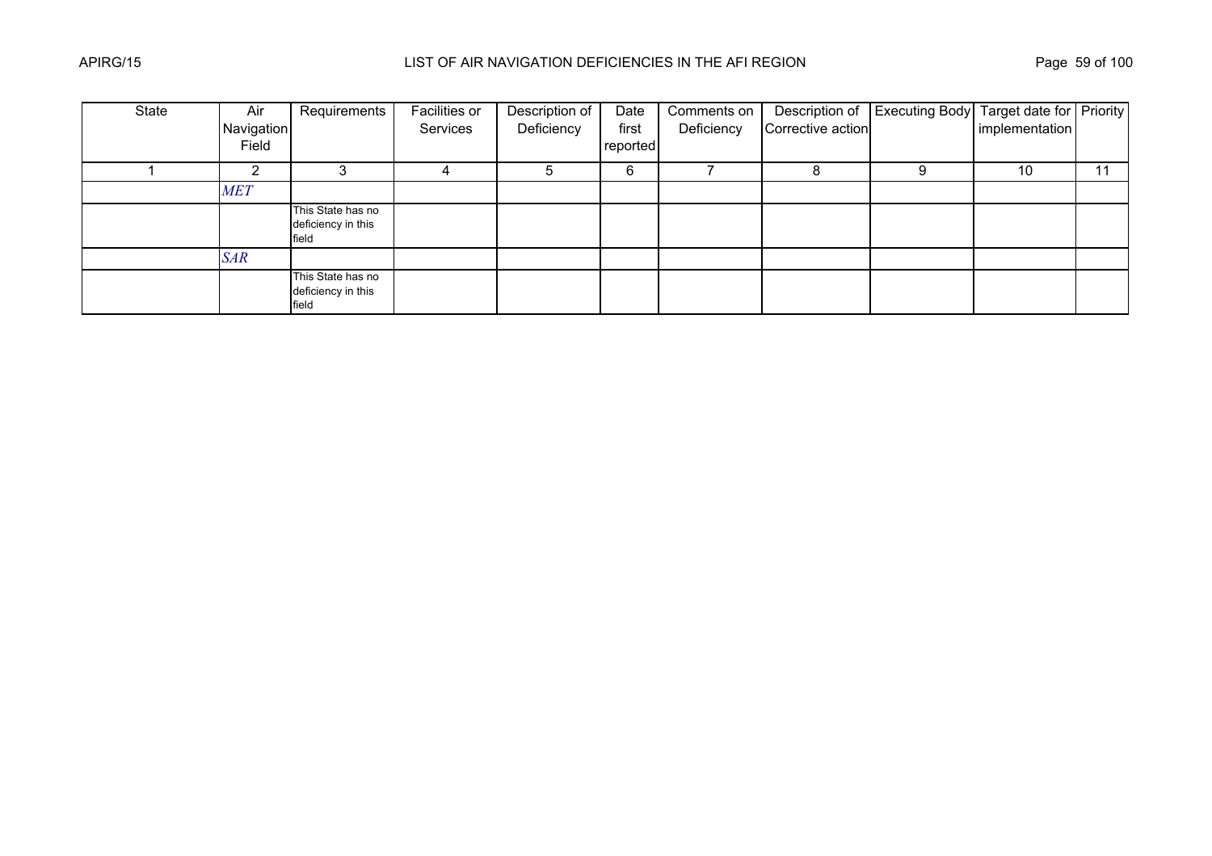| State | Air                 | Requirements                                     | Facilities or | Description of | Date              | Comments on |                   | Description of Executing Body Target date for Priority |                |    |
|-------|---------------------|--------------------------------------------------|---------------|----------------|-------------------|-------------|-------------------|--------------------------------------------------------|----------------|----|
|       | Navigation<br>Field |                                                  | Services      | Deficiency     | first<br>reported | Deficiency  | Corrective action |                                                        | implementation |    |
|       |                     |                                                  |               |                | 6                 |             |                   |                                                        | 10             | 11 |
|       | <b>MET</b>          |                                                  |               |                |                   |             |                   |                                                        |                |    |
|       |                     | This State has no<br>deficiency in this<br>field |               |                |                   |             |                   |                                                        |                |    |
|       | <b>SAR</b>          |                                                  |               |                |                   |             |                   |                                                        |                |    |
|       |                     | This State has no<br>deficiency in this<br>field |               |                |                   |             |                   |                                                        |                |    |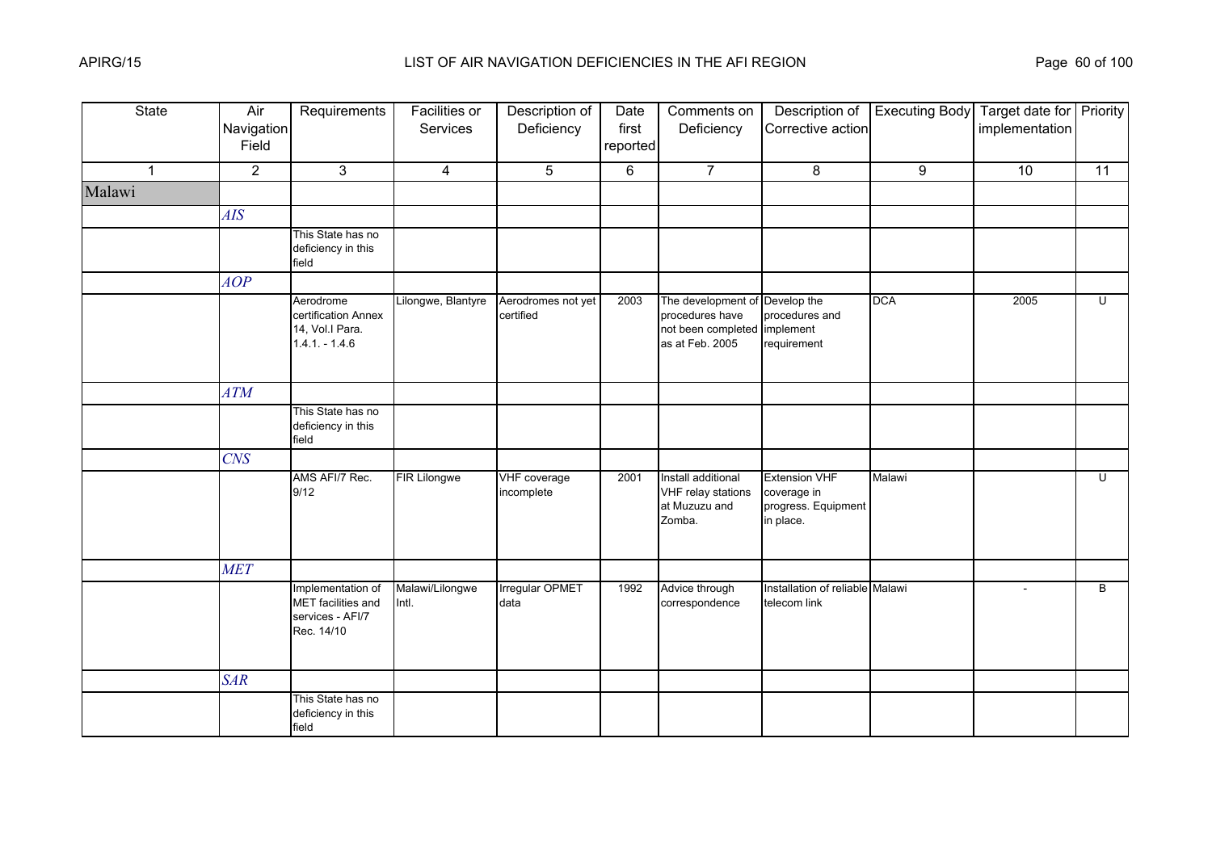| State        | Air<br>Navigation<br>Field | Requirements                                                              | Facilities or<br>Services | Description of<br>Deficiency    | Date<br>first<br>reported | Comments on<br>Deficiency                                                                            | Description of<br>Corrective action                                     | <b>Executing Body</b> | Target date for Priority<br>implementation |                |
|--------------|----------------------------|---------------------------------------------------------------------------|---------------------------|---------------------------------|---------------------------|------------------------------------------------------------------------------------------------------|-------------------------------------------------------------------------|-----------------------|--------------------------------------------|----------------|
| $\mathbf{1}$ | $\overline{2}$             | 3                                                                         | $\overline{4}$            | 5                               | 6                         | $\overline{7}$                                                                                       | 8                                                                       | 9                     | 10                                         | 11             |
| Malawi       |                            |                                                                           |                           |                                 |                           |                                                                                                      |                                                                         |                       |                                            |                |
|              | AIS                        |                                                                           |                           |                                 |                           |                                                                                                      |                                                                         |                       |                                            |                |
|              |                            | This State has no<br>deficiency in this<br>field                          |                           |                                 |                           |                                                                                                      |                                                                         |                       |                                            |                |
|              | AOP                        |                                                                           |                           |                                 |                           |                                                                                                      |                                                                         |                       |                                            |                |
|              |                            | Aerodrome<br>certification Annex<br>14, Vol.I Para.<br>$1.4.1 - 1.4.6$    | Lilongwe, Blantyre        | Aerodromes not yet<br>certified | 2003                      | The development of Develop the<br>procedures have<br>not been completed implement<br>as at Feb. 2005 | procedures and<br>requirement                                           | <b>DCA</b>            | 2005                                       | U              |
|              | <b>ATM</b>                 |                                                                           |                           |                                 |                           |                                                                                                      |                                                                         |                       |                                            |                |
|              |                            | This State has no<br>deficiency in this<br>field                          |                           |                                 |                           |                                                                                                      |                                                                         |                       |                                            |                |
|              | CNS                        |                                                                           |                           |                                 |                           |                                                                                                      |                                                                         |                       |                                            |                |
|              |                            | AMS AFI/7 Rec.<br>9/12                                                    | <b>FIR Lilongwe</b>       | VHF coverage<br>incomplete      | 2001                      | Install additional<br>VHF relay stations<br>at Muzuzu and<br>Zomba.                                  | <b>Extension VHF</b><br>coverage in<br>progress. Equipment<br>in place. | Malawi                |                                            | $\overline{U}$ |
|              | <b>MET</b>                 |                                                                           |                           |                                 |                           |                                                                                                      |                                                                         |                       |                                            |                |
|              |                            | Implementation of<br>MET facilities and<br>services - AFI/7<br>Rec. 14/10 | Malawi/Lilongwe<br>Intl.  | Irregular OPMET<br>data         | 1992                      | Advice through<br>correspondence                                                                     | Installation of reliable Malawi<br>telecom link                         |                       | $\sim$                                     | B              |
|              | <b>SAR</b>                 |                                                                           |                           |                                 |                           |                                                                                                      |                                                                         |                       |                                            |                |
|              |                            | This State has no<br>deficiency in this<br>field                          |                           |                                 |                           |                                                                                                      |                                                                         |                       |                                            |                |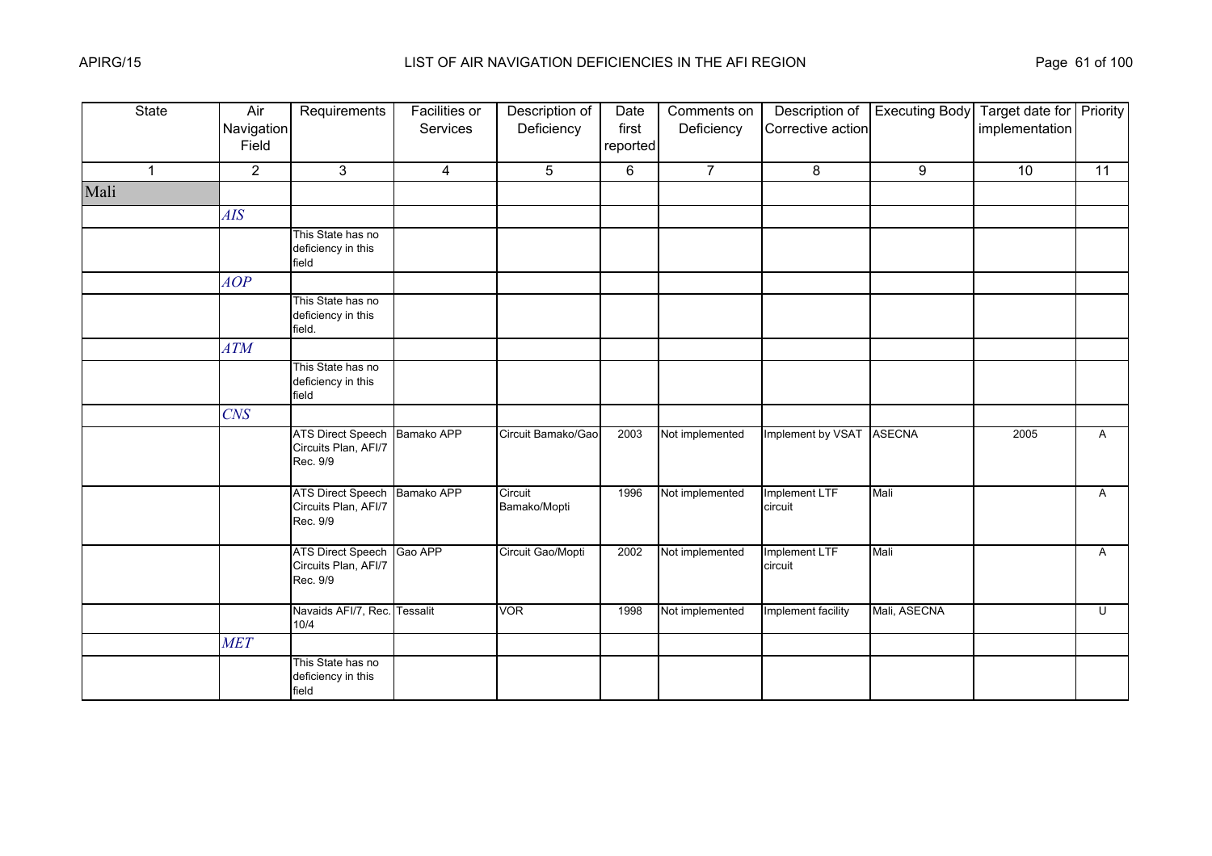| State        | Air<br>Navigation<br>Field | Requirements                                                     | <b>Facilities or</b><br>Services | Description of<br>Deficiency | Date<br>first<br>reported | Comments on<br>Deficiency | Description of<br>Corrective action | <b>Executing Body</b> | Target date for Priority<br>implementation |                |
|--------------|----------------------------|------------------------------------------------------------------|----------------------------------|------------------------------|---------------------------|---------------------------|-------------------------------------|-----------------------|--------------------------------------------|----------------|
| $\mathbf{1}$ | $\overline{2}$             | 3                                                                | $\overline{4}$                   | 5                            | 6                         | $\overline{7}$            | 8                                   | 9                     | 10                                         | 11             |
| Mali         |                            |                                                                  |                                  |                              |                           |                           |                                     |                       |                                            |                |
|              | <b>AIS</b>                 |                                                                  |                                  |                              |                           |                           |                                     |                       |                                            |                |
|              |                            | This State has no<br>deficiency in this<br>field                 |                                  |                              |                           |                           |                                     |                       |                                            |                |
|              | AOP                        |                                                                  |                                  |                              |                           |                           |                                     |                       |                                            |                |
|              |                            | This State has no<br>deficiency in this<br>field.                |                                  |                              |                           |                           |                                     |                       |                                            |                |
|              | <b>ATM</b>                 |                                                                  |                                  |                              |                           |                           |                                     |                       |                                            |                |
|              |                            | This State has no<br>deficiency in this<br>field                 |                                  |                              |                           |                           |                                     |                       |                                            |                |
|              | <b>CNS</b>                 |                                                                  |                                  |                              |                           |                           |                                     |                       |                                            |                |
|              |                            | ATS Direct Speech Bamako APP<br>Circuits Plan, AFI/7<br>Rec. 9/9 |                                  | Circuit Bamako/Gao           | 2003                      | Not implemented           | Implement by VSAT ASECNA            |                       | 2005                                       | $\mathsf{A}$   |
|              |                            | <b>ATS Direct Speech</b><br>Circuits Plan, AFI/7<br>Rec. 9/9     | Bamako APP                       | Circuit<br>Bamako/Mopti      | 1996                      | Not implemented           | Implement LTF<br>circuit            | Mali                  |                                            | $\mathsf{A}$   |
|              |                            | <b>ATS Direct Speech</b><br>Circuits Plan, AFI/7<br>Rec. 9/9     | Gao APP                          | Circuit Gao/Mopti            | 2002                      | Not implemented           | Implement LTF<br>circuit            | Mali                  |                                            | A              |
|              |                            | Navaids AFI/7, Rec. Tessalit<br>10/4                             |                                  | <b>VOR</b>                   | 1998                      | Not implemented           | Implement facility                  | Mali, ASECNA          |                                            | $\overline{C}$ |
|              | <b>MET</b>                 |                                                                  |                                  |                              |                           |                           |                                     |                       |                                            |                |
|              |                            | This State has no<br>deficiency in this<br>field                 |                                  |                              |                           |                           |                                     |                       |                                            |                |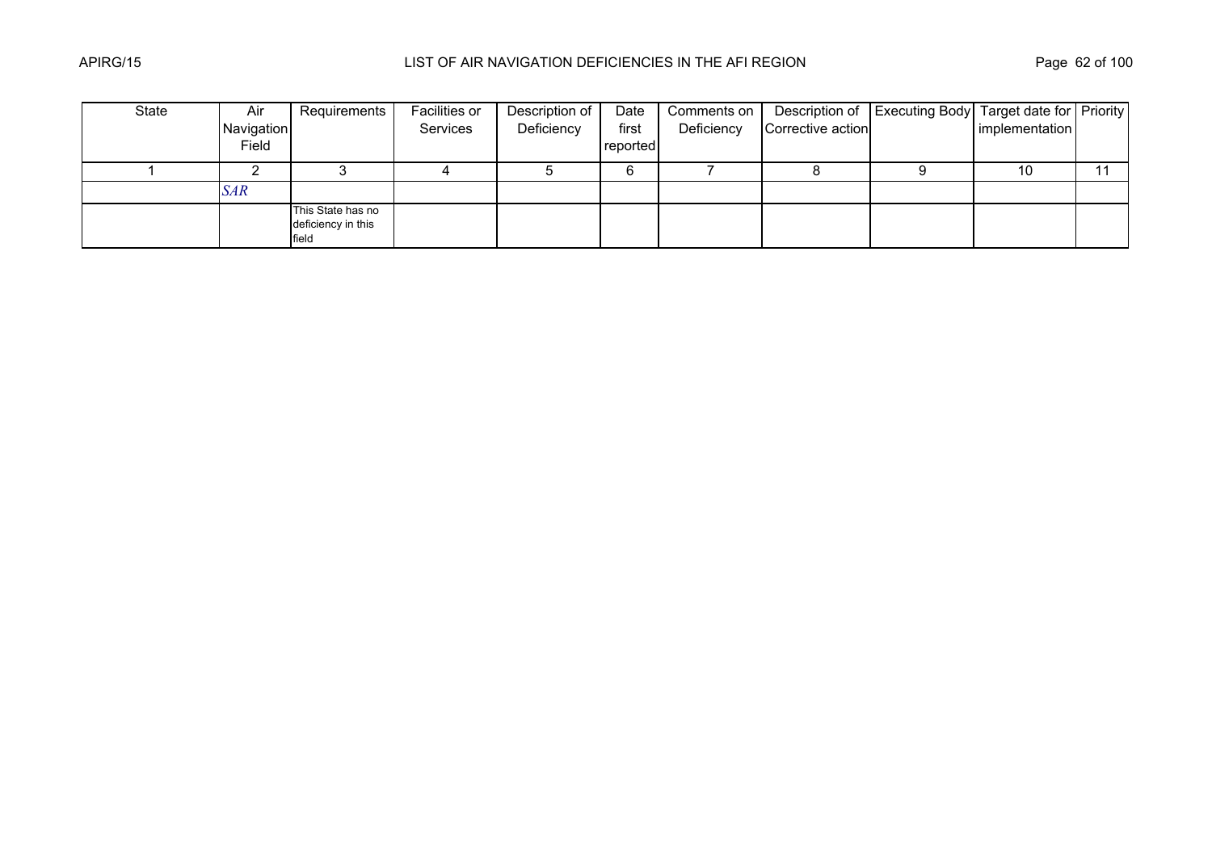| State | Air        | Requirements                                     | Facilities or | Description of | Date     | Comments on |                   | Description of   Executing Body   Target date for   Priority |                |    |
|-------|------------|--------------------------------------------------|---------------|----------------|----------|-------------|-------------------|--------------------------------------------------------------|----------------|----|
|       | Navigation |                                                  | Services      | Deficiency     | first    | Deficiency  | Corrective action |                                                              | implementation |    |
|       | Field      |                                                  |               |                | reported |             |                   |                                                              |                |    |
|       |            |                                                  |               |                | 6        |             |                   |                                                              | 10             | 11 |
|       | <b>SAR</b> |                                                  |               |                |          |             |                   |                                                              |                |    |
|       |            | This State has no<br>deficiency in this<br>field |               |                |          |             |                   |                                                              |                |    |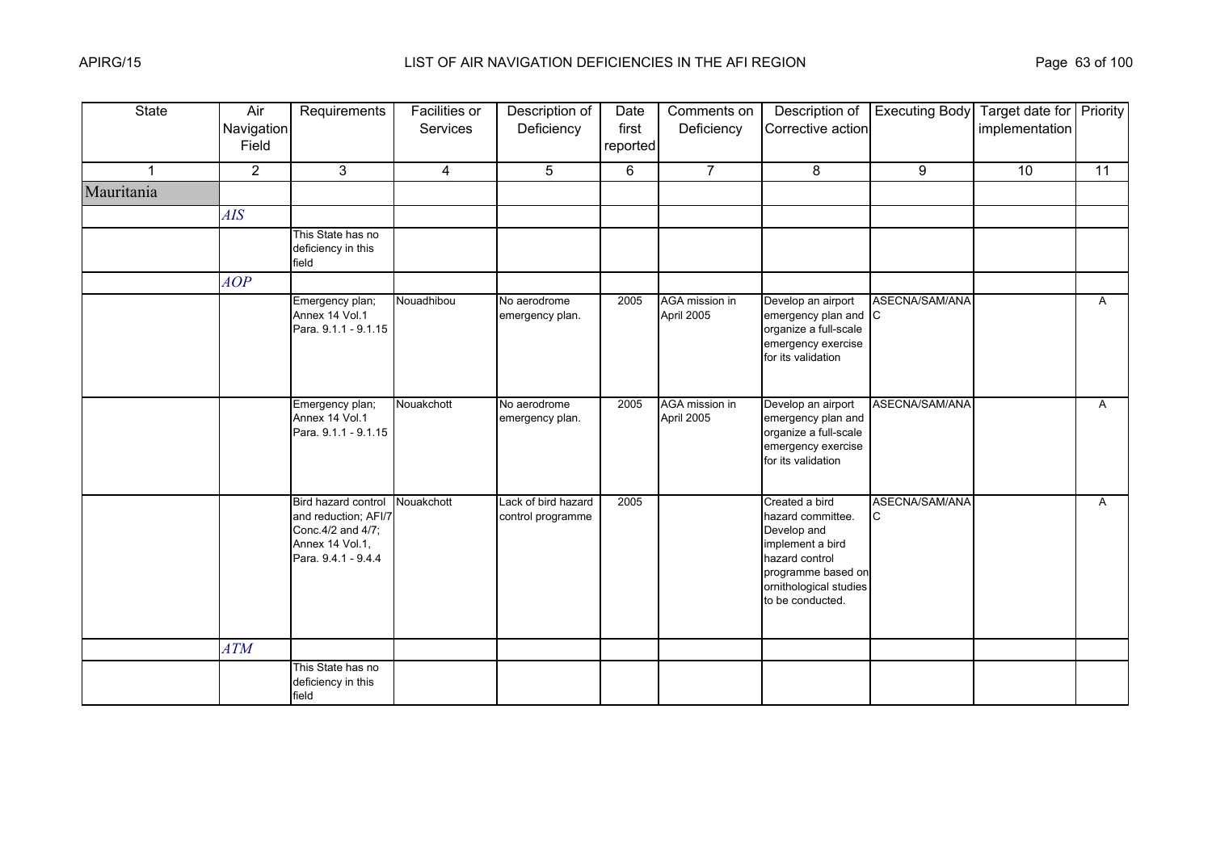| <b>State</b> | Air<br>Navigation<br>Field | Requirements                                                                                                | Facilities or<br>Services | Description of<br>Deficiency             | Date<br>first<br>reported | Comments on<br>Deficiency    | Description of<br>Corrective action                                                                                                                          | <b>Executing Body</b> | Target date for Priority<br>implementation |              |
|--------------|----------------------------|-------------------------------------------------------------------------------------------------------------|---------------------------|------------------------------------------|---------------------------|------------------------------|--------------------------------------------------------------------------------------------------------------------------------------------------------------|-----------------------|--------------------------------------------|--------------|
| 1            | $\overline{2}$             | 3                                                                                                           | $\overline{4}$            | 5                                        | 6                         | $\overline{7}$               | 8                                                                                                                                                            | 9                     | 10 <sup>°</sup>                            | 11           |
| Mauritania   |                            |                                                                                                             |                           |                                          |                           |                              |                                                                                                                                                              |                       |                                            |              |
|              | AIS                        |                                                                                                             |                           |                                          |                           |                              |                                                                                                                                                              |                       |                                            |              |
|              |                            | This State has no<br>deficiency in this<br>field                                                            |                           |                                          |                           |                              |                                                                                                                                                              |                       |                                            |              |
|              | AOP                        |                                                                                                             |                           |                                          |                           |                              |                                                                                                                                                              |                       |                                            |              |
|              |                            | Emergency plan;<br>Annex 14 Vol.1<br>Para. 9.1.1 - 9.1.15                                                   | Nouadhibou                | No aerodrome<br>emergency plan.          | 2005                      | AGA mission in<br>April 2005 | Develop an airport<br>emergency plan and C<br>organize a full-scale<br>emergency exercise<br>for its validation                                              | ASECNA/SAM/ANA        |                                            | $\mathsf{A}$ |
|              |                            | Emergency plan;<br>Annex 14 Vol.1<br>Para. 9.1.1 - 9.1.15                                                   | Nouakchott                | No aerodrome<br>emergency plan.          | 2005                      | AGA mission in<br>April 2005 | Develop an airport<br>emergency plan and<br>organize a full-scale<br>emergency exercise<br>for its validation                                                | ASECNA/SAM/ANA        |                                            | A            |
|              |                            | Bird hazard control<br>and reduction; AFI/7<br>Conc. 4/2 and 4/7;<br>Annex 14 Vol.1,<br>Para. 9.4.1 - 9.4.4 | Nouakchott                | Lack of bird hazard<br>control programme | 2005                      |                              | Created a bird<br>hazard committee.<br>Develop and<br>implement a bird<br>hazard control<br>programme based on<br>ornithological studies<br>to be conducted. | ASECNA/SAM/ANA        |                                            | $\mathsf{A}$ |
|              | <b>ATM</b>                 |                                                                                                             |                           |                                          |                           |                              |                                                                                                                                                              |                       |                                            |              |
|              |                            | This State has no<br>deficiency in this<br>field                                                            |                           |                                          |                           |                              |                                                                                                                                                              |                       |                                            |              |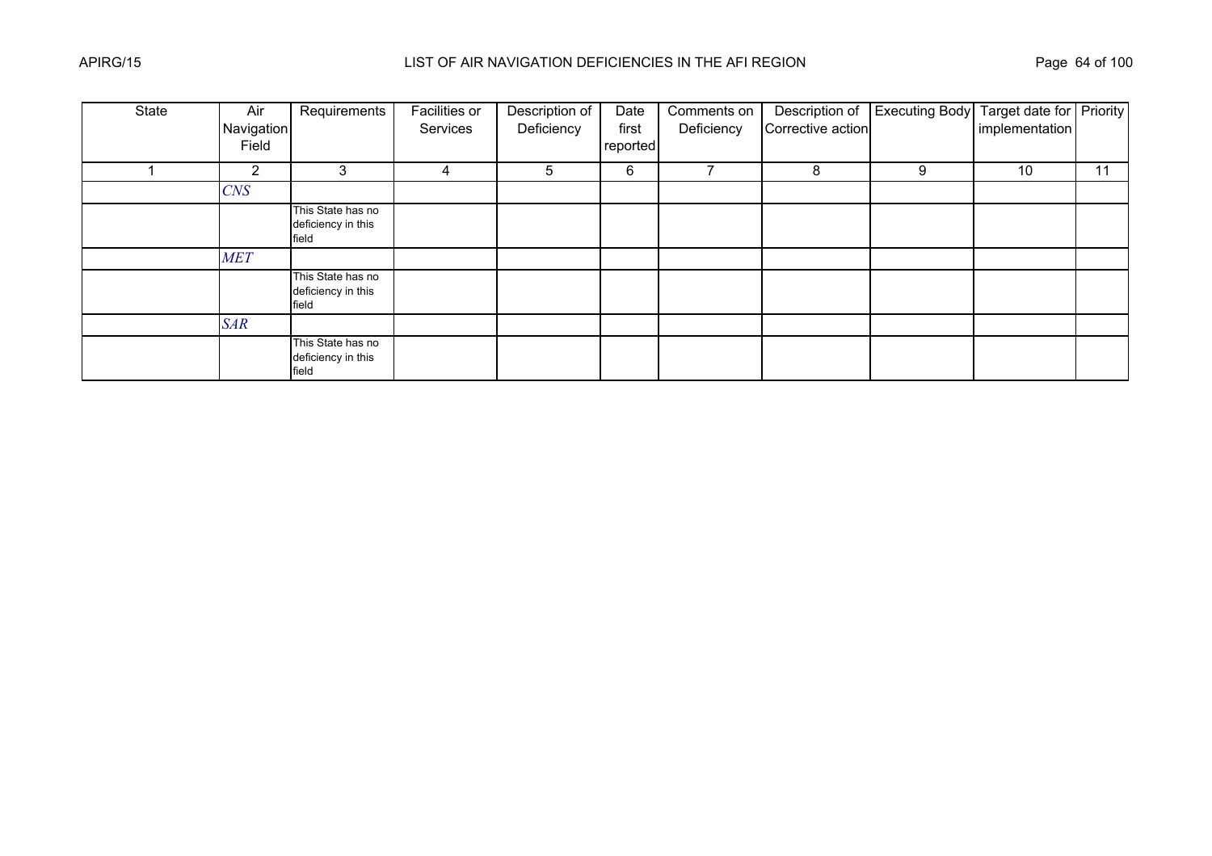| State | Air            | Requirements                                     | <b>Facilities or</b> | Description of | Date     | Comments on |                   | Description of Executing Body Target date for Priority |                |    |
|-------|----------------|--------------------------------------------------|----------------------|----------------|----------|-------------|-------------------|--------------------------------------------------------|----------------|----|
|       | Navigation     |                                                  | Services             | Deficiency     | first    | Deficiency  | Corrective action |                                                        | implementation |    |
|       | Field          |                                                  |                      |                | reported |             |                   |                                                        |                |    |
|       | $\overline{2}$ | 3                                                | 4                    | 5              | 6        |             | 8                 | 9                                                      | 10             | 11 |
|       | $C\!N\!S$      |                                                  |                      |                |          |             |                   |                                                        |                |    |
|       |                | This State has no<br>deficiency in this<br>field |                      |                |          |             |                   |                                                        |                |    |
|       | <b>MET</b>     |                                                  |                      |                |          |             |                   |                                                        |                |    |
|       |                | This State has no<br>deficiency in this<br>field |                      |                |          |             |                   |                                                        |                |    |
|       | <b>SAR</b>     |                                                  |                      |                |          |             |                   |                                                        |                |    |
|       |                | This State has no<br>deficiency in this<br>field |                      |                |          |             |                   |                                                        |                |    |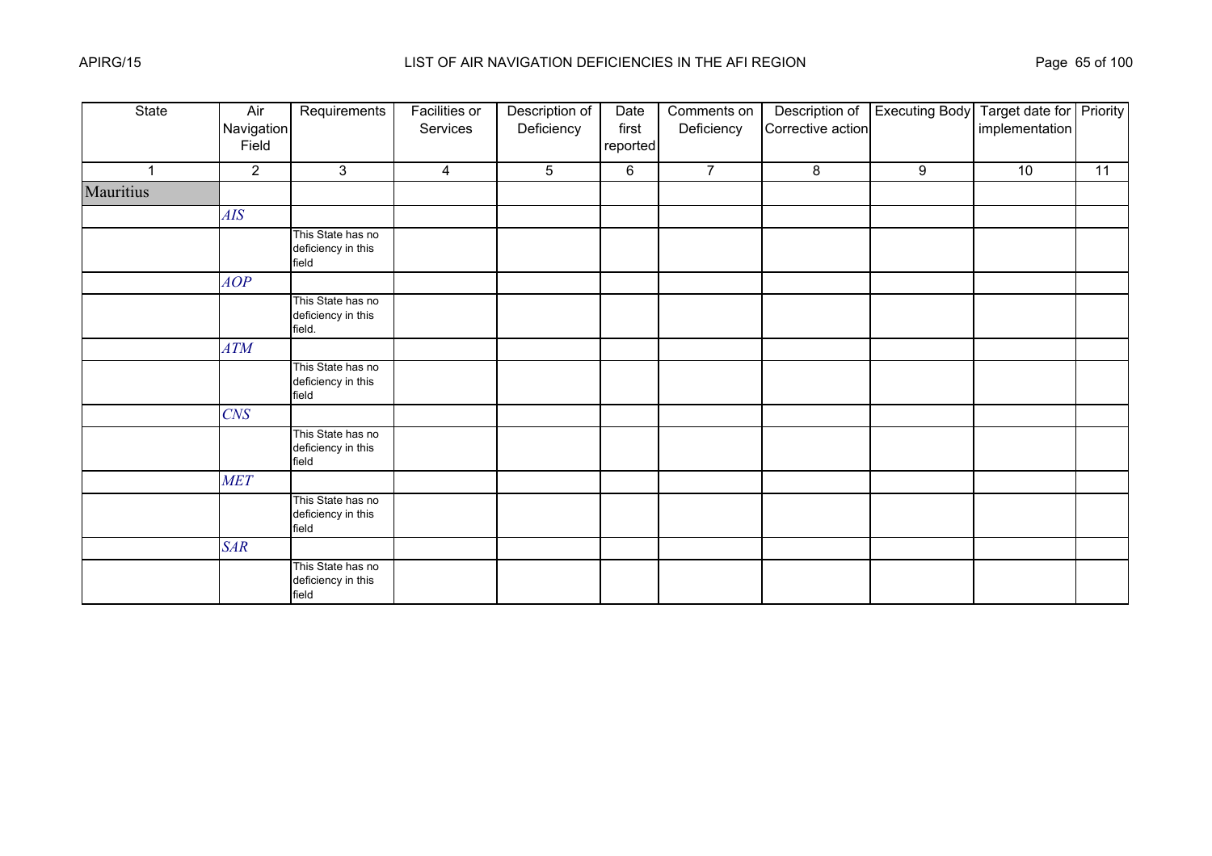| State       | Air<br>Navigation<br>Field | Requirements                                      | <b>Facilities or</b><br>Services | Description of<br>Deficiency | Date<br>first<br>reported | Comments on<br>Deficiency | Description of<br>Corrective action | <b>Executing Body</b> | Target date for Priority<br>implementation |    |
|-------------|----------------------------|---------------------------------------------------|----------------------------------|------------------------------|---------------------------|---------------------------|-------------------------------------|-----------------------|--------------------------------------------|----|
| $\mathbf 1$ | $\overline{2}$             | 3                                                 | $\overline{4}$                   | 5                            | 6                         | $\overline{7}$            | 8                                   | 9                     | 10                                         | 11 |
| Mauritius   |                            |                                                   |                                  |                              |                           |                           |                                     |                       |                                            |    |
|             | AIS                        |                                                   |                                  |                              |                           |                           |                                     |                       |                                            |    |
|             |                            | This State has no<br>deficiency in this<br>field  |                                  |                              |                           |                           |                                     |                       |                                            |    |
|             | AOP                        |                                                   |                                  |                              |                           |                           |                                     |                       |                                            |    |
|             |                            | This State has no<br>deficiency in this<br>field. |                                  |                              |                           |                           |                                     |                       |                                            |    |
|             | ATM                        |                                                   |                                  |                              |                           |                           |                                     |                       |                                            |    |
|             |                            | This State has no<br>deficiency in this<br>field  |                                  |                              |                           |                           |                                     |                       |                                            |    |
|             | <b>CNS</b>                 |                                                   |                                  |                              |                           |                           |                                     |                       |                                            |    |
|             |                            | This State has no<br>deficiency in this<br>field  |                                  |                              |                           |                           |                                     |                       |                                            |    |
|             | <b>MET</b>                 |                                                   |                                  |                              |                           |                           |                                     |                       |                                            |    |
|             |                            | This State has no<br>deficiency in this<br>field  |                                  |                              |                           |                           |                                     |                       |                                            |    |
|             | <b>SAR</b>                 |                                                   |                                  |                              |                           |                           |                                     |                       |                                            |    |
|             |                            | This State has no<br>deficiency in this<br>field  |                                  |                              |                           |                           |                                     |                       |                                            |    |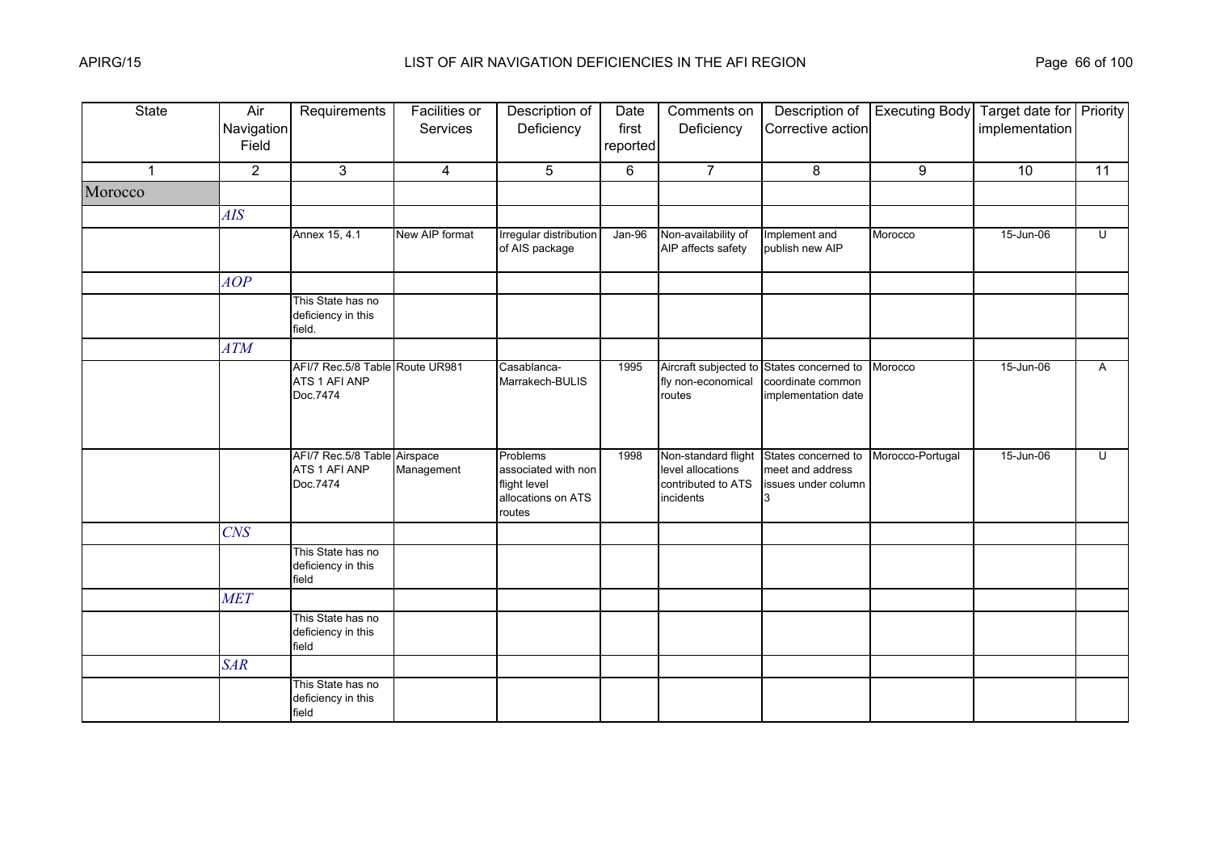| <b>State</b> | Air<br>Navigation<br>Field | Requirements                                                 | <b>Facilities or</b><br>Services | Description of<br>Deficiency                                                    | Date<br>first<br>reported | Comments on<br>Deficiency                                                   | Description of<br>Corrective action                             | <b>Executing Body</b> | Target date for Priority<br>implementation |                         |
|--------------|----------------------------|--------------------------------------------------------------|----------------------------------|---------------------------------------------------------------------------------|---------------------------|-----------------------------------------------------------------------------|-----------------------------------------------------------------|-----------------------|--------------------------------------------|-------------------------|
| $\mathbf 1$  | $\overline{2}$             | 3                                                            | 4                                | 5                                                                               | 6                         | $\overline{7}$                                                              | 8                                                               | 9                     | 10                                         | 11                      |
| Morocco      |                            |                                                              |                                  |                                                                                 |                           |                                                                             |                                                                 |                       |                                            |                         |
|              | <b>AIS</b>                 |                                                              |                                  |                                                                                 |                           |                                                                             |                                                                 |                       |                                            |                         |
|              |                            | Annex 15, 4.1                                                | New AIP format                   | Irregular distribution<br>of AIS package                                        | $Jan-96$                  | Non-availability of<br>AIP affects safety                                   | Implement and<br>publish new AIP                                | Morocco               | 15-Jun-06                                  | $\overline{\mathsf{C}}$ |
|              | <b>AOP</b>                 |                                                              |                                  |                                                                                 |                           |                                                                             |                                                                 |                       |                                            |                         |
|              |                            | This State has no<br>deficiency in this<br>field.            |                                  |                                                                                 |                           |                                                                             |                                                                 |                       |                                            |                         |
|              | <b>ATM</b>                 |                                                              |                                  |                                                                                 |                           |                                                                             |                                                                 |                       |                                            |                         |
|              |                            | AFI/7 Rec.5/8 Table Route UR981<br>ATS 1 AFI ANP<br>Doc.7474 |                                  | Casablanca-<br>Marrakech-BULIS                                                  | 1995                      | Aircraft subjected to<br>fly non-economical<br>routes                       | States concerned to<br>coordinate common<br>implementation date | Morocco               | 15-Jun-06                                  | A                       |
|              |                            | AFI/7 Rec.5/8 Table Airspace<br>ATS 1 AFI ANP<br>Doc.7474    | Management                       | Problems<br>associated with non<br>flight level<br>allocations on ATS<br>routes | 1998                      | Non-standard flight<br>level allocations<br>contributed to ATS<br>incidents | States concerned to<br>meet and address<br>issues under column  | Morocco-Portugal      | 15-Jun-06                                  | $\overline{\mathsf{C}}$ |
|              | <b>CNS</b>                 |                                                              |                                  |                                                                                 |                           |                                                                             |                                                                 |                       |                                            |                         |
|              |                            | This State has no<br>deficiency in this<br>field             |                                  |                                                                                 |                           |                                                                             |                                                                 |                       |                                            |                         |
|              | <b>MET</b>                 |                                                              |                                  |                                                                                 |                           |                                                                             |                                                                 |                       |                                            |                         |
|              |                            | This State has no<br>deficiency in this<br>field             |                                  |                                                                                 |                           |                                                                             |                                                                 |                       |                                            |                         |
|              | <b>SAR</b>                 |                                                              |                                  |                                                                                 |                           |                                                                             |                                                                 |                       |                                            |                         |
|              |                            | This State has no<br>deficiency in this<br>field             |                                  |                                                                                 |                           |                                                                             |                                                                 |                       |                                            |                         |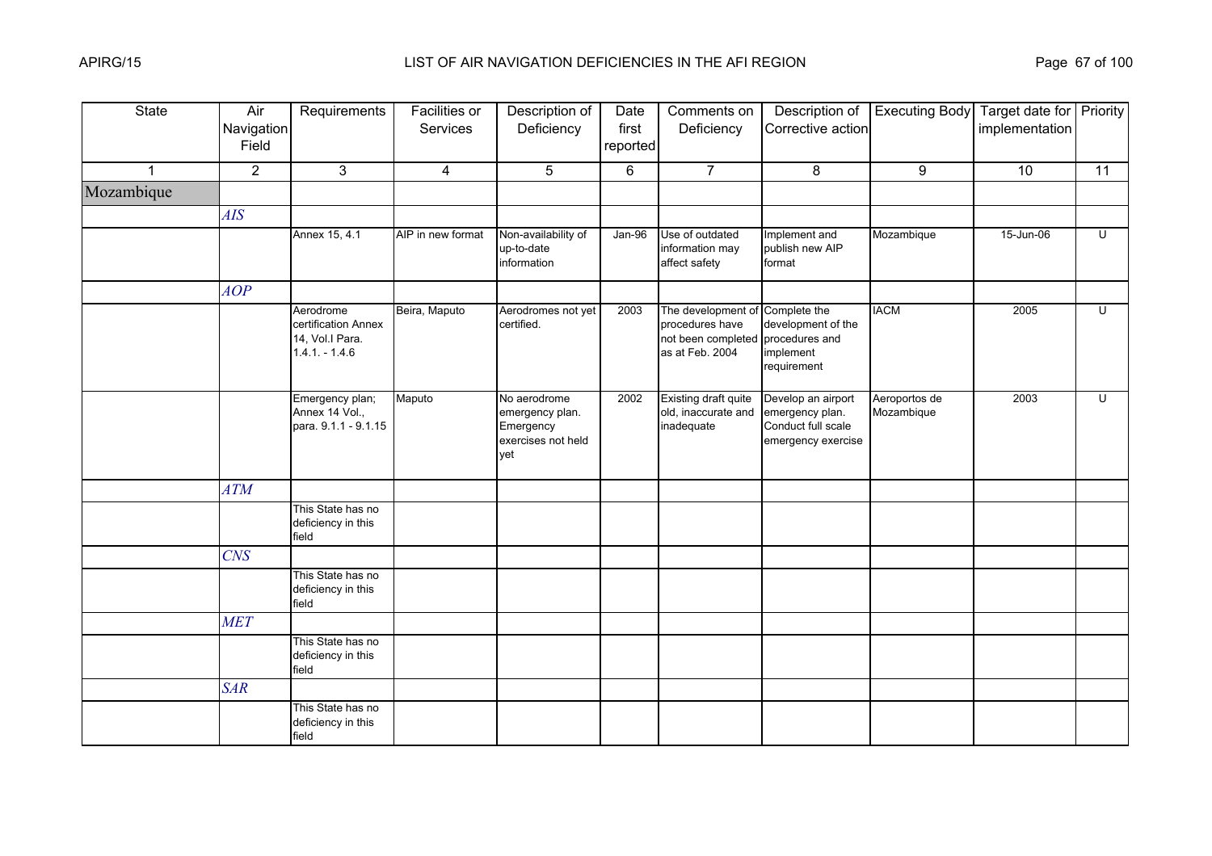| <b>State</b>         | Air<br>Navigation<br>Field | Requirements                                                           | <b>Facilities or</b><br>Services | Description of<br>Deficiency                                              | Date<br>first<br>reported | Comments on<br>Deficiency                                                      | Description of<br>Corrective action                                               | <b>Executing Body</b>       | Target date for Priority<br>implementation |                |
|----------------------|----------------------------|------------------------------------------------------------------------|----------------------------------|---------------------------------------------------------------------------|---------------------------|--------------------------------------------------------------------------------|-----------------------------------------------------------------------------------|-----------------------------|--------------------------------------------|----------------|
| $\blacktriangleleft$ | $\overline{2}$             | $\mathbf{3}$                                                           | 4                                | 5                                                                         | 6                         | $\overline{7}$                                                                 | 8                                                                                 | 9                           | 10                                         | 11             |
| Mozambique           |                            |                                                                        |                                  |                                                                           |                           |                                                                                |                                                                                   |                             |                                            |                |
|                      | AIS                        |                                                                        |                                  |                                                                           |                           |                                                                                |                                                                                   |                             |                                            |                |
|                      |                            | Annex 15, 4.1                                                          | AIP in new format                | Non-availability of<br>up-to-date<br>information                          | $Jan-96$                  | Use of outdated<br>information may<br>affect safety                            | Implement and<br>publish new AIP<br>format                                        | Mozambique                  | 15-Jun-06                                  | Ū              |
|                      | AOP                        |                                                                        |                                  |                                                                           |                           |                                                                                |                                                                                   |                             |                                            |                |
|                      |                            | Aerodrome<br>certification Annex<br>14, Vol.I Para.<br>$1.4.1 - 1.4.6$ | Beira, Maputo                    | Aerodromes not yet<br>certified.                                          | 2003                      | The development of<br>procedures have<br>not been completed<br>as at Feb. 2004 | Complete the<br>development of the<br>procedures and<br>implement<br>requirement  | <b>IACM</b>                 | 2005                                       | $\overline{U}$ |
|                      |                            | Emergency plan;<br>Annex 14 Vol.,<br>para. 9.1.1 - 9.1.15              | Maputo                           | No aerodrome<br>emergency plan.<br>Emergency<br>exercises not held<br>vet | 2002                      | Existing draft quite<br>old, inaccurate and<br>inadequate                      | Develop an airport<br>emergency plan.<br>Conduct full scale<br>emergency exercise | Aeroportos de<br>Mozambique | 2003                                       | U              |
|                      | ATM                        |                                                                        |                                  |                                                                           |                           |                                                                                |                                                                                   |                             |                                            |                |
|                      |                            | This State has no<br>deficiency in this<br>field                       |                                  |                                                                           |                           |                                                                                |                                                                                   |                             |                                            |                |
|                      | <b>CNS</b>                 |                                                                        |                                  |                                                                           |                           |                                                                                |                                                                                   |                             |                                            |                |
|                      |                            | This State has no<br>deficiency in this<br>field                       |                                  |                                                                           |                           |                                                                                |                                                                                   |                             |                                            |                |
|                      | <b>MET</b>                 |                                                                        |                                  |                                                                           |                           |                                                                                |                                                                                   |                             |                                            |                |
|                      |                            | This State has no<br>deficiency in this<br>field                       |                                  |                                                                           |                           |                                                                                |                                                                                   |                             |                                            |                |
|                      | <b>SAR</b>                 |                                                                        |                                  |                                                                           |                           |                                                                                |                                                                                   |                             |                                            |                |
|                      |                            | This State has no<br>deficiency in this<br>field                       |                                  |                                                                           |                           |                                                                                |                                                                                   |                             |                                            |                |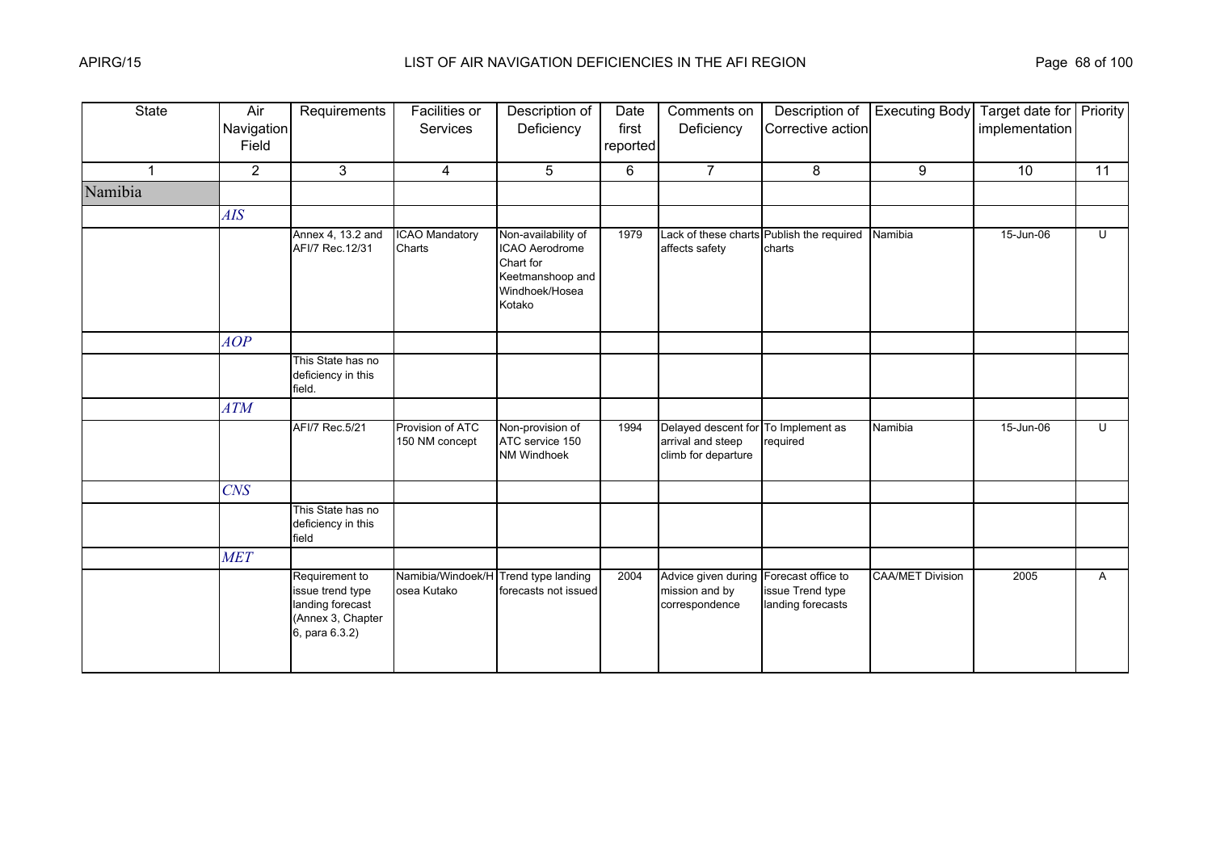| <b>State</b>   | Air<br>Navigation<br>Field | Requirements                                                                                  | Facilities or<br>Services          | Description of<br>Deficiency                                                                       | Date<br>first<br>reported | Comments on<br>Deficiency                                       | Description of<br>Corrective action                         | <b>Executing Body</b>   | Target date for Priority<br>implementation |              |
|----------------|----------------------------|-----------------------------------------------------------------------------------------------|------------------------------------|----------------------------------------------------------------------------------------------------|---------------------------|-----------------------------------------------------------------|-------------------------------------------------------------|-------------------------|--------------------------------------------|--------------|
| $\overline{1}$ | $\overline{2}$             | 3                                                                                             | $\overline{4}$                     | 5                                                                                                  | 6                         | 7 <sup>7</sup>                                                  | 8                                                           | 9                       | 10                                         | 11           |
| Namibia        |                            |                                                                                               |                                    |                                                                                                    |                           |                                                                 |                                                             |                         |                                            |              |
|                | AIS                        |                                                                                               |                                    |                                                                                                    |                           |                                                                 |                                                             |                         |                                            |              |
|                |                            | Annex 4, 13.2 and<br>AFI/7 Rec.12/31                                                          | <b>ICAO Mandatory</b><br>Charts    | Non-availability of<br>ICAO Aerodrome<br>Chart for<br>Keetmanshoop and<br>Windhoek/Hosea<br>Kotako | 1979                      | affects safety                                                  | Lack of these charts Publish the required<br>charts         | Namibia                 | 15-Jun-06                                  | U            |
|                | AOP                        |                                                                                               |                                    |                                                                                                    |                           |                                                                 |                                                             |                         |                                            |              |
|                |                            | This State has no<br>deficiency in this<br>field.                                             |                                    |                                                                                                    |                           |                                                                 |                                                             |                         |                                            |              |
|                | <b>ATM</b>                 |                                                                                               |                                    |                                                                                                    |                           |                                                                 |                                                             |                         |                                            |              |
|                |                            | AFI/7 Rec.5/21                                                                                | Provision of ATC<br>150 NM concept | Non-provision of<br>ATC service 150<br>NM Windhoek                                                 | 1994                      | Delayed descent for<br>arrival and steep<br>climb for departure | To Implement as<br>required                                 | Namibia                 | 15-Jun-06                                  | U            |
|                | <b>CNS</b>                 |                                                                                               |                                    |                                                                                                    |                           |                                                                 |                                                             |                         |                                            |              |
|                |                            | This State has no<br>deficiency in this<br>field                                              |                                    |                                                                                                    |                           |                                                                 |                                                             |                         |                                            |              |
|                | <b>MET</b>                 |                                                                                               |                                    |                                                                                                    |                           |                                                                 |                                                             |                         |                                            |              |
|                |                            | Requirement to<br>issue trend type<br>landing forecast<br>(Annex 3, Chapter<br>6, para 6.3.2) | Namibia/Windoek/H<br>osea Kutako   | Trend type landing<br>forecasts not issued                                                         | 2004                      | Advice given during<br>mission and by<br>correspondence         | Forecast office to<br>issue Trend type<br>landing forecasts | <b>CAA/MET Division</b> | 2005                                       | $\mathsf{A}$ |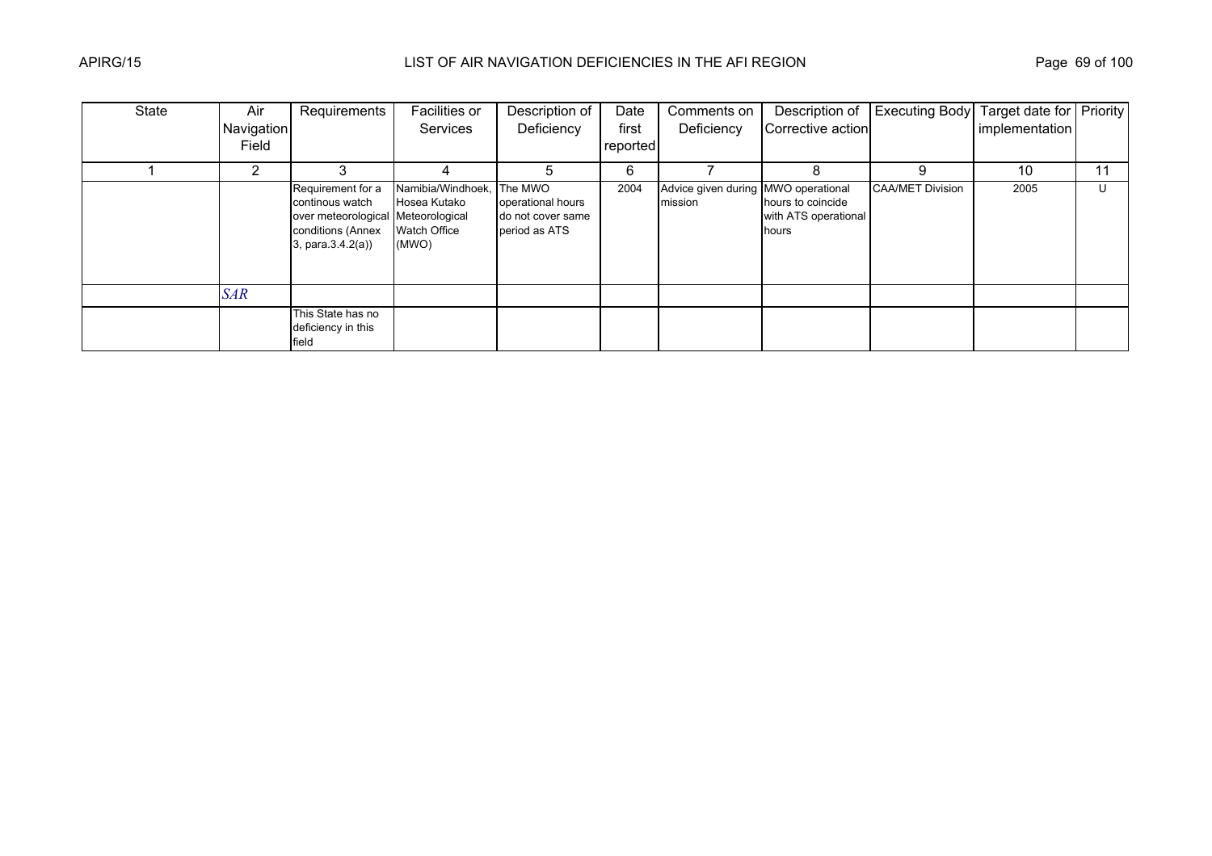| State | Air        | Requirements                                                                                                            | Facilities or                                                     | Description of                                                     | Date     | Comments on                                    | Description of                                     | <b>Executing Body</b>   | Target date for Priority |    |
|-------|------------|-------------------------------------------------------------------------------------------------------------------------|-------------------------------------------------------------------|--------------------------------------------------------------------|----------|------------------------------------------------|----------------------------------------------------|-------------------------|--------------------------|----|
|       | Navigation |                                                                                                                         | <b>Services</b>                                                   | Deficiency                                                         | first    | Deficiency                                     | Corrective action                                  |                         | implementation           |    |
|       | Field      |                                                                                                                         |                                                                   |                                                                    | reported |                                                |                                                    |                         |                          |    |
|       | 2          |                                                                                                                         |                                                                   |                                                                    | 6        |                                                |                                                    | 9                       | 10                       | 11 |
|       |            | Requirement for a<br>continous watch<br>over meteorological Meteorological<br>conditions (Annex<br>3, para $(3.4.2(a))$ | Namibia/Windhoek,<br>Hosea Kutako<br><b>Watch Office</b><br>(MWO) | The MWO<br>operational hours<br>do not cover same<br>period as ATS | 2004     | Advice given during MWO operational<br>mission | hours to coincide<br>with ATS operational<br>hours | <b>CAA/MET Division</b> | 2005                     | U  |
|       | <b>SAR</b> |                                                                                                                         |                                                                   |                                                                    |          |                                                |                                                    |                         |                          |    |
|       |            | This State has no<br>deficiency in this<br>field                                                                        |                                                                   |                                                                    |          |                                                |                                                    |                         |                          |    |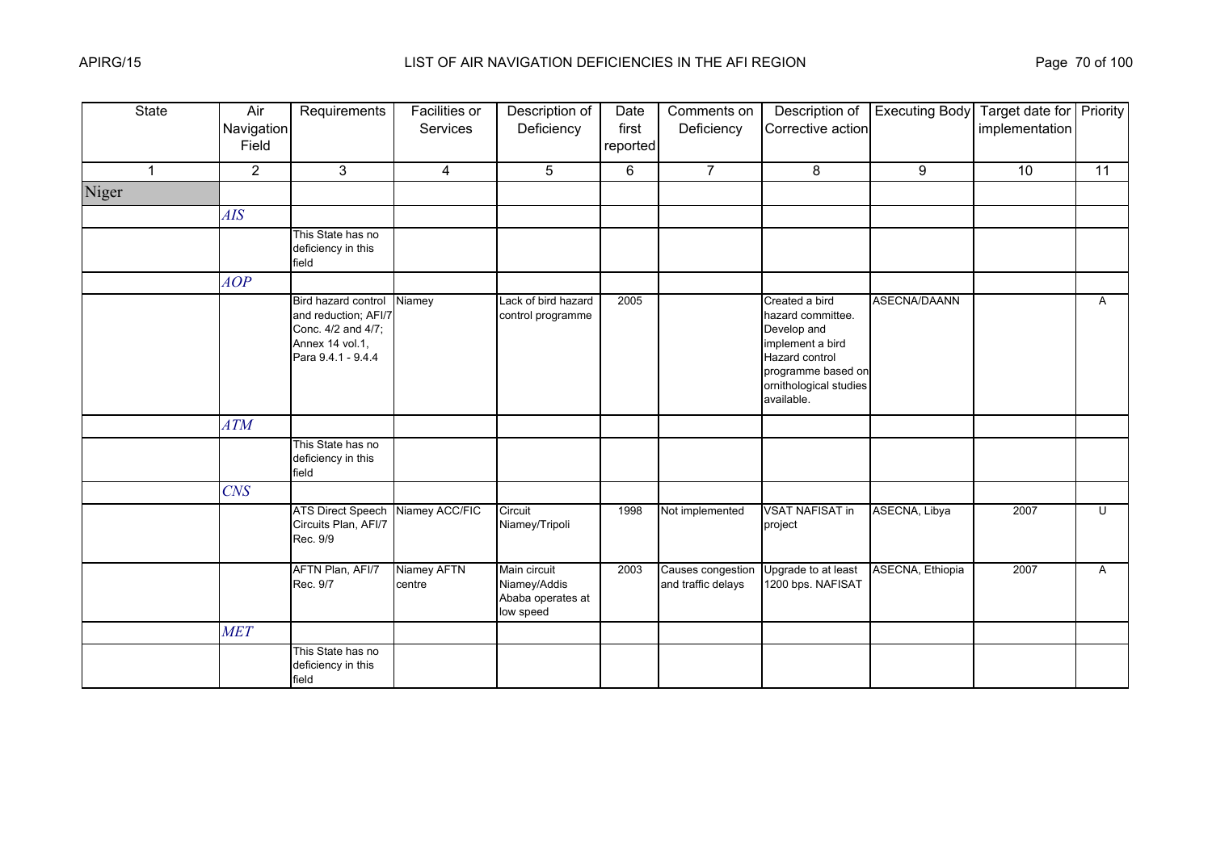| <b>State</b>   | Air<br>Navigation<br>Field | Requirements                                                                                               | <b>Facilities or</b><br>Services | Description of<br>Deficiency                                   | Date<br>first<br>reported | Comments on<br>Deficiency               | Description of<br>Corrective action                                                                                                                    | <b>Executing Body</b>   | Target date for Priority<br>implementation |              |
|----------------|----------------------------|------------------------------------------------------------------------------------------------------------|----------------------------------|----------------------------------------------------------------|---------------------------|-----------------------------------------|--------------------------------------------------------------------------------------------------------------------------------------------------------|-------------------------|--------------------------------------------|--------------|
| $\overline{1}$ | $\overline{2}$             | 3                                                                                                          | $\overline{4}$                   | 5                                                              | 6                         | $\overline{7}$                          | 8                                                                                                                                                      | 9                       | 10                                         | 11           |
| Niger          |                            |                                                                                                            |                                  |                                                                |                           |                                         |                                                                                                                                                        |                         |                                            |              |
|                | AIS                        |                                                                                                            |                                  |                                                                |                           |                                         |                                                                                                                                                        |                         |                                            |              |
|                |                            | This State has no<br>deficiency in this<br>field                                                           |                                  |                                                                |                           |                                         |                                                                                                                                                        |                         |                                            |              |
|                | AOP                        |                                                                                                            |                                  |                                                                |                           |                                         |                                                                                                                                                        |                         |                                            |              |
|                |                            | Bird hazard control<br>and reduction; AFI/7<br>Conc. 4/2 and 4/7;<br>Annex 14 vol.1,<br>Para 9.4.1 - 9.4.4 | Niamey                           | Lack of bird hazard<br>control programme                       | 2005                      |                                         | Created a bird<br>hazard committee.<br>Develop and<br>implement a bird<br>Hazard control<br>programme based on<br>ornithological studies<br>available. | <b>ASECNA/DAANN</b>     |                                            | $\mathsf{A}$ |
|                | <b>ATM</b>                 |                                                                                                            |                                  |                                                                |                           |                                         |                                                                                                                                                        |                         |                                            |              |
|                |                            | This State has no<br>deficiency in this<br>field                                                           |                                  |                                                                |                           |                                         |                                                                                                                                                        |                         |                                            |              |
|                | <b>CNS</b>                 |                                                                                                            |                                  |                                                                |                           |                                         |                                                                                                                                                        |                         |                                            |              |
|                |                            | <b>ATS Direct Speech</b><br>Circuits Plan, AFI/7<br>Rec. 9/9                                               | Niamey ACC/FIC                   | Circuit<br>Niamey/Tripoli                                      | 1998                      | Not implemented                         | <b>VSAT NAFISAT in</b><br>project                                                                                                                      | ASECNA, Libya           | 2007                                       | Ū            |
|                |                            | AFTN Plan, AFI/7<br>Rec. 9/7                                                                               | Niamey AFTN<br>centre            | Main circuit<br>Niamey/Addis<br>Ababa operates at<br>low speed | 2003                      | Causes congestion<br>and traffic delays | Upgrade to at least<br>1200 bps. NAFISAT                                                                                                               | <b>ASECNA, Ethiopia</b> | 2007                                       | A            |
|                | <b>MET</b>                 |                                                                                                            |                                  |                                                                |                           |                                         |                                                                                                                                                        |                         |                                            |              |
|                |                            | This State has no<br>deficiency in this<br>field                                                           |                                  |                                                                |                           |                                         |                                                                                                                                                        |                         |                                            |              |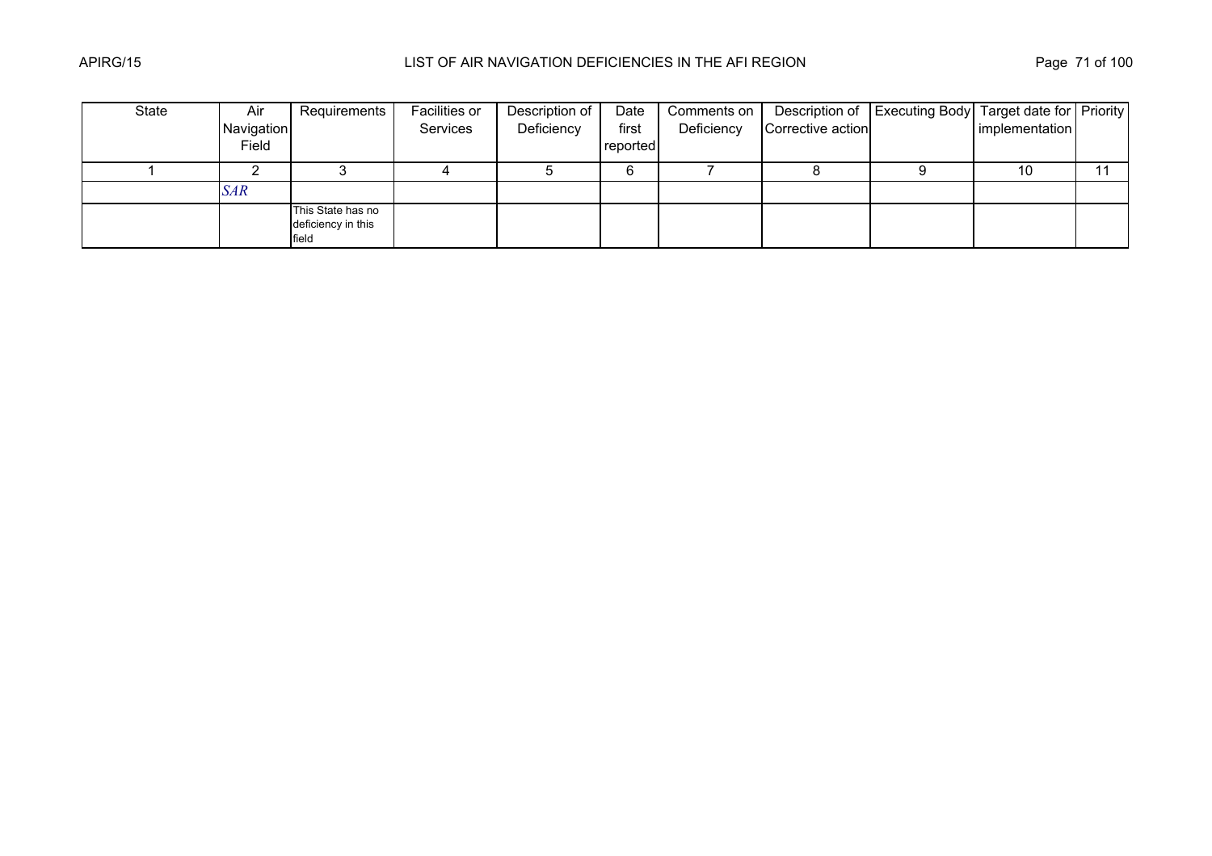| State | Air        | Requirements                                     | Facilities or | Description of | Date     | Comments on |                   | Description of   Executing Body   Target date for   Priority |                |  |
|-------|------------|--------------------------------------------------|---------------|----------------|----------|-------------|-------------------|--------------------------------------------------------------|----------------|--|
|       | Navigation |                                                  | Services      | Deficiency     | first    | Deficiency  | Corrective action |                                                              | implementation |  |
|       | Field      |                                                  |               |                | reported |             |                   |                                                              |                |  |
|       |            |                                                  |               |                |          |             |                   |                                                              | 10             |  |
|       | SAR        |                                                  |               |                |          |             |                   |                                                              |                |  |
|       |            | This State has no<br>deficiency in this<br>field |               |                |          |             |                   |                                                              |                |  |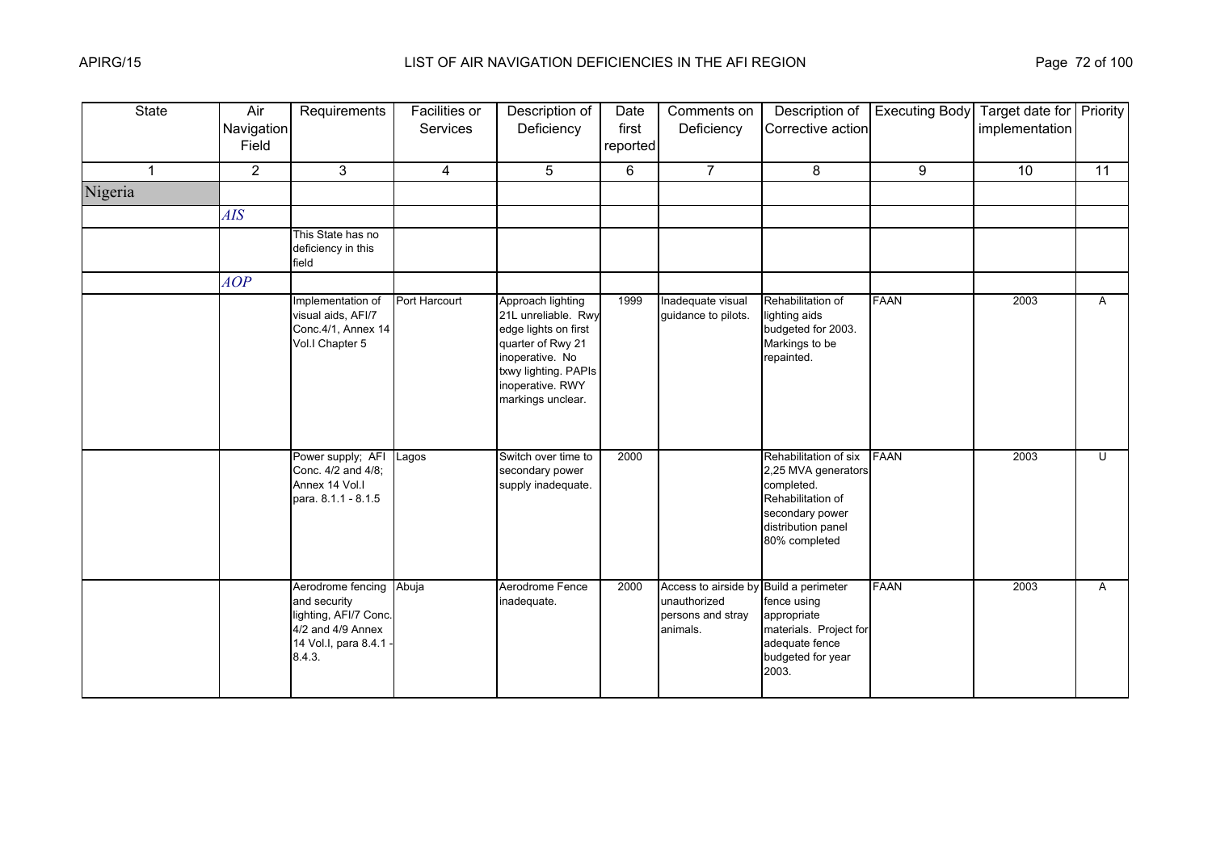| <b>State</b>   | Air<br>Navigation<br>Field | Requirements                                                                                                      | Facilities or<br><b>Services</b> | Description of<br>Deficiency                                                                                                                                              | Date<br>first<br>reported | Comments on<br>Deficiency                                                               | Description of<br>Corrective action                                                                                                            | <b>Executing Body</b> | Target date for Priority<br>implementation |    |
|----------------|----------------------------|-------------------------------------------------------------------------------------------------------------------|----------------------------------|---------------------------------------------------------------------------------------------------------------------------------------------------------------------------|---------------------------|-----------------------------------------------------------------------------------------|------------------------------------------------------------------------------------------------------------------------------------------------|-----------------------|--------------------------------------------|----|
| $\overline{1}$ | $\overline{2}$             | 3                                                                                                                 | $\overline{4}$                   | 5                                                                                                                                                                         | 6                         | $\overline{7}$                                                                          | 8                                                                                                                                              | 9                     | 10                                         | 11 |
| Nigeria        |                            |                                                                                                                   |                                  |                                                                                                                                                                           |                           |                                                                                         |                                                                                                                                                |                       |                                            |    |
|                | AIS                        |                                                                                                                   |                                  |                                                                                                                                                                           |                           |                                                                                         |                                                                                                                                                |                       |                                            |    |
|                |                            | This State has no<br>deficiency in this<br>field                                                                  |                                  |                                                                                                                                                                           |                           |                                                                                         |                                                                                                                                                |                       |                                            |    |
|                | AOP                        |                                                                                                                   |                                  |                                                                                                                                                                           |                           |                                                                                         |                                                                                                                                                |                       |                                            |    |
|                |                            | Implementation of<br>visual aids, AFI/7<br>Conc.4/1, Annex 14<br>Vol.I Chapter 5                                  | Port Harcourt                    | Approach lighting<br>21L unreliable. Rwy<br>edge lights on first<br>quarter of Rwy 21<br>inoperative. No<br>txwy lighting. PAPIs<br>inoperative. RWY<br>markings unclear. | 1999                      | Inadequate visual<br>guidance to pilots.                                                | Rehabilitation of<br>lighting aids<br>budgeted for 2003.<br>Markings to be<br>repainted.                                                       | <b>FAAN</b>           | 2003                                       | A  |
|                |                            | Power supply; AFI<br>Conc. 4/2 and 4/8;<br>Annex 14 Vol.I<br>para. 8.1.1 - 8.1.5                                  | Lagos                            | Switch over time to<br>secondary power<br>supply inadequate.                                                                                                              | 2000                      |                                                                                         | Rehabilitation of six FAAN<br>2,25 MVA generators<br>completed.<br>Rehabilitation of<br>secondary power<br>distribution panel<br>80% completed |                       | 2003                                       | U  |
|                |                            | Aerodrome fencing<br>and security<br>lighting, AFI/7 Conc.<br>4/2 and 4/9 Annex<br>14 Vol.I, para 8.4.1<br>8.4.3. | Abuja                            | Aerodrome Fence<br>inadequate.                                                                                                                                            | 2000                      | Access to airside by Build a perimeter<br>unauthorized<br>persons and stray<br>animals. | fence using<br>appropriate<br>materials. Project for<br>adequate fence<br>budgeted for year<br>2003.                                           | <b>FAAN</b>           | 2003                                       | A  |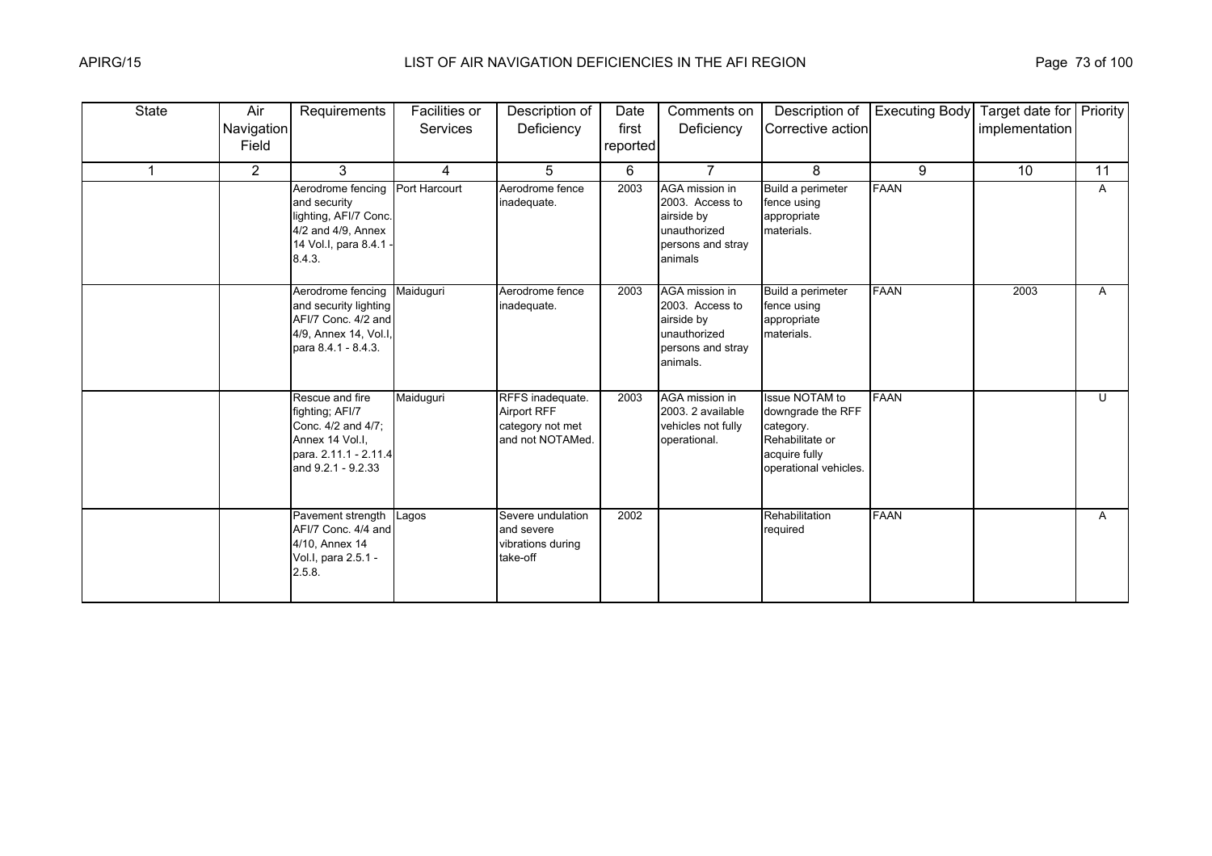| <b>State</b> | Air<br><b>Navigation</b><br>Field | Requirements                                                                                                               | Facilities or<br><b>Services</b> | Description of<br>Deficiency                                                   | Date<br>first<br>reported | Comments on<br>Deficiency                                                                        | Description of<br>Corrective action                                                                                  | <b>Executing Body</b> | Target date for   Priority<br>implementation |    |
|--------------|-----------------------------------|----------------------------------------------------------------------------------------------------------------------------|----------------------------------|--------------------------------------------------------------------------------|---------------------------|--------------------------------------------------------------------------------------------------|----------------------------------------------------------------------------------------------------------------------|-----------------------|----------------------------------------------|----|
|              | $\overline{2}$                    | 3                                                                                                                          | $\overline{4}$                   | 5                                                                              | 6                         | $\overline{7}$                                                                                   | 8                                                                                                                    | 9                     | 10                                           | 11 |
|              |                                   | Aerodrome fencing<br>and security<br>lighting, AFI/7 Conc.<br>4/2 and 4/9, Annex<br>14 Vol.I, para 8.4.1<br>8.4.3.         | Port Harcourt                    | Aerodrome fence<br>inadequate.                                                 | 2003                      | AGA mission in<br>2003. Access to<br>airside by<br>unauthorized<br>persons and stray<br>animals  | Build a perimeter<br>fence using<br>appropriate<br>materials.                                                        | <b>FAAN</b>           |                                              | A  |
|              |                                   | Aerodrome fencing<br>and security lighting<br>AFI/7 Conc. 4/2 and<br>4/9, Annex 14, Vol.I,<br>para 8.4.1 - 8.4.3.          | Maiduquri                        | Aerodrome fence<br>inadequate.                                                 | 2003                      | AGA mission in<br>2003. Access to<br>airside by<br>unauthorized<br>persons and stray<br>animals. | Build a perimeter<br>fence using<br>appropriate<br>materials.                                                        | <b>FAAN</b>           | 2003                                         | A  |
|              |                                   | Rescue and fire<br>fighting; AFI/7<br>Conc. 4/2 and 4/7;<br>Annex 14 Vol.I,<br>para. 2.11.1 - 2.11.4<br>and 9.2.1 - 9.2.33 | Maiduguri                        | RFFS inadequate.<br><b>Airport RFF</b><br>category not met<br>and not NOTAMed. | 2003                      | AGA mission in<br>2003. 2 available<br>vehicles not fully<br>operational.                        | <b>Issue NOTAM to</b><br>downgrade the RFF<br>category.<br>Rehabilitate or<br>acquire fully<br>operational vehicles. | <b>FAAN</b>           |                                              | U  |
|              |                                   | Pavement strength<br>AFI/7 Conc. 4/4 and<br>4/10, Annex 14<br>Vol.I, para 2.5.1 -<br>2.5.8.                                | Lagos                            | Severe undulation<br>and severe<br>vibrations during<br>take-off               | 2002                      |                                                                                                  | Rehabilitation<br>required                                                                                           | <b>FAAN</b>           |                                              | A  |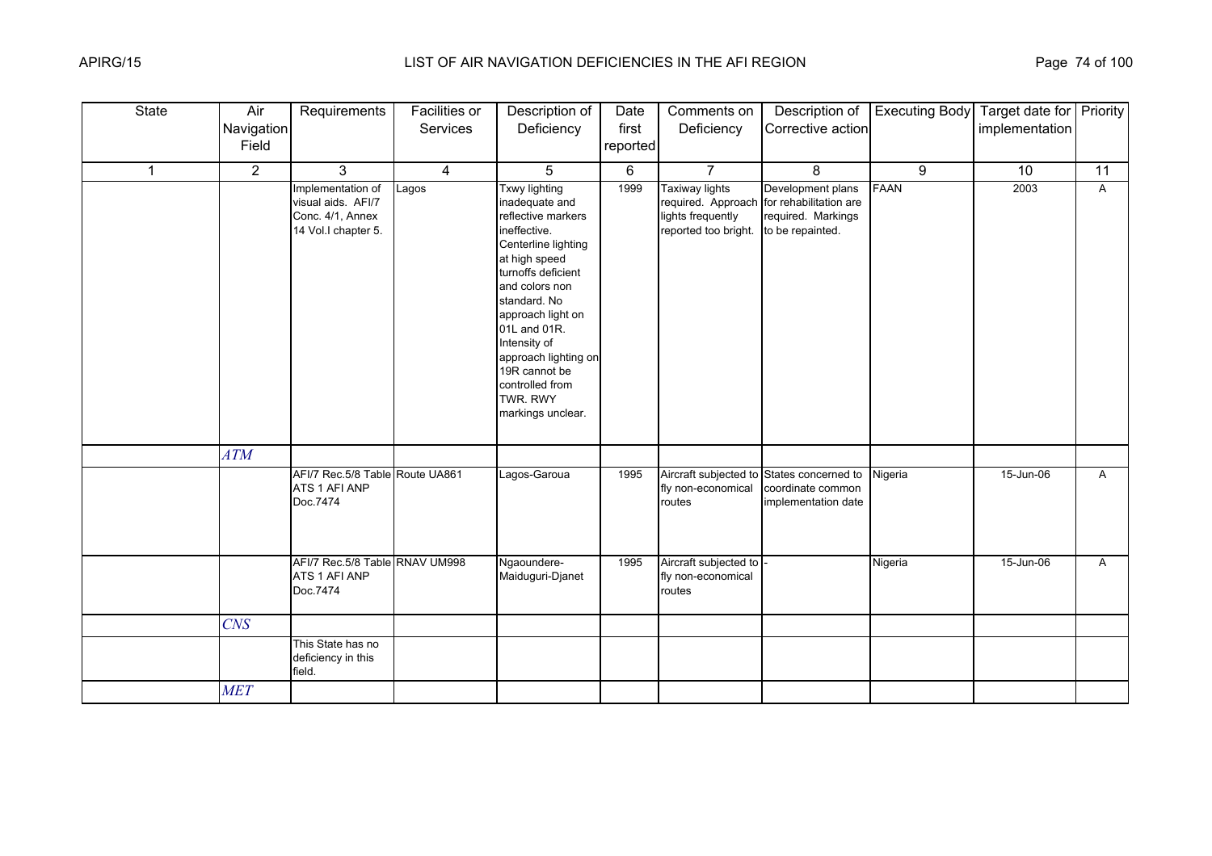| <b>State</b> | Air<br>Navigation<br>Field | Requirements                                                                       | Facilities or<br>Services | Description of<br>Deficiency                                                                                                                                                                                                                                                                                                   | Date<br>first<br>reported | Comments on<br>Deficiency                                   | Description of<br>Corrective action                                                                      | <b>Executing Body</b> | Target date for Priority<br>implementation |              |
|--------------|----------------------------|------------------------------------------------------------------------------------|---------------------------|--------------------------------------------------------------------------------------------------------------------------------------------------------------------------------------------------------------------------------------------------------------------------------------------------------------------------------|---------------------------|-------------------------------------------------------------|----------------------------------------------------------------------------------------------------------|-----------------------|--------------------------------------------|--------------|
| $\mathbf 1$  | $\overline{2}$             | 3                                                                                  | 4                         | 5                                                                                                                                                                                                                                                                                                                              | 6                         | $\overline{7}$                                              | 8                                                                                                        | 9                     | 10                                         | 11           |
|              |                            | Implementation of<br>visual aids. AFI/7<br>Conc. 4/1, Annex<br>14 Vol.I chapter 5. | Lagos                     | <b>Txwy lighting</b><br>inadequate and<br>reflective markers<br>ineffective.<br>Centerline lighting<br>at high speed<br>turnoffs deficient<br>and colors non<br>standard. No<br>approach light on<br>01L and 01R.<br>Intensity of<br>approach lighting on<br>19R cannot be<br>controlled from<br>TWR. RWY<br>markings unclear. | 1999                      | Taxiway lights<br>lights frequently<br>reported too bright. | Development plans<br>required. Approach for rehabilitation are<br>required. Markings<br>to be repainted. | <b>FAAN</b>           | 2003                                       | A            |
|              | ATM                        |                                                                                    |                           |                                                                                                                                                                                                                                                                                                                                |                           |                                                             |                                                                                                          |                       |                                            |              |
|              |                            | AFI/7 Rec.5/8 Table Route UA861<br>ATS 1 AFI ANP<br>Doc.7474                       |                           | Lagos-Garoua                                                                                                                                                                                                                                                                                                                   | 1995                      | fly non-economical<br>routes                                | Aircraft subjected to States concerned to<br>coordinate common<br>implementation date                    | Nigeria               | 15-Jun-06                                  | $\mathsf{A}$ |
|              |                            | AFI/7 Rec.5/8 Table RNAV UM998<br>ATS 1 AFI ANP<br>Doc.7474                        |                           | Ngaoundere-<br>Maiduguri-Djanet                                                                                                                                                                                                                                                                                                | 1995                      | Aircraft subjected to<br>fly non-economical<br>routes       |                                                                                                          | Nigeria               | 15-Jun-06                                  | $\mathsf{A}$ |
|              | <b>CNS</b>                 |                                                                                    |                           |                                                                                                                                                                                                                                                                                                                                |                           |                                                             |                                                                                                          |                       |                                            |              |
|              |                            | This State has no<br>deficiency in this<br>field.                                  |                           |                                                                                                                                                                                                                                                                                                                                |                           |                                                             |                                                                                                          |                       |                                            |              |
|              | <b>MET</b>                 |                                                                                    |                           |                                                                                                                                                                                                                                                                                                                                |                           |                                                             |                                                                                                          |                       |                                            |              |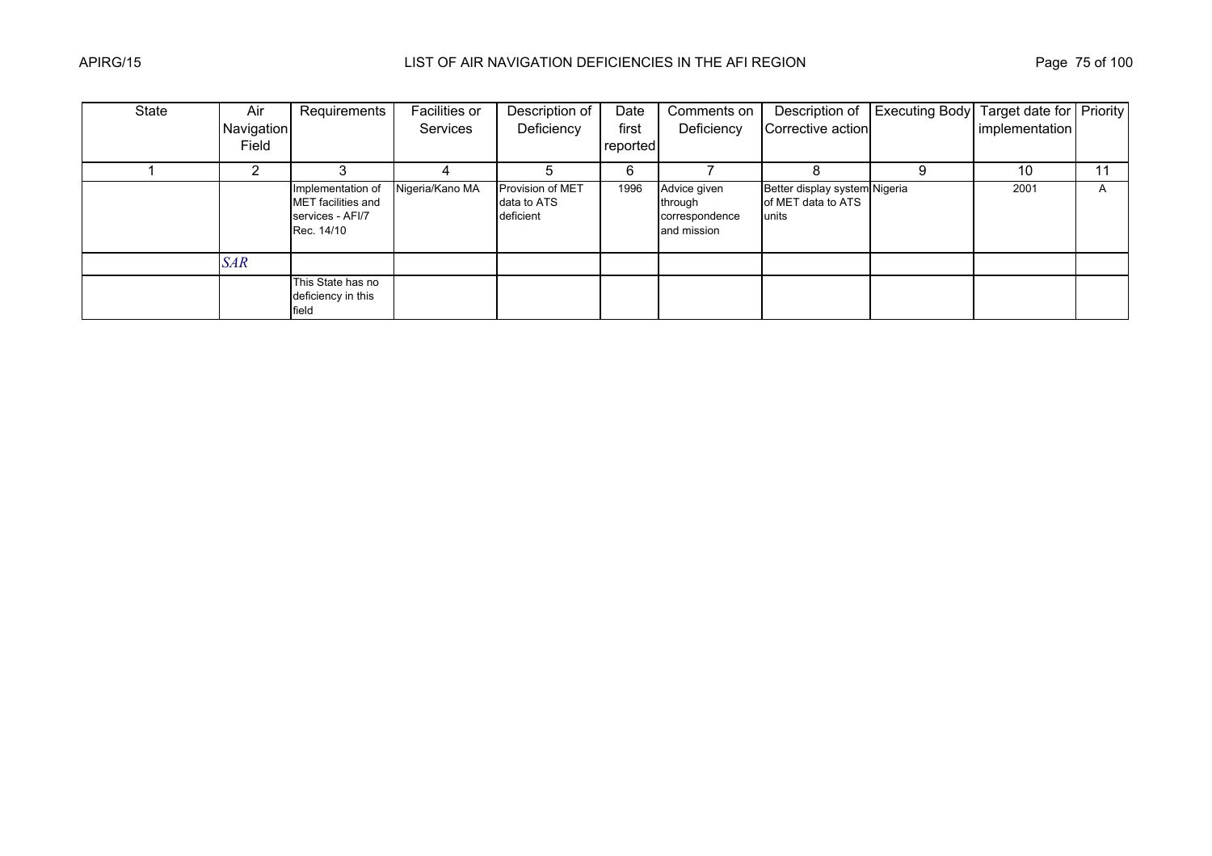| State | Air        | Requirements                                                              | Facilities or   | Description of                                      | Date     | Comments on                                              | Description of                                               | <b>Executing Body</b> Target date for Priority |                |    |
|-------|------------|---------------------------------------------------------------------------|-----------------|-----------------------------------------------------|----------|----------------------------------------------------------|--------------------------------------------------------------|------------------------------------------------|----------------|----|
|       | Navigation |                                                                           | Services        | Deficiency                                          | first    | Deficiency                                               | Corrective action                                            |                                                | implementation |    |
|       | Field      |                                                                           |                 |                                                     | reported |                                                          |                                                              |                                                |                |    |
|       |            |                                                                           |                 |                                                     | 6        |                                                          |                                                              |                                                | 10             | 11 |
|       |            | Implementation of<br>MET facilities and<br>services - AFI/7<br>Rec. 14/10 | Nigeria/Kano MA | <b>Provision of MET</b><br>data to ATS<br>deficient | 1996     | Advice given<br>through<br>correspondence<br>and mission | Better display system Nigeria<br>of MET data to ATS<br>units |                                                | 2001           | A  |
|       | <b>SAR</b> |                                                                           |                 |                                                     |          |                                                          |                                                              |                                                |                |    |
|       |            | This State has no<br>deficiency in this<br>field                          |                 |                                                     |          |                                                          |                                                              |                                                |                |    |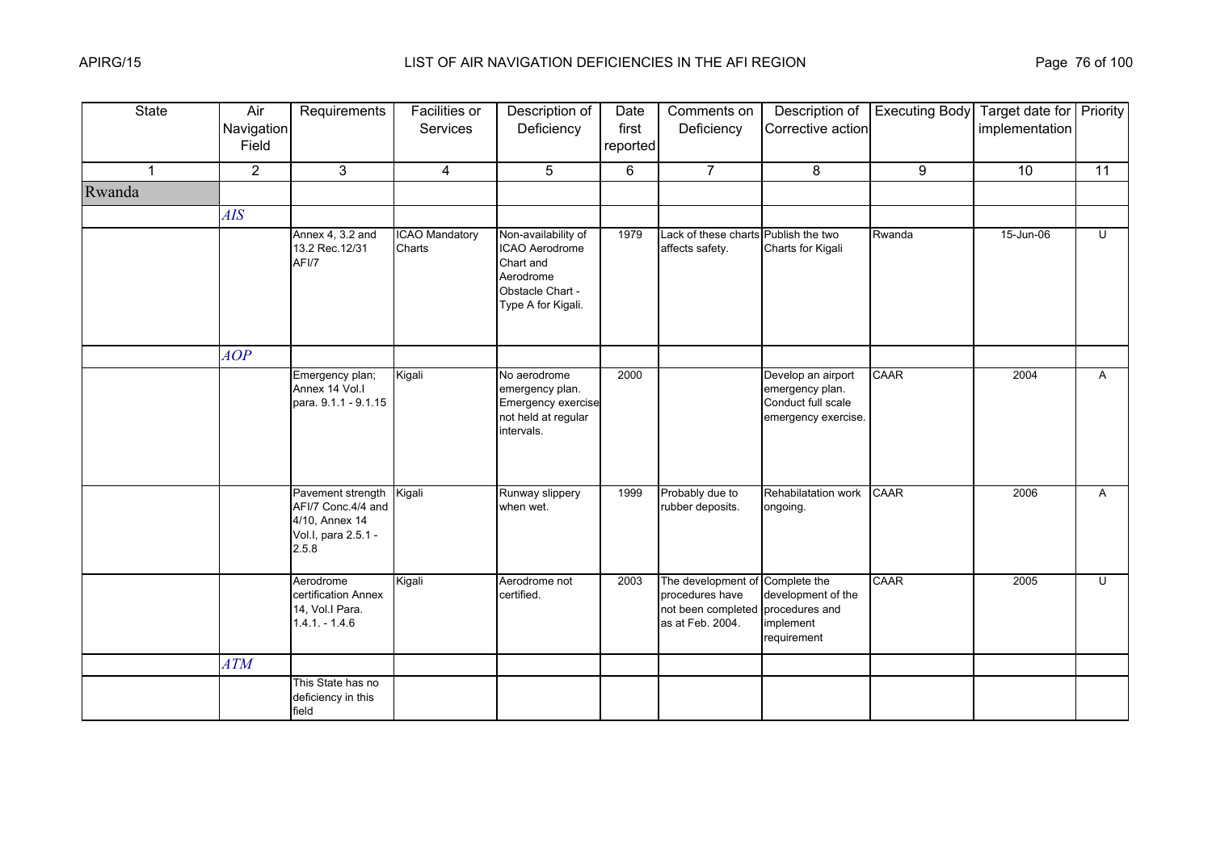| State        | Air<br>Navigation<br>Field | Requirements                                                                              | Facilities or<br>Services       | Description of<br>Deficiency                                                                              | Date<br>first<br>reported | Comments on<br>Deficiency                                                                                   | Description of<br>Corrective action                                                | <b>Executing Body</b> | Target date for Priority<br>implementation |                |
|--------------|----------------------------|-------------------------------------------------------------------------------------------|---------------------------------|-----------------------------------------------------------------------------------------------------------|---------------------------|-------------------------------------------------------------------------------------------------------------|------------------------------------------------------------------------------------|-----------------------|--------------------------------------------|----------------|
| $\mathbf{1}$ | $\overline{2}$             | 3                                                                                         | $\overline{4}$                  | 5                                                                                                         | 6                         | $\overline{7}$                                                                                              | 8                                                                                  | 9                     | 10                                         | 11             |
| Rwanda       |                            |                                                                                           |                                 |                                                                                                           |                           |                                                                                                             |                                                                                    |                       |                                            |                |
|              | <b>AIS</b>                 |                                                                                           |                                 |                                                                                                           |                           |                                                                                                             |                                                                                    |                       |                                            |                |
|              |                            | Annex 4, 3.2 and<br>13.2 Rec. 12/31<br>AFI/7                                              | <b>ICAO Mandatory</b><br>Charts | Non-availability of<br>ICAO Aerodrome<br>Chart and<br>Aerodrome<br>Obstacle Chart -<br>Type A for Kigali. | 1979                      | Lack of these charts Publish the two<br>affects safety.                                                     | Charts for Kigali                                                                  | Rwanda                | 15-Jun-06                                  | $\overline{U}$ |
|              | AOP                        |                                                                                           |                                 |                                                                                                           |                           |                                                                                                             |                                                                                    |                       |                                            |                |
|              |                            | Emergency plan;<br>Annex 14 Vol.I<br>para. 9.1.1 - 9.1.15                                 | Kigali                          | No aerodrome<br>emergency plan.<br>Emergency exercise<br>not held at regular<br>intervals.                | 2000                      |                                                                                                             | Develop an airport<br>emergency plan.<br>Conduct full scale<br>emergency exercise. | CAAR                  | 2004                                       | $\mathsf{A}$   |
|              |                            | Pavement strength<br>AFI/7 Conc.4/4 and<br>4/10, Annex 14<br>Vol.I, para 2.5.1 -<br>2.5.8 | Kigali                          | Runway slippery<br>when wet.                                                                              | 1999                      | Probably due to<br>rubber deposits.                                                                         | Rehabilatation work<br>ongoing.                                                    | CAAR                  | 2006                                       | $\mathsf{A}$   |
|              |                            | Aerodrome<br>certification Annex<br>14, Vol.I Para.<br>$1.4.1 - 1.4.6$                    | Kigali                          | Aerodrome not<br>certified.                                                                               | 2003                      | The development of Complete the<br>procedures have<br>not been completed procedures and<br>as at Feb. 2004. | development of the<br>implement<br>requirement                                     | <b>CAAR</b>           | 2005                                       | U              |
|              | ATM                        |                                                                                           |                                 |                                                                                                           |                           |                                                                                                             |                                                                                    |                       |                                            |                |
|              |                            | This State has no<br>deficiency in this<br>field                                          |                                 |                                                                                                           |                           |                                                                                                             |                                                                                    |                       |                                            |                |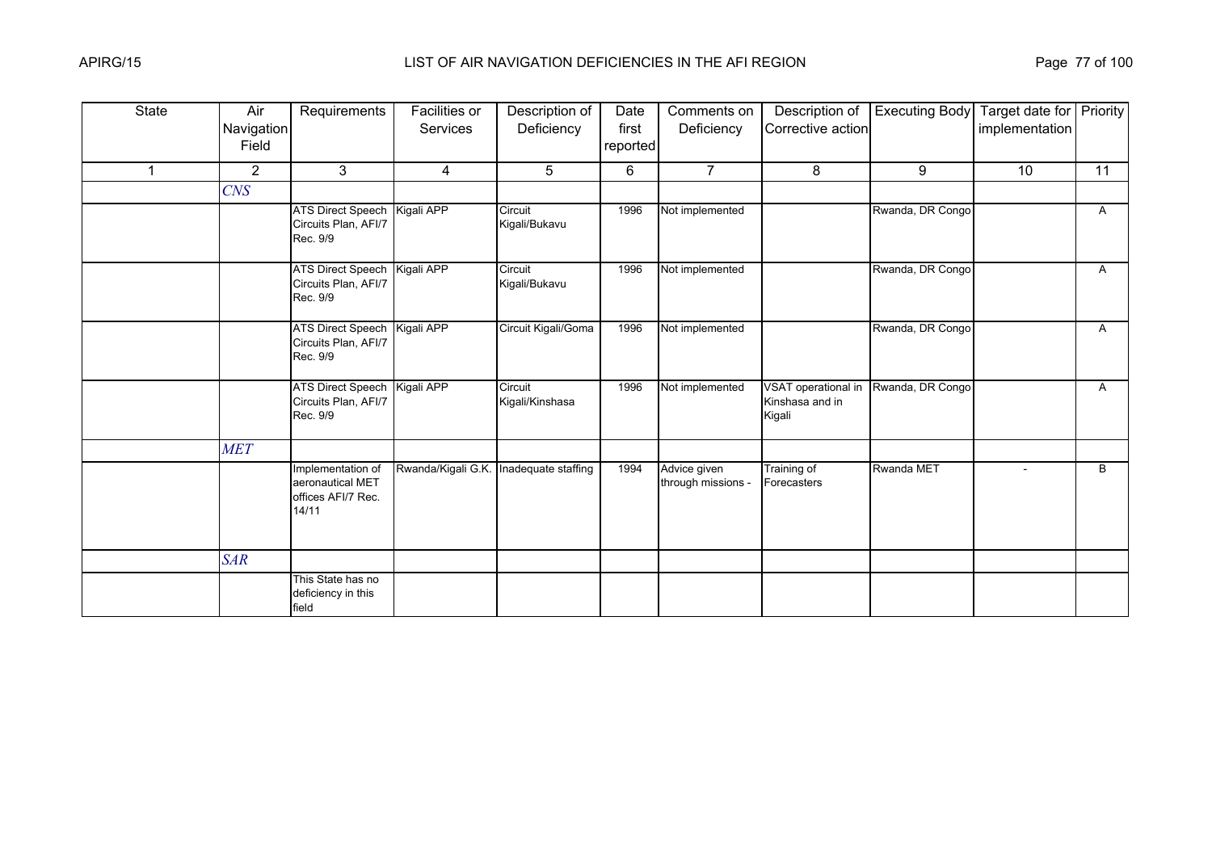| <b>State</b> | Air<br>Navigation<br>Field | Requirements                                                         | <b>Facilities or</b><br><b>Services</b> | Description of<br>Deficiency | Date<br>first<br>reported | Comments on<br>Deficiency          | Description of<br>Corrective action              | <b>Executing Body</b> | Target date for Priority<br>implementation |              |
|--------------|----------------------------|----------------------------------------------------------------------|-----------------------------------------|------------------------------|---------------------------|------------------------------------|--------------------------------------------------|-----------------------|--------------------------------------------|--------------|
| $\mathbf 1$  | $\overline{2}$             | 3                                                                    | 4                                       | 5                            | 6                         | $\overline{7}$                     | 8                                                | 9                     | 10                                         | 11           |
|              | <b>CNS</b>                 |                                                                      |                                         |                              |                           |                                    |                                                  |                       |                                            |              |
|              |                            | ATS Direct Speech Kigali APP<br>Circuits Plan, AFI/7<br>Rec. 9/9     |                                         | Circuit<br>Kigali/Bukavu     | 1996                      | Not implemented                    |                                                  | Rwanda, DR Congo      |                                            | A            |
|              |                            | ATS Direct Speech Kigali APP<br>Circuits Plan, AFI/7<br>Rec. 9/9     |                                         | Circuit<br>Kigali/Bukavu     | 1996                      | Not implemented                    |                                                  | Rwanda, DR Congo      |                                            | A            |
|              |                            | ATS Direct Speech Kigali APP<br>Circuits Plan, AFI/7<br>Rec. 9/9     |                                         | Circuit Kigali/Goma          | 1996                      | Not implemented                    |                                                  | Rwanda, DR Congo      |                                            | $\mathsf{A}$ |
|              |                            | ATS Direct Speech Kigali APP<br>Circuits Plan, AFI/7<br>Rec. 9/9     |                                         | Circuit<br>Kigali/Kinshasa   | 1996                      | Not implemented                    | VSAT operational in<br>Kinshasa and in<br>Kigali | Rwanda, DR Congo      |                                            | A            |
|              | <b>MET</b>                 |                                                                      |                                         |                              |                           |                                    |                                                  |                       |                                            |              |
|              |                            | Implementation of<br>aeronautical MET<br>offices AFI/7 Rec.<br>14/11 | Rwanda/Kigali G.K. Inadequate staffing  |                              | 1994                      | Advice given<br>through missions - | Training of<br>Forecasters                       | Rwanda MET            | $\sim$                                     | B            |
|              | <b>SAR</b>                 |                                                                      |                                         |                              |                           |                                    |                                                  |                       |                                            |              |
|              |                            | This State has no<br>deficiency in this<br>field                     |                                         |                              |                           |                                    |                                                  |                       |                                            |              |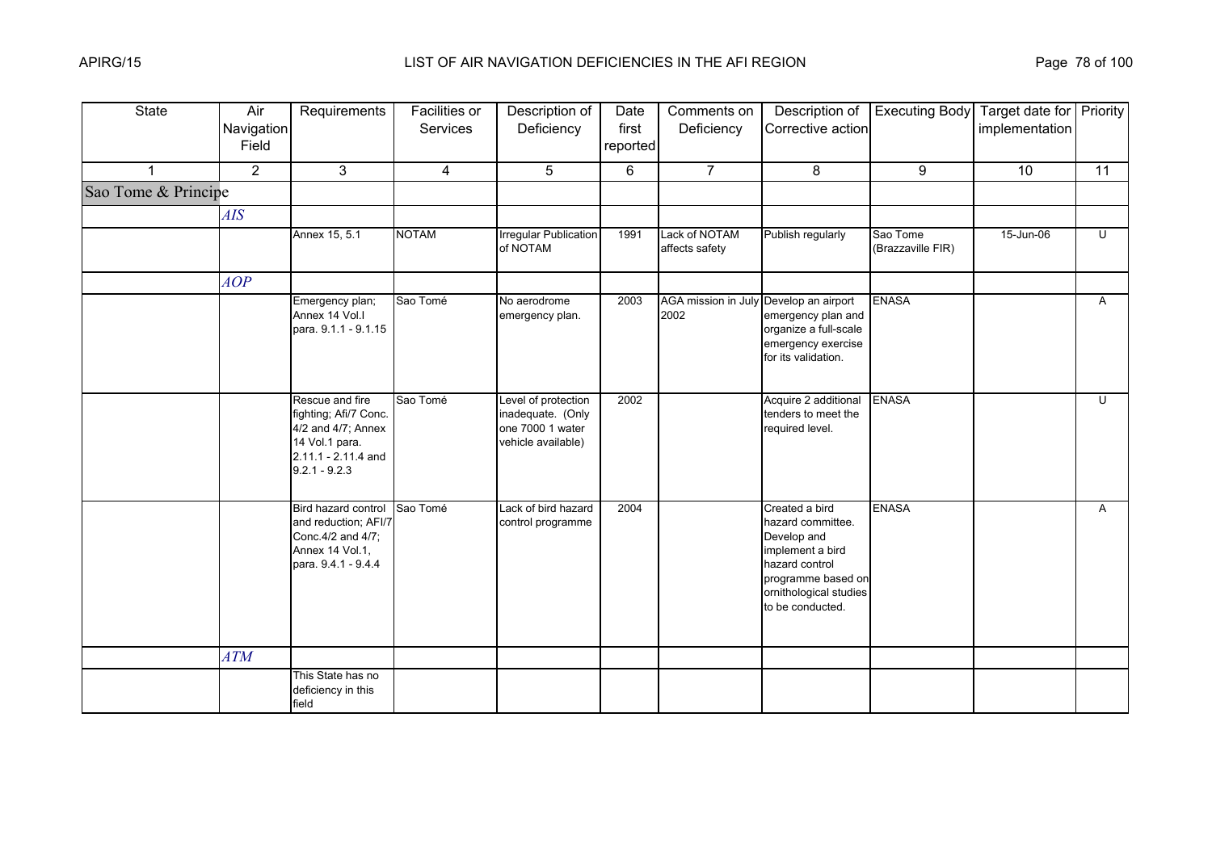| <b>State</b>        | Air<br>Navigation<br>Field | Requirements                                                                                                               | Facilities or<br>Services | Description of<br>Deficiency                                                       | Date<br>first<br>reported | Comments on<br>Deficiency                      | Description of<br>Corrective action                                                                                                                          | <b>Executing Body</b>         | Target date for Priority<br>implementation |                         |
|---------------------|----------------------------|----------------------------------------------------------------------------------------------------------------------------|---------------------------|------------------------------------------------------------------------------------|---------------------------|------------------------------------------------|--------------------------------------------------------------------------------------------------------------------------------------------------------------|-------------------------------|--------------------------------------------|-------------------------|
|                     | $\overline{2}$             | 3                                                                                                                          | 4                         | 5                                                                                  | 6                         | $\overline{7}$                                 | 8                                                                                                                                                            | 9                             | 10                                         | 11                      |
| Sao Tome & Principe |                            |                                                                                                                            |                           |                                                                                    |                           |                                                |                                                                                                                                                              |                               |                                            |                         |
|                     | AIS                        |                                                                                                                            |                           |                                                                                    |                           |                                                |                                                                                                                                                              |                               |                                            |                         |
|                     |                            | Annex 15, 5.1                                                                                                              | <b>NOTAM</b>              | <b>Irregular Publication</b><br>of NOTAM                                           | 1991                      | Lack of NOTAM<br>affects safety                | Publish regularly                                                                                                                                            | Sao Tome<br>(Brazzaville FIR) | 15-Jun-06                                  | $\overline{\mathsf{C}}$ |
|                     | AOP                        |                                                                                                                            |                           |                                                                                    |                           |                                                |                                                                                                                                                              |                               |                                            |                         |
|                     |                            | Emergency plan;<br>Annex 14 Vol.I<br>para. 9.1.1 - 9.1.15                                                                  | Sao Tomé                  | No aerodrome<br>emergency plan.                                                    | 2003                      | AGA mission in July Develop an airport<br>2002 | emergency plan and<br>organize a full-scale<br>emergency exercise<br>for its validation.                                                                     | <b>ENASA</b>                  |                                            | $\mathsf{A}$            |
|                     |                            | Rescue and fire<br>fighting; Afi/7 Conc.<br>4/2 and 4/7; Annex<br>14 Vol.1 para.<br>2.11.1 - 2.11.4 and<br>$9.2.1 - 9.2.3$ | Sao Tomé                  | Level of protection<br>inadequate. (Only<br>one 7000 1 water<br>vehicle available) | 2002                      |                                                | Acquire 2 additional<br>tenders to meet the<br>required level.                                                                                               | <b>ENASA</b>                  |                                            | U                       |
|                     |                            | Bird hazard control<br>and reduction; AFI/7<br>Conc. 4/2 and 4/7;<br>Annex 14 Vol.1,<br>para. 9.4.1 - 9.4.4                | Sao Tomé                  | Lack of bird hazard<br>control programme                                           | 2004                      |                                                | Created a bird<br>hazard committee.<br>Develop and<br>implement a bird<br>hazard control<br>programme based on<br>ornithological studies<br>to be conducted. | <b>ENASA</b>                  |                                            | A                       |
|                     | <b>ATM</b>                 |                                                                                                                            |                           |                                                                                    |                           |                                                |                                                                                                                                                              |                               |                                            |                         |
|                     |                            | This State has no<br>deficiency in this<br>field                                                                           |                           |                                                                                    |                           |                                                |                                                                                                                                                              |                               |                                            |                         |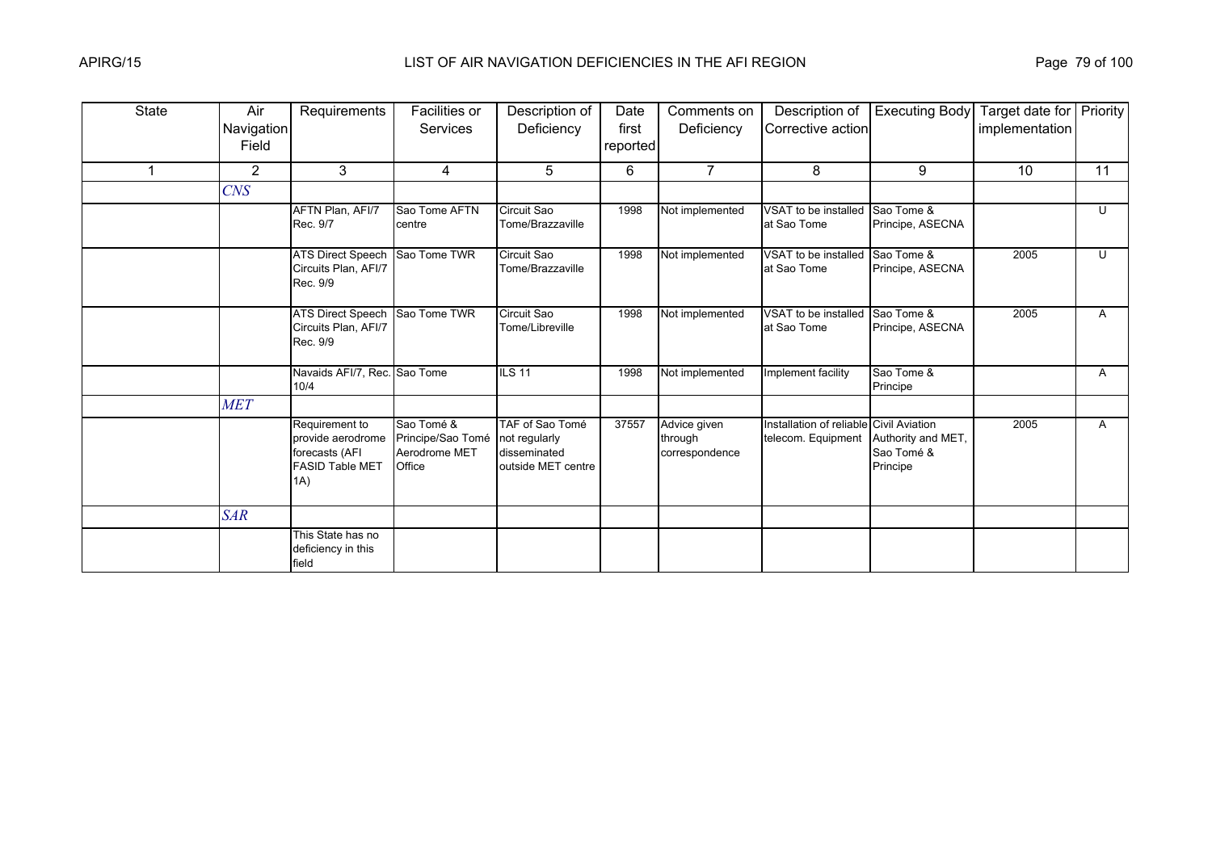| State | Air<br>Navigation<br>Field | Requirements                                                                           | Facilities or<br><b>Services</b>                           | Description of<br>Deficiency                                           | Date<br>first<br>reported | Comments on<br>Deficiency                 | Description of<br>Corrective action                           | <b>Executing Body</b>                        | Target date for Priority<br>implementation |                         |
|-------|----------------------------|----------------------------------------------------------------------------------------|------------------------------------------------------------|------------------------------------------------------------------------|---------------------------|-------------------------------------------|---------------------------------------------------------------|----------------------------------------------|--------------------------------------------|-------------------------|
|       | $\overline{2}$             | 3                                                                                      | 4                                                          | 5                                                                      | 6                         | $\overline{7}$                            | 8                                                             | 9                                            | 10                                         | 11                      |
|       | $C\!N\!S$                  |                                                                                        |                                                            |                                                                        |                           |                                           |                                                               |                                              |                                            |                         |
|       |                            | AFTN Plan, AFI/7<br>Rec. 9/7                                                           | Sao Tome AFTN<br>centre                                    | Circuit Sao<br>Tome/Brazzaville                                        | 1998                      | Not implemented                           | VSAT to be installed<br>at Sao Tome                           | Sao Tome &<br>Principe, ASECNA               |                                            | $\cup$                  |
|       |                            | <b>ATS Direct Speech</b><br>Circuits Plan, AFI/7<br>Rec. 9/9                           | Sao Tome TWR                                               | Circuit Sao<br>Tome/Brazzaville                                        | 1998                      | Not implemented                           | VSAT to be installed<br>at Sao Tome                           | Sao Tome &<br>Principe, ASECNA               | 2005                                       | $\overline{\mathsf{C}}$ |
|       |                            | <b>ATS Direct Speech</b><br>Circuits Plan, AFI/7<br>Rec. 9/9                           | Sao Tome TWR                                               | Circuit Sao<br>Tome/Libreville                                         | 1998                      | Not implemented                           | VSAT to be installed<br>at Sao Tome                           | Sao Tome &<br>Principe, ASECNA               | 2005                                       | A                       |
|       |                            | Navaids AFI/7, Rec. Sao Tome<br>10/4                                                   |                                                            | <b>ILS 11</b>                                                          | 1998                      | Not implemented                           | Implement facility                                            | Sao Tome &<br>Principe                       |                                            | A                       |
|       | <b>MET</b>                 |                                                                                        |                                                            |                                                                        |                           |                                           |                                                               |                                              |                                            |                         |
|       |                            | Requirement to<br>provide aerodrome<br>forecasts (AFI<br><b>FASID Table MET</b><br>1A) | Sao Tomé &<br>Principe/Sao Tomé<br>Aerodrome MET<br>Office | TAF of Sao Tomé<br>not regularly<br>disseminated<br>outside MET centre | 37557                     | Advice given<br>through<br>correspondence | Installation of reliable Civil Aviation<br>telecom. Equipment | Authority and MET,<br>Sao Tomé &<br>Principe | 2005                                       | Α                       |
|       | <b>SAR</b>                 |                                                                                        |                                                            |                                                                        |                           |                                           |                                                               |                                              |                                            |                         |
|       |                            | This State has no<br>deficiency in this<br>field                                       |                                                            |                                                                        |                           |                                           |                                                               |                                              |                                            |                         |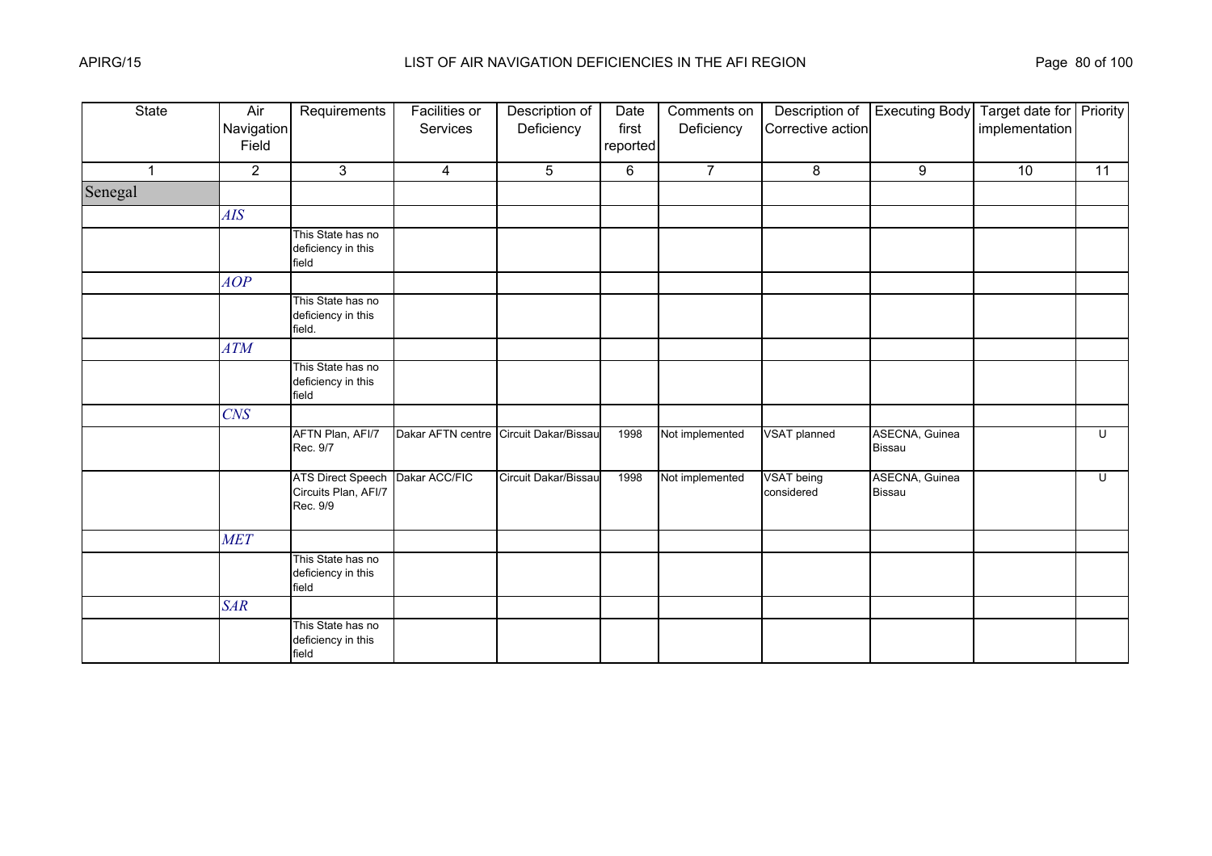| <b>State</b>         | Air<br>Navigation<br>Field | Requirements                                                 | <b>Facilities or</b><br>Services | Description of<br>Deficiency           | Date<br>first<br>reported | Comments on<br>Deficiency | Description of<br>Corrective action | <b>Executing Body</b>           | Target date for Priority<br>implementation |                |
|----------------------|----------------------------|--------------------------------------------------------------|----------------------------------|----------------------------------------|---------------------------|---------------------------|-------------------------------------|---------------------------------|--------------------------------------------|----------------|
| $\blacktriangleleft$ | $\overline{2}$             | 3                                                            | $\overline{4}$                   | 5                                      | 6                         | $\overline{7}$            | 8                                   | 9                               | 10                                         | 11             |
| Senegal              |                            |                                                              |                                  |                                        |                           |                           |                                     |                                 |                                            |                |
|                      | AIS                        |                                                              |                                  |                                        |                           |                           |                                     |                                 |                                            |                |
|                      |                            | This State has no<br>deficiency in this<br>field             |                                  |                                        |                           |                           |                                     |                                 |                                            |                |
|                      | AOP                        |                                                              |                                  |                                        |                           |                           |                                     |                                 |                                            |                |
|                      |                            | This State has no<br>deficiency in this<br>field.            |                                  |                                        |                           |                           |                                     |                                 |                                            |                |
|                      | ATM                        |                                                              |                                  |                                        |                           |                           |                                     |                                 |                                            |                |
|                      |                            | This State has no<br>deficiency in this<br>field             |                                  |                                        |                           |                           |                                     |                                 |                                            |                |
|                      | <b>CNS</b>                 |                                                              |                                  |                                        |                           |                           |                                     |                                 |                                            |                |
|                      |                            | AFTN Plan, AFI/7<br>Rec. 9/7                                 |                                  | Dakar AFTN centre Circuit Dakar/Bissau | 1998                      | Not implemented           | <b>VSAT planned</b>                 | ASECNA, Guinea<br><b>Bissau</b> |                                            | $\overline{C}$ |
|                      |                            | <b>ATS Direct Speech</b><br>Circuits Plan, AFI/7<br>Rec. 9/9 | Dakar ACC/FIC                    | Circuit Dakar/Bissau                   | 1998                      | Not implemented           | <b>VSAT</b> being<br>considered     | ASECNA, Guinea<br><b>Bissau</b> |                                            | U              |
|                      | <b>MET</b>                 |                                                              |                                  |                                        |                           |                           |                                     |                                 |                                            |                |
|                      |                            | This State has no<br>deficiency in this<br>field             |                                  |                                        |                           |                           |                                     |                                 |                                            |                |
|                      | <b>SAR</b>                 |                                                              |                                  |                                        |                           |                           |                                     |                                 |                                            |                |
|                      |                            | This State has no<br>deficiency in this<br>field             |                                  |                                        |                           |                           |                                     |                                 |                                            |                |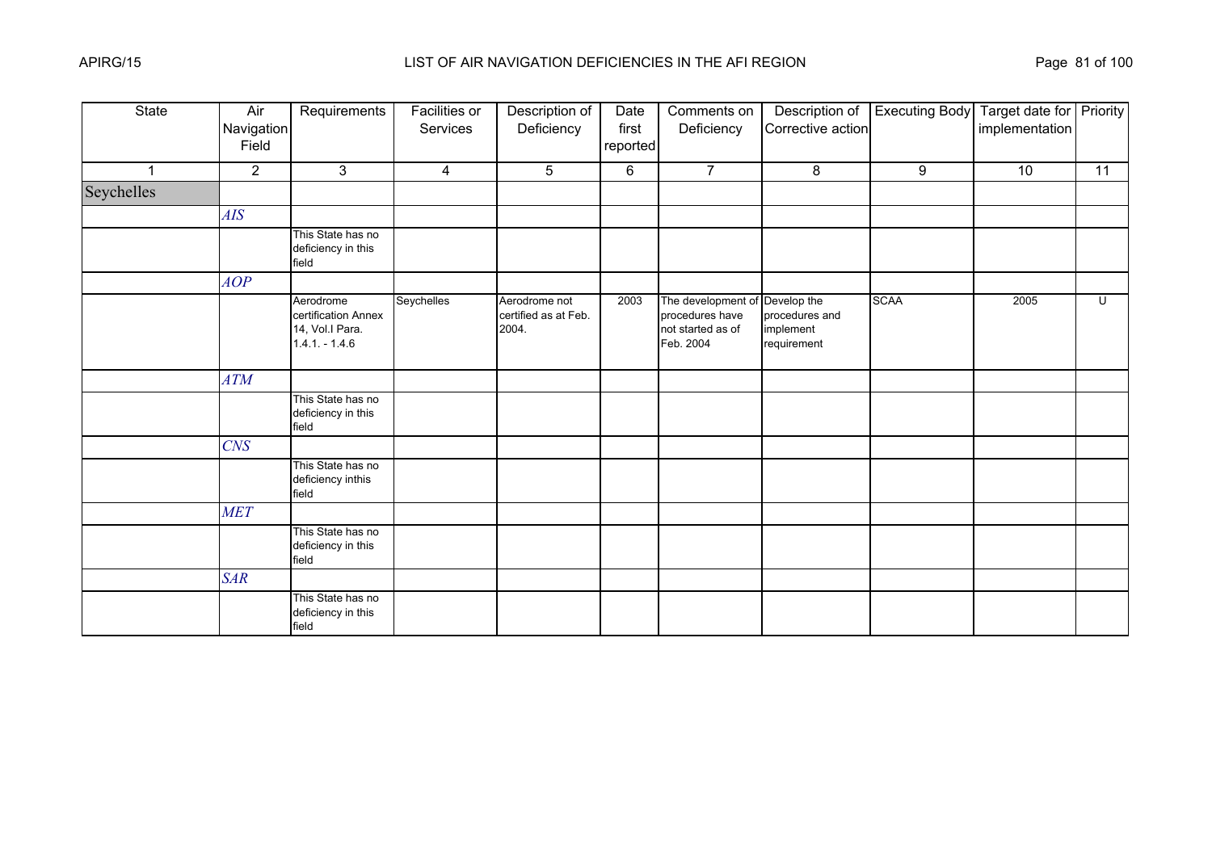| State        | Air<br>Navigation<br>Field | Requirements                                                           | <b>Facilities or</b><br>Services | Description of<br>Deficiency                   | Date<br>first<br>reported | Comments on<br>Deficiency                                               | Description of<br>Corrective action                       | <b>Executing Body</b> | Target date for Priority<br>implementation |                 |
|--------------|----------------------------|------------------------------------------------------------------------|----------------------------------|------------------------------------------------|---------------------------|-------------------------------------------------------------------------|-----------------------------------------------------------|-----------------------|--------------------------------------------|-----------------|
| $\mathbf{1}$ | $\overline{2}$             | $\mathbf{3}$                                                           | 4                                | 5                                              | 6                         | $\overline{7}$                                                          | 8                                                         | 9                     | 10                                         | $\overline{11}$ |
| Seychelles   |                            |                                                                        |                                  |                                                |                           |                                                                         |                                                           |                       |                                            |                 |
|              | AIS                        |                                                                        |                                  |                                                |                           |                                                                         |                                                           |                       |                                            |                 |
|              |                            | This State has no<br>deficiency in this<br>field                       |                                  |                                                |                           |                                                                         |                                                           |                       |                                            |                 |
|              | AOP                        |                                                                        |                                  |                                                |                           |                                                                         |                                                           |                       |                                            |                 |
|              |                            | Aerodrome<br>certification Annex<br>14, Vol.I Para.<br>$1.4.1 - 1.4.6$ | Seychelles                       | Aerodrome not<br>certified as at Feb.<br>2004. | 2003                      | The development of<br>procedures have<br>not started as of<br>Feb. 2004 | Develop the<br>procedures and<br>implement<br>requirement | <b>SCAA</b>           | 2005                                       | $\overline{C}$  |
|              | <b>ATM</b>                 |                                                                        |                                  |                                                |                           |                                                                         |                                                           |                       |                                            |                 |
|              |                            | This State has no<br>deficiency in this<br>field                       |                                  |                                                |                           |                                                                         |                                                           |                       |                                            |                 |
|              | <b>CNS</b>                 |                                                                        |                                  |                                                |                           |                                                                         |                                                           |                       |                                            |                 |
|              |                            | This State has no<br>deficiency inthis<br>field                        |                                  |                                                |                           |                                                                         |                                                           |                       |                                            |                 |
|              | <b>MET</b>                 |                                                                        |                                  |                                                |                           |                                                                         |                                                           |                       |                                            |                 |
|              |                            | This State has no<br>deficiency in this<br>field                       |                                  |                                                |                           |                                                                         |                                                           |                       |                                            |                 |
|              | <b>SAR</b>                 |                                                                        |                                  |                                                |                           |                                                                         |                                                           |                       |                                            |                 |
|              |                            | This State has no<br>deficiency in this<br>field                       |                                  |                                                |                           |                                                                         |                                                           |                       |                                            |                 |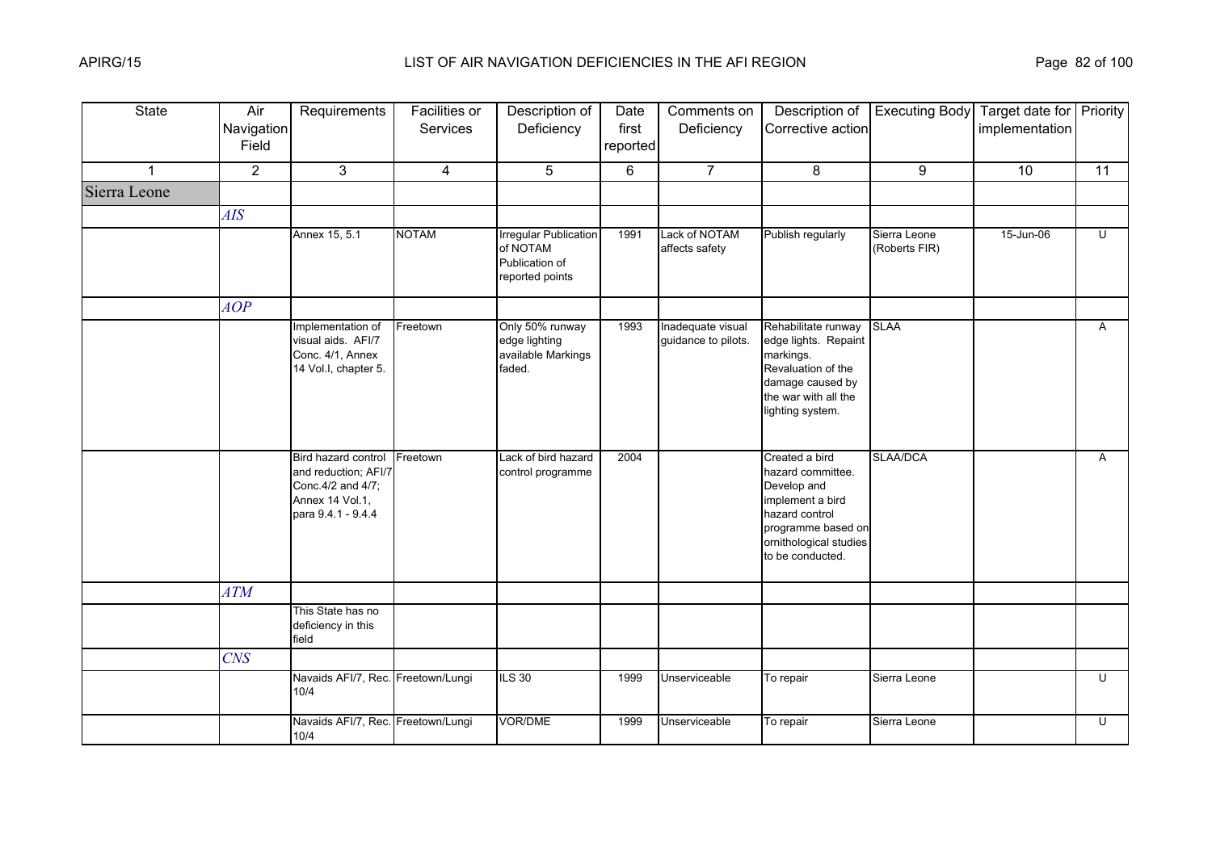| <b>State</b> | Air<br>Navigation<br>Field | Requirements                                                                                              | Facilities or<br>Services | Description of<br>Deficiency                                                  | Date<br>first<br>reported | Comments on<br>Deficiency                | Description of<br>Corrective action                                                                                                                          | <b>Executing Body</b>         | Target date for Priority<br>implementation |                |
|--------------|----------------------------|-----------------------------------------------------------------------------------------------------------|---------------------------|-------------------------------------------------------------------------------|---------------------------|------------------------------------------|--------------------------------------------------------------------------------------------------------------------------------------------------------------|-------------------------------|--------------------------------------------|----------------|
| 1            | $\overline{2}$             | $\mathbf{3}$                                                                                              | 4                         | 5                                                                             | 6                         | $\overline{7}$                           | 8                                                                                                                                                            | 9                             | 10                                         | 11             |
| Sierra Leone |                            |                                                                                                           |                           |                                                                               |                           |                                          |                                                                                                                                                              |                               |                                            |                |
|              | <b>AIS</b>                 |                                                                                                           |                           |                                                                               |                           |                                          |                                                                                                                                                              |                               |                                            |                |
|              |                            | Annex 15, 5.1                                                                                             | <b>NOTAM</b>              | <b>Irregular Publication</b><br>of NOTAM<br>Publication of<br>reported points | 1991                      | Lack of NOTAM<br>affects safety          | Publish regularly                                                                                                                                            | Sierra Leone<br>(Roberts FIR) | 15-Jun-06                                  | Ū              |
|              | AOP                        |                                                                                                           |                           |                                                                               |                           |                                          |                                                                                                                                                              |                               |                                            |                |
|              |                            | Implementation of<br>visual aids. AFI/7<br>Conc. 4/1, Annex<br>14 Vol.I, chapter 5.                       | Freetown                  | Only 50% runway<br>edge lighting<br>available Markings<br>faded.              | 1993                      | Inadequate visual<br>guidance to pilots. | Rehabilitate runway<br>edge lights. Repaint<br>markings.<br>Revaluation of the<br>damage caused by<br>the war with all the<br>lighting system.               | <b>SLAA</b>                   |                                            | $\mathsf{A}$   |
|              |                            | Bird hazard control<br>and reduction; AFI/7<br>Conc.4/2 and 4/7;<br>Annex 14 Vol.1,<br>para 9.4.1 - 9.4.4 | Freetown                  | Lack of bird hazard<br>control programme                                      | 2004                      |                                          | Created a bird<br>hazard committee.<br>Develop and<br>implement a bird<br>hazard control<br>programme based on<br>ornithological studies<br>to be conducted. | SLAA/DCA                      |                                            | $\overline{A}$ |
|              | <b>ATM</b>                 |                                                                                                           |                           |                                                                               |                           |                                          |                                                                                                                                                              |                               |                                            |                |
|              |                            | This State has no<br>deficiency in this<br>field                                                          |                           |                                                                               |                           |                                          |                                                                                                                                                              |                               |                                            |                |
|              | <b>CNS</b>                 |                                                                                                           |                           |                                                                               |                           |                                          |                                                                                                                                                              |                               |                                            |                |
|              |                            | Navaids AFI/7, Rec. Freetown/Lungi<br>10/4                                                                |                           | <b>ILS 30</b>                                                                 | 1999                      | Unserviceable                            | To repair                                                                                                                                                    | Sierra Leone                  |                                            | U              |
|              |                            | Navaids AFI/7, Rec. Freetown/Lungi<br>10/4                                                                |                           | <b>VOR/DME</b>                                                                | 1999                      | Unserviceable                            | To repair                                                                                                                                                    | Sierra Leone                  |                                            | $\overline{U}$ |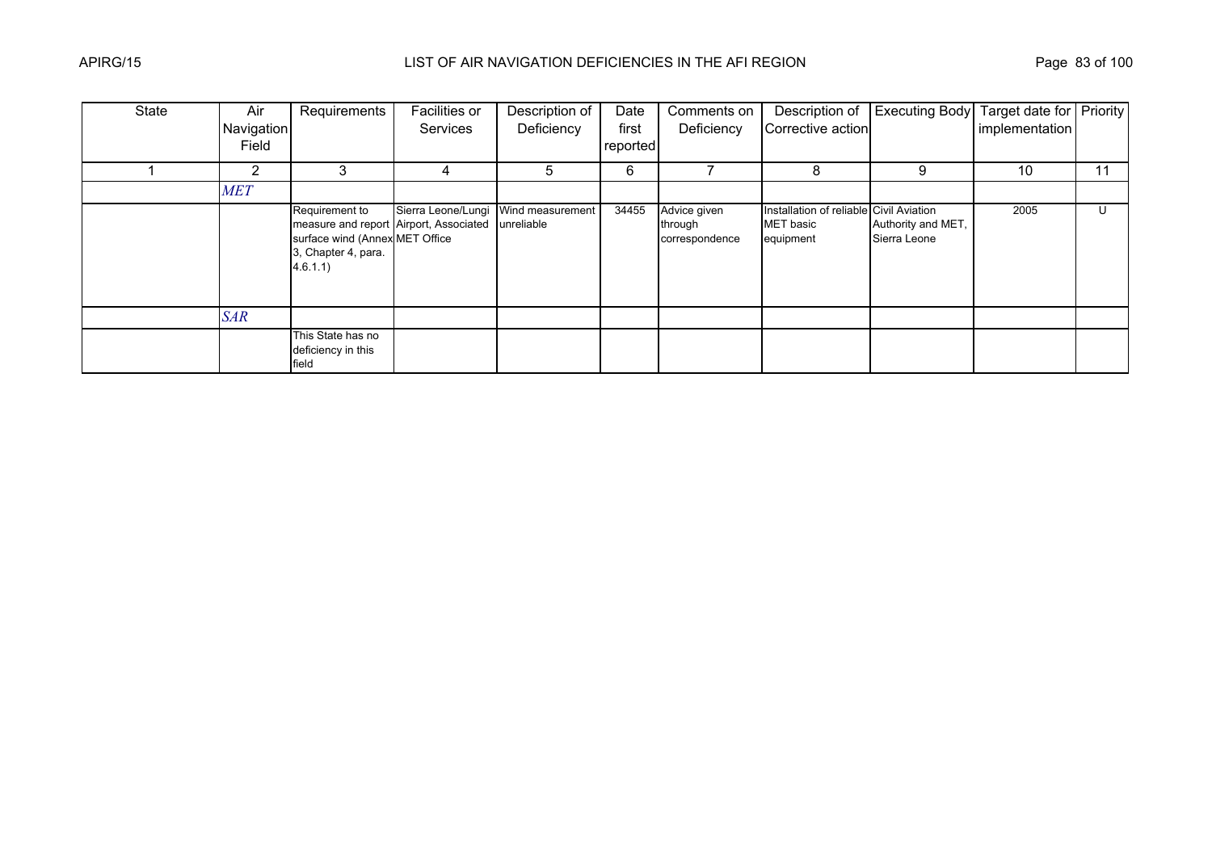| State | Air            | Requirements                                                                                                                 | Facilities or      | Description of                 | Date     | Comments on                               | Description of                                                           | Executing Body                     | Target date for Priority |    |
|-------|----------------|------------------------------------------------------------------------------------------------------------------------------|--------------------|--------------------------------|----------|-------------------------------------------|--------------------------------------------------------------------------|------------------------------------|--------------------------|----|
|       | Navigation     |                                                                                                                              | <b>Services</b>    | Deficiency                     | first    | Deficiency                                | Corrective action                                                        |                                    | implementation           |    |
|       | Field          |                                                                                                                              |                    |                                | reported |                                           |                                                                          |                                    |                          |    |
|       | $\overline{2}$ | 3                                                                                                                            | 4                  | 5                              | 6        |                                           | 8                                                                        | 9                                  | 10                       | 11 |
|       | <b>MET</b>     |                                                                                                                              |                    |                                |          |                                           |                                                                          |                                    |                          |    |
|       |                | Requirement to<br>measure and report Airport, Associated<br>surface wind (Annex MET Office<br>3, Chapter 4, para.<br>4.6.1.1 | Sierra Leone/Lungi | Wind measurement<br>unreliable | 34455    | Advice given<br>through<br>correspondence | Installation of reliable Civil Aviation<br><b>MET</b> basic<br>equipment | Authority and MET,<br>Sierra Leone | 2005                     | U  |
|       | <b>SAR</b>     |                                                                                                                              |                    |                                |          |                                           |                                                                          |                                    |                          |    |
|       |                | This State has no<br>deficiency in this<br>field                                                                             |                    |                                |          |                                           |                                                                          |                                    |                          |    |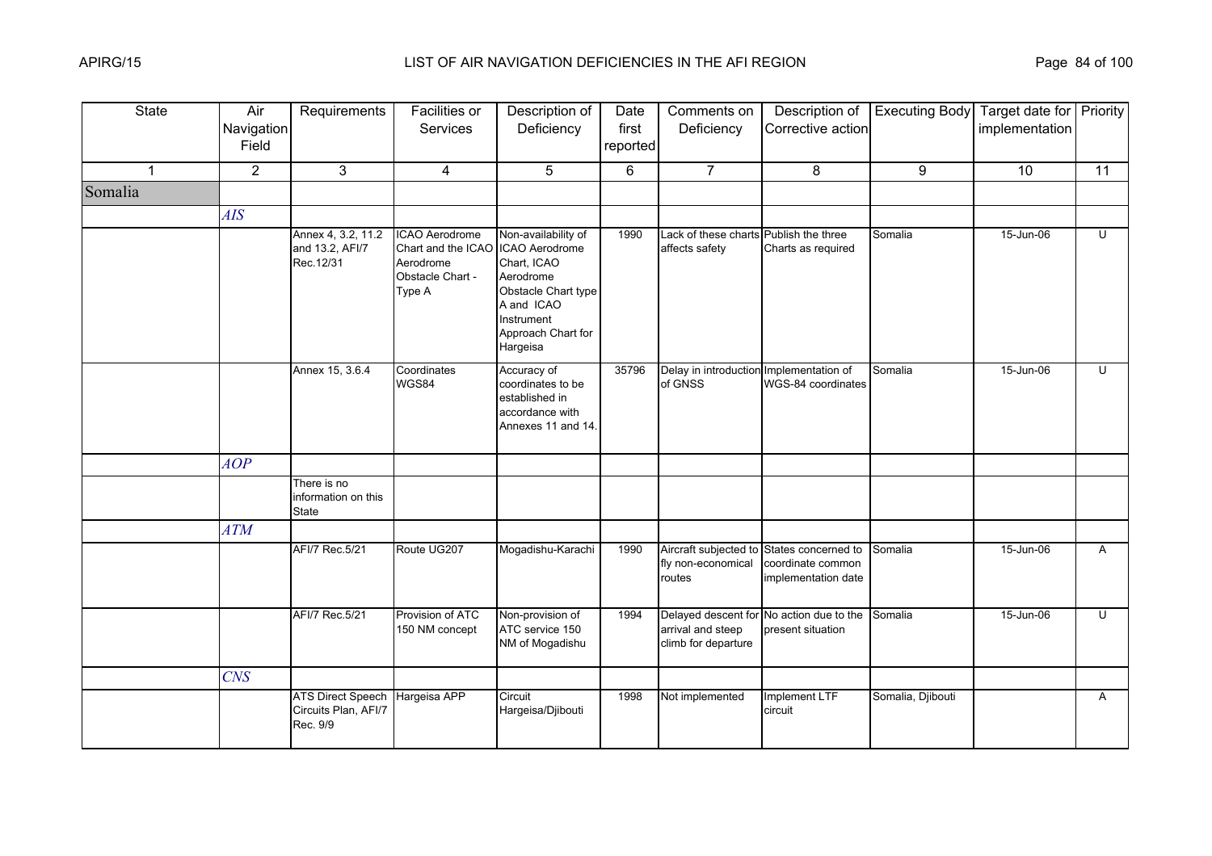| <b>State</b> | Air<br>Navigation<br>Field | Requirements                                                 | Facilities or<br>Services                                                       | Description of<br>Deficiency                                                                                                                           | Date<br>first<br>reported | Comments on<br>Deficiency                                | Description of<br>Corrective action                             | <b>Executing Body</b> | Target date for Priority<br>implementation |    |
|--------------|----------------------------|--------------------------------------------------------------|---------------------------------------------------------------------------------|--------------------------------------------------------------------------------------------------------------------------------------------------------|---------------------------|----------------------------------------------------------|-----------------------------------------------------------------|-----------------------|--------------------------------------------|----|
| $\mathbf 1$  | $\overline{2}$             | $\mathfrak{S}$                                               | 4                                                                               | 5                                                                                                                                                      | 6                         | $\overline{7}$                                           | 8                                                               | 9                     | 10                                         | 11 |
| Somalia      |                            |                                                              |                                                                                 |                                                                                                                                                        |                           |                                                          |                                                                 |                       |                                            |    |
|              | AIS                        |                                                              |                                                                                 |                                                                                                                                                        |                           |                                                          |                                                                 |                       |                                            |    |
|              |                            | Annex 4, 3.2, 11.2<br>and 13.2, AFI/7<br>Rec.12/31           | ICAO Aerodrome<br>Chart and the ICAO<br>Aerodrome<br>Obstacle Chart -<br>Type A | Non-availability of<br>ICAO Aerodrome<br>Chart, ICAO<br>Aerodrome<br>Obstacle Chart type<br>A and ICAO<br>Instrument<br>Approach Chart for<br>Hargeisa | 1990                      | Lack of these charts Publish the three<br>affects safety | Charts as required                                              | Somalia               | 15-Jun-06                                  | Ū  |
|              |                            | Annex 15, 3.6.4                                              | Coordinates<br>WGS84                                                            | Accuracy of<br>coordinates to be<br>established in<br>accordance with<br>Annexes 11 and 14.                                                            | 35796                     | Delay in introduction Implementation of<br>of GNSS       | WGS-84 coordinates                                              | Somalia               | 15-Jun-06                                  | U  |
|              | AOP                        |                                                              |                                                                                 |                                                                                                                                                        |                           |                                                          |                                                                 |                       |                                            |    |
|              |                            | There is no<br>information on this<br><b>State</b>           |                                                                                 |                                                                                                                                                        |                           |                                                          |                                                                 |                       |                                            |    |
|              | <b>ATM</b>                 |                                                              |                                                                                 |                                                                                                                                                        |                           |                                                          |                                                                 |                       |                                            |    |
|              |                            | AFI/7 Rec.5/21                                               | Route UG207                                                                     | Mogadishu-Karachi                                                                                                                                      | 1990                      | Aircraft subjected to<br>fly non-economical<br>routes    | States concerned to<br>coordinate common<br>implementation date | Somalia               | 15-Jun-06                                  | A  |
|              |                            | AFI/7 Rec.5/21                                               | Provision of ATC<br>150 NM concept                                              | Non-provision of<br>ATC service 150<br>NM of Mogadishu                                                                                                 | 1994                      | arrival and steep<br>climb for departure                 | Delayed descent for No action due to the<br>present situation   | Somalia               | 15-Jun-06                                  | U  |
|              | CNS                        |                                                              |                                                                                 |                                                                                                                                                        |                           |                                                          |                                                                 |                       |                                            |    |
|              |                            | <b>ATS Direct Speech</b><br>Circuits Plan, AFI/7<br>Rec. 9/9 | Hargeisa APP                                                                    | Circuit<br>Hargeisa/Djibouti                                                                                                                           | 1998                      | Not implemented                                          | Implement LTF<br>circuit                                        | Somalia, Djibouti     |                                            | A  |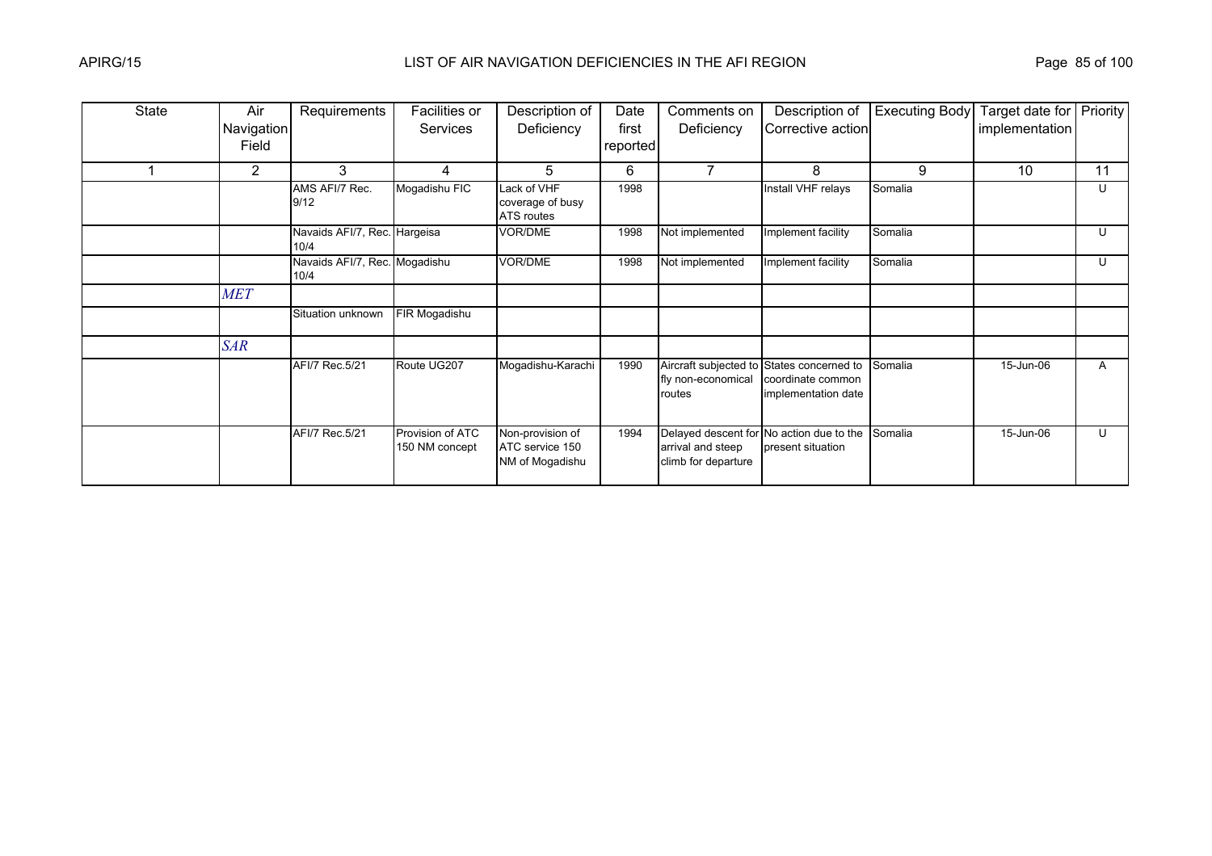| <b>State</b> | Air        | Requirements                          | Facilities or                      | Description of                                         | Date     | Comments on                              | Description of                                                                        | <b>Executing Body</b> | Target date for | Priority |
|--------------|------------|---------------------------------------|------------------------------------|--------------------------------------------------------|----------|------------------------------------------|---------------------------------------------------------------------------------------|-----------------------|-----------------|----------|
|              | Navigation |                                       | <b>Services</b>                    | Deficiency                                             | first    | Deficiency                               | Corrective action                                                                     |                       | implementation  |          |
|              | Field      |                                       |                                    |                                                        | reported |                                          |                                                                                       |                       |                 |          |
|              | 2          | 3                                     | 4                                  | 5                                                      | 6        |                                          | 8                                                                                     | 9                     | 10              | 11       |
|              |            | AMS AFI/7 Rec.<br>9/12                | Mogadishu FIC                      | Lack of VHF<br>coverage of busy<br>ATS routes          | 1998     |                                          | Install VHF relays                                                                    | Somalia               |                 | U        |
|              |            | Navaids AFI/7, Rec. Hargeisa<br>10/4  |                                    | VOR/DME                                                | 1998     | Not implemented                          | Implement facility                                                                    | Somalia               |                 | U        |
|              |            | Navaids AFI/7, Rec. Mogadishu<br>10/4 |                                    | VOR/DME                                                | 1998     | Not implemented                          | Implement facility                                                                    | Somalia               |                 | U        |
|              | <b>MET</b> |                                       |                                    |                                                        |          |                                          |                                                                                       |                       |                 |          |
|              |            | Situation unknown                     | FIR Mogadishu                      |                                                        |          |                                          |                                                                                       |                       |                 |          |
|              | <b>SAR</b> |                                       |                                    |                                                        |          |                                          |                                                                                       |                       |                 |          |
|              |            | AFI/7 Rec.5/21                        | Route UG207                        | Mogadishu-Karachi                                      | 1990     | fly non-economical<br>routes             | Aircraft subjected to States concerned to<br>coordinate common<br>implementation date | Somalia               | 15-Jun-06       | A        |
|              |            | AFI/7 Rec.5/21                        | Provision of ATC<br>150 NM concept | Non-provision of<br>ATC service 150<br>NM of Mogadishu | 1994     | arrival and steep<br>climb for departure | Delayed descent for No action due to the<br>present situation                         | Somalia               | 15-Jun-06       | U        |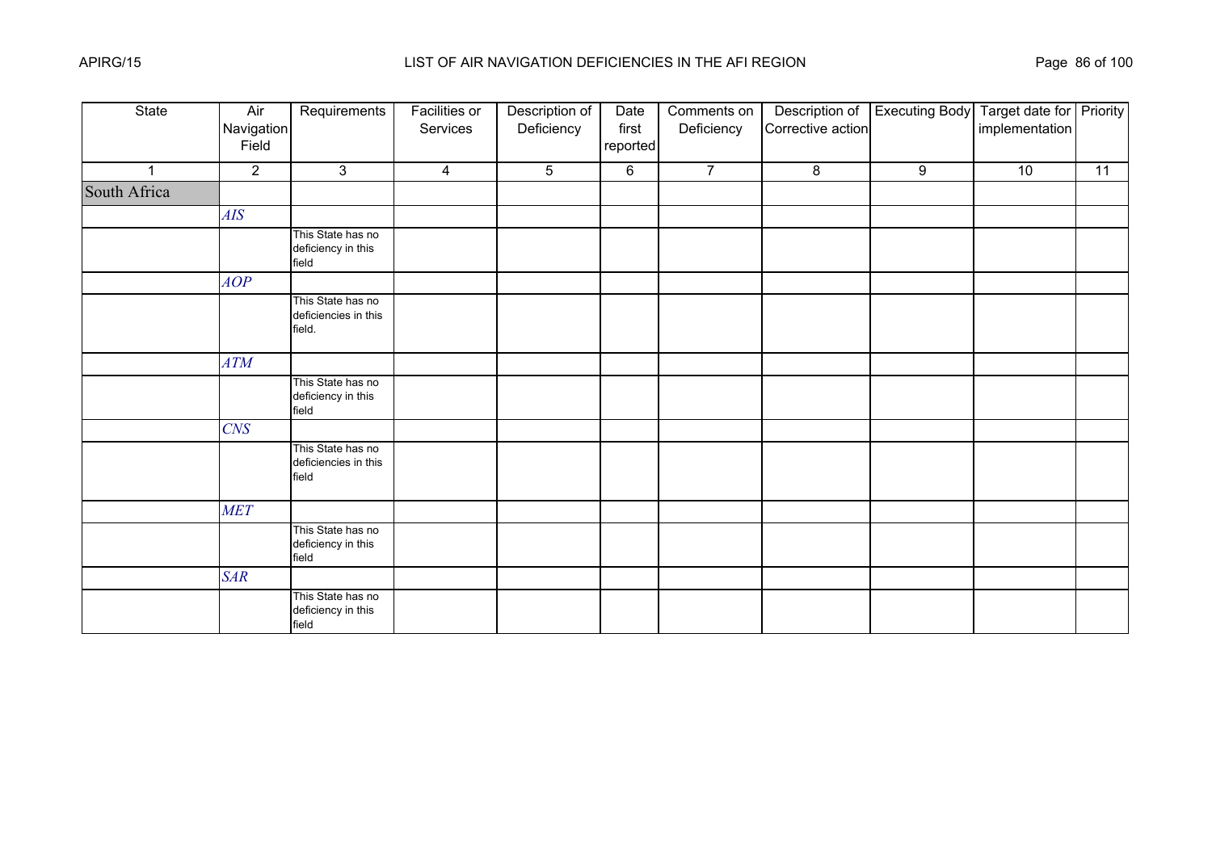| State        | Air<br>Navigation<br>Field | Requirements                                        | <b>Facilities or</b><br>Services | Description of<br>Deficiency | Date<br>first<br>reported | Comments on<br>Deficiency | Description of<br>Corrective action | <b>Executing Body</b> | Target date for Priority<br>implementation |    |
|--------------|----------------------------|-----------------------------------------------------|----------------------------------|------------------------------|---------------------------|---------------------------|-------------------------------------|-----------------------|--------------------------------------------|----|
| $\mathbf{1}$ | $\overline{2}$             | $\mathbf{3}$                                        | $\overline{4}$                   | 5                            | 6                         | $\overline{7}$            | $\bf 8$                             | 9                     | $\overline{10}$                            | 11 |
| South Africa |                            |                                                     |                                  |                              |                           |                           |                                     |                       |                                            |    |
|              | AIS                        |                                                     |                                  |                              |                           |                           |                                     |                       |                                            |    |
|              |                            | This State has no<br>deficiency in this<br>field    |                                  |                              |                           |                           |                                     |                       |                                            |    |
|              | AOP                        |                                                     |                                  |                              |                           |                           |                                     |                       |                                            |    |
|              |                            | This State has no<br>deficiencies in this<br>field. |                                  |                              |                           |                           |                                     |                       |                                            |    |
|              | ATM                        |                                                     |                                  |                              |                           |                           |                                     |                       |                                            |    |
|              |                            | This State has no<br>deficiency in this<br>field    |                                  |                              |                           |                           |                                     |                       |                                            |    |
|              | <b>CNS</b>                 |                                                     |                                  |                              |                           |                           |                                     |                       |                                            |    |
|              |                            | This State has no<br>deficiencies in this<br>field  |                                  |                              |                           |                           |                                     |                       |                                            |    |
|              | <b>MET</b>                 |                                                     |                                  |                              |                           |                           |                                     |                       |                                            |    |
|              |                            | This State has no<br>deficiency in this<br>field    |                                  |                              |                           |                           |                                     |                       |                                            |    |
|              | <b>SAR</b>                 |                                                     |                                  |                              |                           |                           |                                     |                       |                                            |    |
|              |                            | This State has no<br>deficiency in this<br>field    |                                  |                              |                           |                           |                                     |                       |                                            |    |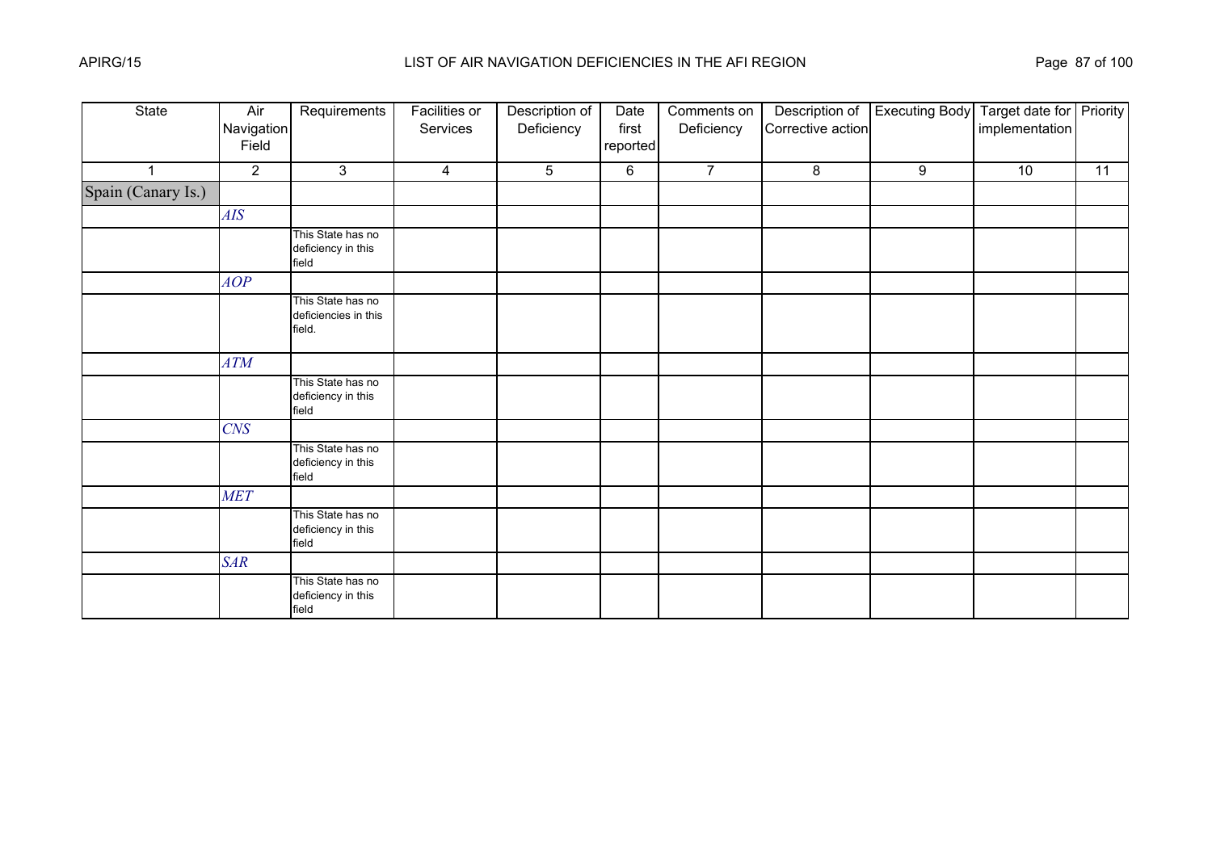| State              | Air<br>Navigation<br>Field | Requirements                                        | <b>Facilities or</b><br>Services | Description of<br>Deficiency | Date<br>first<br>reported | Comments on<br>Deficiency | Description of<br>Corrective action | <b>Executing Body</b> | Target date for Priority<br>implementation |    |
|--------------------|----------------------------|-----------------------------------------------------|----------------------------------|------------------------------|---------------------------|---------------------------|-------------------------------------|-----------------------|--------------------------------------------|----|
| 1                  | $\overline{2}$             | $\mathbf{3}$                                        | $\overline{4}$                   | 5                            | 6                         | $\overline{7}$            | $\bf 8$                             | 9                     | 10                                         | 11 |
| Spain (Canary Is.) |                            |                                                     |                                  |                              |                           |                           |                                     |                       |                                            |    |
|                    | AIS                        |                                                     |                                  |                              |                           |                           |                                     |                       |                                            |    |
|                    |                            | This State has no<br>deficiency in this<br>field    |                                  |                              |                           |                           |                                     |                       |                                            |    |
|                    | AOP                        |                                                     |                                  |                              |                           |                           |                                     |                       |                                            |    |
|                    |                            | This State has no<br>deficiencies in this<br>field. |                                  |                              |                           |                           |                                     |                       |                                            |    |
|                    | ATM                        |                                                     |                                  |                              |                           |                           |                                     |                       |                                            |    |
|                    |                            | This State has no<br>deficiency in this<br>field    |                                  |                              |                           |                           |                                     |                       |                                            |    |
|                    | CNS                        |                                                     |                                  |                              |                           |                           |                                     |                       |                                            |    |
|                    |                            | This State has no<br>deficiency in this<br>field    |                                  |                              |                           |                           |                                     |                       |                                            |    |
|                    | <b>MET</b>                 |                                                     |                                  |                              |                           |                           |                                     |                       |                                            |    |
|                    |                            | This State has no<br>deficiency in this<br>field    |                                  |                              |                           |                           |                                     |                       |                                            |    |
|                    | <b>SAR</b>                 |                                                     |                                  |                              |                           |                           |                                     |                       |                                            |    |
|                    |                            | This State has no<br>deficiency in this<br>field    |                                  |                              |                           |                           |                                     |                       |                                            |    |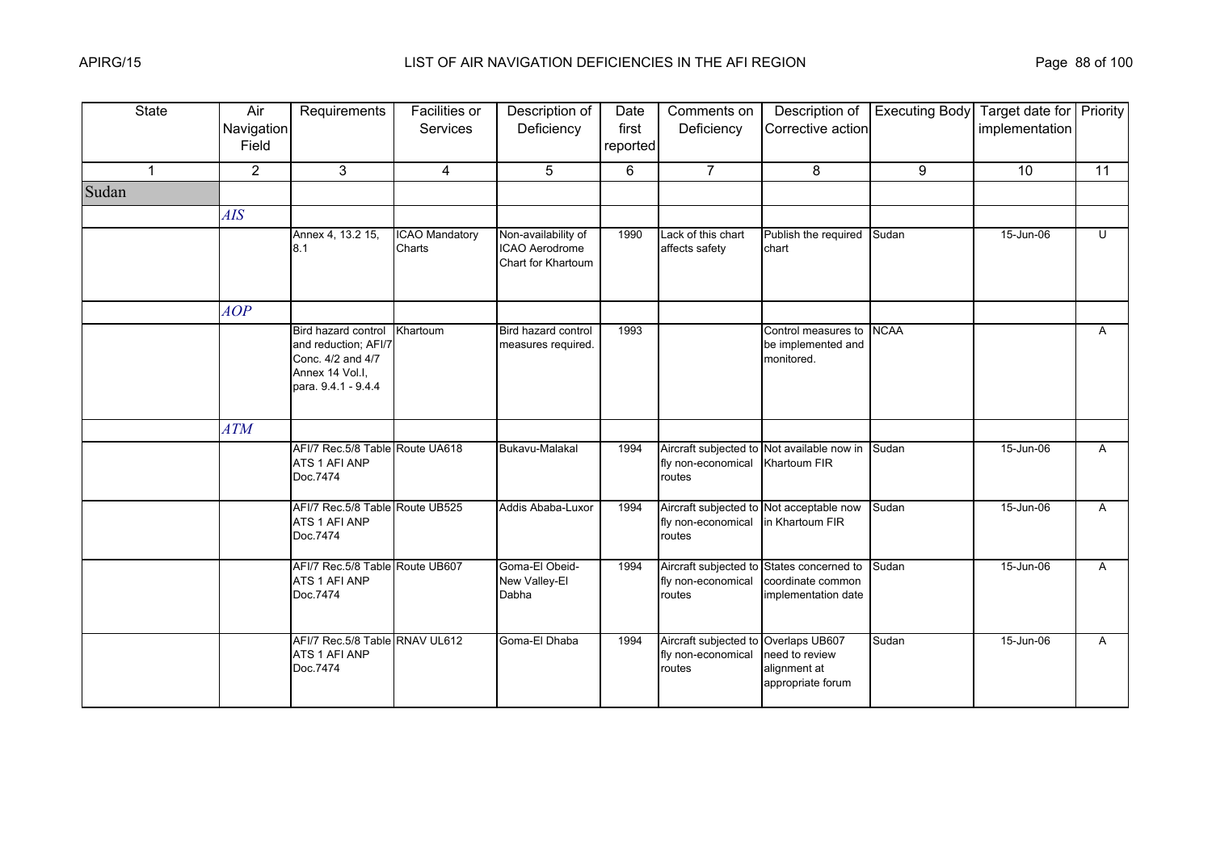| <b>State</b>   | Air<br>Navigation<br>Field | Requirements                                                                                               | Facilities or<br>Services       | Description of<br>Deficiency                                | Date<br>first<br>reported | Comments on<br>Deficiency                                            | Description of<br>Corrective action                                                   | <b>Executing Body</b> | Target date for Priority<br>implementation |              |
|----------------|----------------------------|------------------------------------------------------------------------------------------------------------|---------------------------------|-------------------------------------------------------------|---------------------------|----------------------------------------------------------------------|---------------------------------------------------------------------------------------|-----------------------|--------------------------------------------|--------------|
| $\overline{1}$ | $\overline{2}$             | 3                                                                                                          | $\overline{4}$                  | 5                                                           | 6                         | $\overline{7}$                                                       | 8                                                                                     | 9                     | 10                                         | 11           |
| Sudan          |                            |                                                                                                            |                                 |                                                             |                           |                                                                      |                                                                                       |                       |                                            |              |
|                | AIS                        |                                                                                                            |                                 |                                                             |                           |                                                                      |                                                                                       |                       |                                            |              |
|                |                            | Annex 4, 13.2 15,<br>8.1                                                                                   | <b>ICAO Mandatory</b><br>Charts | Non-availability of<br>ICAO Aerodrome<br>Chart for Khartoum | 1990                      | Lack of this chart<br>affects safety                                 | Publish the required<br>chart                                                         | Sudan                 | 15-Jun-06                                  | U            |
|                | AOP                        |                                                                                                            |                                 |                                                             |                           |                                                                      |                                                                                       |                       |                                            |              |
|                |                            | Bird hazard control<br>and reduction; AFI/7<br>Conc. 4/2 and 4/7<br>Annex 14 Vol.I.<br>para. 9.4.1 - 9.4.4 | Khartoum                        | Bird hazard control<br>measures required.                   | 1993                      |                                                                      | Control measures to<br>be implemented and<br>monitored.                               | <b>NCAA</b>           |                                            | $\mathsf{A}$ |
|                | ATM                        |                                                                                                            |                                 |                                                             |                           |                                                                      |                                                                                       |                       |                                            |              |
|                |                            | AFI/7 Rec.5/8 Table Route UA618<br>ATS 1 AFI ANP<br>Doc.7474                                               |                                 | Bukavu-Malakal                                              | 1994                      | Aircraft subjected to<br>fly non-economical<br>routes                | Not available now in<br>Khartoum FIR                                                  | Sudan                 | 15-Jun-06                                  | A            |
|                |                            | AFI/7 Rec.5/8 Table Route UB525<br>ATS 1 AFI ANP<br>Doc.7474                                               |                                 | Addis Ababa-Luxor                                           | 1994                      | fly non-economical<br>routes                                         | Aircraft subjected to Not acceptable now<br>in Khartoum FIR                           | Sudan                 | 15-Jun-06                                  | A            |
|                |                            | AFI/7 Rec.5/8 Table Route UB607<br>ATS 1 AFI ANP<br>Doc.7474                                               |                                 | Goma-El Obeid-<br>New Valley-El<br>Dabha                    | 1994                      | fly non-economical<br>routes                                         | Aircraft subjected to States concerned to<br>coordinate common<br>implementation date | Sudan                 | 15-Jun-06                                  | A            |
|                |                            | AFI/7 Rec.5/8 Table RNAV UL612<br>ATS 1 AFI ANP<br>Doc.7474                                                |                                 | Goma-El Dhaba                                               | 1994                      | Aircraft subjected to Overlaps UB607<br>fly non-economical<br>routes | need to review<br>alignment at<br>appropriate forum                                   | Sudan                 | 15-Jun-06                                  | $\mathsf{A}$ |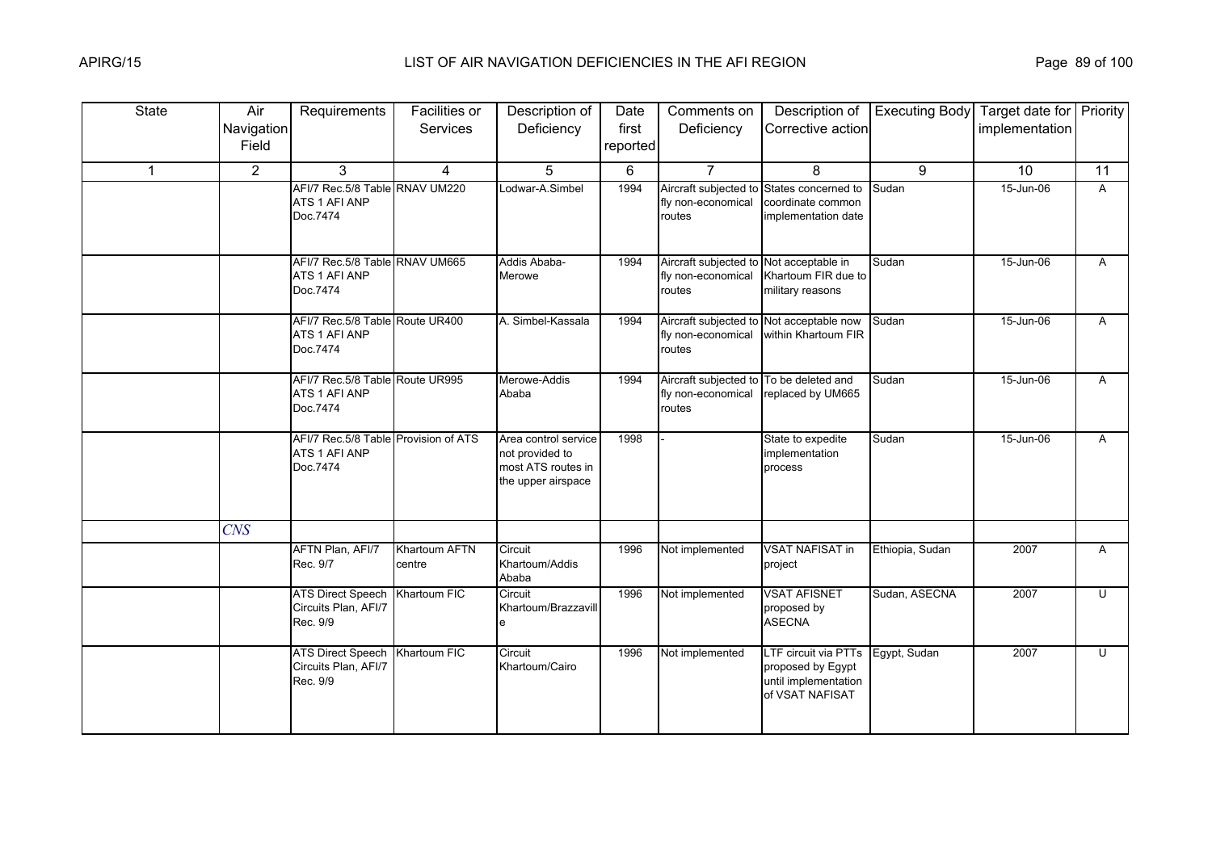| <b>State</b> | Air<br>Navigation<br>Field | Requirements                                                      | Facilities or<br>Services | Description of<br>Deficiency                                                        | Date<br>first<br>reported | Comments on<br>Deficiency                                                | Description of<br>Corrective action                                                  | <b>Executing Body</b> | Target date for Priority<br>implementation |              |
|--------------|----------------------------|-------------------------------------------------------------------|---------------------------|-------------------------------------------------------------------------------------|---------------------------|--------------------------------------------------------------------------|--------------------------------------------------------------------------------------|-----------------------|--------------------------------------------|--------------|
| $\mathbf{1}$ | $\overline{2}$             | 3                                                                 | $\overline{4}$            | 5                                                                                   | 6                         | $\overline{7}$                                                           | 8                                                                                    | 9                     | 10                                         | 11           |
|              |                            | AFI/7 Rec.5/8 Table RNAV UM220<br>ATS 1 AFI ANP<br>Doc.7474       |                           | Lodwar-A.Simbel                                                                     | 1994                      | Aircraft subjected to<br>fly non-economical<br>routes                    | States concerned to<br>coordinate common<br>implementation date                      | Sudan                 | 15-Jun-06                                  | $\mathsf{A}$ |
|              |                            | AFI/7 Rec.5/8 Table RNAV UM665<br>ATS 1 AFI ANP<br>Doc.7474       |                           | Addis Ababa-<br>Merowe                                                              | 1994                      | Aircraft subjected to Not acceptable in<br>fly non-economical<br>routes  | Khartoum FIR due to<br>military reasons                                              | Sudan                 | 15-Jun-06                                  | A            |
|              |                            | AFI/7 Rec.5/8 Table Route UR400<br>ATS 1 AFI ANP<br>Doc.7474      |                           | A. Simbel-Kassala                                                                   | 1994                      | Aircraft subjected to Not acceptable now<br>fly non-economical<br>routes | within Khartoum FIR                                                                  | Sudan                 | 15-Jun-06                                  | A            |
|              |                            | AFI/7 Rec.5/8 Table Route UR995<br>ATS 1 AFI ANP<br>Doc.7474      |                           | Merowe-Addis<br>Ababa                                                               | 1994                      | Aircraft subjected to To be deleted and<br>fly non-economical<br>routes  | replaced by UM665                                                                    | Sudan                 | 15-Jun-06                                  | A            |
|              |                            | AFI/7 Rec.5/8 Table Provision of ATS<br>ATS 1 AFI ANP<br>Doc.7474 |                           | Area control service<br>not provided to<br>most ATS routes in<br>the upper airspace | 1998                      |                                                                          | State to expedite<br>implementation<br>process                                       | Sudan                 | 15-Jun-06                                  | A            |
|              | <b>CNS</b>                 |                                                                   |                           |                                                                                     |                           |                                                                          |                                                                                      |                       |                                            |              |
|              |                            | AFTN Plan, AFI/7<br>Rec. 9/7                                      | Khartoum AFTN<br>centre   | Circuit<br>Khartoum/Addis<br>Ababa                                                  | 1996                      | Not implemented                                                          | <b>VSAT NAFISAT in</b><br>project                                                    | Ethiopia, Sudan       | 2007                                       | A            |
|              |                            | <b>ATS Direct Speech</b><br>Circuits Plan, AFI/7<br>Rec. 9/9      | Khartoum FIC              | Circuit<br>Khartoum/Brazzavill<br>e                                                 | 1996                      | Not implemented                                                          | <b>VSAT AFISNET</b><br>proposed by<br><b>ASECNA</b>                                  | Sudan, ASECNA         | 2007                                       | U            |
|              |                            | <b>ATS Direct Speech</b><br>Circuits Plan, AFI/7<br>Rec. 9/9      | Khartoum FIC              | Circuit<br>Khartoum/Cairo                                                           | 1996                      | Not implemented                                                          | LTF circuit via PTTs<br>proposed by Egypt<br>until implementation<br>of VSAT NAFISAT | Egypt, Sudan          | 2007                                       | U            |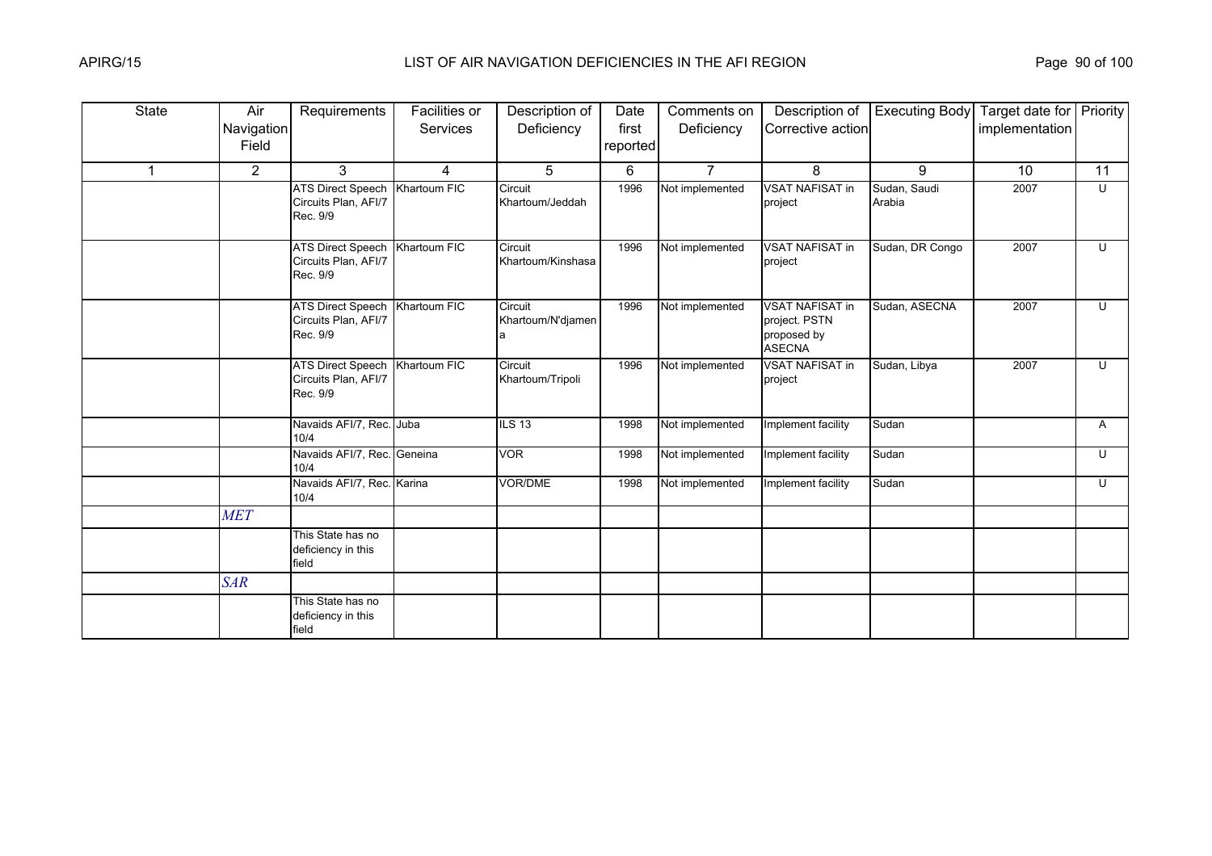| <b>State</b> | Air                 | Requirements                                                 | Facilities or   | Description of                    | Date              | Comments on     | Description of                                                          | <b>Executing Body</b>  | Target date for Priority |                |
|--------------|---------------------|--------------------------------------------------------------|-----------------|-----------------------------------|-------------------|-----------------|-------------------------------------------------------------------------|------------------------|--------------------------|----------------|
|              | Navigation<br>Field |                                                              | <b>Services</b> | Deficiency                        | first<br>reported | Deficiency      | Corrective action                                                       |                        | implementation           |                |
| $\mathbf{1}$ | $\overline{2}$      | 3                                                            | $\overline{4}$  | 5                                 | 6                 | $\overline{7}$  | 8                                                                       | 9                      | 10                       | 11             |
|              |                     | <b>ATS Direct Speech</b><br>Circuits Plan, AFI/7<br>Rec. 9/9 | Khartoum FIC    | Circuit<br>Khartoum/Jeddah        | 1996              | Not implemented | <b>VSAT NAFISAT in</b><br>project                                       | Sudan, Saudi<br>Arabia | 2007                     | $\overline{C}$ |
|              |                     | <b>ATS Direct Speech</b><br>Circuits Plan, AFI/7<br>Rec. 9/9 | Khartoum FIC    | Circuit<br>Khartoum/Kinshasa      | 1996              | Not implemented | <b>VSAT NAFISAT in</b><br>project                                       | Sudan, DR Congo        | 2007                     | U              |
|              |                     | <b>ATS Direct Speech</b><br>Circuits Plan, AFI/7<br>Rec. 9/9 | Khartoum FIC    | Circuit<br>Khartoum/N'djamen<br>a | 1996              | Not implemented | <b>VSAT NAFISAT in</b><br>project. PSTN<br>proposed by<br><b>ASECNA</b> | Sudan, ASECNA          | 2007                     | U              |
|              |                     | <b>ATS Direct Speech</b><br>Circuits Plan, AFI/7<br>Rec. 9/9 | Khartoum FIC    | Circuit<br>Khartoum/Tripoli       | 1996              | Not implemented | <b>VSAT NAFISAT in</b><br>project                                       | Sudan, Libya           | 2007                     | U              |
|              |                     | Navaids AFI/7, Rec. Juba<br>10/4                             |                 | ILS 13                            | 1998              | Not implemented | Implement facility                                                      | Sudan                  |                          | A              |
|              |                     | Navaids AFI/7, Rec. Geneina<br>10/4                          |                 | <b>VOR</b>                        | 1998              | Not implemented | Implement facility                                                      | Sudan                  |                          | $\cup$         |
|              |                     | Navaids AFI/7, Rec. Karina<br>10/4                           |                 | <b>VOR/DME</b>                    | 1998              | Not implemented | Implement facility                                                      | Sudan                  |                          | U              |
|              | <b>MET</b>          |                                                              |                 |                                   |                   |                 |                                                                         |                        |                          |                |
|              |                     | This State has no<br>deficiency in this<br>field             |                 |                                   |                   |                 |                                                                         |                        |                          |                |
|              | <b>SAR</b>          |                                                              |                 |                                   |                   |                 |                                                                         |                        |                          |                |
|              |                     | This State has no<br>deficiency in this<br>field             |                 |                                   |                   |                 |                                                                         |                        |                          |                |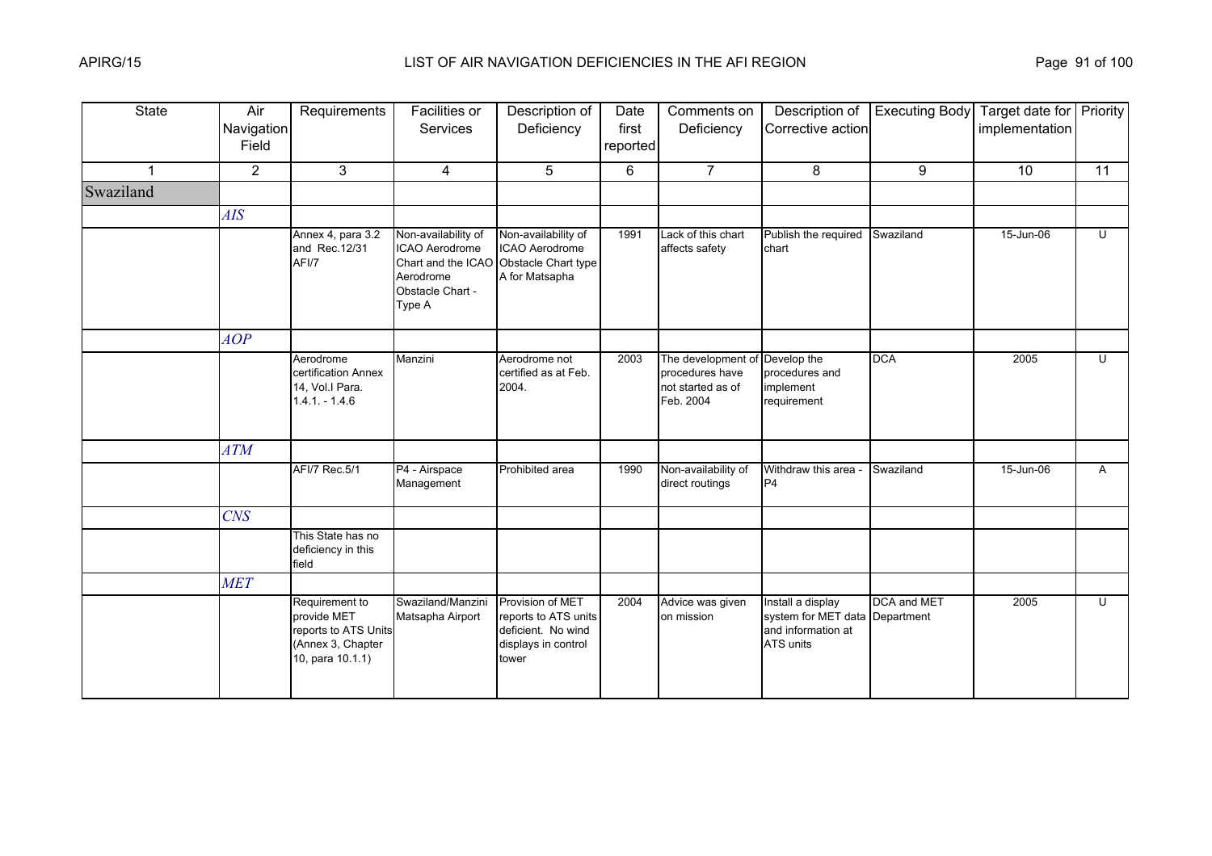| <b>State</b> | Air<br>Navigation<br>Field | Requirements                                                                                   | <b>Facilities or</b><br>Services                                                                       | Description of<br>Deficiency                                                                   | Date<br>first<br>reported | Comments on<br>Deficiency                                               | Description of<br>Corrective action                                                    | <b>Executing Body</b> | Target date for Priority<br>implementation |                |
|--------------|----------------------------|------------------------------------------------------------------------------------------------|--------------------------------------------------------------------------------------------------------|------------------------------------------------------------------------------------------------|---------------------------|-------------------------------------------------------------------------|----------------------------------------------------------------------------------------|-----------------------|--------------------------------------------|----------------|
|              | $\overline{2}$             | $\mathbf{3}$                                                                                   | $\overline{4}$                                                                                         | 5                                                                                              | 6                         | $\overline{7}$                                                          | 8                                                                                      | 9                     | 10                                         | 11             |
| Swaziland    |                            |                                                                                                |                                                                                                        |                                                                                                |                           |                                                                         |                                                                                        |                       |                                            |                |
|              | <b>AIS</b>                 |                                                                                                |                                                                                                        |                                                                                                |                           |                                                                         |                                                                                        |                       |                                            |                |
|              |                            | Annex 4, para 3.2<br>and Rec. 12/31<br>AFI/7                                                   | Non-availability of<br>ICAO Aerodrome<br>Chart and the ICAO<br>Aerodrome<br>Obstacle Chart -<br>Type A | Non-availability of<br>ICAO Aerodrome<br>Obstacle Chart type<br>A for Matsapha                 | 1991                      | Lack of this chart<br>affects safety                                    | Publish the required<br>chart                                                          | Swaziland             | 15-Jun-06                                  | $\overline{U}$ |
|              | AOP                        |                                                                                                |                                                                                                        |                                                                                                |                           |                                                                         |                                                                                        |                       |                                            |                |
|              |                            | Aerodrome<br>certification Annex<br>14, Vol.I Para.<br>$1.4.1 - 1.4.6$                         | Manzini                                                                                                | Aerodrome not<br>certified as at Feb.<br>2004.                                                 | 2003                      | The development of<br>procedures have<br>not started as of<br>Feb. 2004 | Develop the<br>procedures and<br>implement<br>requirement                              | <b>DCA</b>            | 2005                                       | $\overline{U}$ |
|              | ATM                        |                                                                                                |                                                                                                        |                                                                                                |                           |                                                                         |                                                                                        |                       |                                            |                |
|              |                            | AFI/7 Rec.5/1                                                                                  | P4 - Airspace<br>Management                                                                            | Prohibited area                                                                                | 1990                      | Non-availability of<br>direct routings                                  | Withdraw this area -<br>P4                                                             | Swaziland             | 15-Jun-06                                  | $\mathsf{A}$   |
|              | CNS                        |                                                                                                |                                                                                                        |                                                                                                |                           |                                                                         |                                                                                        |                       |                                            |                |
|              |                            | This State has no<br>deficiency in this<br>field                                               |                                                                                                        |                                                                                                |                           |                                                                         |                                                                                        |                       |                                            |                |
|              | <b>MET</b>                 |                                                                                                |                                                                                                        |                                                                                                |                           |                                                                         |                                                                                        |                       |                                            |                |
|              |                            | Requirement to<br>provide MET<br>reports to ATS Units<br>(Annex 3, Chapter<br>10, para 10.1.1) | Swaziland/Manzini<br>Matsapha Airport                                                                  | Provision of MET<br>reports to ATS units<br>deficient. No wind<br>displays in control<br>tower | 2004                      | Advice was given<br>on mission                                          | Install a display<br>system for MET data Department<br>and information at<br>ATS units | <b>DCA</b> and MET    | 2005                                       | $\overline{U}$ |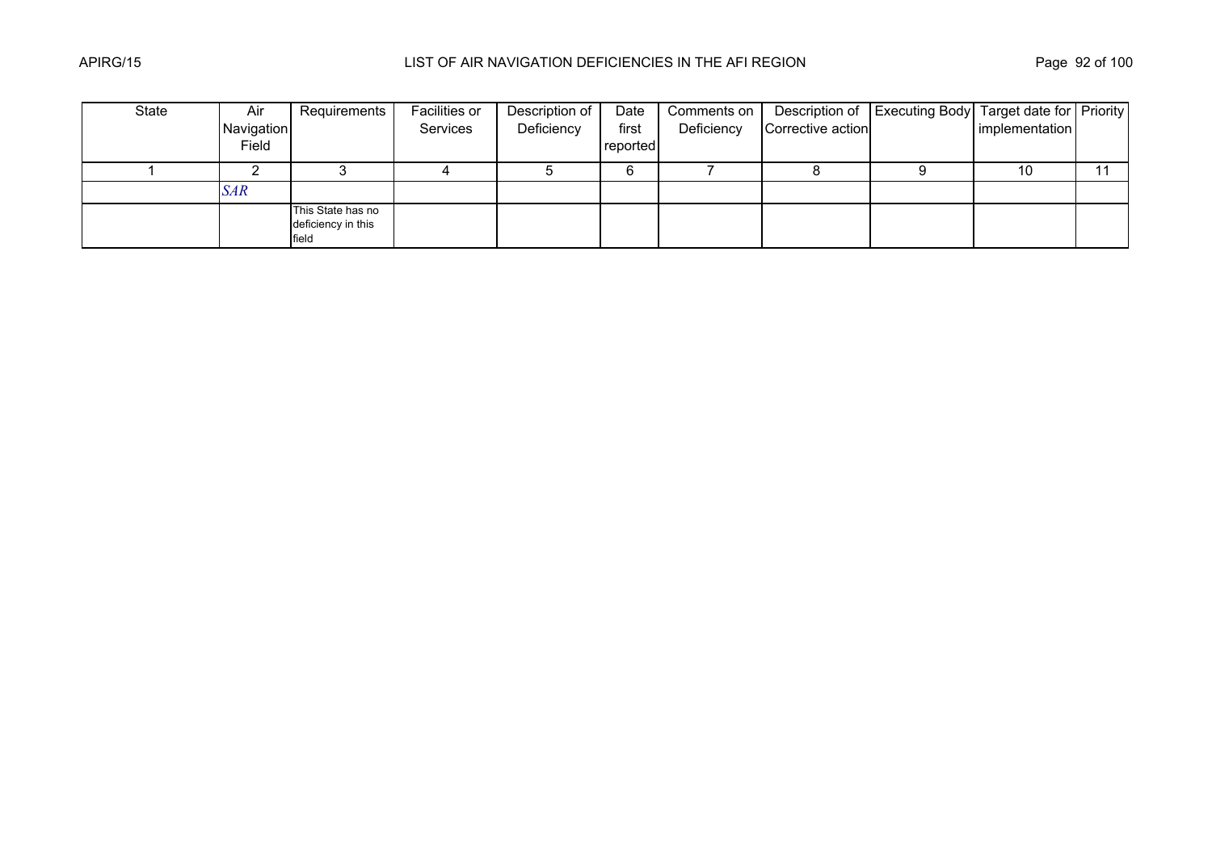| State | Air        | Requirements                                     | Facilities or | Description of | Date     | Comments on |                   | Description of   Executing Body   Target date for   Priority |                |    |
|-------|------------|--------------------------------------------------|---------------|----------------|----------|-------------|-------------------|--------------------------------------------------------------|----------------|----|
|       | Navigation |                                                  | Services      | Deficiency     | first    | Deficiency  | Corrective action |                                                              | implementation |    |
|       | Field      |                                                  |               |                | reported |             |                   |                                                              |                |    |
|       |            |                                                  |               |                | 6        |             |                   |                                                              | 10             | 11 |
|       | <b>SAR</b> |                                                  |               |                |          |             |                   |                                                              |                |    |
|       |            | This State has no<br>deficiency in this<br>field |               |                |          |             |                   |                                                              |                |    |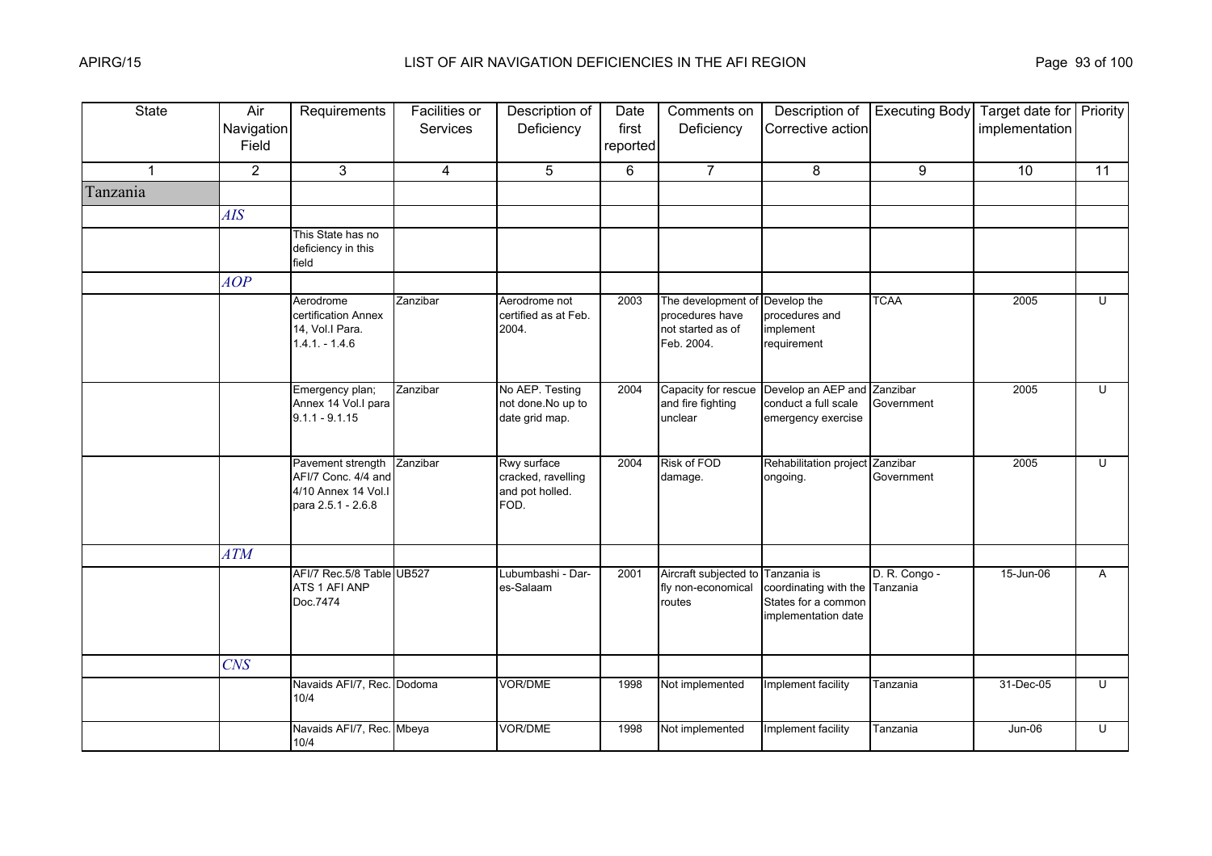| <b>State</b> | Air<br>Navigation<br>Field | Requirements                                                                          | Facilities or<br><b>Services</b> | Description of<br>Deficiency                                 | Date<br>first<br>reported | Comments on<br>Deficiency                                                            | Description of<br>Corrective action                                                         | <b>Executing Body</b>  | Target date for Priority<br>implementation |                         |
|--------------|----------------------------|---------------------------------------------------------------------------------------|----------------------------------|--------------------------------------------------------------|---------------------------|--------------------------------------------------------------------------------------|---------------------------------------------------------------------------------------------|------------------------|--------------------------------------------|-------------------------|
| $\mathbf 1$  | $\overline{2}$             | 3                                                                                     | 4                                | 5                                                            | 6                         | $\overline{7}$                                                                       | 8                                                                                           | 9                      | 10 <sup>°</sup>                            | 11                      |
| Tanzania     |                            |                                                                                       |                                  |                                                              |                           |                                                                                      |                                                                                             |                        |                                            |                         |
|              | <b>AIS</b>                 |                                                                                       |                                  |                                                              |                           |                                                                                      |                                                                                             |                        |                                            |                         |
|              |                            | This State has no<br>deficiency in this<br>field                                      |                                  |                                                              |                           |                                                                                      |                                                                                             |                        |                                            |                         |
|              | AOP                        |                                                                                       |                                  |                                                              |                           |                                                                                      |                                                                                             |                        |                                            |                         |
|              |                            | Aerodrome<br>certification Annex<br>14, Vol.I Para.<br>$1.4.1 - 1.4.6$                | Zanzibar                         | Aerodrome not<br>certified as at Feb.<br>2004.               | 2003                      | The development of Develop the<br>procedures have<br>not started as of<br>Feb. 2004. | procedures and<br>implement<br>requirement                                                  | <b>TCAA</b>            | 2005                                       | U                       |
|              |                            | Emergency plan;<br>Annex 14 Vol.I para<br>$9.1.1 - 9.1.15$                            | Zanzibar                         | No AEP. Testing<br>not done.No up to<br>date grid map.       | 2004                      | Capacity for rescue<br>and fire fighting<br>unclear                                  | Develop an AEP and<br>conduct a full scale<br>emergency exercise                            | Zanzibar<br>Government | 2005                                       | U                       |
|              |                            | Pavement strength<br>AFI/7 Conc. 4/4 and<br>4/10 Annex 14 Vol.I<br>para 2.5.1 - 2.6.8 | Zanzibar                         | Rwy surface<br>cracked, ravelling<br>and pot holled.<br>FOD. | 2004                      | Risk of FOD<br>damage.                                                               | Rehabilitation project Zanzibar<br>ongoing.                                                 | Government             | 2005                                       | $\overline{\mathsf{C}}$ |
|              | <b>ATM</b>                 |                                                                                       |                                  |                                                              |                           |                                                                                      |                                                                                             |                        |                                            |                         |
|              |                            | AFI/7 Rec.5/8 Table UB527<br>ATS 1 AFI ANP<br>Doc.7474                                |                                  | Lubumbashi - Dar-<br>es-Salaam                               | 2001                      | Aircraft subjected to<br>fly non-economical<br>routes                                | Tanzania is<br>coordinating with the Tanzania<br>States for a common<br>implementation date | D. R. Congo -          | 15-Jun-06                                  | $\overline{A}$          |
|              | <b>CNS</b>                 |                                                                                       |                                  |                                                              |                           |                                                                                      |                                                                                             |                        |                                            |                         |
|              |                            | Navaids AFI/7, Rec. Dodoma<br>10/4                                                    |                                  | <b>VOR/DME</b>                                               | 1998                      | Not implemented                                                                      | Implement facility                                                                          | Tanzania               | 31-Dec-05                                  | $\overline{C}$          |
|              |                            | Navaids AFI/7, Rec. Mbeya<br>10/4                                                     |                                  | <b>VOR/DME</b>                                               | 1998                      | Not implemented                                                                      | Implement facility                                                                          | Tanzania               | <b>Jun-06</b>                              | U                       |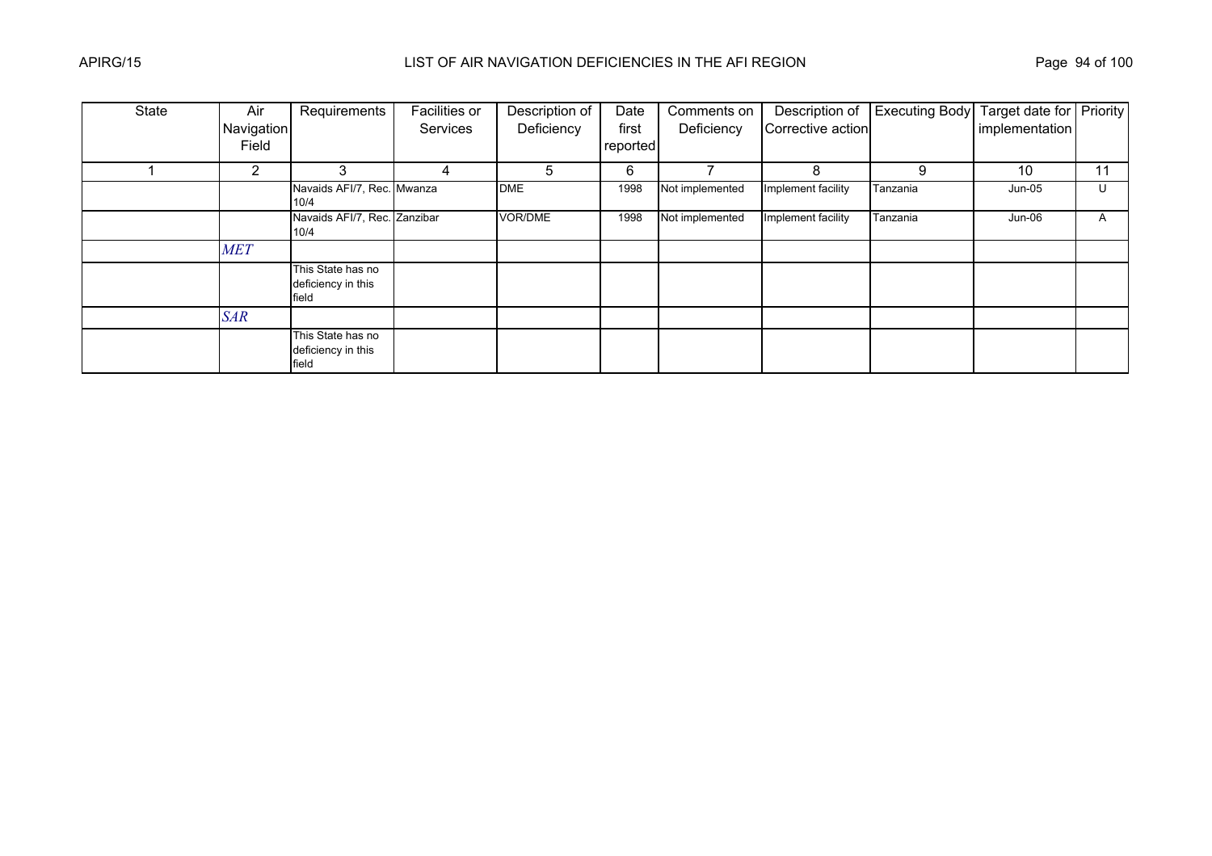| State | Air            | Requirements                                     | <b>Facilities or</b> | Description of | Date     | Comments on     | Description of     | <b>Executing Body</b> | Target date for Priority |    |
|-------|----------------|--------------------------------------------------|----------------------|----------------|----------|-----------------|--------------------|-----------------------|--------------------------|----|
|       | Navigation     |                                                  | Services             | Deficiency     | first    | Deficiency      | Corrective action  |                       | implementation           |    |
|       | Field          |                                                  |                      |                | reported |                 |                    |                       |                          |    |
|       | $\overline{2}$ | 3                                                | 4                    | 5              | 6        |                 | 8                  | 9                     | 10                       | 11 |
|       |                | Navaids AFI/7, Rec. Mwanza<br>10/4               |                      | <b>DME</b>     | 1998     | Not implemented | Implement facility | Tanzania              | $Jun-05$                 | U  |
|       |                | Navaids AFI/7, Rec. Zanzibar<br>10/4             |                      | VOR/DME        | 1998     | Not implemented | Implement facility | Tanzania              | $Jun-06$                 | A  |
|       | <b>MET</b>     |                                                  |                      |                |          |                 |                    |                       |                          |    |
|       |                | This State has no<br>deficiency in this<br>field |                      |                |          |                 |                    |                       |                          |    |
|       | <b>SAR</b>     |                                                  |                      |                |          |                 |                    |                       |                          |    |
|       |                | This State has no<br>deficiency in this<br>field |                      |                |          |                 |                    |                       |                          |    |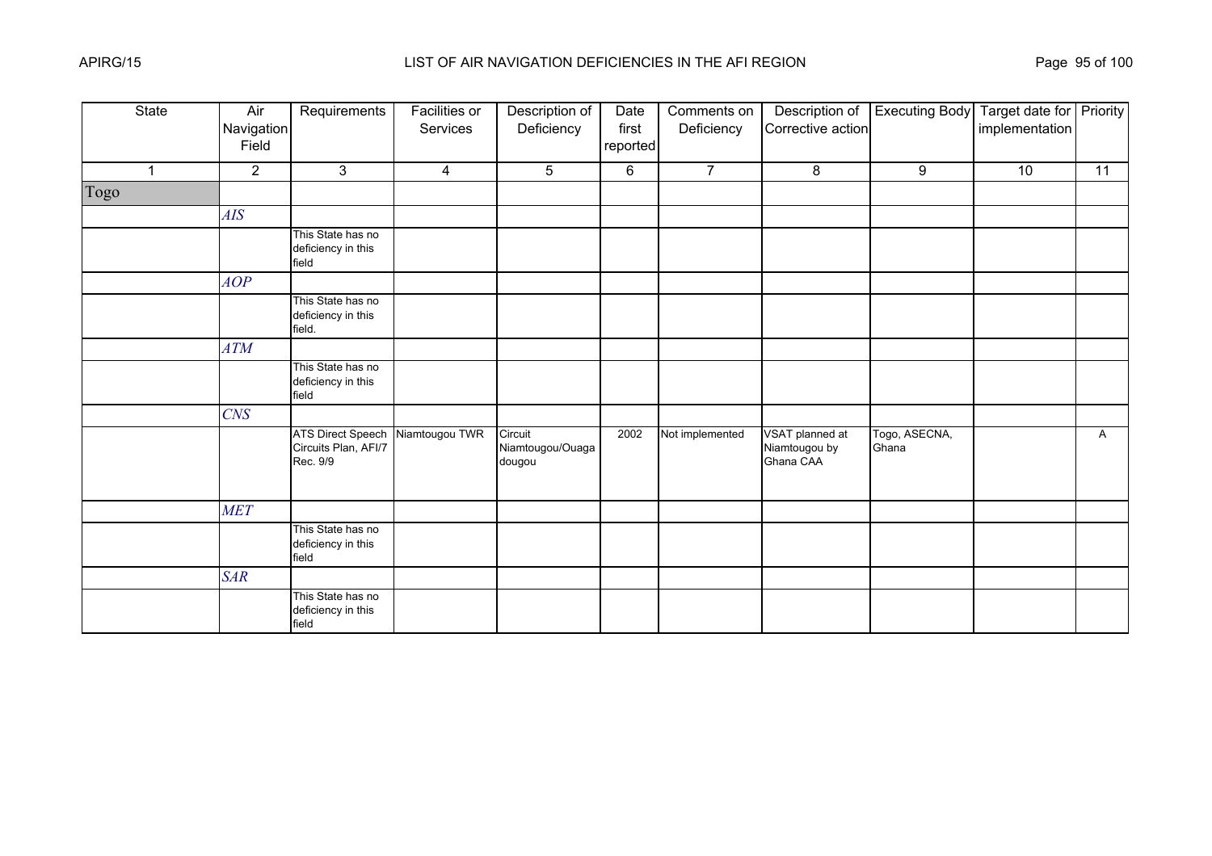| State          | Air<br>Navigation<br>Field | Requirements                                                 | <b>Facilities or</b><br>Services | Description of<br>Deficiency          | Date<br>first<br>reported | Comments on<br>Deficiency | Description of<br>Corrective action           | <b>Executing Body</b>  | Target date for Priority<br>implementation |    |
|----------------|----------------------------|--------------------------------------------------------------|----------------------------------|---------------------------------------|---------------------------|---------------------------|-----------------------------------------------|------------------------|--------------------------------------------|----|
| $\overline{1}$ | $\overline{2}$             | 3                                                            | $\overline{4}$                   | 5                                     | 6                         | $\overline{7}$            | 8                                             | 9                      | 10                                         | 11 |
| Togo           |                            |                                                              |                                  |                                       |                           |                           |                                               |                        |                                            |    |
|                | AIS                        |                                                              |                                  |                                       |                           |                           |                                               |                        |                                            |    |
|                |                            | This State has no<br>deficiency in this<br>field             |                                  |                                       |                           |                           |                                               |                        |                                            |    |
|                | AOP                        |                                                              |                                  |                                       |                           |                           |                                               |                        |                                            |    |
|                |                            | This State has no<br>deficiency in this<br>field.            |                                  |                                       |                           |                           |                                               |                        |                                            |    |
|                | ATM                        |                                                              |                                  |                                       |                           |                           |                                               |                        |                                            |    |
|                |                            | This State has no<br>deficiency in this<br>field             |                                  |                                       |                           |                           |                                               |                        |                                            |    |
|                | <b>CNS</b>                 |                                                              |                                  |                                       |                           |                           |                                               |                        |                                            |    |
|                |                            | <b>ATS Direct Speech</b><br>Circuits Plan, AFI/7<br>Rec. 9/9 | Niamtougou TWR                   | Circuit<br>Niamtougou/Ouaga<br>dougou | 2002                      | Not implemented           | VSAT planned at<br>Niamtougou by<br>Ghana CAA | Togo, ASECNA,<br>Ghana |                                            | A  |
|                | <b>MET</b>                 |                                                              |                                  |                                       |                           |                           |                                               |                        |                                            |    |
|                |                            | This State has no<br>deficiency in this<br>field             |                                  |                                       |                           |                           |                                               |                        |                                            |    |
|                | <b>SAR</b>                 |                                                              |                                  |                                       |                           |                           |                                               |                        |                                            |    |
|                |                            | This State has no<br>deficiency in this<br>field             |                                  |                                       |                           |                           |                                               |                        |                                            |    |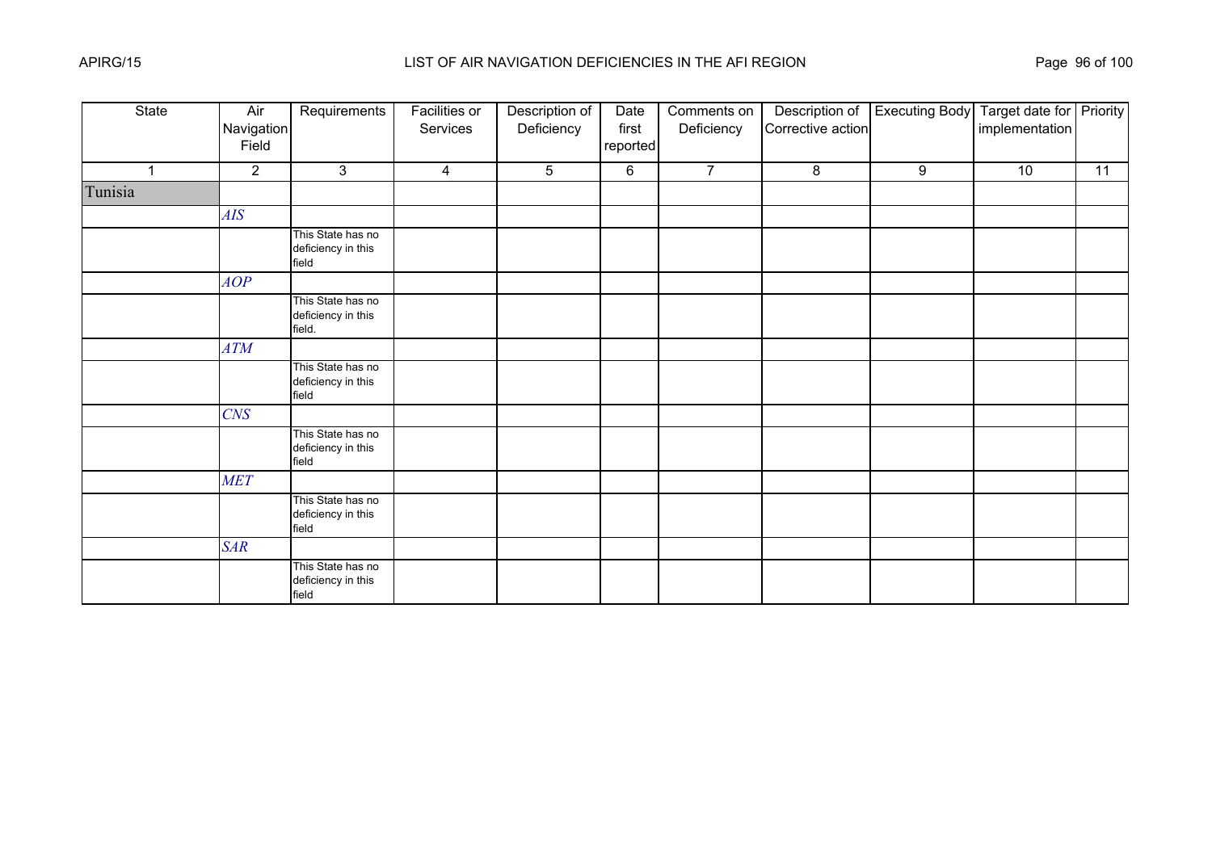| State   | Air<br>Navigation<br>Field | Requirements                                      | <b>Facilities or</b><br>Services | Description of<br>Deficiency | Date<br>first<br>reported | Comments on<br>Deficiency | Description of<br>Corrective action | <b>Executing Body</b> | Target date for Priority<br>implementation |    |
|---------|----------------------------|---------------------------------------------------|----------------------------------|------------------------------|---------------------------|---------------------------|-------------------------------------|-----------------------|--------------------------------------------|----|
| 4       | $\overline{2}$             | 3                                                 | $\overline{4}$                   | 5                            | 6                         | $\overline{7}$            | 8                                   | 9                     | 10                                         | 11 |
| Tunisia |                            |                                                   |                                  |                              |                           |                           |                                     |                       |                                            |    |
|         | AIS                        |                                                   |                                  |                              |                           |                           |                                     |                       |                                            |    |
|         |                            | This State has no<br>deficiency in this<br>field  |                                  |                              |                           |                           |                                     |                       |                                            |    |
|         | AOP                        |                                                   |                                  |                              |                           |                           |                                     |                       |                                            |    |
|         |                            | This State has no<br>deficiency in this<br>field. |                                  |                              |                           |                           |                                     |                       |                                            |    |
|         | ATM                        |                                                   |                                  |                              |                           |                           |                                     |                       |                                            |    |
|         |                            | This State has no<br>deficiency in this<br>field  |                                  |                              |                           |                           |                                     |                       |                                            |    |
|         | $C\!N\!S$                  |                                                   |                                  |                              |                           |                           |                                     |                       |                                            |    |
|         |                            | This State has no<br>deficiency in this<br>field  |                                  |                              |                           |                           |                                     |                       |                                            |    |
|         | <b>MET</b>                 |                                                   |                                  |                              |                           |                           |                                     |                       |                                            |    |
|         |                            | This State has no<br>deficiency in this<br>field  |                                  |                              |                           |                           |                                     |                       |                                            |    |
|         | <b>SAR</b>                 |                                                   |                                  |                              |                           |                           |                                     |                       |                                            |    |
|         |                            | This State has no<br>deficiency in this<br>field  |                                  |                              |                           |                           |                                     |                       |                                            |    |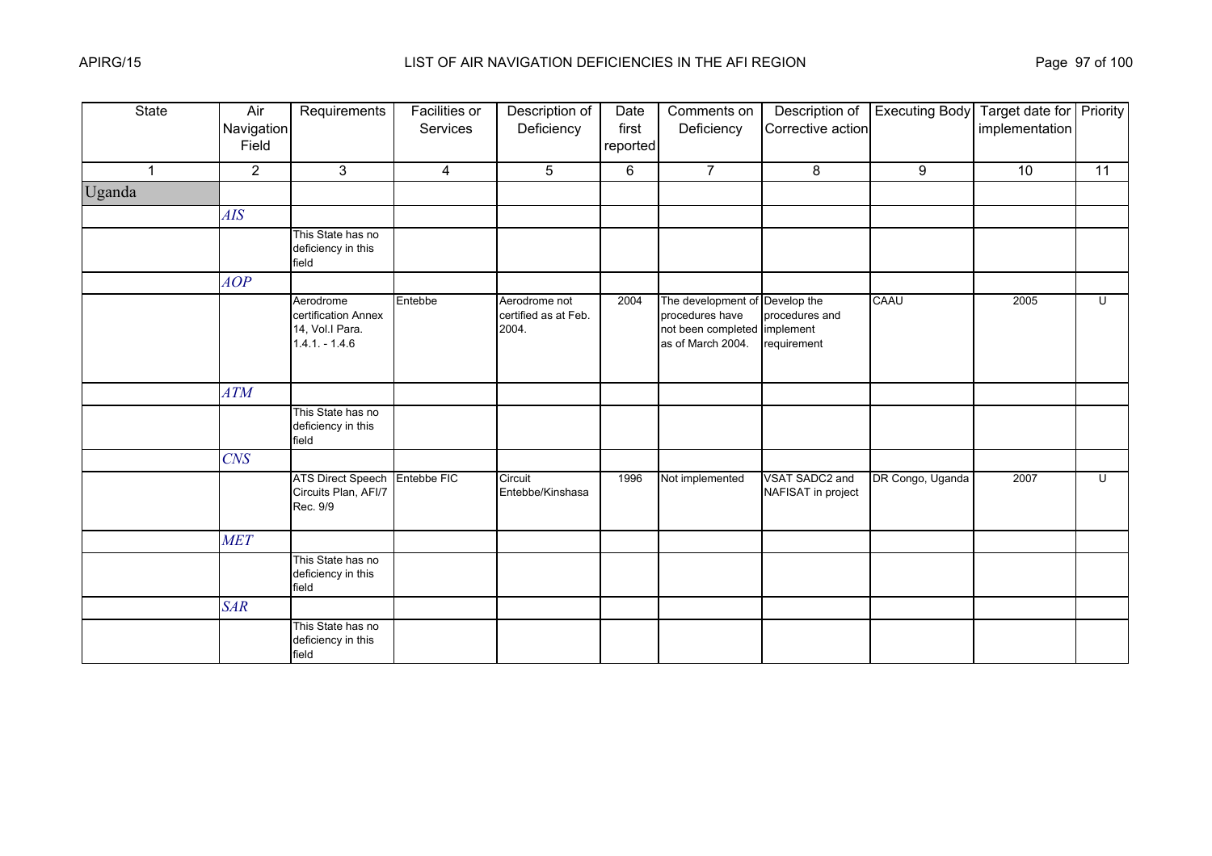| <b>State</b> | Air<br>Navigation<br>Field | Requirements                                                           | <b>Facilities or</b><br>Services | Description of<br>Deficiency                   | Date<br>first<br>reported | Comments on<br>Deficiency                                                                              | Description of<br>Corrective action  | <b>Executing Body</b> | Target date for Priority<br>implementation |                |
|--------------|----------------------------|------------------------------------------------------------------------|----------------------------------|------------------------------------------------|---------------------------|--------------------------------------------------------------------------------------------------------|--------------------------------------|-----------------------|--------------------------------------------|----------------|
| $\mathbf{1}$ | $\overline{2}$             | 3                                                                      | $\overline{4}$                   | 5                                              | 6                         | $\overline{7}$                                                                                         | 8                                    | 9                     | 10                                         | 11             |
| Uganda       |                            |                                                                        |                                  |                                                |                           |                                                                                                        |                                      |                       |                                            |                |
|              | AIS                        |                                                                        |                                  |                                                |                           |                                                                                                        |                                      |                       |                                            |                |
|              |                            | This State has no<br>deficiency in this<br>field                       |                                  |                                                |                           |                                                                                                        |                                      |                       |                                            |                |
|              | AOP                        |                                                                        |                                  |                                                |                           |                                                                                                        |                                      |                       |                                            |                |
|              |                            | Aerodrome<br>certification Annex<br>14, Vol.I Para.<br>$1.4.1 - 1.4.6$ | Entebbe                          | Aerodrome not<br>certified as at Feb.<br>2004. | 2004                      | The development of Develop the<br>procedures have<br>not been completed implement<br>as of March 2004. | procedures and<br>requirement        | CAAU                  | 2005                                       | $\overline{U}$ |
|              | ATM                        |                                                                        |                                  |                                                |                           |                                                                                                        |                                      |                       |                                            |                |
|              |                            | This State has no<br>deficiency in this<br>field                       |                                  |                                                |                           |                                                                                                        |                                      |                       |                                            |                |
|              | $C\!N\!S$                  |                                                                        |                                  |                                                |                           |                                                                                                        |                                      |                       |                                            |                |
|              |                            | <b>ATS Direct Speech</b><br>Circuits Plan, AFI/7<br>Rec. 9/9           | Entebbe FIC                      | Circuit<br>Entebbe/Kinshasa                    | 1996                      | Not implemented                                                                                        | VSAT SADC2 and<br>NAFISAT in project | DR Congo, Uganda      | 2007                                       | U              |
|              | <b>MET</b>                 |                                                                        |                                  |                                                |                           |                                                                                                        |                                      |                       |                                            |                |
|              |                            | This State has no<br>deficiency in this<br>field                       |                                  |                                                |                           |                                                                                                        |                                      |                       |                                            |                |
|              | <b>SAR</b>                 |                                                                        |                                  |                                                |                           |                                                                                                        |                                      |                       |                                            |                |
|              |                            | This State has no<br>deficiency in this<br>field                       |                                  |                                                |                           |                                                                                                        |                                      |                       |                                            |                |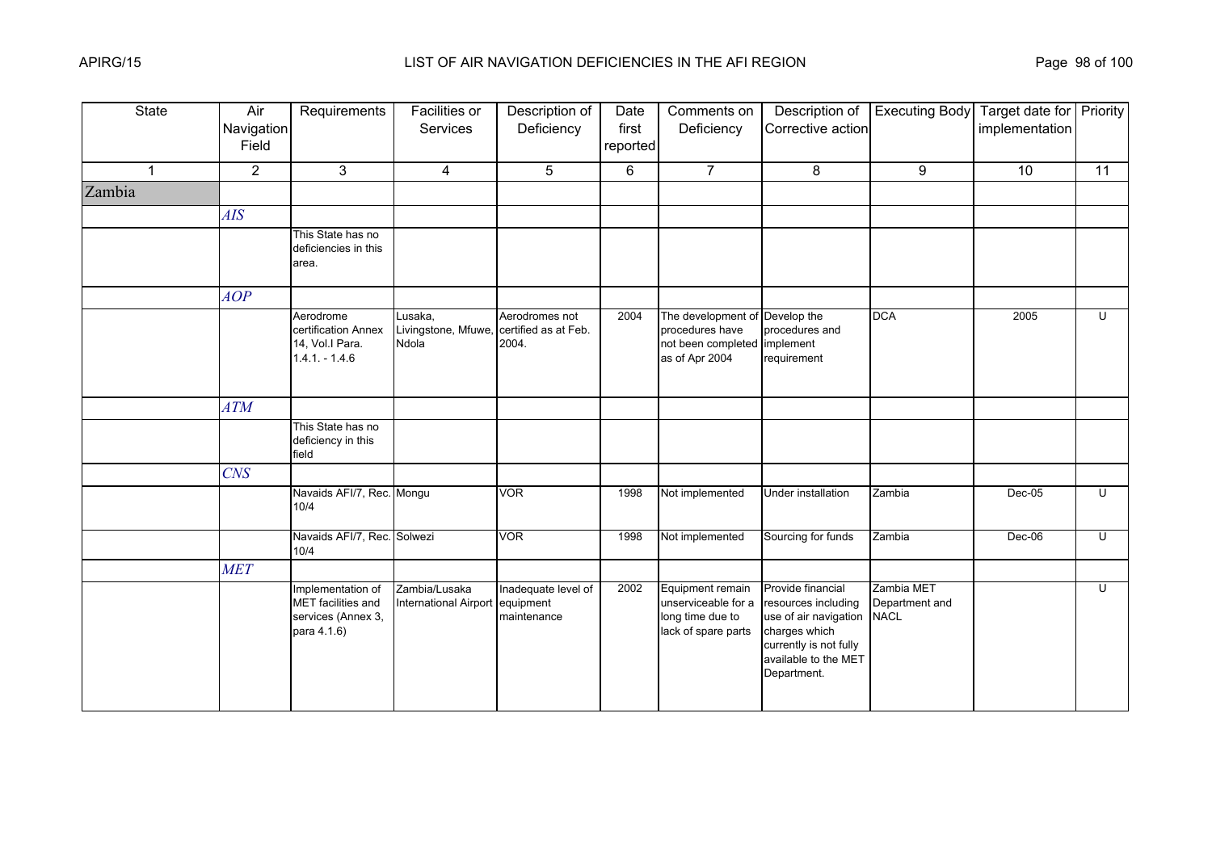| <b>State</b> | Air<br>Navigation<br>Field | Requirements                                                                 | Facilities or<br>Services                        | Description of<br>Deficiency                    | Date<br>first<br>reported | Comments on<br>Deficiency                                                               | Description of<br>Corrective action                                                                                                                 | <b>Executing Body</b>                       | Target date for   Priority  <br>implementation |    |
|--------------|----------------------------|------------------------------------------------------------------------------|--------------------------------------------------|-------------------------------------------------|---------------------------|-----------------------------------------------------------------------------------------|-----------------------------------------------------------------------------------------------------------------------------------------------------|---------------------------------------------|------------------------------------------------|----|
| $\mathbf{1}$ | $\overline{2}$             | 3                                                                            | $\overline{4}$                                   | 5                                               | 6                         | $\overline{7}$                                                                          | 8                                                                                                                                                   | 9                                           | 10                                             | 11 |
| Zambia       |                            |                                                                              |                                                  |                                                 |                           |                                                                                         |                                                                                                                                                     |                                             |                                                |    |
|              | AIS                        |                                                                              |                                                  |                                                 |                           |                                                                                         |                                                                                                                                                     |                                             |                                                |    |
|              |                            | This State has no<br>deficiencies in this<br>area.                           |                                                  |                                                 |                           |                                                                                         |                                                                                                                                                     |                                             |                                                |    |
|              | AOP                        |                                                                              |                                                  |                                                 |                           |                                                                                         |                                                                                                                                                     |                                             |                                                |    |
|              |                            | Aerodrome<br>certification Annex<br>14, Vol.I Para.<br>$1.4.1 - 1.4.6$       | Lusaka,<br>Livingstone, Mfuwe,<br>Ndola          | Aerodromes not<br>certified as at Feb.<br>2004. | 2004                      | The development of<br>procedures have<br>not been completed implement<br>as of Apr 2004 | Develop the<br>procedures and<br>requirement                                                                                                        | <b>DCA</b>                                  | 2005                                           | U  |
|              | <b>ATM</b>                 |                                                                              |                                                  |                                                 |                           |                                                                                         |                                                                                                                                                     |                                             |                                                |    |
|              |                            | This State has no<br>deficiency in this<br>field                             |                                                  |                                                 |                           |                                                                                         |                                                                                                                                                     |                                             |                                                |    |
|              | CNS                        |                                                                              |                                                  |                                                 |                           |                                                                                         |                                                                                                                                                     |                                             |                                                |    |
|              |                            | Navaids AFI/7, Rec. Mongu<br>10/4                                            |                                                  | <b>VOR</b>                                      | 1998                      | Not implemented                                                                         | Under installation                                                                                                                                  | Zambia                                      | Dec-05                                         | U  |
|              |                            | Navaids AFI/7, Rec. Solwezi<br>10/4                                          |                                                  | <b>VOR</b>                                      | 1998                      | Not implemented                                                                         | Sourcing for funds                                                                                                                                  | Zambia                                      | $Dec-06$                                       | U  |
|              | <b>MET</b>                 |                                                                              |                                                  |                                                 |                           |                                                                                         |                                                                                                                                                     |                                             |                                                |    |
|              |                            | Implementation of<br>MET facilities and<br>services (Annex 3,<br>para 4.1.6) | Zambia/Lusaka<br>International Airport equipment | Inadequate level of<br>maintenance              | 2002                      | Equipment remain<br>unserviceable for a<br>long time due to<br>lack of spare parts      | Provide financial<br>resources including<br>use of air navigation<br>charges which<br>currently is not fully<br>available to the MET<br>Department. | Zambia MET<br>Department and<br><b>NACL</b> |                                                | U  |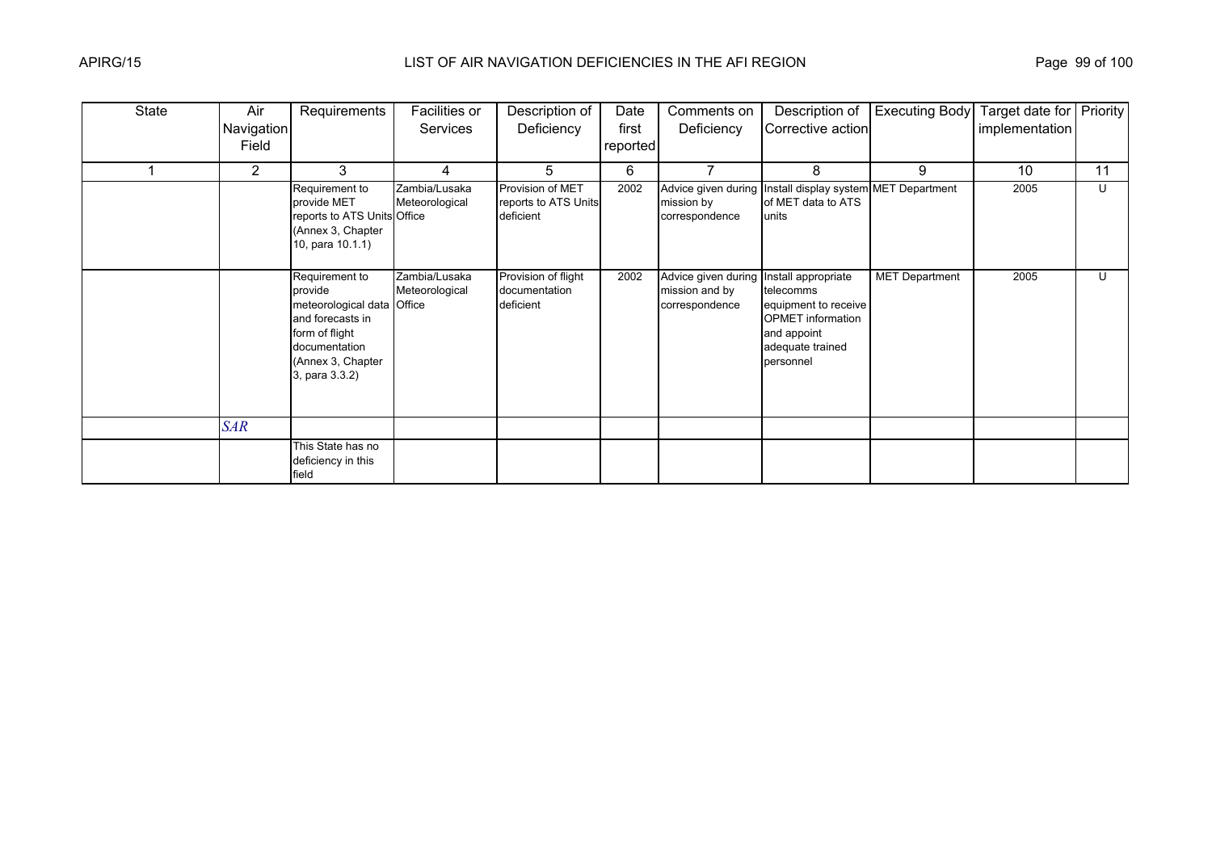| <b>State</b> | Air            | Requirements                                                                                                                                          | Facilities or                   | Description of                                        | Date     | Comments on                                             | Description of                                                                                                                       | <b>Executing Body</b> | Target date for Priority |    |
|--------------|----------------|-------------------------------------------------------------------------------------------------------------------------------------------------------|---------------------------------|-------------------------------------------------------|----------|---------------------------------------------------------|--------------------------------------------------------------------------------------------------------------------------------------|-----------------------|--------------------------|----|
|              | Navigation     |                                                                                                                                                       | <b>Services</b>                 | Deficiency                                            | first    | Deficiency                                              | Corrective action                                                                                                                    |                       | implementation           |    |
|              | Field          |                                                                                                                                                       |                                 |                                                       | reported |                                                         |                                                                                                                                      |                       |                          |    |
|              | $\overline{2}$ | 3                                                                                                                                                     | 4                               | 5.                                                    | 6        |                                                         | 8                                                                                                                                    | 9                     | 10                       | 11 |
|              |                | Requirement to<br>provide MET<br>reports to ATS Units Office<br>(Annex 3, Chapter<br>10, para 10.1.1)                                                 | Zambia/Lusaka<br>Meteorological | Provision of MET<br>reports to ATS Units<br>deficient | 2002     | Advice given during<br>mission by<br>correspondence     | Install display system MET Department<br>of MET data to ATS<br>lunits                                                                |                       | 2005                     | U  |
|              |                | Requirement to<br>provide<br>meteorological data Office<br>and forecasts in<br>form of flight<br>documentation<br>(Annex 3, Chapter<br>3, para 3.3.2) | Zambia/Lusaka<br>Meteorological | Provision of flight<br>documentation<br>deficient     | 2002     | Advice given during<br>mission and by<br>correspondence | Install appropriate<br>telecomms<br>equipment to receive<br><b>OPMET</b> information<br>and appoint<br>adequate trained<br>personnel | <b>MET Department</b> | 2005                     | U  |
|              | <b>SAR</b>     |                                                                                                                                                       |                                 |                                                       |          |                                                         |                                                                                                                                      |                       |                          |    |
|              |                | This State has no<br>deficiency in this<br>field                                                                                                      |                                 |                                                       |          |                                                         |                                                                                                                                      |                       |                          |    |